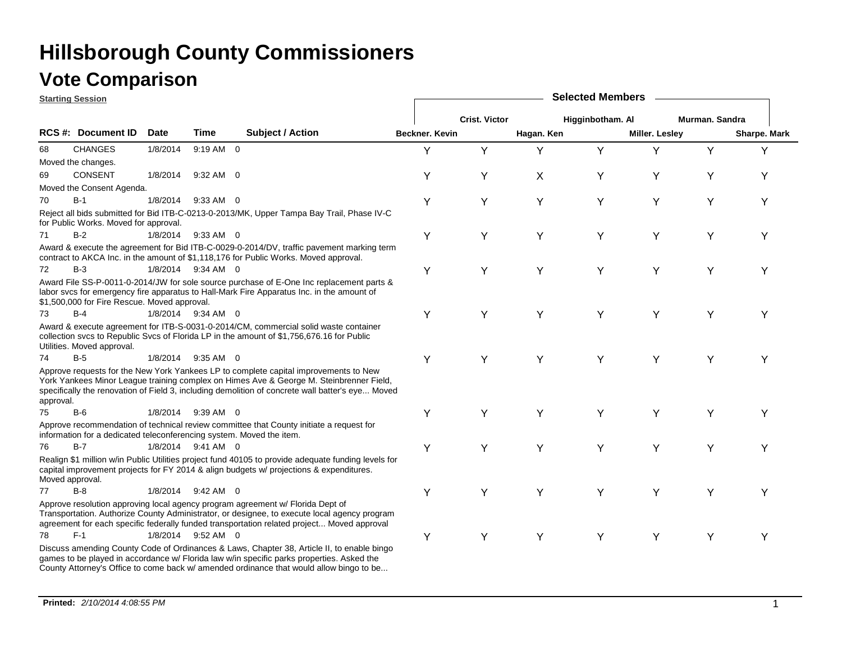|                 | <b>Starting Session</b>                                              |          |                    |                                                                                                                                                                                                                                                                                     | <b>Selected Members</b> |                      |            |                  |                |                |              |  |  |
|-----------------|----------------------------------------------------------------------|----------|--------------------|-------------------------------------------------------------------------------------------------------------------------------------------------------------------------------------------------------------------------------------------------------------------------------------|-------------------------|----------------------|------------|------------------|----------------|----------------|--------------|--|--|
|                 |                                                                      |          |                    |                                                                                                                                                                                                                                                                                     |                         | <b>Crist. Victor</b> |            | Higginbotham. Al |                | Murman. Sandra |              |  |  |
|                 | RCS #: Document ID                                                   | Date     | Time               | Subject / Action                                                                                                                                                                                                                                                                    | Beckner, Kevin          |                      | Hagan. Ken |                  | Miller. Lesley |                | Sharpe. Mark |  |  |
| 68              | <b>CHANGES</b>                                                       | 1/8/2014 | 9:19 AM 0          |                                                                                                                                                                                                                                                                                     | Y                       | Y                    | Y          | Y                | Y              | Y              | Y            |  |  |
|                 | Moved the changes.                                                   |          |                    |                                                                                                                                                                                                                                                                                     |                         |                      |            |                  |                |                |              |  |  |
| 69              | <b>CONSENT</b>                                                       | 1/8/2014 | $9:32$ AM 0        |                                                                                                                                                                                                                                                                                     | Y                       | Y                    | X          | Y                | Y              | Y              | Y            |  |  |
|                 | Moved the Consent Agenda.                                            |          |                    |                                                                                                                                                                                                                                                                                     |                         |                      |            |                  |                |                |              |  |  |
| 70              | $B-1$                                                                | 1/8/2014 | $9:33$ AM 0        |                                                                                                                                                                                                                                                                                     | Υ                       | Y                    | Y          | Y                | Y              | Υ              | Y            |  |  |
|                 | for Public Works. Moved for approval.                                |          |                    | Reject all bids submitted for Bid ITB-C-0213-0-2013/MK, Upper Tampa Bay Trail, Phase IV-C                                                                                                                                                                                           |                         |                      |            |                  |                |                |              |  |  |
| 71              | $B-2$                                                                |          | 1/8/2014 9:33 AM 0 |                                                                                                                                                                                                                                                                                     | Y                       | Y                    | Y          | Y                | Y              | Υ              | Υ            |  |  |
|                 |                                                                      |          |                    | Award & execute the agreement for Bid ITB-C-0029-0-2014/DV, traffic pavement marking term<br>contract to AKCA Inc. in the amount of \$1,118,176 for Public Works. Moved approval.                                                                                                   |                         |                      |            |                  |                |                |              |  |  |
| 72              | $B-3$                                                                |          | 1/8/2014 9:34 AM 0 |                                                                                                                                                                                                                                                                                     | Υ                       | Y                    | Y          | Y                | Y              | Y              | Y            |  |  |
|                 | \$1,500,000 for Fire Rescue. Moved approval.                         |          |                    | Award File SS-P-0011-0-2014/JW for sole source purchase of E-One Inc replacement parts &<br>labor svcs for emergency fire apparatus to Hall-Mark Fire Apparatus Inc. in the amount of                                                                                               |                         |                      |            |                  |                |                |              |  |  |
| 73              | $B-4$                                                                |          | 1/8/2014 9:34 AM 0 |                                                                                                                                                                                                                                                                                     | Y                       | Y                    | Y          | Y                | Y              | Υ              | Υ            |  |  |
|                 | Utilities. Moved approval.                                           |          |                    | Award & execute agreement for ITB-S-0031-0-2014/CM, commercial solid waste container<br>collection svcs to Republic Svcs of Florida LP in the amount of \$1,756,676.16 for Public                                                                                                   |                         |                      |            |                  |                |                |              |  |  |
| 74              | $B-5$                                                                |          | 1/8/2014 9:35 AM 0 |                                                                                                                                                                                                                                                                                     | Y                       | Y                    | Y          | Y                | Y              | Y              | Υ            |  |  |
| approval.       |                                                                      |          |                    | Approve requests for the New York Yankees LP to complete capital improvements to New<br>York Yankees Minor League training complex on Himes Ave & George M. Steinbrenner Field,<br>specifically the renovation of Field 3, including demolition of concrete wall batter's eye Moved |                         |                      |            |                  |                |                |              |  |  |
| 75              | $B-6$                                                                | 1/8/2014 | 9:39 AM 0          |                                                                                                                                                                                                                                                                                     | Y                       | Y                    | Υ          | Y                | Y              | Υ              | Υ            |  |  |
|                 | information for a dedicated teleconferencing system. Moved the item. |          |                    | Approve recommendation of technical review committee that County initiate a request for                                                                                                                                                                                             |                         |                      |            |                  |                |                |              |  |  |
| 76              | $B-7$                                                                |          | 1/8/2014 9:41 AM 0 |                                                                                                                                                                                                                                                                                     | Y                       | Υ                    | Y          | Y                | Y              | Υ              | Y            |  |  |
| Moved approval. |                                                                      |          |                    | Realign \$1 million w/in Public Utilities project fund 40105 to provide adequate funding levels for<br>capital improvement projects for FY 2014 & align budgets w/ projections & expenditures.                                                                                      |                         |                      |            |                  |                |                |              |  |  |
| 77              | $B-8$                                                                | 1/8/2014 | $9:42$ AM 0        |                                                                                                                                                                                                                                                                                     | Y                       | Y                    | Υ          | Y                | Y              | Υ              | Y            |  |  |
|                 |                                                                      |          |                    | Approve resolution approving local agency program agreement w/ Florida Dept of<br>Transportation. Authorize County Administrator, or designee, to execute local agency program<br>agreement for each specific federally funded transportation related project Moved approval        |                         |                      |            |                  |                |                |              |  |  |
| 78              | $F-1$                                                                |          | 1/8/2014 9:52 AM 0 |                                                                                                                                                                                                                                                                                     | Y                       | Y                    | Y          | Y                | Y              | Υ              | Υ            |  |  |
|                 |                                                                      |          |                    | Discuss amending County Code of Ordinances & Laws, Chapter 38, Article II, to enable bingo<br>games to be played in accordance w/ Florida law w/in specific parks properties. Asked the<br>County Attorney's Office to come back w/ amended ordinance that would allow bingo to be  |                         |                      |            |                  |                |                |              |  |  |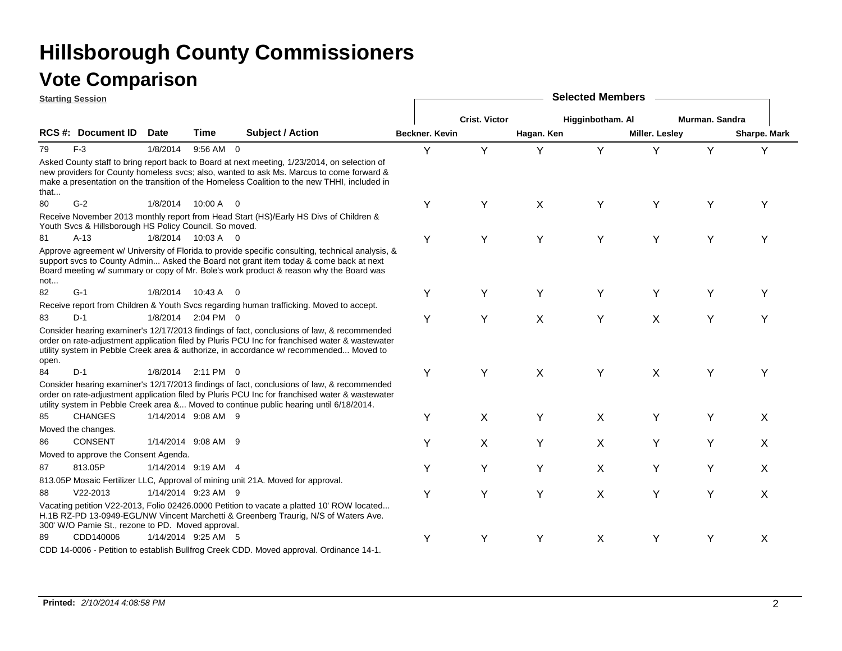|       | <b>Starting Session</b>                                |             |                     |                                                                                                                                                                                                                                                                                          |                       | <b>Selected Members</b> |            |                  |                |                |              |  |  |  |
|-------|--------------------------------------------------------|-------------|---------------------|------------------------------------------------------------------------------------------------------------------------------------------------------------------------------------------------------------------------------------------------------------------------------------------|-----------------------|-------------------------|------------|------------------|----------------|----------------|--------------|--|--|--|
|       |                                                        |             |                     |                                                                                                                                                                                                                                                                                          |                       | <b>Crist. Victor</b>    |            | Higginbotham. Al |                | Murman, Sandra |              |  |  |  |
|       | <b>RCS #: Document ID</b>                              | <b>Date</b> | Time                | <b>Subject / Action</b>                                                                                                                                                                                                                                                                  | <b>Beckner, Kevin</b> |                         | Hagan. Ken |                  | Miller. Lesley |                | Sharpe. Mark |  |  |  |
| 79    | $F-3$                                                  | 1/8/2014    | 9:56 AM 0           |                                                                                                                                                                                                                                                                                          | Y                     | Y                       | Y          | Y                | Y              | Y              | Y            |  |  |  |
| that  |                                                        |             |                     | Asked County staff to bring report back to Board at next meeting, 1/23/2014, on selection of<br>new providers for County homeless svcs; also, wanted to ask Ms. Marcus to come forward &<br>make a presentation on the transition of the Homeless Coalition to the new THHI, included in |                       |                         |            |                  |                |                |              |  |  |  |
| 80    | $G-2$                                                  |             | 1/8/2014 10:00 A 0  |                                                                                                                                                                                                                                                                                          | Y                     | Y                       | X          | Y                | Y              | Υ              | Y            |  |  |  |
|       | Youth Svcs & Hillsborough HS Policy Council. So moved. |             |                     | Receive November 2013 monthly report from Head Start (HS)/Early HS Divs of Children &                                                                                                                                                                                                    |                       |                         |            |                  |                |                |              |  |  |  |
| 81    | $A-13$                                                 |             | 1/8/2014 10:03 A 0  |                                                                                                                                                                                                                                                                                          | Y                     | Y                       | Y          | Υ                | Υ              | Y              | Y            |  |  |  |
| not   |                                                        |             |                     | Approve agreement w/ University of Florida to provide specific consulting, technical analysis, &<br>support svcs to County Admin Asked the Board not grant item today & come back at next<br>Board meeting w/ summary or copy of Mr. Bole's work product & reason why the Board was      |                       |                         |            |                  |                |                |              |  |  |  |
| 82    | $G-1$                                                  | 1/8/2014    | 10:43 A 0           |                                                                                                                                                                                                                                                                                          | Y                     | Y                       | Y          | Y                | Y              | Y              | Y            |  |  |  |
|       |                                                        |             |                     | Receive report from Children & Youth Svcs regarding human trafficking. Moved to accept.                                                                                                                                                                                                  |                       |                         |            |                  |                |                |              |  |  |  |
| 83    | $D-1$                                                  |             | 1/8/2014 2:04 PM 0  |                                                                                                                                                                                                                                                                                          | Y                     | Y                       | X          | Υ                | X              | Υ              | Υ            |  |  |  |
| open. |                                                        |             |                     | Consider hearing examiner's 12/17/2013 findings of fact, conclusions of law, & recommended<br>order on rate-adjustment application filed by Pluris PCU Inc for franchised water & wastewater<br>utility system in Pebble Creek area & authorize, in accordance w/ recommended Moved to   |                       |                         |            |                  |                |                |              |  |  |  |
| 84    | $D-1$                                                  |             | 1/8/2014 2:11 PM 0  |                                                                                                                                                                                                                                                                                          | Y                     | Y                       | X          | Y                | Χ              | Υ              | Y            |  |  |  |
|       |                                                        |             |                     | Consider hearing examiner's 12/17/2013 findings of fact, conclusions of law, & recommended<br>order on rate-adjustment application filed by Pluris PCU Inc for franchised water & wastewater<br>utility system in Pebble Creek area & Moved to continue public hearing until 6/18/2014.  |                       |                         |            |                  |                |                |              |  |  |  |
| 85    | <b>CHANGES</b>                                         |             | 1/14/2014 9:08 AM 9 |                                                                                                                                                                                                                                                                                          | Y                     | X                       | Y          | X                | Υ              | Y              | X            |  |  |  |
|       | Moved the changes.                                     |             |                     |                                                                                                                                                                                                                                                                                          |                       |                         |            |                  |                |                |              |  |  |  |
| 86    | <b>CONSENT</b>                                         |             | 1/14/2014 9:08 AM 9 |                                                                                                                                                                                                                                                                                          | Υ                     | X                       | Υ          | X                | Y              | Υ              | X            |  |  |  |
|       | Moved to approve the Consent Agenda.                   |             |                     |                                                                                                                                                                                                                                                                                          |                       |                         |            |                  |                |                |              |  |  |  |
| 87    | 813.05P                                                |             | 1/14/2014 9:19 AM 4 |                                                                                                                                                                                                                                                                                          | Y                     | Y                       | Υ          | X                | Υ              | Y              | X            |  |  |  |
|       |                                                        |             |                     | 813.05P Mosaic Fertilizer LLC, Approval of mining unit 21A. Moved for approval.                                                                                                                                                                                                          |                       |                         |            |                  |                |                |              |  |  |  |
| 88    | $V22 - 2013$                                           |             | 1/14/2014 9:23 AM 9 |                                                                                                                                                                                                                                                                                          | Y                     | Y                       | Y          | X                | Y              | Y              | X            |  |  |  |
|       | 300' W/O Pamie St., rezone to PD. Moved approval.      |             |                     | Vacating petition V22-2013, Folio 02426.0000 Petition to vacate a platted 10' ROW located<br>H.1B RZ-PD 13-0949-EGL/NW Vincent Marchetti & Greenberg Traurig, N/S of Waters Ave.                                                                                                         |                       |                         |            |                  |                |                |              |  |  |  |
| 89    | CDD140006                                              |             | 1/14/2014 9:25 AM 5 |                                                                                                                                                                                                                                                                                          | Y                     | Υ                       | Y          | X                | Y              | Υ              | X            |  |  |  |
|       |                                                        |             |                     | CDD 14-0006 - Petition to establish Bullfrog Creek CDD. Moved approval. Ordinance 14-1.                                                                                                                                                                                                  |                       |                         |            |                  |                |                |              |  |  |  |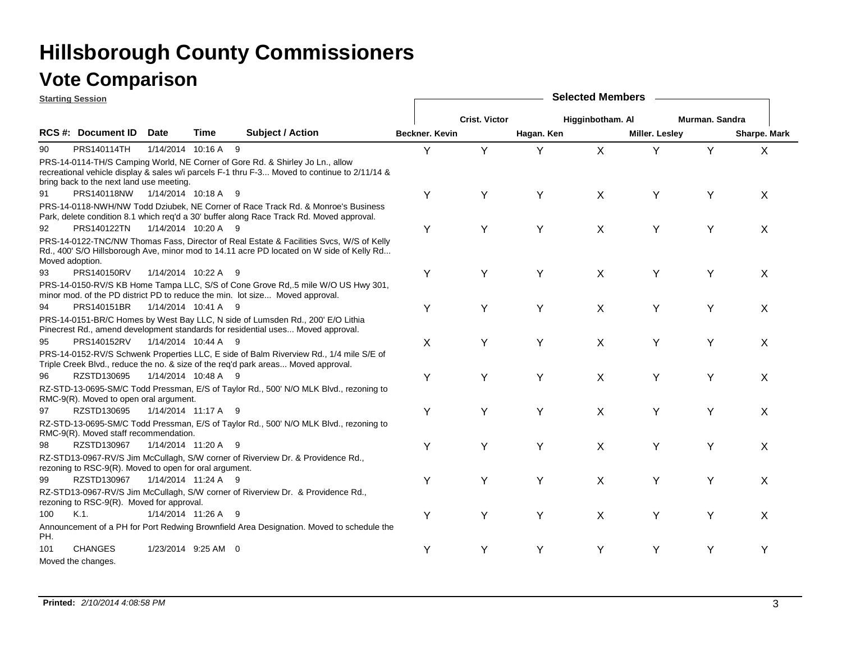|     | <b>Starting Session</b>                                |                     |                     |                                                                                                                                                                                     | <b>Selected Members</b> |                      |            |                  |                       |                |              |  |  |  |
|-----|--------------------------------------------------------|---------------------|---------------------|-------------------------------------------------------------------------------------------------------------------------------------------------------------------------------------|-------------------------|----------------------|------------|------------------|-----------------------|----------------|--------------|--|--|--|
|     |                                                        |                     |                     |                                                                                                                                                                                     |                         | <b>Crist. Victor</b> |            | Higginbotham. Al |                       | Murman, Sandra |              |  |  |  |
|     | <b>RCS #: Document ID</b>                              | Date                | Time                | <b>Subject / Action</b>                                                                                                                                                             | Beckner, Kevin          |                      | Hagan. Ken |                  | <b>Miller. Lesley</b> |                | Sharpe. Mark |  |  |  |
| 90  | PRS140114TH                                            |                     | 1/14/2014 10:16 A 9 |                                                                                                                                                                                     | Y                       | Y                    | Y          | $\sf X$          | Y                     | Y              | X            |  |  |  |
|     | bring back to the next land use meeting.               |                     |                     | PRS-14-0114-TH/S Camping World, NE Corner of Gore Rd. & Shirley Jo Ln., allow<br>recreational vehicle display & sales w/i parcels F-1 thru F-3 Moved to continue to 2/11/14 &       |                         |                      |            |                  |                       |                |              |  |  |  |
| 91  | PRS140118NW                                            | 1/14/2014 10:18 A 9 |                     |                                                                                                                                                                                     | Y                       | Υ                    | Y          | X                | Y                     | Y              | X            |  |  |  |
|     |                                                        |                     |                     | PRS-14-0118-NWH/NW Todd Dziubek, NE Corner of Race Track Rd. & Monroe's Business<br>Park, delete condition 8.1 which req'd a 30' buffer along Race Track Rd. Moved approval.        |                         |                      |            |                  |                       |                |              |  |  |  |
| 92  | PRS140122TN                                            |                     | 1/14/2014 10:20 A 9 |                                                                                                                                                                                     | Υ                       | Y                    | Y          | X                | Υ                     | Y              | X            |  |  |  |
|     | Moved adoption.                                        |                     |                     | PRS-14-0122-TNC/NW Thomas Fass, Director of Real Estate & Facilities Svcs, W/S of Kelly<br>Rd., 400' S/O Hillsborough Ave, minor mod to 14.11 acre PD located on W side of Kelly Rd |                         |                      |            |                  |                       |                |              |  |  |  |
| 93  | PRS140150RV                                            |                     | 1/14/2014 10:22 A 9 |                                                                                                                                                                                     | Y                       | Y                    | Y          | X                | Υ                     | Y              | X            |  |  |  |
|     |                                                        |                     |                     | PRS-14-0150-RV/S KB Home Tampa LLC, S/S of Cone Grove Rd, 5 mile W/O US Hwy 301,<br>minor mod. of the PD district PD to reduce the min. lot size Moved approval.                    |                         |                      |            |                  |                       |                |              |  |  |  |
| 94  | PRS140151BR                                            |                     | 1/14/2014 10:41 A 9 |                                                                                                                                                                                     | Y                       | Y                    | Y          | X                | Υ                     | Y              | X            |  |  |  |
|     |                                                        |                     |                     | PRS-14-0151-BR/C Homes by West Bay LLC, N side of Lumsden Rd., 200' E/O Lithia<br>Pinecrest Rd., amend development standards for residential uses Moved approval.                   |                         |                      |            |                  |                       |                |              |  |  |  |
| 95  | PRS140152RV                                            |                     | 1/14/2014 10:44 A 9 |                                                                                                                                                                                     | X                       | Y                    | Y          | X                | Y                     | Υ              | X            |  |  |  |
|     |                                                        |                     |                     | PRS-14-0152-RV/S Schwenk Properties LLC, E side of Balm Riverview Rd., 1/4 mile S/E of<br>Triple Creek Blvd., reduce the no. & size of the req'd park areas Moved approval.         |                         |                      |            |                  |                       |                |              |  |  |  |
| 96  | RZSTD130695                                            |                     | 1/14/2014 10:48 A 9 |                                                                                                                                                                                     | Y                       | Y                    | Y          | X                | Y                     | Y              | X            |  |  |  |
|     | RMC-9(R). Moved to open oral argument.                 |                     |                     | RZ-STD-13-0695-SM/C Todd Pressman, E/S of Taylor Rd., 500' N/O MLK Blvd., rezoning to                                                                                               |                         |                      |            |                  |                       |                |              |  |  |  |
| 97  | RZSTD130695                                            |                     | 1/14/2014 11:17 A 9 |                                                                                                                                                                                     | Y                       | Y                    | Y          | X                | Υ                     | Y              | X            |  |  |  |
|     | RMC-9(R). Moved staff recommendation.                  |                     |                     | RZ-STD-13-0695-SM/C Todd Pressman, E/S of Taylor Rd., 500' N/O MLK Blvd., rezoning to                                                                                               |                         |                      |            |                  |                       |                |              |  |  |  |
| 98  | RZSTD130967                                            |                     | 1/14/2014 11:20 A 9 |                                                                                                                                                                                     | Y                       | Y                    | Y          | X                | Υ                     | Υ              | X            |  |  |  |
|     | rezoning to RSC-9(R). Moved to open for oral argument. |                     |                     | RZ-STD13-0967-RV/S Jim McCullagh, S/W corner of Riverview Dr. & Providence Rd.,                                                                                                     |                         |                      |            |                  |                       |                |              |  |  |  |
| 99  | RZSTD130967                                            |                     | 1/14/2014 11:24 A 9 |                                                                                                                                                                                     | Y                       | Y                    | Y          | X                | Y                     | Y              | $\times$     |  |  |  |
|     | rezoning to RSC-9(R). Moved for approval.              |                     |                     | RZ-STD13-0967-RV/S Jim McCullagh, S/W corner of Riverview Dr. & Providence Rd.,                                                                                                     |                         |                      |            |                  |                       |                |              |  |  |  |
| 100 | $K.1$ .                                                |                     | 1/14/2014 11:26 A 9 |                                                                                                                                                                                     | Y                       | Y                    | Y          | X                | Y                     | Y              | X            |  |  |  |
| PH. |                                                        |                     |                     | Announcement of a PH for Port Redwing Brownfield Area Designation. Moved to schedule the                                                                                            |                         |                      |            |                  |                       |                |              |  |  |  |
| 101 | <b>CHANGES</b>                                         |                     | 1/23/2014 9:25 AM 0 |                                                                                                                                                                                     | Υ                       | Y                    | Y          | Y                | Υ                     | Y              | Y            |  |  |  |
|     | Moved the changes.                                     |                     |                     |                                                                                                                                                                                     |                         |                      |            |                  |                       |                |              |  |  |  |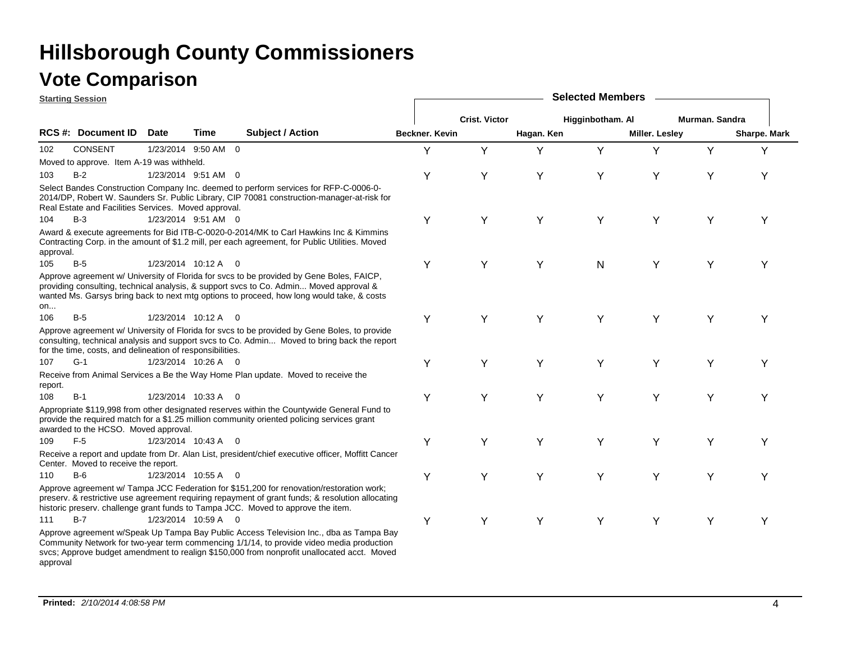**Starting Session**

|           | ətartırıy ə <del>c</del> əsion                            |                     |                                                                                                                                                                                                                                                                                  |                |                      |            |                  |                       |                |              |  |
|-----------|-----------------------------------------------------------|---------------------|----------------------------------------------------------------------------------------------------------------------------------------------------------------------------------------------------------------------------------------------------------------------------------|----------------|----------------------|------------|------------------|-----------------------|----------------|--------------|--|
|           |                                                           |                     |                                                                                                                                                                                                                                                                                  |                | <b>Crist. Victor</b> |            | Higginbotham. Al |                       | Murman. Sandra |              |  |
|           | RCS #: Document ID Date                                   | <b>Time</b>         | Subject / Action                                                                                                                                                                                                                                                                 | Beckner. Kevin |                      | Hagan. Ken |                  | <b>Miller. Lesley</b> |                | Sharpe. Mark |  |
| 102       | <b>CONSENT</b>                                            | 1/23/2014 9:50 AM 0 |                                                                                                                                                                                                                                                                                  | Y              | Y                    | Υ          | Υ                | Y                     | Y              | Y            |  |
|           | Moved to approve. Item A-19 was withheld.                 |                     |                                                                                                                                                                                                                                                                                  |                |                      |            |                  |                       |                |              |  |
| 103       | $B-2$                                                     | 1/23/2014 9:51 AM 0 |                                                                                                                                                                                                                                                                                  | Υ              | Υ                    | Υ          | Υ                | Υ                     | Υ              |              |  |
|           | Real Estate and Facilities Services. Moved approval.      |                     | Select Bandes Construction Company Inc. deemed to perform services for RFP-C-0006-0-<br>2014/DP, Robert W. Saunders Sr. Public Library, CIP 70081 construction-manager-at-risk for                                                                                               |                |                      |            |                  |                       |                |              |  |
| 104       | $B-3$                                                     | 1/23/2014 9:51 AM 0 |                                                                                                                                                                                                                                                                                  | Y              | Y                    | Y          | Y                | Y                     | Y              |              |  |
| approval. |                                                           |                     | Award & execute agreements for Bid ITB-C-0020-0-2014/MK to Carl Hawkins Inc & Kimmins<br>Contracting Corp. in the amount of \$1.2 mill, per each agreement, for Public Utilities. Moved                                                                                          |                |                      |            |                  |                       |                |              |  |
| 105       | $B-5$                                                     | 1/23/2014 10:12 A 0 |                                                                                                                                                                                                                                                                                  | Y              | Υ                    | Y          | N                | Y                     | Y              |              |  |
| on        |                                                           |                     | Approve agreement w/ University of Florida for svcs to be provided by Gene Boles, FAICP,<br>providing consulting, technical analysis, & support svcs to Co. Admin Moved approval &<br>wanted Ms. Garsys bring back to next mtg options to proceed, how long would take, & costs  |                |                      |            |                  |                       |                |              |  |
| 106       | $B-5$                                                     | 1/23/2014 10:12 A 0 |                                                                                                                                                                                                                                                                                  | Y              | Υ                    | Y          | Y                | Y                     | Y              |              |  |
|           | for the time, costs, and delineation of responsibilities. |                     | Approve agreement w/ University of Florida for svcs to be provided by Gene Boles, to provide<br>consulting, technical analysis and support svcs to Co. Admin Moved to bring back the report                                                                                      |                |                      |            |                  |                       |                |              |  |
| 107       | $G-1$                                                     | 1/23/2014 10:26 A 0 |                                                                                                                                                                                                                                                                                  | Y              | Y                    | Y          | Y                | Υ                     | Υ              | Y            |  |
| report.   |                                                           |                     | Receive from Animal Services a Be the Way Home Plan update. Moved to receive the                                                                                                                                                                                                 |                |                      |            |                  |                       |                |              |  |
| 108       | $B-1$                                                     | 1/23/2014 10:33 A 0 |                                                                                                                                                                                                                                                                                  | Y              | Υ                    | Y          | Υ                | Υ                     | Y              |              |  |
|           | awarded to the HCSO. Moved approval.                      |                     | Appropriate \$119,998 from other designated reserves within the Countywide General Fund to<br>provide the required match for a \$1.25 million community oriented policing services grant                                                                                         |                |                      |            |                  |                       |                |              |  |
| 109       | $F-5$                                                     | 1/23/2014 10:43 A 0 |                                                                                                                                                                                                                                                                                  | Y              | Y                    | Y          | Y                | Y                     | Y              |              |  |
|           | Center. Moved to receive the report.                      |                     | Receive a report and update from Dr. Alan List, president/chief executive officer, Moffitt Cancer                                                                                                                                                                                |                |                      |            |                  |                       |                |              |  |
| 110       | $B-6$                                                     | 1/23/2014 10:55 A 0 |                                                                                                                                                                                                                                                                                  | Y              | Υ                    | Υ          | Y                | Y                     | Y              |              |  |
|           |                                                           |                     | Approve agreement w/ Tampa JCC Federation for \$151,200 for renovation/restoration work;<br>preserv. & restrictive use agreement requiring repayment of grant funds; & resolution allocating<br>historic preserv. challenge grant funds to Tampa JCC. Moved to approve the item. |                |                      |            |                  |                       |                |              |  |
| 111       | $B-7$                                                     | 1/23/2014 10:59 A 0 |                                                                                                                                                                                                                                                                                  | Y              | Υ                    | Y          | Υ                | Υ                     | Υ              | Y            |  |
|           |                                                           |                     | Approve agreement w/Speak Up Tampa Bay Public Access Television Inc., dba as Tampa Bay<br>Community Network for two-year term commencing 1/1/14, to provide video media production                                                                                               |                |                      |            |                  |                       |                |              |  |

**Selected Members**

svcs; Approve budget amendment to realign \$150,000 from nonprofit unallocated acct. Moved approval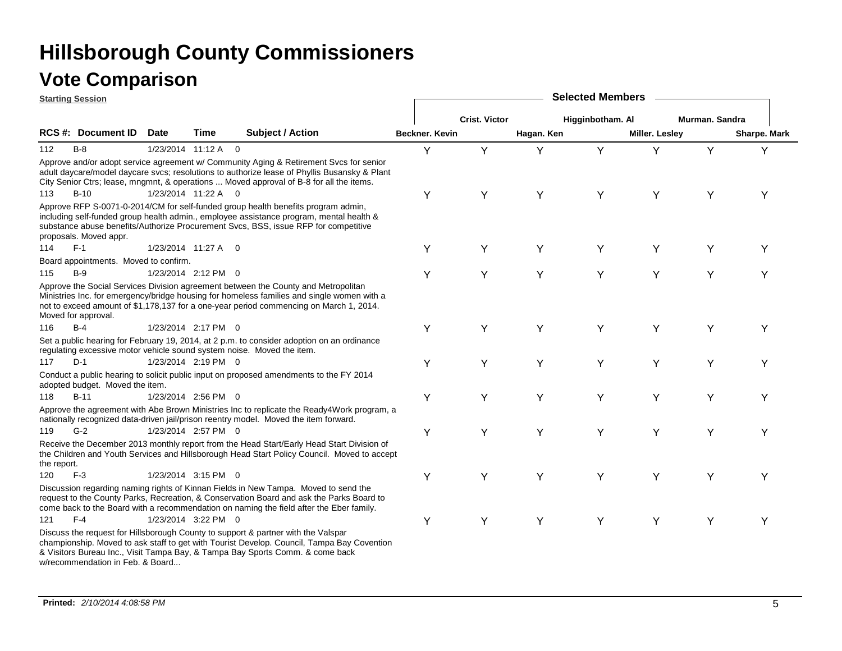|             | <b>Starting Session</b>               |             |                     |                                                                                                                                                                                                                                                                                   |                |                      |            | <b>Selected Members</b> |                |                |                     |
|-------------|---------------------------------------|-------------|---------------------|-----------------------------------------------------------------------------------------------------------------------------------------------------------------------------------------------------------------------------------------------------------------------------------|----------------|----------------------|------------|-------------------------|----------------|----------------|---------------------|
|             |                                       |             |                     |                                                                                                                                                                                                                                                                                   |                | <b>Crist. Victor</b> |            | Higginbotham. Al        |                | Murman. Sandra |                     |
|             | <b>RCS #: Document ID</b>             | <b>Date</b> | Time                | Subject / Action                                                                                                                                                                                                                                                                  | Beckner. Kevin |                      | Hagan. Ken |                         | Miller. Lesley |                | <b>Sharpe. Mark</b> |
| 112         | $B-8$                                 |             | 1/23/2014 11:12 A 0 |                                                                                                                                                                                                                                                                                   | Y              | Y                    | Y          | Y                       | Y              | Y              | Y                   |
|             |                                       |             |                     | Approve and/or adopt service agreement w/ Community Aging & Retirement Svcs for senior<br>adult daycare/model daycare svcs; resolutions to authorize lease of Phyllis Busansky & Plant<br>City Senior Ctrs; lease, mngmnt, & operations  Moved approval of B-8 for all the items. |                |                      |            |                         |                |                |                     |
| 113         | $B-10$                                |             | 1/23/2014 11:22 A 0 |                                                                                                                                                                                                                                                                                   | Y              | Y                    | Y          | Y                       | Y              | Y              | Y                   |
|             | proposals. Moved appr.                |             |                     | Approve RFP S-0071-0-2014/CM for self-funded group health benefits program admin,<br>including self-funded group health admin., employee assistance program, mental health &<br>substance abuse benefits/Authorize Procurement Svcs, BSS, issue RFP for competitive               |                |                      |            |                         |                |                |                     |
| 114         | $F-1$                                 |             | 1/23/2014 11:27 A 0 |                                                                                                                                                                                                                                                                                   | Υ              | Y                    | Y          | Υ                       | Υ              | Y              | Y                   |
|             | Board appointments. Moved to confirm. |             |                     |                                                                                                                                                                                                                                                                                   |                |                      |            |                         |                |                |                     |
| 115         | $B-9$                                 |             | 1/23/2014 2:12 PM 0 |                                                                                                                                                                                                                                                                                   | Y              | Υ                    | Y          | Y                       | Y              | Y              | Y                   |
|             | Moved for approval.                   |             |                     | Approve the Social Services Division agreement between the County and Metropolitan<br>Ministries Inc. for emergency/bridge housing for homeless families and single women with a<br>not to exceed amount of \$1,178,137 for a one-year period commencing on March 1, 2014.        |                |                      |            |                         |                |                |                     |
| 116         | $B-4$                                 |             | 1/23/2014 2:17 PM 0 |                                                                                                                                                                                                                                                                                   | Y              | Y                    | Y          | Y                       | Y              | Y              | Υ                   |
|             |                                       |             |                     | Set a public hearing for February 19, 2014, at 2 p.m. to consider adoption on an ordinance<br>regulating excessive motor vehicle sound system noise. Moved the item.                                                                                                              |                |                      |            |                         |                |                |                     |
| 117         | $D-1$                                 |             | 1/23/2014 2:19 PM 0 |                                                                                                                                                                                                                                                                                   | Y              | Y                    | Y          | Y                       | Υ              | Y              | Υ                   |
|             | adopted budget. Moved the item.       |             |                     | Conduct a public hearing to solicit public input on proposed amendments to the FY 2014                                                                                                                                                                                            |                |                      |            |                         |                |                |                     |
| 118         | $B-11$                                |             | 1/23/2014 2:56 PM 0 |                                                                                                                                                                                                                                                                                   | Y              | Υ                    | Y          | Υ                       | Υ              | Υ              | Y                   |
|             |                                       |             |                     | Approve the agreement with Abe Brown Ministries Inc to replicate the Ready4Work program, a<br>nationally recognized data-driven jail/prison reentry model. Moved the item forward.                                                                                                |                |                      |            |                         |                |                |                     |
| 119         | $G-2$                                 |             | 1/23/2014 2:57 PM 0 |                                                                                                                                                                                                                                                                                   | Y              | Y                    | Y          | Y                       | Y              | Y              | Υ                   |
| the report. |                                       |             |                     | Receive the December 2013 monthly report from the Head Start/Early Head Start Division of<br>the Children and Youth Services and Hillsborough Head Start Policy Council. Moved to accept                                                                                          |                |                      |            |                         |                |                |                     |
| 120         | $F-3$                                 |             | 1/23/2014 3:15 PM 0 |                                                                                                                                                                                                                                                                                   | Y              | Y                    | Υ          | Υ                       | Y              | Υ              | Y                   |
|             |                                       |             |                     | Discussion regarding naming rights of Kinnan Fields in New Tampa. Moved to send the<br>request to the County Parks, Recreation, & Conservation Board and ask the Parks Board to<br>come back to the Board with a recommendation on naming the field after the Eber family.        |                |                      |            |                         |                |                |                     |
| 121         | $F-4$                                 |             | 1/23/2014 3:22 PM 0 |                                                                                                                                                                                                                                                                                   | Y              | Y                    | Y          | Y                       | Y              | Y              | Υ                   |
|             |                                       |             |                     | Discuss the request for Hillsborough County to support & partner with the Valspar<br>championship. Moved to ask staff to get with Tourist Develop. Council, Tampa Bay Covention<br>& Visitors Bureau Inc., Visit Tampa Bay, & Tampa Bay Sports Comm. & come back                  |                |                      |            |                         |                |                |                     |

w/recommendation in Feb. & Board...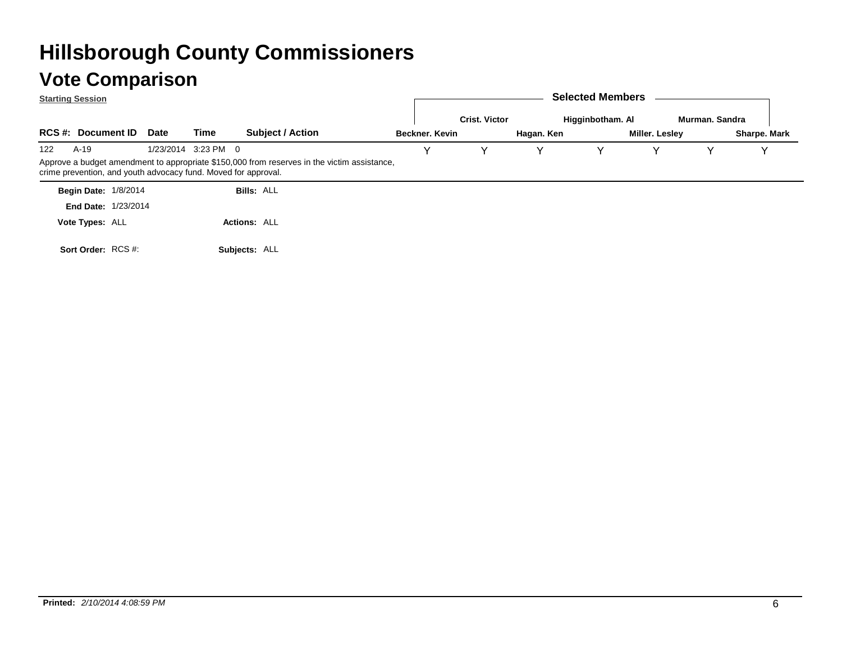|     | <b>Starting Session</b>                                        |             |                     |                                                                                             |  |                |                      |            | <b>Selected Members</b> |                |                |                     |
|-----|----------------------------------------------------------------|-------------|---------------------|---------------------------------------------------------------------------------------------|--|----------------|----------------------|------------|-------------------------|----------------|----------------|---------------------|
|     |                                                                |             |                     |                                                                                             |  |                | <b>Crist. Victor</b> |            | Higginbotham. Al        |                | Murman, Sandra |                     |
|     | <b>RCS #: Document ID</b>                                      | <b>Date</b> | Time                | <b>Subject / Action</b>                                                                     |  | Beckner, Kevin |                      | Hagan. Ken |                         | Miller. Lesley |                | <b>Sharpe. Mark</b> |
| 122 | A-19                                                           |             | 1/23/2014 3:23 PM 0 |                                                                                             |  |                |                      | v          |                         |                |                |                     |
|     | crime prevention, and youth advocacy fund. Moved for approval. |             |                     | Approve a budget amendment to appropriate \$150,000 from reserves in the victim assistance, |  |                |                      |            |                         |                |                |                     |
|     | <b>Begin Date: 1/8/2014</b>                                    |             |                     | <b>Bills: ALL</b>                                                                           |  |                |                      |            |                         |                |                |                     |
|     | <b>End Date: 1/23/2014</b>                                     |             |                     |                                                                                             |  |                |                      |            |                         |                |                |                     |
|     | Vote Types: ALL                                                |             |                     | <b>Actions: ALL</b>                                                                         |  |                |                      |            |                         |                |                |                     |
|     | Sort Order: RCS #:                                             |             |                     | Subjects: ALL                                                                               |  |                |                      |            |                         |                |                |                     |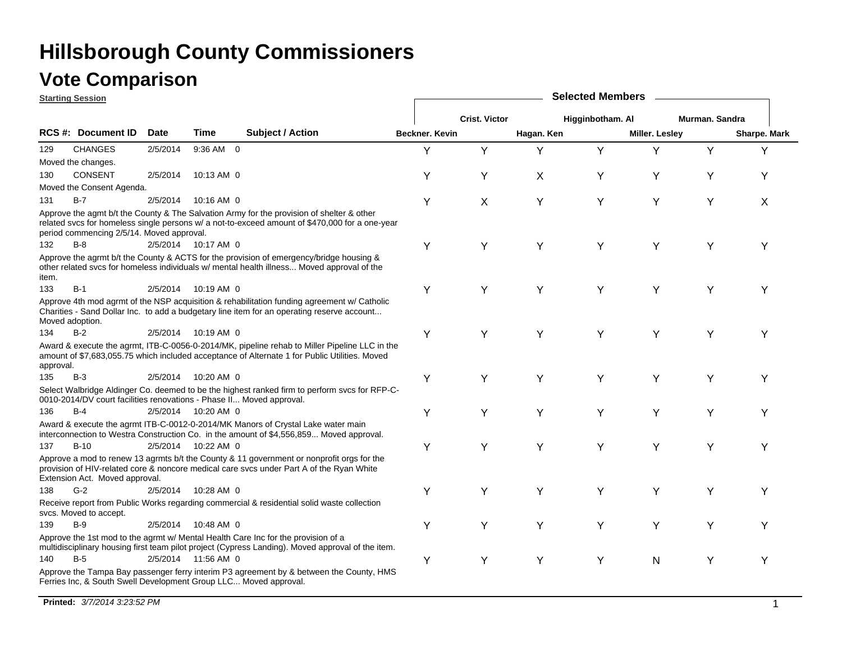### **Vote Comparison**

**Starting Session**

|           | <u>otarting bession</u>                                              |             |                     |                                                                                                                                                                                                |                       |                      |            | <b>OUIUULUU INUIIIN</b> |                |                |              |
|-----------|----------------------------------------------------------------------|-------------|---------------------|------------------------------------------------------------------------------------------------------------------------------------------------------------------------------------------------|-----------------------|----------------------|------------|-------------------------|----------------|----------------|--------------|
|           |                                                                      |             |                     |                                                                                                                                                                                                |                       | <b>Crist. Victor</b> |            | Higginbotham. Al        |                | Murman. Sandra |              |
|           | RCS #: Document ID                                                   | <b>Date</b> | Time                | <b>Subject / Action</b>                                                                                                                                                                        | <b>Beckner, Kevin</b> |                      | Hagan. Ken |                         | Miller. Lesley |                | Sharpe. Mark |
| 129       | <b>CHANGES</b>                                                       | 2/5/2014    | 9:36 AM 0           |                                                                                                                                                                                                | Y                     | Y                    | Y          | Y                       | Y              | Y              | Y            |
|           | Moved the changes.                                                   |             |                     |                                                                                                                                                                                                |                       |                      |            |                         |                |                |              |
| 130       | CONSENT                                                              | 2/5/2014    | 10:13 AM 0          |                                                                                                                                                                                                | Υ                     | Υ                    | X          | Y                       | Y              | Υ              | Υ            |
|           | Moved the Consent Agenda.                                            |             |                     |                                                                                                                                                                                                |                       |                      |            |                         |                |                |              |
| 131       | $B-7$                                                                | 2/5/2014    | 10:16 AM 0          |                                                                                                                                                                                                | Υ                     | X                    | Υ          | Y                       | Y              | Y              | X            |
|           | period commencing 2/5/14. Moved approval.                            |             |                     | Approve the agmt b/t the County & The Salvation Army for the provision of shelter & other<br>related svcs for homeless single persons w/ a not-to-exceed amount of \$470,000 for a one-year    |                       |                      |            |                         |                |                |              |
| 132       | $B-8$                                                                |             | 2/5/2014 10:17 AM 0 |                                                                                                                                                                                                | Y                     | Υ                    | Y          | Y                       | Y              | Y              | Y            |
| item.     |                                                                      |             |                     | Approve the agrmt b/t the County & ACTS for the provision of emergency/bridge housing &<br>other related svcs for homeless individuals w/ mental health illness Moved approval of the          |                       |                      |            |                         |                |                |              |
| 133       | $B-1$                                                                |             | 2/5/2014 10:19 AM 0 |                                                                                                                                                                                                | Y                     | Y                    | Y          | Y                       | Y              | Y              | Υ            |
|           | Moved adoption.                                                      |             |                     | Approve 4th mod agrmt of the NSP acquisition & rehabilitation funding agreement w/ Catholic<br>Charities - Sand Dollar Inc. to add a budgetary line item for an operating reserve account      |                       |                      |            |                         |                |                |              |
| 134       | $B-2$                                                                |             | 2/5/2014 10:19 AM 0 |                                                                                                                                                                                                | Y                     | Y                    | Υ          | Y                       | Y              | Υ              | Υ            |
| approval. |                                                                      |             |                     | Award & execute the agrmt, ITB-C-0056-0-2014/MK, pipeline rehab to Miller Pipeline LLC in the<br>amount of \$7,683,055.75 which included acceptance of Alternate 1 for Public Utilities. Moved |                       |                      |            |                         |                |                |              |
| 135       | $B-3$                                                                | 2/5/2014    | 10:20 AM 0          |                                                                                                                                                                                                | Υ                     | Υ                    | Y          | Y                       | Y              | Y              | Υ            |
|           | 0010-2014/DV court facilities renovations - Phase II Moved approval. |             |                     | Select Walbridge Aldinger Co. deemed to be the highest ranked firm to perform svcs for RFP-C-                                                                                                  |                       |                      |            |                         |                |                |              |
| 136       | $B-4$                                                                |             | 2/5/2014 10:20 AM 0 |                                                                                                                                                                                                | Y                     | Υ                    | Υ          | Y                       | Y              | Y              | Υ            |
|           |                                                                      |             |                     | Award & execute the agrmt ITB-C-0012-0-2014/MK Manors of Crystal Lake water main<br>interconnection to Westra Construction Co. in the amount of \$4,556,859 Moved approval.                    |                       |                      |            |                         |                |                |              |
| 137       | $B-10$                                                               |             | 2/5/2014 10:22 AM 0 |                                                                                                                                                                                                | Υ                     | Υ                    | Υ          | Y                       | Υ              | Y              | Υ            |
|           | Extension Act. Moved approval.                                       |             |                     | Approve a mod to renew 13 agrmts b/t the County & 11 government or nonprofit orgs for the<br>provision of HIV-related core & noncore medical care svcs under Part A of the Ryan White          |                       |                      |            |                         |                |                |              |
| 138       | $G-2$                                                                |             | 2/5/2014 10:28 AM 0 |                                                                                                                                                                                                | Y                     | Υ                    | Υ          | Y                       | Y              | Y              | Υ            |
|           | svcs. Moved to accept.                                               |             |                     | Receive report from Public Works regarding commercial & residential solid waste collection                                                                                                     |                       |                      |            |                         |                |                |              |
| 139       | $B-9$                                                                | 2/5/2014    | 10:48 AM 0          |                                                                                                                                                                                                | Y                     | Υ                    | Υ          | Y                       | Υ              | Y              | Υ            |
|           |                                                                      |             |                     | Approve the 1st mod to the agrmt w/ Mental Health Care Inc for the provision of a<br>multidisciplinary housing first team pilot project (Cypress Landing). Moved approval of the item.         |                       |                      |            |                         |                |                |              |
| 140       | $B-5$                                                                |             | 2/5/2014 11:56 AM 0 |                                                                                                                                                                                                | Υ                     | Y                    | Υ          | Υ                       | N              | Y              | Υ            |
|           | Ferries Inc, & South Swell Development Group LLC Moved approval.     |             |                     | Approve the Tampa Bay passenger ferry interim P3 agreement by & between the County, HMS                                                                                                        |                       |                      |            |                         |                |                |              |

**Selected Members**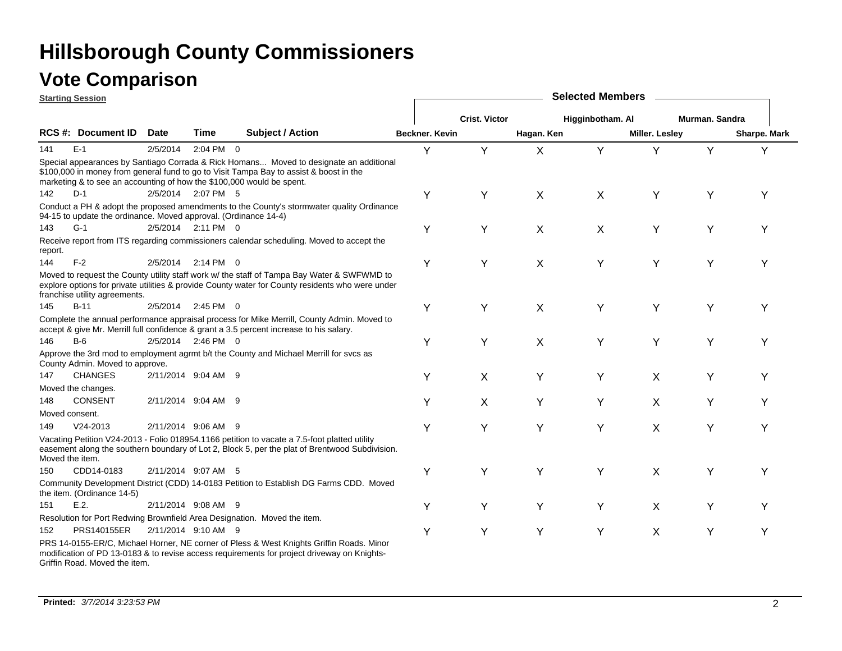|                                                                                                                                                                                                                                                                                                                                                                                                                                                                                                                                                                                                                                                                                                                                                                                                                                                                                                                                                                                                                                                                                                                                                                                                                                                                                                                                                                                                                                                                                                                                                                                                                                                                                                                                                                                                                                                                                          | <b>Starting Session</b>   |             |               |                                                                                                                                                                                                                                                           | <b>Selected Members</b> |                      |            |                  |                       |                |              |  |  |  |
|------------------------------------------------------------------------------------------------------------------------------------------------------------------------------------------------------------------------------------------------------------------------------------------------------------------------------------------------------------------------------------------------------------------------------------------------------------------------------------------------------------------------------------------------------------------------------------------------------------------------------------------------------------------------------------------------------------------------------------------------------------------------------------------------------------------------------------------------------------------------------------------------------------------------------------------------------------------------------------------------------------------------------------------------------------------------------------------------------------------------------------------------------------------------------------------------------------------------------------------------------------------------------------------------------------------------------------------------------------------------------------------------------------------------------------------------------------------------------------------------------------------------------------------------------------------------------------------------------------------------------------------------------------------------------------------------------------------------------------------------------------------------------------------------------------------------------------------------------------------------------------------|---------------------------|-------------|---------------|-----------------------------------------------------------------------------------------------------------------------------------------------------------------------------------------------------------------------------------------------------------|-------------------------|----------------------|------------|------------------|-----------------------|----------------|--------------|--|--|--|
|                                                                                                                                                                                                                                                                                                                                                                                                                                                                                                                                                                                                                                                                                                                                                                                                                                                                                                                                                                                                                                                                                                                                                                                                                                                                                                                                                                                                                                                                                                                                                                                                                                                                                                                                                                                                                                                                                          |                           |             |               |                                                                                                                                                                                                                                                           |                         | <b>Crist. Victor</b> |            | Higginbotham. Al |                       | Murman. Sandra |              |  |  |  |
|                                                                                                                                                                                                                                                                                                                                                                                                                                                                                                                                                                                                                                                                                                                                                                                                                                                                                                                                                                                                                                                                                                                                                                                                                                                                                                                                                                                                                                                                                                                                                                                                                                                                                                                                                                                                                                                                                          | <b>RCS #: Document ID</b> | <b>Date</b> | Time          | <b>Subject / Action</b>                                                                                                                                                                                                                                   | Beckner, Kevin          |                      | Hagan. Ken |                  | <b>Miller. Lesley</b> |                | Sharpe. Mark |  |  |  |
| 141                                                                                                                                                                                                                                                                                                                                                                                                                                                                                                                                                                                                                                                                                                                                                                                                                                                                                                                                                                                                                                                                                                                                                                                                                                                                                                                                                                                                                                                                                                                                                                                                                                                                                                                                                                                                                                                                                      | $E-1$                     | 2/5/2014    | $2:04$ PM $0$ |                                                                                                                                                                                                                                                           | Y                       | Y                    | X          | Y                | Y                     | Y              | Y            |  |  |  |
|                                                                                                                                                                                                                                                                                                                                                                                                                                                                                                                                                                                                                                                                                                                                                                                                                                                                                                                                                                                                                                                                                                                                                                                                                                                                                                                                                                                                                                                                                                                                                                                                                                                                                                                                                                                                                                                                                          |                           |             |               | Special appearances by Santiago Corrada & Rick Homans Moved to designate an additional<br>\$100,000 in money from general fund to go to Visit Tampa Bay to assist & boost in the<br>marketing & to see an accounting of how the \$100,000 would be spent. |                         |                      |            |                  |                       |                |              |  |  |  |
| 142                                                                                                                                                                                                                                                                                                                                                                                                                                                                                                                                                                                                                                                                                                                                                                                                                                                                                                                                                                                                                                                                                                                                                                                                                                                                                                                                                                                                                                                                                                                                                                                                                                                                                                                                                                                                                                                                                      | $D-1$                     |             |               |                                                                                                                                                                                                                                                           | Y                       | Υ                    | X          | $\pmb{\times}$   | Y                     | Υ              | v            |  |  |  |
|                                                                                                                                                                                                                                                                                                                                                                                                                                                                                                                                                                                                                                                                                                                                                                                                                                                                                                                                                                                                                                                                                                                                                                                                                                                                                                                                                                                                                                                                                                                                                                                                                                                                                                                                                                                                                                                                                          |                           |             |               |                                                                                                                                                                                                                                                           |                         |                      |            |                  |                       |                |              |  |  |  |
| 143                                                                                                                                                                                                                                                                                                                                                                                                                                                                                                                                                                                                                                                                                                                                                                                                                                                                                                                                                                                                                                                                                                                                                                                                                                                                                                                                                                                                                                                                                                                                                                                                                                                                                                                                                                                                                                                                                      | $G-1$                     |             |               |                                                                                                                                                                                                                                                           | Y                       | Y                    | X          | X                | Υ                     |                |              |  |  |  |
| report.                                                                                                                                                                                                                                                                                                                                                                                                                                                                                                                                                                                                                                                                                                                                                                                                                                                                                                                                                                                                                                                                                                                                                                                                                                                                                                                                                                                                                                                                                                                                                                                                                                                                                                                                                                                                                                                                                  |                           |             |               |                                                                                                                                                                                                                                                           |                         |                      |            |                  |                       |                |              |  |  |  |
| 144                                                                                                                                                                                                                                                                                                                                                                                                                                                                                                                                                                                                                                                                                                                                                                                                                                                                                                                                                                                                                                                                                                                                                                                                                                                                                                                                                                                                                                                                                                                                                                                                                                                                                                                                                                                                                                                                                      | $F-2$                     | 2/5/2014    |               |                                                                                                                                                                                                                                                           | Y                       | Υ                    | Χ          | Y                | Y                     | Υ              | v            |  |  |  |
|                                                                                                                                                                                                                                                                                                                                                                                                                                                                                                                                                                                                                                                                                                                                                                                                                                                                                                                                                                                                                                                                                                                                                                                                                                                                                                                                                                                                                                                                                                                                                                                                                                                                                                                                                                                                                                                                                          |                           |             |               |                                                                                                                                                                                                                                                           |                         |                      |            |                  |                       |                |              |  |  |  |
| 145                                                                                                                                                                                                                                                                                                                                                                                                                                                                                                                                                                                                                                                                                                                                                                                                                                                                                                                                                                                                                                                                                                                                                                                                                                                                                                                                                                                                                                                                                                                                                                                                                                                                                                                                                                                                                                                                                      | $B-11$                    |             |               |                                                                                                                                                                                                                                                           | Y                       | Υ                    | Χ          | Y                | Y                     | Υ              | Y            |  |  |  |
|                                                                                                                                                                                                                                                                                                                                                                                                                                                                                                                                                                                                                                                                                                                                                                                                                                                                                                                                                                                                                                                                                                                                                                                                                                                                                                                                                                                                                                                                                                                                                                                                                                                                                                                                                                                                                                                                                          |                           |             |               |                                                                                                                                                                                                                                                           |                         |                      |            |                  |                       |                |              |  |  |  |
| 146                                                                                                                                                                                                                                                                                                                                                                                                                                                                                                                                                                                                                                                                                                                                                                                                                                                                                                                                                                                                                                                                                                                                                                                                                                                                                                                                                                                                                                                                                                                                                                                                                                                                                                                                                                                                                                                                                      | $B-6$                     |             |               |                                                                                                                                                                                                                                                           | Y                       | Y                    | X          | Υ                | Y                     | Y              | Y            |  |  |  |
|                                                                                                                                                                                                                                                                                                                                                                                                                                                                                                                                                                                                                                                                                                                                                                                                                                                                                                                                                                                                                                                                                                                                                                                                                                                                                                                                                                                                                                                                                                                                                                                                                                                                                                                                                                                                                                                                                          |                           |             |               |                                                                                                                                                                                                                                                           |                         |                      |            |                  |                       |                |              |  |  |  |
| 147                                                                                                                                                                                                                                                                                                                                                                                                                                                                                                                                                                                                                                                                                                                                                                                                                                                                                                                                                                                                                                                                                                                                                                                                                                                                                                                                                                                                                                                                                                                                                                                                                                                                                                                                                                                                                                                                                      |                           |             |               |                                                                                                                                                                                                                                                           | Y                       |                      | Υ          |                  |                       | Υ              | Υ            |  |  |  |
|                                                                                                                                                                                                                                                                                                                                                                                                                                                                                                                                                                                                                                                                                                                                                                                                                                                                                                                                                                                                                                                                                                                                                                                                                                                                                                                                                                                                                                                                                                                                                                                                                                                                                                                                                                                                                                                                                          |                           |             |               |                                                                                                                                                                                                                                                           |                         |                      |            |                  |                       |                |              |  |  |  |
|                                                                                                                                                                                                                                                                                                                                                                                                                                                                                                                                                                                                                                                                                                                                                                                                                                                                                                                                                                                                                                                                                                                                                                                                                                                                                                                                                                                                                                                                                                                                                                                                                                                                                                                                                                                                                                                                                          |                           |             |               |                                                                                                                                                                                                                                                           |                         |                      |            |                  |                       |                |              |  |  |  |
|                                                                                                                                                                                                                                                                                                                                                                                                                                                                                                                                                                                                                                                                                                                                                                                                                                                                                                                                                                                                                                                                                                                                                                                                                                                                                                                                                                                                                                                                                                                                                                                                                                                                                                                                                                                                                                                                                          |                           |             |               |                                                                                                                                                                                                                                                           |                         |                      |            |                  |                       |                |              |  |  |  |
|                                                                                                                                                                                                                                                                                                                                                                                                                                                                                                                                                                                                                                                                                                                                                                                                                                                                                                                                                                                                                                                                                                                                                                                                                                                                                                                                                                                                                                                                                                                                                                                                                                                                                                                                                                                                                                                                                          |                           |             |               |                                                                                                                                                                                                                                                           |                         |                      |            |                  |                       |                |              |  |  |  |
|                                                                                                                                                                                                                                                                                                                                                                                                                                                                                                                                                                                                                                                                                                                                                                                                                                                                                                                                                                                                                                                                                                                                                                                                                                                                                                                                                                                                                                                                                                                                                                                                                                                                                                                                                                                                                                                                                          |                           |             |               |                                                                                                                                                                                                                                                           |                         |                      |            |                  |                       |                |              |  |  |  |
| 150                                                                                                                                                                                                                                                                                                                                                                                                                                                                                                                                                                                                                                                                                                                                                                                                                                                                                                                                                                                                                                                                                                                                                                                                                                                                                                                                                                                                                                                                                                                                                                                                                                                                                                                                                                                                                                                                                      | CDD14-0183                |             |               |                                                                                                                                                                                                                                                           | Υ                       | Υ                    | Y          | Y                | X                     | Υ              | Υ            |  |  |  |
|                                                                                                                                                                                                                                                                                                                                                                                                                                                                                                                                                                                                                                                                                                                                                                                                                                                                                                                                                                                                                                                                                                                                                                                                                                                                                                                                                                                                                                                                                                                                                                                                                                                                                                                                                                                                                                                                                          |                           |             |               |                                                                                                                                                                                                                                                           |                         |                      |            |                  |                       |                |              |  |  |  |
| 151                                                                                                                                                                                                                                                                                                                                                                                                                                                                                                                                                                                                                                                                                                                                                                                                                                                                                                                                                                                                                                                                                                                                                                                                                                                                                                                                                                                                                                                                                                                                                                                                                                                                                                                                                                                                                                                                                      | E.2.                      |             |               |                                                                                                                                                                                                                                                           | Y                       | Y                    | Y          | Υ                | X                     | Y              | Υ            |  |  |  |
|                                                                                                                                                                                                                                                                                                                                                                                                                                                                                                                                                                                                                                                                                                                                                                                                                                                                                                                                                                                                                                                                                                                                                                                                                                                                                                                                                                                                                                                                                                                                                                                                                                                                                                                                                                                                                                                                                          |                           |             |               |                                                                                                                                                                                                                                                           |                         |                      |            |                  |                       |                |              |  |  |  |
| 152                                                                                                                                                                                                                                                                                                                                                                                                                                                                                                                                                                                                                                                                                                                                                                                                                                                                                                                                                                                                                                                                                                                                                                                                                                                                                                                                                                                                                                                                                                                                                                                                                                                                                                                                                                                                                                                                                      | PRS140155ER               |             |               |                                                                                                                                                                                                                                                           | Y                       | Υ                    | Y          | Y                | X                     | Υ              | Υ            |  |  |  |
| 2/5/2014 2:07 PM 5<br>Conduct a PH & adopt the proposed amendments to the County's stormwater quality Ordinance<br>94-15 to update the ordinance. Moved approval. (Ordinance 14-4)<br>2/5/2014 2:11 PM 0<br>Receive report from ITS regarding commissioners calendar scheduling. Moved to accept the<br>$2:14$ PM 0<br>Moved to request the County utility staff work w/ the staff of Tampa Bay Water & SWFWMD to<br>explore options for private utilities & provide County water for County residents who were under<br>franchise utility agreements.<br>2:45 PM 0<br>2/5/2014<br>Complete the annual performance appraisal process for Mike Merrill, County Admin. Moved to<br>accept & give Mr. Merrill full confidence & grant a 3.5 percent increase to his salary.<br>2/5/2014 2:46 PM 0<br>Approve the 3rd mod to employment agrmt b/t the County and Michael Merrill for svcs as<br>County Admin. Moved to approve.<br><b>CHANGES</b><br>2/11/2014 9:04 AM 9<br>X<br>Y<br>X<br>Moved the changes.<br><b>CONSENT</b><br>2/11/2014 9:04 AM 9<br>148<br>Υ<br>X<br>Y<br>Y<br>X<br>Y<br>Υ<br>Moved consent.<br>$V24 - 2013$<br>2/11/2014 9:06 AM 9<br>Υ<br>Y<br>Y<br>Y<br>X<br>Υ<br>149<br>Y<br>Vacating Petition V24-2013 - Folio 018954.1166 petition to vacate a 7.5-foot platted utility<br>easement along the southern boundary of Lot 2, Block 5, per the plat of Brentwood Subdivision.<br>Moved the item.<br>2/11/2014 9:07 AM 5<br>Community Development District (CDD) 14-0183 Petition to Establish DG Farms CDD. Moved<br>the item. (Ordinance 14-5)<br>2/11/2014 9:08 AM 9<br>Resolution for Port Redwing Brownfield Area Designation. Moved the item.<br>2/11/2014 9:10 AM 9<br>PRS 14-0155-ER/C, Michael Horner, NE corner of Pless & West Knights Griffin Roads. Minor<br>modification of PD 13-0183 & to revise access requirements for project driveway on Knights- |                           |             |               |                                                                                                                                                                                                                                                           |                         |                      |            |                  |                       |                |              |  |  |  |

Griffin Road. Moved the item.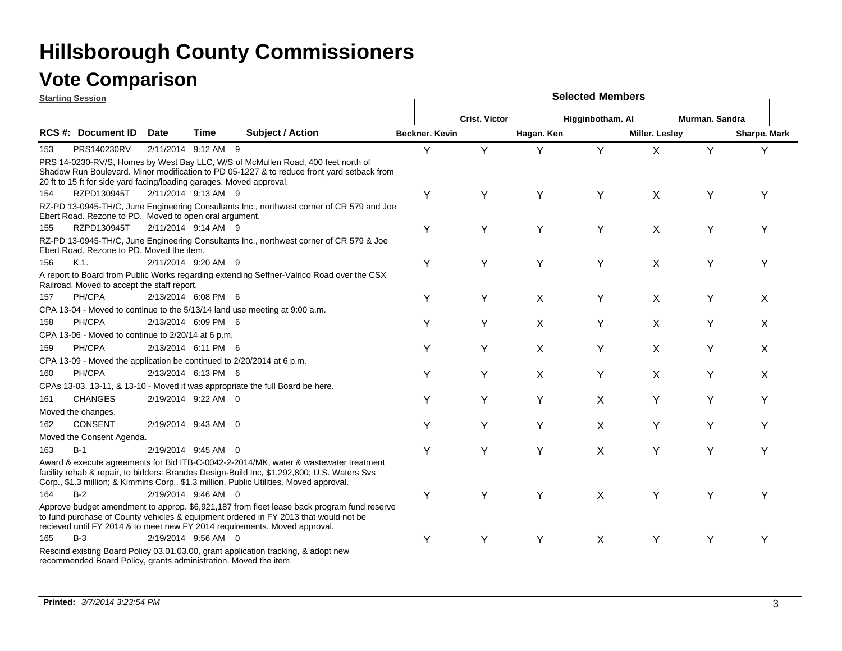|     | <b>Starting Session</b>                                                                                                                                                                                                                                                                                                                                                                                                                                                                                                                                                                                                                                                                                                                                                                                                                                                                                                                                                                                                                                                                                                                                                                                                                                                                                                                                                                                                                                                                                                                                                                                                                                                                                                                                                                                                                                                                                                                                 |      |                     |                                                                                                                                                                                |                | <b>Selected Members</b> |            |                  |                       |                |              |  |  |  |  |
|-----|---------------------------------------------------------------------------------------------------------------------------------------------------------------------------------------------------------------------------------------------------------------------------------------------------------------------------------------------------------------------------------------------------------------------------------------------------------------------------------------------------------------------------------------------------------------------------------------------------------------------------------------------------------------------------------------------------------------------------------------------------------------------------------------------------------------------------------------------------------------------------------------------------------------------------------------------------------------------------------------------------------------------------------------------------------------------------------------------------------------------------------------------------------------------------------------------------------------------------------------------------------------------------------------------------------------------------------------------------------------------------------------------------------------------------------------------------------------------------------------------------------------------------------------------------------------------------------------------------------------------------------------------------------------------------------------------------------------------------------------------------------------------------------------------------------------------------------------------------------------------------------------------------------------------------------------------------------|------|---------------------|--------------------------------------------------------------------------------------------------------------------------------------------------------------------------------|----------------|-------------------------|------------|------------------|-----------------------|----------------|--------------|--|--|--|--|
|     |                                                                                                                                                                                                                                                                                                                                                                                                                                                                                                                                                                                                                                                                                                                                                                                                                                                                                                                                                                                                                                                                                                                                                                                                                                                                                                                                                                                                                                                                                                                                                                                                                                                                                                                                                                                                                                                                                                                                                         |      |                     |                                                                                                                                                                                |                | <b>Crist. Victor</b>    |            | Higginbotham. Al |                       | Murman, Sandra |              |  |  |  |  |
|     | RCS #: Document ID                                                                                                                                                                                                                                                                                                                                                                                                                                                                                                                                                                                                                                                                                                                                                                                                                                                                                                                                                                                                                                                                                                                                                                                                                                                                                                                                                                                                                                                                                                                                                                                                                                                                                                                                                                                                                                                                                                                                      | Date | Time                | <b>Subject / Action</b>                                                                                                                                                        | Beckner, Kevin |                         | Hagan. Ken |                  | <b>Miller. Lesley</b> |                | Sharpe. Mark |  |  |  |  |
| 153 | PRS140230RV                                                                                                                                                                                                                                                                                                                                                                                                                                                                                                                                                                                                                                                                                                                                                                                                                                                                                                                                                                                                                                                                                                                                                                                                                                                                                                                                                                                                                                                                                                                                                                                                                                                                                                                                                                                                                                                                                                                                             |      | 2/11/2014 9:12 AM 9 |                                                                                                                                                                                | Y              | Y                       | Y          | Y                | $\mathsf{X}$          | Y              | Y            |  |  |  |  |
|     | 20 ft to 15 ft for side yard facing/loading garages. Moved approval.                                                                                                                                                                                                                                                                                                                                                                                                                                                                                                                                                                                                                                                                                                                                                                                                                                                                                                                                                                                                                                                                                                                                                                                                                                                                                                                                                                                                                                                                                                                                                                                                                                                                                                                                                                                                                                                                                    |      |                     | PRS 14-0230-RV/S, Homes by West Bay LLC, W/S of McMullen Road, 400 feet north of<br>Shadow Run Boulevard. Minor modification to PD 05-1227 & to reduce front yard setback from |                |                         |            |                  |                       |                |              |  |  |  |  |
| 154 | RZPD130945T                                                                                                                                                                                                                                                                                                                                                                                                                                                                                                                                                                                                                                                                                                                                                                                                                                                                                                                                                                                                                                                                                                                                                                                                                                                                                                                                                                                                                                                                                                                                                                                                                                                                                                                                                                                                                                                                                                                                             |      | 2/11/2014 9:13 AM 9 |                                                                                                                                                                                | Υ              | Y                       | Y          | Υ                | X                     | Υ              | Υ            |  |  |  |  |
|     |                                                                                                                                                                                                                                                                                                                                                                                                                                                                                                                                                                                                                                                                                                                                                                                                                                                                                                                                                                                                                                                                                                                                                                                                                                                                                                                                                                                                                                                                                                                                                                                                                                                                                                                                                                                                                                                                                                                                                         |      |                     |                                                                                                                                                                                |                |                         |            |                  |                       |                |              |  |  |  |  |
| 155 | RZPD130945T                                                                                                                                                                                                                                                                                                                                                                                                                                                                                                                                                                                                                                                                                                                                                                                                                                                                                                                                                                                                                                                                                                                                                                                                                                                                                                                                                                                                                                                                                                                                                                                                                                                                                                                                                                                                                                                                                                                                             |      |                     |                                                                                                                                                                                | Y              | Y                       | Y          | Y                | X                     | Υ              | Υ            |  |  |  |  |
|     |                                                                                                                                                                                                                                                                                                                                                                                                                                                                                                                                                                                                                                                                                                                                                                                                                                                                                                                                                                                                                                                                                                                                                                                                                                                                                                                                                                                                                                                                                                                                                                                                                                                                                                                                                                                                                                                                                                                                                         |      |                     |                                                                                                                                                                                |                |                         |            |                  |                       |                |              |  |  |  |  |
| 156 | K.1                                                                                                                                                                                                                                                                                                                                                                                                                                                                                                                                                                                                                                                                                                                                                                                                                                                                                                                                                                                                                                                                                                                                                                                                                                                                                                                                                                                                                                                                                                                                                                                                                                                                                                                                                                                                                                                                                                                                                     |      |                     |                                                                                                                                                                                | Y              | Υ                       | Y          | Y                | X                     | Υ              | Υ            |  |  |  |  |
|     |                                                                                                                                                                                                                                                                                                                                                                                                                                                                                                                                                                                                                                                                                                                                                                                                                                                                                                                                                                                                                                                                                                                                                                                                                                                                                                                                                                                                                                                                                                                                                                                                                                                                                                                                                                                                                                                                                                                                                         |      |                     |                                                                                                                                                                                |                |                         |            |                  |                       |                |              |  |  |  |  |
| 157 | PH/CPA                                                                                                                                                                                                                                                                                                                                                                                                                                                                                                                                                                                                                                                                                                                                                                                                                                                                                                                                                                                                                                                                                                                                                                                                                                                                                                                                                                                                                                                                                                                                                                                                                                                                                                                                                                                                                                                                                                                                                  |      |                     |                                                                                                                                                                                | Y              | Υ                       | X          | Y                | X                     | Υ              | X            |  |  |  |  |
|     |                                                                                                                                                                                                                                                                                                                                                                                                                                                                                                                                                                                                                                                                                                                                                                                                                                                                                                                                                                                                                                                                                                                                                                                                                                                                                                                                                                                                                                                                                                                                                                                                                                                                                                                                                                                                                                                                                                                                                         |      |                     |                                                                                                                                                                                |                |                         |            |                  |                       |                |              |  |  |  |  |
| 158 |                                                                                                                                                                                                                                                                                                                                                                                                                                                                                                                                                                                                                                                                                                                                                                                                                                                                                                                                                                                                                                                                                                                                                                                                                                                                                                                                                                                                                                                                                                                                                                                                                                                                                                                                                                                                                                                                                                                                                         |      |                     |                                                                                                                                                                                | Υ              | Υ                       |            |                  |                       | Y              | X            |  |  |  |  |
|     |                                                                                                                                                                                                                                                                                                                                                                                                                                                                                                                                                                                                                                                                                                                                                                                                                                                                                                                                                                                                                                                                                                                                                                                                                                                                                                                                                                                                                                                                                                                                                                                                                                                                                                                                                                                                                                                                                                                                                         |      |                     |                                                                                                                                                                                |                |                         |            |                  |                       |                |              |  |  |  |  |
| 159 |                                                                                                                                                                                                                                                                                                                                                                                                                                                                                                                                                                                                                                                                                                                                                                                                                                                                                                                                                                                                                                                                                                                                                                                                                                                                                                                                                                                                                                                                                                                                                                                                                                                                                                                                                                                                                                                                                                                                                         |      |                     |                                                                                                                                                                                | Y              | Υ                       |            |                  |                       | Υ              |              |  |  |  |  |
|     |                                                                                                                                                                                                                                                                                                                                                                                                                                                                                                                                                                                                                                                                                                                                                                                                                                                                                                                                                                                                                                                                                                                                                                                                                                                                                                                                                                                                                                                                                                                                                                                                                                                                                                                                                                                                                                                                                                                                                         |      |                     |                                                                                                                                                                                |                |                         |            |                  |                       |                |              |  |  |  |  |
| 160 |                                                                                                                                                                                                                                                                                                                                                                                                                                                                                                                                                                                                                                                                                                                                                                                                                                                                                                                                                                                                                                                                                                                                                                                                                                                                                                                                                                                                                                                                                                                                                                                                                                                                                                                                                                                                                                                                                                                                                         |      |                     |                                                                                                                                                                                | Υ              | Υ                       | X          | Y                | X                     | Υ              | X            |  |  |  |  |
|     |                                                                                                                                                                                                                                                                                                                                                                                                                                                                                                                                                                                                                                                                                                                                                                                                                                                                                                                                                                                                                                                                                                                                                                                                                                                                                                                                                                                                                                                                                                                                                                                                                                                                                                                                                                                                                                                                                                                                                         |      |                     |                                                                                                                                                                                |                |                         |            |                  |                       |                |              |  |  |  |  |
| 161 |                                                                                                                                                                                                                                                                                                                                                                                                                                                                                                                                                                                                                                                                                                                                                                                                                                                                                                                                                                                                                                                                                                                                                                                                                                                                                                                                                                                                                                                                                                                                                                                                                                                                                                                                                                                                                                                                                                                                                         |      |                     |                                                                                                                                                                                | Υ              | Υ                       | Y          |                  |                       | Υ              | Υ            |  |  |  |  |
|     |                                                                                                                                                                                                                                                                                                                                                                                                                                                                                                                                                                                                                                                                                                                                                                                                                                                                                                                                                                                                                                                                                                                                                                                                                                                                                                                                                                                                                                                                                                                                                                                                                                                                                                                                                                                                                                                                                                                                                         |      |                     |                                                                                                                                                                                |                |                         |            |                  |                       |                |              |  |  |  |  |
| 162 |                                                                                                                                                                                                                                                                                                                                                                                                                                                                                                                                                                                                                                                                                                                                                                                                                                                                                                                                                                                                                                                                                                                                                                                                                                                                                                                                                                                                                                                                                                                                                                                                                                                                                                                                                                                                                                                                                                                                                         |      |                     |                                                                                                                                                                                | Y              | Υ                       | Y          |                  |                       | Υ              | Υ            |  |  |  |  |
|     |                                                                                                                                                                                                                                                                                                                                                                                                                                                                                                                                                                                                                                                                                                                                                                                                                                                                                                                                                                                                                                                                                                                                                                                                                                                                                                                                                                                                                                                                                                                                                                                                                                                                                                                                                                                                                                                                                                                                                         |      |                     |                                                                                                                                                                                |                |                         |            |                  |                       |                |              |  |  |  |  |
| 163 |                                                                                                                                                                                                                                                                                                                                                                                                                                                                                                                                                                                                                                                                                                                                                                                                                                                                                                                                                                                                                                                                                                                                                                                                                                                                                                                                                                                                                                                                                                                                                                                                                                                                                                                                                                                                                                                                                                                                                         |      |                     |                                                                                                                                                                                | Υ              | Υ                       |            |                  | Y                     | Υ              | Υ            |  |  |  |  |
|     |                                                                                                                                                                                                                                                                                                                                                                                                                                                                                                                                                                                                                                                                                                                                                                                                                                                                                                                                                                                                                                                                                                                                                                                                                                                                                                                                                                                                                                                                                                                                                                                                                                                                                                                                                                                                                                                                                                                                                         |      |                     |                                                                                                                                                                                |                |                         |            |                  |                       |                |              |  |  |  |  |
| 164 | $B-2$                                                                                                                                                                                                                                                                                                                                                                                                                                                                                                                                                                                                                                                                                                                                                                                                                                                                                                                                                                                                                                                                                                                                                                                                                                                                                                                                                                                                                                                                                                                                                                                                                                                                                                                                                                                                                                                                                                                                                   |      |                     |                                                                                                                                                                                | Y              | Y                       | Y          | X                | Y                     | Υ              | Υ            |  |  |  |  |
|     |                                                                                                                                                                                                                                                                                                                                                                                                                                                                                                                                                                                                                                                                                                                                                                                                                                                                                                                                                                                                                                                                                                                                                                                                                                                                                                                                                                                                                                                                                                                                                                                                                                                                                                                                                                                                                                                                                                                                                         |      |                     |                                                                                                                                                                                |                |                         |            |                  |                       |                |              |  |  |  |  |
| 165 | RZ-PD 13-0945-TH/C, June Engineering Consultants Inc., northwest corner of CR 579 and Joe<br>Ebert Road. Rezone to PD. Moved to open oral argument.<br>2/11/2014 9:14 AM 9<br>RZ-PD 13-0945-TH/C, June Engineering Consultants Inc., northwest corner of CR 579 & Joe<br>Ebert Road. Rezone to PD. Moved the item.<br>2/11/2014 9:20 AM 9<br>A report to Board from Public Works regarding extending Seffner-Valrico Road over the CSX<br>Railroad. Moved to accept the staff report.<br>2/13/2014 6:08 PM 6<br>CPA 13-04 - Moved to continue to the 5/13/14 land use meeting at 9:00 a.m.<br>PH/CPA<br>2/13/2014 6:09 PM 6<br>X<br>Y<br>X<br>CPA 13-06 - Moved to continue to 2/20/14 at 6 p.m.<br>PH/CPA<br>2/13/2014 6:11 PM 6<br>X<br>Y<br>X<br>X<br>CPA 13-09 - Moved the application be continued to 2/20/2014 at 6 p.m.<br>PH/CPA<br>2/13/2014 6:13 PM 6<br>CPAs 13-03, 13-11, & 13-10 - Moved it was appropriate the full Board be here.<br><b>CHANGES</b><br>2/19/2014 9:22 AM 0<br>X<br>Y<br>Moved the changes.<br>CONSENT<br>2/19/2014 9:43 AM 0<br>X<br>Y<br>Moved the Consent Agenda.<br>$B-1$<br>Y<br>2/19/2014 9:45 AM 0<br>X<br>Award & execute agreements for Bid ITB-C-0042-2-2014/MK, water & wastewater treatment<br>facility rehab & repair, to bidders: Brandes Design-Build Inc, \$1,292,800; U.S. Waters Sys<br>Corp., \$1.3 million; & Kimmins Corp., \$1.3 million, Public Utilities. Moved approval.<br>2/19/2014 9:46 AM 0<br>Approve budget amendment to approp. \$6,921,187 from fleet lease back program fund reserve<br>to fund purchase of County vehicles & equipment ordered in FY 2013 that would not be<br>recieved until FY 2014 & to meet new FY 2014 requirements. Moved approval.<br>$B-3$<br>2/19/2014 9:56 AM 0<br>Y<br>Y<br>Y<br>X<br>Y<br>Y<br>Υ<br>Rescind existing Board Policy 03.01.03.00, grant application tracking, & adopt new<br>recommended Board Policy, grants administration. Moved the item. |      |                     |                                                                                                                                                                                |                |                         |            |                  |                       |                |              |  |  |  |  |
|     |                                                                                                                                                                                                                                                                                                                                                                                                                                                                                                                                                                                                                                                                                                                                                                                                                                                                                                                                                                                                                                                                                                                                                                                                                                                                                                                                                                                                                                                                                                                                                                                                                                                                                                                                                                                                                                                                                                                                                         |      |                     |                                                                                                                                                                                |                |                         |            |                  |                       |                |              |  |  |  |  |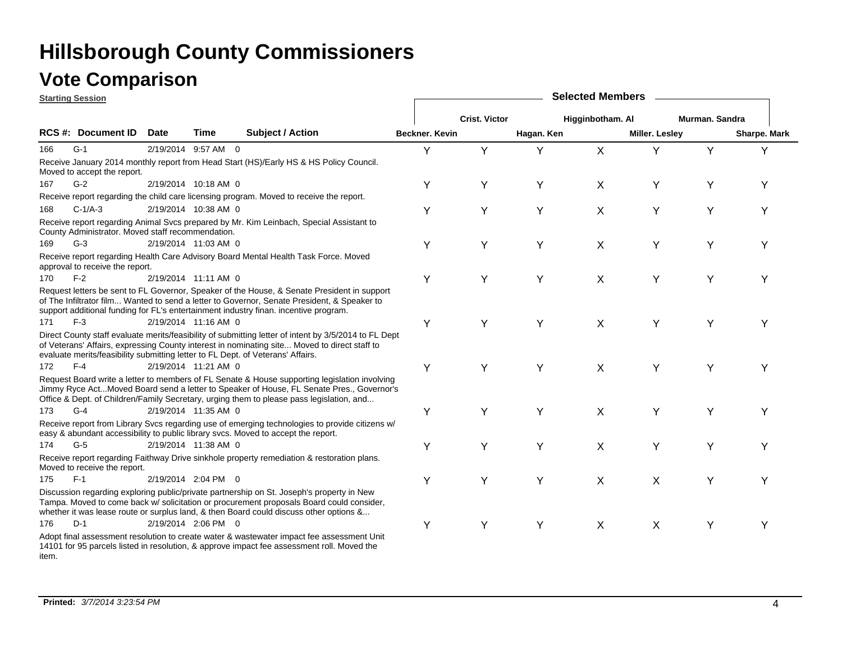|       | <b>Starting Session</b>                           |             |                      |                                                                                                                                                                                                                                                                                          | <b>Selected Members</b> |                      |            |                  |                       |                |              |  |  |
|-------|---------------------------------------------------|-------------|----------------------|------------------------------------------------------------------------------------------------------------------------------------------------------------------------------------------------------------------------------------------------------------------------------------------|-------------------------|----------------------|------------|------------------|-----------------------|----------------|--------------|--|--|
|       |                                                   |             |                      |                                                                                                                                                                                                                                                                                          |                         | <b>Crist. Victor</b> |            | Higginbotham. Al |                       | Murman, Sandra |              |  |  |
|       | <b>RCS #: Document ID</b>                         | <b>Date</b> | <b>Time</b>          | <b>Subject / Action</b>                                                                                                                                                                                                                                                                  | Beckner. Kevin          |                      | Hagan. Ken |                  | <b>Miller. Lesley</b> |                | Sharpe. Mark |  |  |
| 166   | $G-1$                                             |             | 2/19/2014 9:57 AM 0  |                                                                                                                                                                                                                                                                                          | Υ                       | Y                    | Y          | X                | Y                     | Y              | Υ            |  |  |
|       | Moved to accept the report.                       |             |                      | Receive January 2014 monthly report from Head Start (HS)/Early HS & HS Policy Council.                                                                                                                                                                                                   |                         |                      |            |                  |                       |                |              |  |  |
| 167   | $G-2$                                             |             | 2/19/2014 10:18 AM 0 |                                                                                                                                                                                                                                                                                          | Υ                       | Y                    | Υ          | X                | Y                     | Y              | Y            |  |  |
|       |                                                   |             |                      | Receive report regarding the child care licensing program. Moved to receive the report.                                                                                                                                                                                                  |                         |                      |            |                  |                       |                |              |  |  |
| 168   | $C-1/A-3$                                         |             | 2/19/2014 10:38 AM 0 |                                                                                                                                                                                                                                                                                          | Y                       | Υ                    | Y          | X                | Y                     | Y              | Y            |  |  |
|       | County Administrator. Moved staff recommendation. |             |                      | Receive report regarding Animal Svcs prepared by Mr. Kim Leinbach, Special Assistant to                                                                                                                                                                                                  |                         |                      |            |                  |                       |                |              |  |  |
| 169   | $G-3$                                             |             | 2/19/2014 11:03 AM 0 |                                                                                                                                                                                                                                                                                          | Υ                       | Υ                    | Υ          | X                | Υ                     | Υ              | Υ            |  |  |
|       | approval to receive the report.                   |             |                      | Receive report regarding Health Care Advisory Board Mental Health Task Force. Moved                                                                                                                                                                                                      |                         |                      |            |                  |                       |                |              |  |  |
| 170   | $F-2$                                             |             | 2/19/2014 11:11 AM 0 |                                                                                                                                                                                                                                                                                          | Y                       | Υ                    | Y          | X                | Y                     | Y              | Y            |  |  |
|       |                                                   |             |                      | Request letters be sent to FL Governor, Speaker of the House, & Senate President in support<br>of The Infiltrator film Wanted to send a letter to Governor, Senate President, & Speaker to<br>support additional funding for FL's entertainment industry finan. incentive program.       |                         |                      |            |                  |                       |                |              |  |  |
| 171   | $F-3$                                             |             | 2/19/2014 11:16 AM 0 |                                                                                                                                                                                                                                                                                          | Υ                       | Y                    | Y          | X                | Y                     | Y              | Υ            |  |  |
|       |                                                   |             |                      | Direct County staff evaluate merits/feasibility of submitting letter of intent by 3/5/2014 to FL Dept<br>of Veterans' Affairs, expressing County interest in nominating site Moved to direct staff to<br>evaluate merits/feasibility submitting letter to FL Dept. of Veterans' Affairs. |                         |                      |            |                  |                       |                |              |  |  |
| 172   | $F-4$                                             |             | 2/19/2014 11:21 AM 0 |                                                                                                                                                                                                                                                                                          | Υ                       | Y                    | Y          | X                | Y                     | Y              | Y            |  |  |
|       |                                                   |             |                      | Request Board write a letter to members of FL Senate & House supporting legislation involving<br>Jimmy Ryce ActMoved Board send a letter to Speaker of House, FL Senate Pres., Governor's<br>Office & Dept. of Children/Family Secretary, urging them to please pass legislation, and    |                         |                      |            |                  |                       |                |              |  |  |
| 173   | $G-4$                                             |             | 2/19/2014 11:35 AM 0 |                                                                                                                                                                                                                                                                                          | Υ                       | Y                    | Y          | X                | Y                     | Y              | Υ            |  |  |
|       |                                                   |             |                      | Receive report from Library Svcs regarding use of emerging technologies to provide citizens w/<br>easy & abundant accessibility to public library svcs. Moved to accept the report.                                                                                                      |                         |                      |            |                  |                       |                |              |  |  |
| 174   | $G-5$                                             |             | 2/19/2014 11:38 AM 0 |                                                                                                                                                                                                                                                                                          | Υ                       | Υ                    | Y          | X                | Y                     | Υ              | Y            |  |  |
|       | Moved to receive the report.                      |             |                      | Receive report regarding Faithway Drive sinkhole property remediation & restoration plans.                                                                                                                                                                                               |                         |                      |            |                  |                       |                |              |  |  |
| 175   | $F-1$                                             |             | 2/19/2014 2:04 PM 0  |                                                                                                                                                                                                                                                                                          | Υ                       | Y                    | Y          | X                | X                     | Y              | Y            |  |  |
|       |                                                   |             |                      | Discussion regarding exploring public/private partnership on St. Joseph's property in New<br>Tampa. Moved to come back w/ solicitation or procurement proposals Board could consider,<br>whether it was lease route or surplus land, & then Board could discuss other options &          |                         |                      |            |                  |                       |                |              |  |  |
| 176   | $D-1$                                             |             | 2/19/2014 2:06 PM 0  |                                                                                                                                                                                                                                                                                          | Υ                       | Υ                    | Y          | $\pmb{\times}$   | X                     | Y              | Y            |  |  |
| item. |                                                   |             |                      | Adopt final assessment resolution to create water & wastewater impact fee assessment Unit<br>14101 for 95 parcels listed in resolution, & approve impact fee assessment roll. Moved the                                                                                                  |                         |                      |            |                  |                       |                |              |  |  |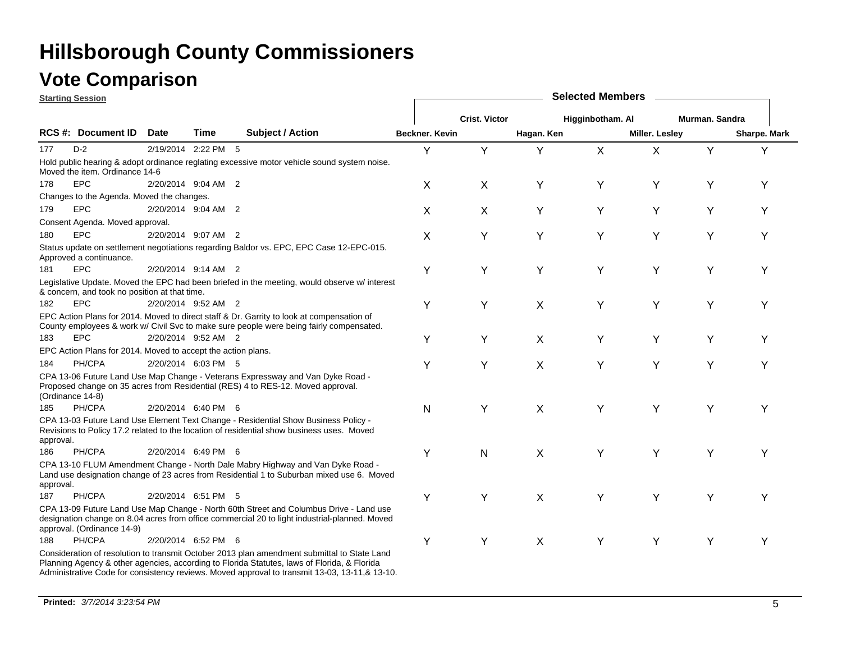**Starting Session**

|           | <u>Jiai liliy Jessiuli</u>                                   |      |                     |                                                                                                                                                                                                                                                                                              |                |                      |            |                  |                |                |              |
|-----------|--------------------------------------------------------------|------|---------------------|----------------------------------------------------------------------------------------------------------------------------------------------------------------------------------------------------------------------------------------------------------------------------------------------|----------------|----------------------|------------|------------------|----------------|----------------|--------------|
|           |                                                              |      |                     |                                                                                                                                                                                                                                                                                              |                | <b>Crist. Victor</b> |            | Higginbotham. Al |                | Murman. Sandra |              |
|           | <b>RCS #: Document ID</b>                                    | Date | Time                | <b>Subject / Action</b>                                                                                                                                                                                                                                                                      | Beckner, Kevin |                      | Hagan. Ken |                  | Miller. Lesley |                | Sharpe. Mark |
| 177       | $D-2$                                                        |      | 2/19/2014 2:22 PM 5 |                                                                                                                                                                                                                                                                                              | Y              | Y                    | Y          | X                | X              | Y              | Υ            |
|           | Moved the item. Ordinance 14-6                               |      |                     | Hold public hearing & adopt ordinance reglating excessive motor vehicle sound system noise.                                                                                                                                                                                                  |                |                      |            |                  |                |                |              |
| 178       | <b>EPC</b>                                                   |      | 2/20/2014 9:04 AM 2 |                                                                                                                                                                                                                                                                                              | X              | X                    | Υ          | Y                | Υ              | Y              | Υ            |
|           | Changes to the Agenda. Moved the changes.                    |      |                     |                                                                                                                                                                                                                                                                                              |                |                      |            |                  |                |                |              |
| 179       | <b>EPC</b>                                                   |      | 2/20/2014 9:04 AM 2 |                                                                                                                                                                                                                                                                                              | X              | X                    | Υ          | Υ                | Υ              | Υ              | Υ            |
|           | Consent Agenda. Moved approval.                              |      |                     |                                                                                                                                                                                                                                                                                              |                |                      |            |                  |                |                |              |
| 180       | <b>EPC</b>                                                   |      | 2/20/2014 9:07 AM 2 |                                                                                                                                                                                                                                                                                              | х              | Y                    | Y          | Y                | Y              | Y              | Y            |
|           | Approved a continuance.                                      |      |                     | Status update on settlement negotiations regarding Baldor vs. EPC, EPC Case 12-EPC-015.                                                                                                                                                                                                      |                |                      |            |                  |                |                |              |
| 181       | <b>EPC</b>                                                   |      | 2/20/2014 9:14 AM 2 |                                                                                                                                                                                                                                                                                              | Υ              | Υ                    | Y          | Y                | Υ              | Υ              | Υ            |
|           | & concern, and took no position at that time.                |      |                     | Legislative Update. Moved the EPC had been briefed in the meeting, would observe w/ interest                                                                                                                                                                                                 |                |                      |            |                  |                |                |              |
| 182       | <b>EPC</b>                                                   |      | 2/20/2014 9:52 AM 2 |                                                                                                                                                                                                                                                                                              | Υ              | Y                    | X          | Y                | Y              | Υ              | Y            |
|           |                                                              |      |                     | EPC Action Plans for 2014. Moved to direct staff & Dr. Garrity to look at compensation of<br>County employees & work w/ Civil Svc to make sure people were being fairly compensated.                                                                                                         |                |                      |            |                  |                |                |              |
| 183       | <b>EPC</b>                                                   |      | 2/20/2014 9:52 AM 2 |                                                                                                                                                                                                                                                                                              | Υ              | Υ                    | X          | Υ                | Υ              | Υ              | Υ            |
|           | EPC Action Plans for 2014. Moved to accept the action plans. |      |                     |                                                                                                                                                                                                                                                                                              |                |                      |            |                  |                |                |              |
| 184       | PH/CPA                                                       |      | 2/20/2014 6:03 PM 5 |                                                                                                                                                                                                                                                                                              | Υ              | Υ                    | X          | Y                | Y              | Y              | Y            |
|           | (Ordinance 14-8)                                             |      |                     | CPA 13-06 Future Land Use Map Change - Veterans Expressway and Van Dyke Road -<br>Proposed change on 35 acres from Residential (RES) 4 to RES-12. Moved approval.                                                                                                                            |                |                      |            |                  |                |                |              |
| 185       | PH/CPA                                                       |      | 2/20/2014 6:40 PM 6 |                                                                                                                                                                                                                                                                                              | N              | Υ                    | X          | Y                | Y              | Υ              | Y            |
| approval. |                                                              |      |                     | CPA 13-03 Future Land Use Element Text Change - Residential Show Business Policy -<br>Revisions to Policy 17.2 related to the location of residential show business uses. Moved                                                                                                              |                |                      |            |                  |                |                |              |
| 186       | PH/CPA                                                       |      | 2/20/2014 6:49 PM 6 |                                                                                                                                                                                                                                                                                              | Υ              | N                    | X          | Y                | Υ              | Y              | Y            |
| approval. |                                                              |      |                     | CPA 13-10 FLUM Amendment Change - North Dale Mabry Highway and Van Dyke Road -<br>Land use designation change of 23 acres from Residential 1 to Suburban mixed use 6. Moved                                                                                                                  |                |                      |            |                  |                |                |              |
| 187       | PH/CPA                                                       |      | 2/20/2014 6:51 PM 5 |                                                                                                                                                                                                                                                                                              | Υ              | Y                    | X          | Y                | Υ              | Y              | Y            |
|           | approval. (Ordinance 14-9)                                   |      |                     | CPA 13-09 Future Land Use Map Change - North 60th Street and Columbus Drive - Land use<br>designation change on 8.04 acres from office commercial 20 to light industrial-planned. Moved                                                                                                      |                |                      |            |                  |                |                |              |
| 188       | PH/CPA                                                       |      | 2/20/2014 6:52 PM 6 |                                                                                                                                                                                                                                                                                              | Υ              | Υ                    | X          | Y                | Y              | Y              | Υ            |
|           |                                                              |      |                     | Consideration of resolution to transmit October 2013 plan amendment submittal to State Land<br>Planning Agency & other agencies, according to Florida Statutes, laws of Florida, & Florida<br>Administrative Code for consistency reviews. Moved approval to transmit 13-03, 13-11, & 13-10. |                |                      |            |                  |                |                |              |

**Selected Members**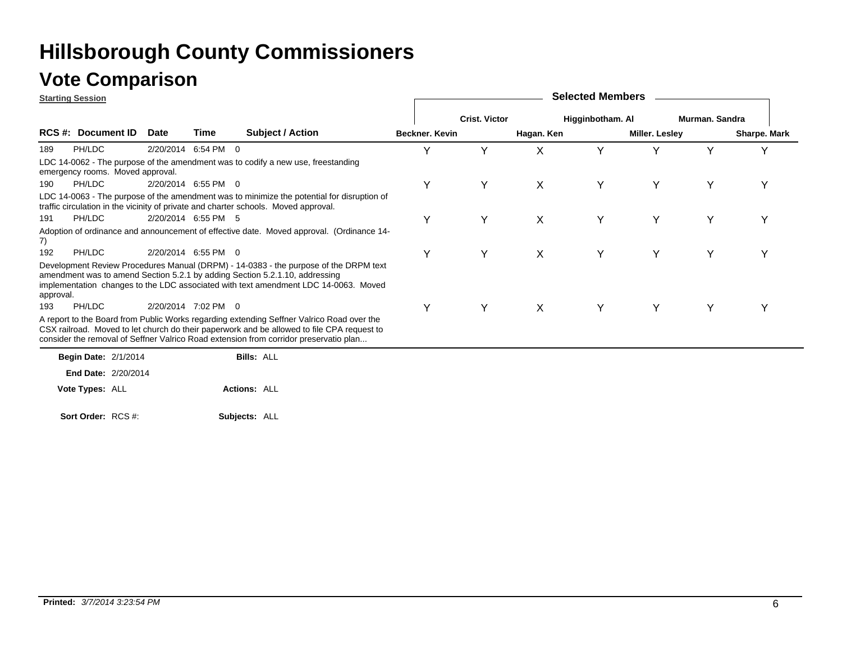### **Vote Comparison**

**Starting Session**

|           | <u>Starting Session</u>          |      |                     |                                                                                                                                                                                                                                                                                  |                       |                      |            | OUIUULUU IIIUIIINUI J |                |                |              |
|-----------|----------------------------------|------|---------------------|----------------------------------------------------------------------------------------------------------------------------------------------------------------------------------------------------------------------------------------------------------------------------------|-----------------------|----------------------|------------|-----------------------|----------------|----------------|--------------|
|           |                                  |      |                     |                                                                                                                                                                                                                                                                                  |                       | <b>Crist. Victor</b> |            | Higginbotham. Al      |                | Murman, Sandra |              |
|           | <b>RCS #: Document ID</b>        | Date | Time                | <b>Subject / Action</b>                                                                                                                                                                                                                                                          | <b>Beckner, Kevin</b> |                      | Hagan. Ken |                       | Miller. Lesley |                | Sharpe. Mark |
| 189       | PH/LDC                           |      | 2/20/2014 6:54 PM 0 |                                                                                                                                                                                                                                                                                  | Y                     | Υ                    | Χ          |                       |                | v              |              |
|           | emergency rooms. Moved approval. |      |                     | LDC 14-0062 - The purpose of the amendment was to codify a new use, freestanding                                                                                                                                                                                                 |                       |                      |            |                       |                |                |              |
| 190       | PH/LDC                           |      | 2/20/2014 6:55 PM 0 |                                                                                                                                                                                                                                                                                  | Υ                     | Υ                    | X.         |                       | Υ              | Υ              |              |
|           |                                  |      |                     | LDC 14-0063 - The purpose of the amendment was to minimize the potential for disruption of<br>traffic circulation in the vicinity of private and charter schools. Moved approval.                                                                                                |                       |                      |            |                       |                |                |              |
| 191       | PH/LDC                           |      | 2/20/2014 6:55 PM 5 |                                                                                                                                                                                                                                                                                  | Υ                     | Υ                    | X.         | Y                     | Υ              | Υ              |              |
| 7)        |                                  |      |                     | Adoption of ordinance and announcement of effective date. Moved approval. (Ordinance 14-                                                                                                                                                                                         |                       |                      |            |                       |                |                |              |
| 192       | PH/LDC                           |      | 2/20/2014 6:55 PM 0 |                                                                                                                                                                                                                                                                                  | Υ                     | Y                    | X          |                       | Y              | Y              |              |
| approval. |                                  |      |                     | Development Review Procedures Manual (DRPM) - 14-0383 - the purpose of the DRPM text<br>amendment was to amend Section 5.2.1 by adding Section 5.2.1.10, addressing<br>implementation changes to the LDC associated with text amendment LDC 14-0063. Moved                       |                       |                      |            |                       |                |                |              |
| 193       | PH/LDC                           |      | 2/20/2014 7:02 PM 0 |                                                                                                                                                                                                                                                                                  | Υ                     | Y                    | X.         | Y                     | Y              | Y              |              |
|           |                                  |      |                     | A report to the Board from Public Works regarding extending Seffner Valrico Road over the<br>CSX railroad. Moved to let church do their paperwork and be allowed to file CPA request to<br>consider the removal of Seffner Valrico Road extension from corridor preservatio plan |                       |                      |            |                       |                |                |              |
|           | <b>Begin Date: 2/1/2014</b>      |      |                     | <b>Bills: ALL</b>                                                                                                                                                                                                                                                                |                       |                      |            |                       |                |                |              |
|           | <b>End Date: 2/20/2014</b>       |      |                     |                                                                                                                                                                                                                                                                                  |                       |                      |            |                       |                |                |              |

**Selected Members**

**Actions:** ALL **Vote Types:** ALL

**Subjects:** ALL **Sort Order:** RCS #: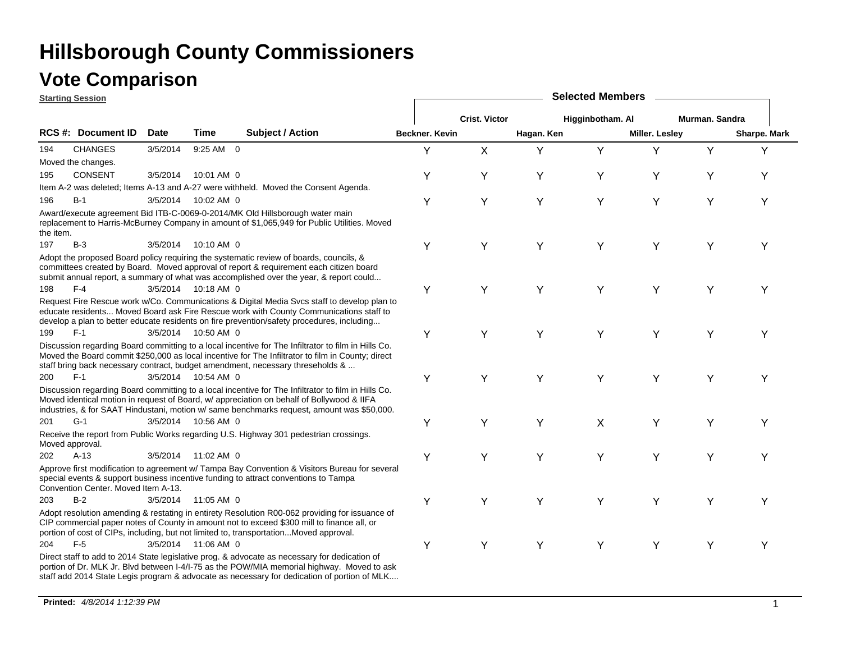### **Vote Comparison**

**Starting Session**

|           | <u>olarling əessiun</u>             |             |                     |                                                                                                                                                                                                                                                                                                |                       |                      |            |                  |                |                |                     |
|-----------|-------------------------------------|-------------|---------------------|------------------------------------------------------------------------------------------------------------------------------------------------------------------------------------------------------------------------------------------------------------------------------------------------|-----------------------|----------------------|------------|------------------|----------------|----------------|---------------------|
|           |                                     |             |                     |                                                                                                                                                                                                                                                                                                |                       | <b>Crist. Victor</b> |            | Higginbotham. Al |                | Murman. Sandra |                     |
|           | <b>RCS #: Document ID</b>           | <b>Date</b> | Time                | <b>Subject / Action</b>                                                                                                                                                                                                                                                                        | <b>Beckner, Kevin</b> |                      | Hagan. Ken |                  | Miller. Lesley |                | <b>Sharpe. Mark</b> |
| 194       | <b>CHANGES</b>                      | 3/5/2014    | 9:25 AM 0           |                                                                                                                                                                                                                                                                                                | Y                     | X                    | Y          | Y                | Y              | Y              | Υ                   |
|           | Moved the changes.                  |             |                     |                                                                                                                                                                                                                                                                                                |                       |                      |            |                  |                |                |                     |
| 195       | <b>CONSENT</b>                      | 3/5/2014    | 10:01 AM 0          |                                                                                                                                                                                                                                                                                                | Υ                     | Υ                    | Υ          | Υ                | Υ              | Υ              | Υ                   |
|           |                                     |             |                     | Item A-2 was deleted; Items A-13 and A-27 were withheld. Moved the Consent Agenda.                                                                                                                                                                                                             |                       |                      |            |                  |                |                |                     |
| 196       | $B-1$                               | 3/5/2014    | 10:02 AM 0          |                                                                                                                                                                                                                                                                                                | Y                     | Y                    | Y          | Y                | Y              | Υ              | Υ                   |
| the item. |                                     |             |                     | Award/execute agreement Bid ITB-C-0069-0-2014/MK Old Hillsborough water main<br>replacement to Harris-McBurney Company in amount of \$1,065,949 for Public Utilities. Moved                                                                                                                    |                       |                      |            |                  |                |                |                     |
| 197       | $B-3$                               | 3/5/2014    | 10:10 AM 0          |                                                                                                                                                                                                                                                                                                | Y                     | Υ                    | Y          | Y                | Y              | Υ              | Y                   |
|           |                                     |             |                     | Adopt the proposed Board policy requiring the systematic review of boards, councils, &<br>committees created by Board. Moved approval of report & requirement each citizen board<br>submit annual report, a summary of what was accomplished over the year, & report could                     |                       |                      |            |                  |                |                |                     |
| 198       | $F-4$                               |             | 3/5/2014 10:18 AM 0 |                                                                                                                                                                                                                                                                                                | Y                     | Υ                    | Y          | Y                | Y              | Υ              | Y                   |
|           |                                     |             |                     | Request Fire Rescue work w/Co. Communications & Digital Media Svcs staff to develop plan to<br>educate residents Moved Board ask Fire Rescue work with County Communications staff to<br>develop a plan to better educate residents on fire prevention/safety procedures, including            |                       |                      |            |                  |                |                |                     |
| 199       | $F-1$                               | 3/5/2014    | 10:50 AM 0          |                                                                                                                                                                                                                                                                                                | Υ                     | Υ                    | Y          | Y                | Y              | Y              | Υ                   |
|           |                                     |             |                     | Discussion regarding Board committing to a local incentive for The Infiltrator to film in Hills Co.<br>Moved the Board commit \$250,000 as local incentive for The Infiltrator to film in County; direct<br>staff bring back necessary contract, budget amendment, necessary threseholds &     |                       |                      |            |                  |                |                |                     |
| 200       | $F-1$                               |             | 3/5/2014 10:54 AM 0 |                                                                                                                                                                                                                                                                                                | Υ                     | Y                    | Y          | Y                | Y              | Y              | Υ                   |
|           |                                     |             |                     | Discussion regarding Board committing to a local incentive for The Infiltrator to film in Hills Co.<br>Moved identical motion in request of Board, w/ appreciation on behalf of Bollywood & IIFA<br>industries, & for SAAT Hindustani, motion w/ same benchmarks request, amount was \$50,000. |                       |                      |            |                  |                |                |                     |
| 201       | $G-1$                               | 3/5/2014    | 10:56 AM 0          |                                                                                                                                                                                                                                                                                                | Υ                     | Y                    | Y          | X                | Υ              | Υ              | Υ                   |
|           | Moved approval.                     |             |                     | Receive the report from Public Works regarding U.S. Highway 301 pedestrian crossings.                                                                                                                                                                                                          |                       |                      |            |                  |                |                |                     |
| 202       | $A-13$                              |             | 3/5/2014 11:02 AM 0 |                                                                                                                                                                                                                                                                                                | Υ                     | Y                    | Y          | Y                | Y              | Y              | Υ                   |
|           | Convention Center. Moved Item A-13. |             |                     | Approve first modification to agreement w/ Tampa Bay Convention & Visitors Bureau for several<br>special events & support business incentive funding to attract conventions to Tampa                                                                                                           |                       |                      |            |                  |                |                |                     |
| 203       | $B-2$                               | 3/5/2014    | 11:05 AM 0          |                                                                                                                                                                                                                                                                                                | Υ                     | Y                    | Υ          | Υ                | Y              | Υ              | Υ                   |
|           |                                     |             |                     | Adopt resolution amending & restating in entirety Resolution R00-062 providing for issuance of<br>CIP commercial paper notes of County in amount not to exceed \$300 mill to finance all, or<br>portion of cost of CIPs, including, but not limited to, transportationMoved approval.          |                       |                      |            |                  |                |                |                     |
| 204       | $F-5$                               |             | 3/5/2014 11:06 AM 0 |                                                                                                                                                                                                                                                                                                | Υ                     | Y                    | Y          | Y                | Y              | Y              | Υ                   |
|           |                                     |             |                     | Direct staff to add to 2014 State legislative prog. & advocate as necessary for dedication of<br>portion of Dr. MLK Jr. Blvd between I-4/I-75 as the POW/MIA memorial highway. Moved to ask<br>staff add 2014 State Legis program & advocate as necessary for dedication of portion of MLK     |                       |                      |            |                  |                |                |                     |

**Selected Members**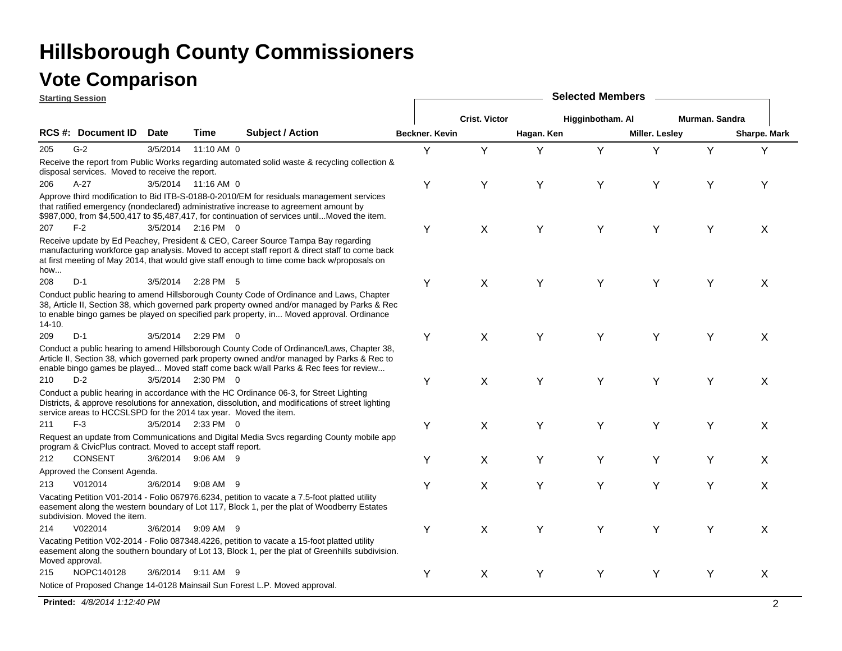## **Vote Comparison**

|            | <b>Starting Session</b>                                          |             |                     |                                                                                                                                                                                                                                                                                     |                |                      |            | <b>Selected Members</b> |                       |                |              |
|------------|------------------------------------------------------------------|-------------|---------------------|-------------------------------------------------------------------------------------------------------------------------------------------------------------------------------------------------------------------------------------------------------------------------------------|----------------|----------------------|------------|-------------------------|-----------------------|----------------|--------------|
|            |                                                                  |             |                     |                                                                                                                                                                                                                                                                                     |                | <b>Crist. Victor</b> |            | Higginbotham. Al        |                       | Murman. Sandra |              |
|            | <b>RCS #: Document ID</b>                                        | <b>Date</b> | Time                | <b>Subject / Action</b>                                                                                                                                                                                                                                                             | Beckner. Kevin |                      | Hagan. Ken |                         | <b>Miller. Lesley</b> |                | Sharpe. Mark |
| 205        | $G-2$                                                            | 3/5/2014    | 11:10 AM 0          |                                                                                                                                                                                                                                                                                     | Y              | Y                    | Y          | Y                       | Y                     | Y              | Y            |
|            | disposal services. Moved to receive the report.                  |             |                     | Receive the report from Public Works regarding automated solid waste & recycling collection &                                                                                                                                                                                       |                |                      |            |                         |                       |                |              |
| 206        | $A-27$                                                           |             | 3/5/2014 11:16 AM 0 |                                                                                                                                                                                                                                                                                     | Υ              | Υ                    | Y          | Y                       | Y                     | Υ              | Y            |
|            |                                                                  |             |                     | Approve third modification to Bid ITB-S-0188-0-2010/EM for residuals management services<br>that ratified emergency (nondeclared) administrative increase to agreement amount by<br>\$987,000, from \$4,500,417 to \$5,487,417, for continuation of services untilMoved the item.   |                |                      |            |                         |                       |                |              |
| 207        | $F-2$                                                            |             | 3/5/2014 2:16 PM 0  |                                                                                                                                                                                                                                                                                     | Υ              | X                    | Y          | Y                       | Y                     | Υ              | X            |
| how        |                                                                  |             |                     | Receive update by Ed Peachey, President & CEO, Career Source Tampa Bay regarding<br>manufacturing workforce gap analysis. Moved to accept staff report & direct staff to come back<br>at first meeting of May 2014, that would give staff enough to time come back w/proposals on   |                |                      |            |                         |                       |                |              |
| 208        | $D-1$                                                            | 3/5/2014    | 2:28 PM 5           |                                                                                                                                                                                                                                                                                     | Υ              | X                    | Y          | Y                       | Y                     | Y              | X            |
| $14 - 10.$ |                                                                  |             |                     | Conduct public hearing to amend Hillsborough County Code of Ordinance and Laws, Chapter<br>38, Article II, Section 38, which governed park property owned and/or managed by Parks & Rec<br>to enable bingo games be played on specified park property, in Moved approval. Ordinance |                |                      |            |                         |                       |                |              |
| 209        | $D-1$                                                            |             | 3/5/2014 2:29 PM 0  |                                                                                                                                                                                                                                                                                     | Υ              | X                    | Y          | Y                       | Y                     | Y              | X            |
|            |                                                                  |             |                     | Conduct a public hearing to amend Hillsborough County Code of Ordinance/Laws, Chapter 38,<br>Article II, Section 38, which governed park property owned and/or managed by Parks & Rec to<br>enable bingo games be played Moved staff come back w/all Parks & Rec fees for review    |                |                      |            |                         |                       |                |              |
| 210        | $D-2$                                                            |             | 3/5/2014 2:30 PM 0  |                                                                                                                                                                                                                                                                                     | Υ              | X                    | Y          | Y                       | Y                     | Y              | X            |
|            | service areas to HCCSLSPD for the 2014 tax year. Moved the item. |             |                     | Conduct a public hearing in accordance with the HC Ordinance 06-3, for Street Lighting<br>Districts, & approve resolutions for annexation, dissolution, and modifications of street lighting                                                                                        |                |                      |            |                         |                       |                |              |
| 211        | $F-3$                                                            |             | 3/5/2014 2:33 PM 0  |                                                                                                                                                                                                                                                                                     | Υ              | X                    | Υ          | Y                       | Y                     | Υ              | X            |
|            | program & CivicPlus contract. Moved to accept staff report.      |             |                     | Request an update from Communications and Digital Media Svcs regarding County mobile app                                                                                                                                                                                            |                |                      |            |                         |                       |                |              |
| 212        | <b>CONSENT</b>                                                   | 3/6/2014    | $9:06$ AM $9$       |                                                                                                                                                                                                                                                                                     | Υ              | X                    | Υ          | Y                       | Y                     | Υ              | X            |
|            | Approved the Consent Agenda.                                     |             |                     |                                                                                                                                                                                                                                                                                     |                |                      |            |                         |                       |                |              |
| 213        | V012014                                                          | 3/6/2014    | 9:08 AM 9           |                                                                                                                                                                                                                                                                                     | Υ              | X                    | Y          | Y                       | Y                     | Y              | X            |
|            | subdivision. Moved the item.                                     |             |                     | Vacating Petition V01-2014 - Folio 067976.6234, petition to vacate a 7.5-foot platted utility<br>easement along the western boundary of Lot 117, Block 1, per the plat of Woodberry Estates                                                                                         |                |                      |            |                         |                       |                |              |
| 214        | V022014                                                          |             | 3/6/2014 9:09 AM 9  |                                                                                                                                                                                                                                                                                     | Υ              | X                    | Y          | Y                       | Y                     | Υ              | X            |
|            | Moved approval.                                                  |             |                     | Vacating Petition V02-2014 - Folio 087348.4226, petition to vacate a 15-foot platted utility<br>easement along the southern boundary of Lot 13, Block 1, per the plat of Greenhills subdivision.                                                                                    |                |                      |            |                         |                       |                |              |
| 215        | NOPC140128                                                       |             | 3/6/2014 9:11 AM 9  |                                                                                                                                                                                                                                                                                     | Υ              | X                    | Υ          | Y                       | Υ                     | Υ              | X            |
|            |                                                                  |             |                     | Notice of Proposed Change 14-0128 Mainsail Sun Forest L.P. Moved approval.                                                                                                                                                                                                          |                |                      |            |                         |                       |                |              |

**Printed:** *4/8/2014 1:12:40 PM* $^{\prime\prime}$   $^{\prime\prime}$  2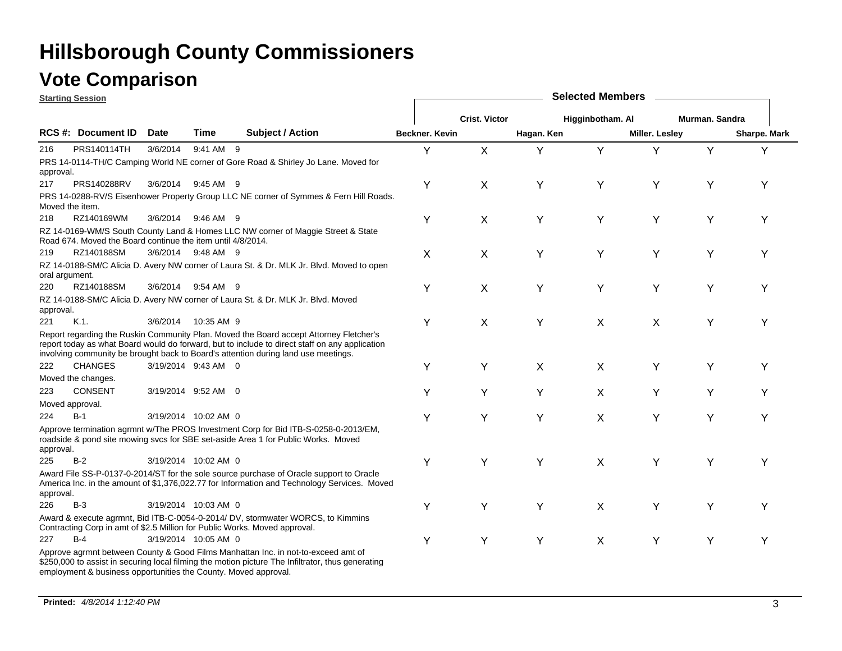### **Vote Comparison**

| <b>Starting Session</b> |                                                                 |          |                      |                                                                                                                                                                                                                                                                                | <b>Selected Members</b> |                      |            |                  |                |                |              |  |  |
|-------------------------|-----------------------------------------------------------------|----------|----------------------|--------------------------------------------------------------------------------------------------------------------------------------------------------------------------------------------------------------------------------------------------------------------------------|-------------------------|----------------------|------------|------------------|----------------|----------------|--------------|--|--|
|                         |                                                                 |          |                      |                                                                                                                                                                                                                                                                                |                         | <b>Crist. Victor</b> |            | Higginbotham. Al |                | Murman, Sandra |              |  |  |
|                         | <b>RCS#: Document ID</b>                                        | Date     | Time                 | <b>Subject / Action</b>                                                                                                                                                                                                                                                        | <b>Beckner, Kevin</b>   |                      | Hagan. Ken |                  | Miller. Lesley |                | Sharpe. Mark |  |  |
| 216                     | PRS140114TH                                                     | 3/6/2014 | 9:41 AM 9            |                                                                                                                                                                                                                                                                                | Υ                       | X                    | Υ          | Y                | Υ              | Y              | Υ            |  |  |
| approval.               |                                                                 |          |                      | PRS 14-0114-TH/C Camping World NE corner of Gore Road & Shirley Jo Lane. Moved for                                                                                                                                                                                             |                         |                      |            |                  |                |                |              |  |  |
| 217                     | <b>PRS140288RV</b>                                              |          | 3/6/2014 9:45 AM 9   |                                                                                                                                                                                                                                                                                | Y                       | X                    | Υ          | Y                | Y              | Υ              | Y            |  |  |
| Moved the item.         |                                                                 |          |                      | PRS 14-0288-RV/S Eisenhower Property Group LLC NE corner of Symmes & Fern Hill Roads.                                                                                                                                                                                          |                         |                      |            |                  |                |                |              |  |  |
| 218                     | RZ140169WM                                                      |          | 3/6/2014 9:46 AM 9   |                                                                                                                                                                                                                                                                                | Υ                       | X                    | Y          | Y                | Υ              | Y              | Y            |  |  |
|                         | Road 674. Moved the Board continue the item until 4/8/2014.     |          |                      | RZ 14-0169-WM/S South County Land & Homes LLC NW corner of Maggie Street & State                                                                                                                                                                                               |                         |                      |            |                  |                |                |              |  |  |
| 219                     | RZ140188SM                                                      |          | 3/6/2014 9:48 AM 9   |                                                                                                                                                                                                                                                                                | X                       | X                    | Y          | Y                | Y              | Y              | Υ            |  |  |
| oral argument.          |                                                                 |          |                      | RZ 14-0188-SM/C Alicia D. Avery NW corner of Laura St. & Dr. MLK Jr. Blvd. Moved to open                                                                                                                                                                                       |                         |                      |            |                  |                |                |              |  |  |
| 220                     | RZ140188SM                                                      | 3/6/2014 | 9:54 AM 9            |                                                                                                                                                                                                                                                                                | Υ                       | X                    | Y          | Y                | Y              | Y              | Υ            |  |  |
| approval.               |                                                                 |          |                      | RZ 14-0188-SM/C Alicia D. Avery NW corner of Laura St. & Dr. MLK Jr. Blvd. Moved                                                                                                                                                                                               |                         |                      |            |                  |                |                |              |  |  |
| 221                     | $K.1$ .                                                         | 3/6/2014 | 10:35 AM 9           |                                                                                                                                                                                                                                                                                | Υ                       | X                    | Y          | X                | X              | Y              | Υ            |  |  |
|                         |                                                                 |          |                      | Report regarding the Ruskin Community Plan. Moved the Board accept Attorney Fletcher's<br>report today as what Board would do forward, but to include to direct staff on any application<br>involving community be brought back to Board's attention during land use meetings. |                         |                      |            |                  |                |                |              |  |  |
| 222                     | <b>CHANGES</b>                                                  |          | 3/19/2014 9:43 AM 0  |                                                                                                                                                                                                                                                                                | Y                       | Υ                    | X          | X                | Υ              | Y              | Υ            |  |  |
|                         | Moved the changes.                                              |          |                      |                                                                                                                                                                                                                                                                                |                         |                      |            |                  |                |                |              |  |  |
| 223                     | <b>CONSENT</b>                                                  |          | 3/19/2014 9:52 AM 0  |                                                                                                                                                                                                                                                                                | Υ                       | Υ                    | Y          | X                | Υ              | Υ              | Υ            |  |  |
| Moved approval.         |                                                                 |          |                      |                                                                                                                                                                                                                                                                                |                         |                      |            |                  |                |                |              |  |  |
| 224                     | $B-1$                                                           |          | 3/19/2014 10:02 AM 0 |                                                                                                                                                                                                                                                                                | Υ                       | Y                    | Y          | X                | Y              | Y              | Υ            |  |  |
| approval.               |                                                                 |          |                      | Approve termination agrmnt w/The PROS Investment Corp for Bid ITB-S-0258-0-2013/EM,<br>roadside & pond site mowing svcs for SBE set-aside Area 1 for Public Works. Moved                                                                                                       |                         |                      |            |                  |                |                |              |  |  |
| 225                     | $B-2$                                                           |          | 3/19/2014 10:02 AM 0 |                                                                                                                                                                                                                                                                                | Υ                       | Y                    | Y          | X                | Y              | Υ              | Υ            |  |  |
| approval.               |                                                                 |          |                      | Award File SS-P-0137-0-2014/ST for the sole source purchase of Oracle support to Oracle<br>America Inc. in the amount of \$1,376,022.77 for Information and Technology Services. Moved                                                                                         |                         |                      |            |                  |                |                |              |  |  |
| 226                     | $B-3$                                                           |          | 3/19/2014 10:03 AM 0 |                                                                                                                                                                                                                                                                                | Y                       | Υ                    | Υ          | X                | Υ              | Υ              | Y            |  |  |
|                         |                                                                 |          |                      | Award & execute agrmnt, Bid ITB-C-0054-0-2014/ DV, stormwater WORCS, to Kimmins<br>Contracting Corp in amt of \$2.5 Million for Public Works. Moved approval.                                                                                                                  |                         |                      |            |                  |                |                |              |  |  |
| 227                     | $B-4$                                                           |          | 3/19/2014 10:05 AM 0 |                                                                                                                                                                                                                                                                                | Υ                       | Y                    | Y          | X                | Y              | Y              | Υ            |  |  |
|                         | employment & business opportunities the County. Moved approval. |          |                      | Approve agrmnt between County & Good Films Manhattan Inc. in not-to-exceed amt of<br>\$250,000 to assist in securing local filming the motion picture The Infiltrator, thus generating                                                                                         |                         |                      |            |                  |                |                |              |  |  |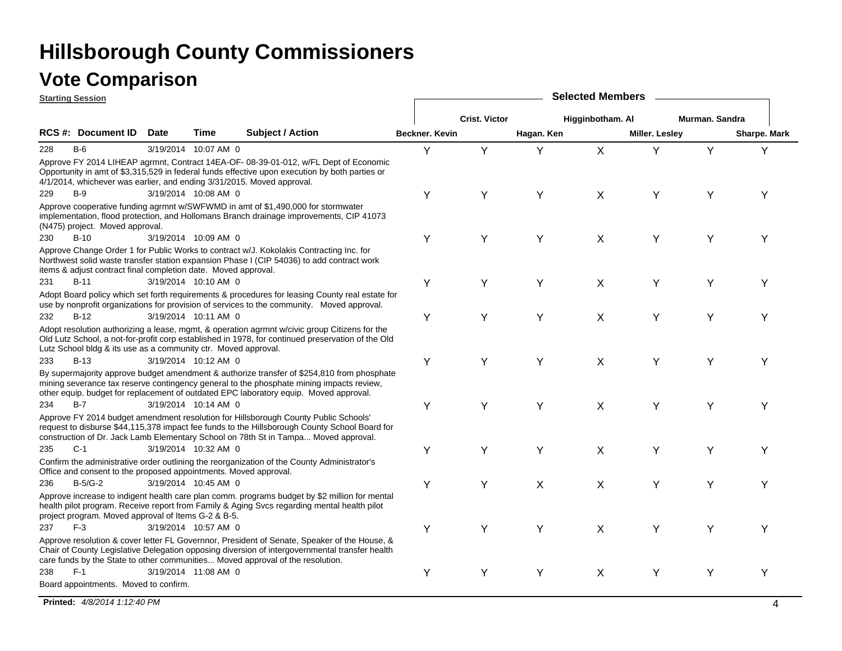| <b>Starting Session</b> |                                                                  | <b>Selected Members</b> |                      |                                                                                                                                                                                                                                                                                  |                |                      |            |                  |                |                |              |
|-------------------------|------------------------------------------------------------------|-------------------------|----------------------|----------------------------------------------------------------------------------------------------------------------------------------------------------------------------------------------------------------------------------------------------------------------------------|----------------|----------------------|------------|------------------|----------------|----------------|--------------|
|                         |                                                                  |                         |                      |                                                                                                                                                                                                                                                                                  |                | <b>Crist. Victor</b> |            | Higginbotham. Al |                | Murman, Sandra |              |
|                         | <b>RCS #: Document ID</b>                                        | Date                    | Time                 | <b>Subject / Action</b>                                                                                                                                                                                                                                                          | Beckner. Kevin |                      | Hagan. Ken |                  | Miller. Lesley |                | Sharpe. Mark |
| 228                     | $B-6$                                                            |                         | 3/19/2014 10:07 AM 0 |                                                                                                                                                                                                                                                                                  | Y              | Y                    | Y          | $\sf X$          | Y              | Y              | Y            |
|                         |                                                                  |                         |                      | Approve FY 2014 LIHEAP agrmnt, Contract 14EA-OF- 08-39-01-012, w/FL Dept of Economic<br>Opportunity in amt of \$3,315,529 in federal funds effective upon execution by both parties or<br>4/1/2014, whichever was earlier, and ending 3/31/2015. Moved approval.                 |                |                      |            |                  |                |                |              |
| 229                     | $B-9$                                                            |                         | 3/19/2014 10:08 AM 0 |                                                                                                                                                                                                                                                                                  | Υ              | Υ                    | Y          | X                | Y              | Y              | Υ            |
|                         | (N475) project. Moved approval.                                  |                         |                      | Approve cooperative funding agrmnt w/SWFWMD in amt of \$1,490,000 for stormwater<br>implementation, flood protection, and Hollomans Branch drainage improvements, CIP 41073                                                                                                      |                |                      |            |                  |                |                |              |
| 230                     | $B-10$                                                           |                         | 3/19/2014 10:09 AM 0 |                                                                                                                                                                                                                                                                                  | Υ              | Y                    | Y          | X                | Y              | Y              | Y            |
|                         | items & adjust contract final completion date. Moved approval.   |                         |                      | Approve Change Order 1 for Public Works to contract w/J. Kokolakis Contracting Inc. for<br>Northwest solid waste transfer station expansion Phase I (CIP 54036) to add contract work                                                                                             |                |                      |            |                  |                |                |              |
| 231                     | $B-11$                                                           |                         | 3/19/2014 10:10 AM 0 |                                                                                                                                                                                                                                                                                  | Υ              | Y                    | Y          | X                | Y              | Υ              | Υ            |
|                         |                                                                  |                         |                      | Adopt Board policy which set forth requirements & procedures for leasing County real estate for<br>use by nonprofit organizations for provision of services to the community. Moved approval.                                                                                    |                |                      |            |                  |                |                |              |
| 232                     | $B-12$                                                           |                         | 3/19/2014 10:11 AM 0 |                                                                                                                                                                                                                                                                                  | Υ              | Y                    | Y          | X                | Y              | Υ              | Υ            |
|                         | Lutz School bldg & its use as a community ctr. Moved approval.   |                         |                      | Adopt resolution authorizing a lease, mgmt, & operation agrmnt w/civic group Citizens for the<br>Old Lutz School, a not-for-profit corp established in 1978, for continued preservation of the Old                                                                               |                |                      |            |                  |                |                |              |
| 233                     | $B-13$                                                           |                         | 3/19/2014 10:12 AM 0 |                                                                                                                                                                                                                                                                                  | Υ              | Y                    | Y          | X                | Y              | Y              | Υ            |
|                         |                                                                  |                         |                      | By supermajority approve budget amendment & authorize transfer of \$254,810 from phosphate<br>mining severance tax reserve contingency general to the phosphate mining impacts review,<br>other equip. budget for replacement of outdated EPC laboratory equip. Moved approval.  |                |                      |            |                  |                |                |              |
| 234                     | $B-7$                                                            |                         | 3/19/2014 10:14 AM 0 |                                                                                                                                                                                                                                                                                  | Υ              | Y                    | Y          | X                | Y              | Υ              | Υ            |
|                         |                                                                  |                         |                      | Approve FY 2014 budget amendment resolution for Hillsborough County Public Schools'<br>request to disburse \$44,115,378 impact fee funds to the Hillsborough County School Board for<br>construction of Dr. Jack Lamb Elementary School on 78th St in Tampa Moved approval.      |                |                      |            |                  |                |                |              |
| 235                     | $C-1$                                                            |                         | 3/19/2014 10:32 AM 0 |                                                                                                                                                                                                                                                                                  | Υ              | Υ                    | Y          | X                | Y              | Y              | Υ            |
|                         | Office and consent to the proposed appointments. Moved approval. |                         |                      | Confirm the administrative order outlining the reorganization of the County Administrator's                                                                                                                                                                                      |                |                      |            |                  |                |                |              |
| 236                     | $B-5/G-2$                                                        |                         | 3/19/2014 10:45 AM 0 |                                                                                                                                                                                                                                                                                  | Υ              | Υ                    | X          | X                | Y              | Y              | Υ            |
|                         | project program. Moved approval of Items G-2 & B-5.              |                         |                      | Approve increase to indigent health care plan comm. programs budget by \$2 million for mental<br>health pilot program. Receive report from Family & Aging Svcs regarding mental health pilot                                                                                     |                |                      |            |                  |                |                |              |
| 237                     | $F-3$                                                            |                         | 3/19/2014 10:57 AM 0 |                                                                                                                                                                                                                                                                                  | Υ              | Y                    | Y          | X                | Y              | Y              | Y            |
|                         |                                                                  |                         |                      | Approve resolution & cover letter FL Governnor, President of Senate, Speaker of the House, &<br>Chair of County Legislative Delegation opposing diversion of intergovernmental transfer health<br>care funds by the State to other communities Moved approval of the resolution. |                |                      |            |                  |                |                |              |
| 238                     | $F-1$                                                            |                         | 3/19/2014 11:08 AM 0 |                                                                                                                                                                                                                                                                                  | Υ              | Υ                    | Y          | X                | Y              | Υ              | Y            |
|                         | Board appointments. Moved to confirm.                            |                         |                      |                                                                                                                                                                                                                                                                                  |                |                      |            |                  |                |                |              |

**Printed:** *4/8/2014 1:12:40 PM* $4^{10}$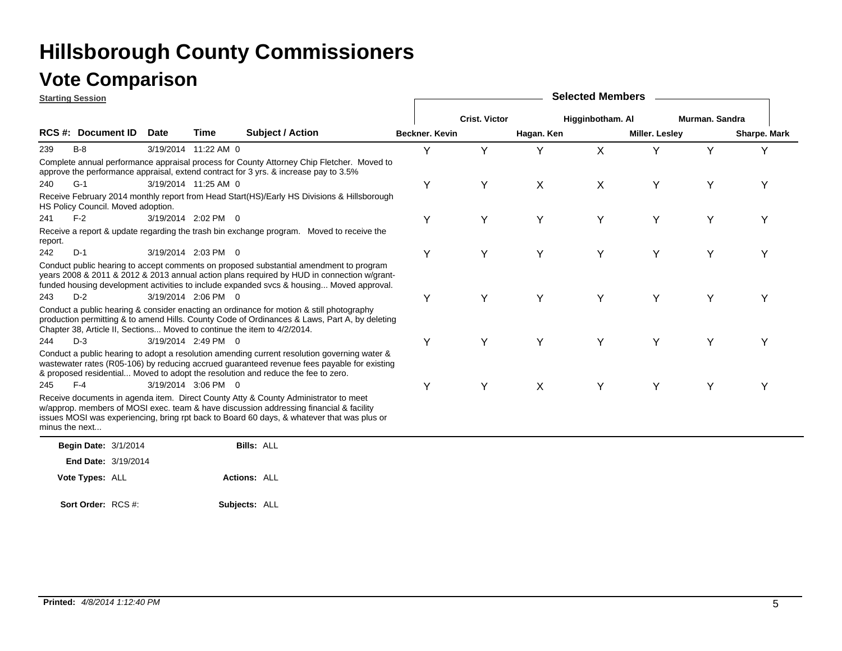|                | <b>Starting Session</b>            |             |                      |                                                                                                                                                                                                                                                                                  | <b>Selected Members</b> |                      |            |                  |                       |                |                     |  |  |  |
|----------------|------------------------------------|-------------|----------------------|----------------------------------------------------------------------------------------------------------------------------------------------------------------------------------------------------------------------------------------------------------------------------------|-------------------------|----------------------|------------|------------------|-----------------------|----------------|---------------------|--|--|--|
|                |                                    |             |                      |                                                                                                                                                                                                                                                                                  |                         | <b>Crist. Victor</b> |            | Higginbotham. Al |                       | Murman. Sandra |                     |  |  |  |
|                | <b>RCS #: Document ID</b>          | <b>Date</b> | Time                 | <b>Subject / Action</b>                                                                                                                                                                                                                                                          | <b>Beckner, Kevin</b>   |                      | Hagan. Ken |                  | <b>Miller. Lesley</b> |                | <b>Sharpe. Mark</b> |  |  |  |
| 239            | $B-8$                              |             | 3/19/2014 11:22 AM 0 |                                                                                                                                                                                                                                                                                  | Y                       | Υ                    | Y          | X                |                       | Y              | Y                   |  |  |  |
|                |                                    |             |                      | Complete annual performance appraisal process for County Attorney Chip Fletcher. Moved to<br>approve the performance appraisal, extend contract for 3 yrs. & increase pay to 3.5%                                                                                                |                         |                      |            |                  |                       |                |                     |  |  |  |
| 240            | $G-1$                              |             | 3/19/2014 11:25 AM 0 |                                                                                                                                                                                                                                                                                  | Y                       | Υ                    | X          | X                | Y                     | Y              | Y                   |  |  |  |
|                | HS Policy Council. Moved adoption. |             |                      | Receive February 2014 monthly report from Head Start(HS)/Early HS Divisions & Hillsborough                                                                                                                                                                                       |                         |                      |            |                  |                       |                |                     |  |  |  |
| 241            | $F-2$                              |             | 3/19/2014 2:02 PM 0  |                                                                                                                                                                                                                                                                                  | Y                       | Y                    | Y          | Y                | Y                     | Y              | Υ                   |  |  |  |
| report.        |                                    |             |                      | Receive a report & update regarding the trash bin exchange program. Moved to receive the                                                                                                                                                                                         |                         |                      |            |                  |                       |                |                     |  |  |  |
| 242            | $D-1$                              |             | 3/19/2014 2:03 PM 0  |                                                                                                                                                                                                                                                                                  | Υ                       | Υ                    | Y          | Y                | Y                     | Υ              | Υ                   |  |  |  |
| 243            | $D-2$                              |             | 3/19/2014 2:06 PM 0  | Conduct public hearing to accept comments on proposed substantial amendment to program<br>years 2008 & 2011 & 2012 & 2013 annual action plans required by HUD in connection w/grant-<br>funded housing development activities to include expanded svcs & housing Moved approval. | Υ                       | Y                    | Y          | Y                | Y                     | Y              | Υ                   |  |  |  |
|                |                                    |             |                      | Conduct a public hearing & consider enacting an ordinance for motion & still photography<br>production permitting & to amend Hills. County Code of Ordinances & Laws, Part A, by deleting<br>Chapter 38, Article II, Sections Moved to continue the item to 4/2/2014.            |                         |                      |            |                  |                       |                |                     |  |  |  |
| 244            | $D-3$                              |             | 3/19/2014 2:49 PM 0  |                                                                                                                                                                                                                                                                                  | Y                       | Y                    | Y          | Y                | Y                     | Y              | Y                   |  |  |  |
|                |                                    |             |                      | Conduct a public hearing to adopt a resolution amending current resolution governing water &<br>wastewater rates (R05-106) by reducing accrued guaranteed revenue fees payable for existing<br>& proposed residential Moved to adopt the resolution and reduce the fee to zero.  |                         |                      |            |                  |                       |                |                     |  |  |  |
| 245            | $F-4$                              |             | 3/19/2014 3:06 PM 0  |                                                                                                                                                                                                                                                                                  | Y                       | Y                    | X          | Y                | Y                     | Y              | Y                   |  |  |  |
| minus the next |                                    |             |                      | Receive documents in agenda item. Direct County Atty & County Administrator to meet<br>w/approp. members of MOSI exec. team & have discussion addressing financial & facility<br>issues MOSI was experiencing, bring rpt back to Board 60 days, & whatever that was plus or      |                         |                      |            |                  |                       |                |                     |  |  |  |
|                | <b>Begin Date: 3/1/2014</b>        |             |                      | <b>Bills: ALL</b>                                                                                                                                                                                                                                                                |                         |                      |            |                  |                       |                |                     |  |  |  |
|                | <b>End Date: 3/19/2014</b>         |             |                      |                                                                                                                                                                                                                                                                                  |                         |                      |            |                  |                       |                |                     |  |  |  |
|                | Vote Types: ALL                    |             |                      | Actions: ALL                                                                                                                                                                                                                                                                     |                         |                      |            |                  |                       |                |                     |  |  |  |

**Subjects:** ALL **Sort Order:** RCS #: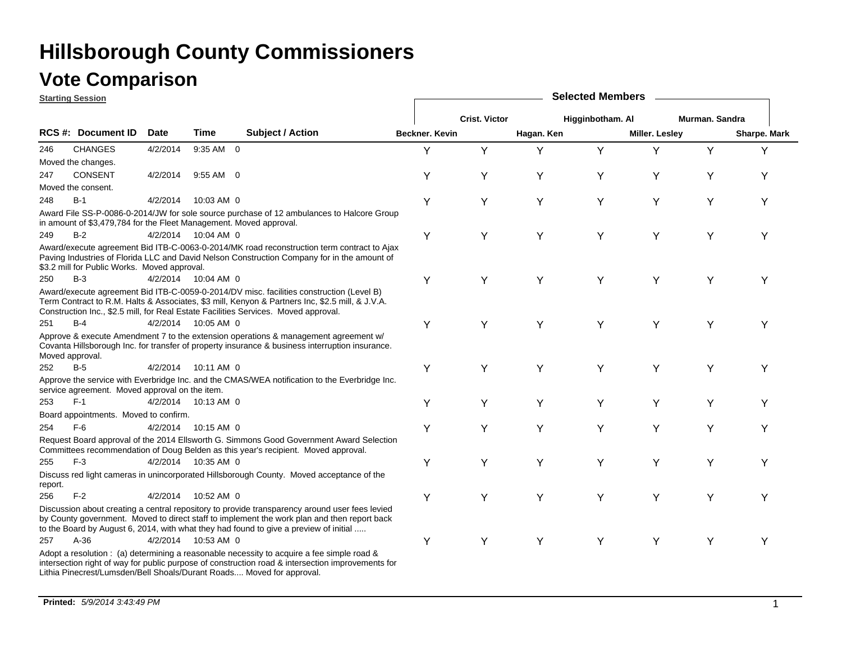### **Vote Comparison**

| <b>Starting Session</b> |                                                                    |             |                     |                                                                                                                                                                                                                                                                                        |                       | <b>Selected Members</b> |            |                  |                |                |              |  |  |  |
|-------------------------|--------------------------------------------------------------------|-------------|---------------------|----------------------------------------------------------------------------------------------------------------------------------------------------------------------------------------------------------------------------------------------------------------------------------------|-----------------------|-------------------------|------------|------------------|----------------|----------------|--------------|--|--|--|
|                         |                                                                    |             |                     |                                                                                                                                                                                                                                                                                        |                       | <b>Crist. Victor</b>    |            | Higginbotham. Al |                | Murman. Sandra |              |  |  |  |
|                         | RCS #: Document ID                                                 | <b>Date</b> | Time                | <b>Subject / Action</b>                                                                                                                                                                                                                                                                | <b>Beckner, Kevin</b> |                         | Hagan. Ken |                  | Miller. Lesley |                | Sharpe. Mark |  |  |  |
| 246                     | <b>CHANGES</b>                                                     | 4/2/2014    | 9:35 AM 0           |                                                                                                                                                                                                                                                                                        | Υ                     | Y                       | Y          | Y                | Y              | Y              | Y            |  |  |  |
|                         | Moved the changes.                                                 |             |                     |                                                                                                                                                                                                                                                                                        |                       |                         |            |                  |                |                |              |  |  |  |
| 247                     | <b>CONSENT</b>                                                     | 4/2/2014    | $9:55$ AM 0         |                                                                                                                                                                                                                                                                                        | Υ                     | Y                       | Y          | Υ                | Y              | Υ              | Y            |  |  |  |
|                         | Moved the consent.                                                 |             |                     |                                                                                                                                                                                                                                                                                        |                       |                         |            |                  |                |                |              |  |  |  |
| 248                     | $B-1$                                                              | 4/2/2014    | 10:03 AM 0          |                                                                                                                                                                                                                                                                                        | Υ                     | Y                       | Y          | Υ                | Y              | Υ              | Y            |  |  |  |
|                         | in amount of \$3,479,784 for the Fleet Management. Moved approval. |             |                     | Award File SS-P-0086-0-2014/JW for sole source purchase of 12 ambulances to Halcore Group                                                                                                                                                                                              |                       |                         |            |                  |                |                |              |  |  |  |
| 249                     | $B-2$                                                              |             | 4/2/2014 10:04 AM 0 |                                                                                                                                                                                                                                                                                        | Υ                     | Υ                       | Y          | Y                | Y              | Y              | Υ            |  |  |  |
|                         | \$3.2 mill for Public Works. Moved approval.                       |             |                     | Award/execute agreement Bid ITB-C-0063-0-2014/MK road reconstruction term contract to Ajax<br>Paving Industries of Florida LLC and David Nelson Construction Company for in the amount of                                                                                              |                       |                         |            |                  |                |                |              |  |  |  |
| 250                     | $B-3$                                                              |             | 4/2/2014 10:04 AM 0 |                                                                                                                                                                                                                                                                                        | Υ                     | Y                       | Y          | Y                | Y              | Y              | Y            |  |  |  |
|                         |                                                                    |             |                     | Award/execute agreement Bid ITB-C-0059-0-2014/DV misc. facilities construction (Level B)<br>Term Contract to R.M. Halts & Associates, \$3 mill, Kenyon & Partners Inc, \$2.5 mill, & J.V.A.<br>Construction Inc., \$2.5 mill, for Real Estate Facilities Services. Moved approval.     |                       |                         |            |                  |                |                |              |  |  |  |
| 251                     | $B-4$                                                              |             | 4/2/2014 10:05 AM 0 |                                                                                                                                                                                                                                                                                        | Υ                     | Y                       | Y          | Υ                | Υ              | Υ              | Y            |  |  |  |
| Moved approval.         |                                                                    |             |                     | Approve & execute Amendment 7 to the extension operations & management agreement w/<br>Covanta Hillsborough Inc. for transfer of property insurance & business interruption insurance.                                                                                                 |                       |                         |            |                  |                |                |              |  |  |  |
| 252                     | $B-5$                                                              | 4/2/2014    | 10:11 AM 0          |                                                                                                                                                                                                                                                                                        | Υ                     | Y                       | Y          | Y                | Y              | Y              | Y            |  |  |  |
|                         | service agreement. Moved approval on the item.                     |             |                     | Approve the service with Everbridge Inc. and the CMAS/WEA notification to the Everbridge Inc.                                                                                                                                                                                          |                       |                         |            |                  |                |                |              |  |  |  |
| 253                     | $F-1$                                                              |             | 4/2/2014 10:13 AM 0 |                                                                                                                                                                                                                                                                                        | Υ                     | Y                       | Υ          | Υ                | Y              | Y              | Y            |  |  |  |
|                         | Board appointments. Moved to confirm.                              |             |                     |                                                                                                                                                                                                                                                                                        |                       |                         |            |                  |                |                |              |  |  |  |
| 254                     | $F-6$                                                              | 4/2/2014    | 10:15 AM 0          |                                                                                                                                                                                                                                                                                        | Υ                     | Υ                       | Y          | Υ                | Υ              | Υ              | Y            |  |  |  |
|                         |                                                                    |             |                     | Request Board approval of the 2014 Ellsworth G. Simmons Good Government Award Selection<br>Committees recommendation of Doug Belden as this year's recipient. Moved approval.                                                                                                          |                       |                         |            |                  |                |                |              |  |  |  |
| 255                     | $F-3$                                                              |             | 4/2/2014 10:35 AM 0 |                                                                                                                                                                                                                                                                                        | Υ                     | Υ                       | Y          | Y                | Y              | Y              | Y            |  |  |  |
| report.                 |                                                                    |             |                     | Discuss red light cameras in unincorporated Hillsborough County. Moved acceptance of the                                                                                                                                                                                               |                       |                         |            |                  |                |                |              |  |  |  |
| 256                     | $F-2$                                                              | 4/2/2014    | 10:52 AM 0          |                                                                                                                                                                                                                                                                                        | Υ                     | Υ                       | Y          | Y                | Y              | Y              | Υ            |  |  |  |
|                         |                                                                    |             |                     | Discussion about creating a central repository to provide transparency around user fees levied<br>by County government. Moved to direct staff to implement the work plan and then report back<br>to the Board by August 6, 2014, with what they had found to give a preview of initial |                       |                         |            |                  |                |                |              |  |  |  |
| 257                     | $A-36$                                                             |             | 4/2/2014 10:53 AM 0 |                                                                                                                                                                                                                                                                                        | Υ                     | Y                       | Υ          | Υ                | Y              | Y              | Y            |  |  |  |
|                         |                                                                    |             |                     | Adopt a resolution : (a) determining a reasonable necessity to acquire a fee simple road &<br>intersection right of way for public purpose of construction road & intersection improvements for<br>Lithia Pinecrest/Lumsden/Bell Shoals/Durant Roads Moved for approval.               |                       |                         |            |                  |                |                |              |  |  |  |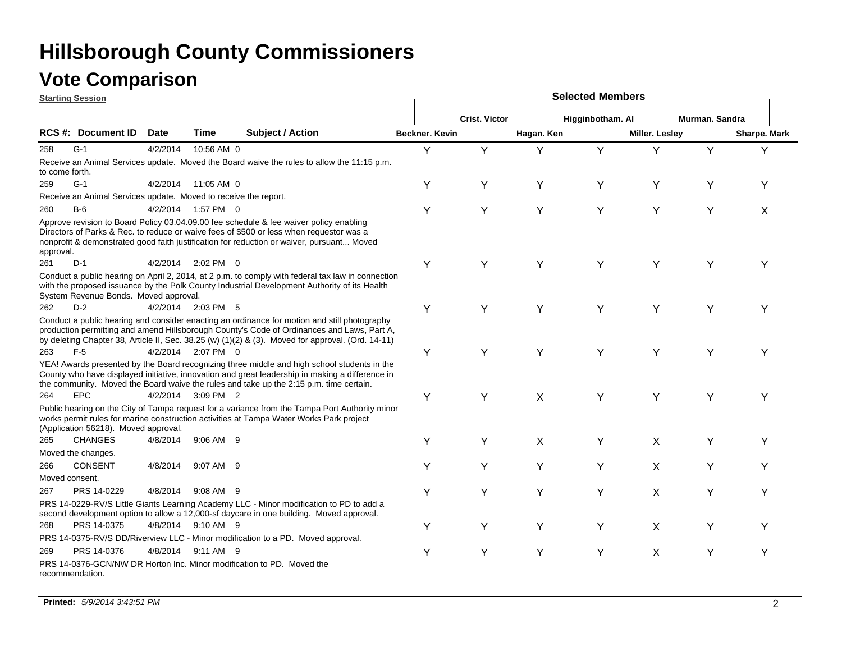| <b>Starting Session</b> |                                                                 |          |                     | <b>Selected Members</b>                                                                                                                                                                                                                                                                         |                       |                      |            |                  |                       |                |              |  |
|-------------------------|-----------------------------------------------------------------|----------|---------------------|-------------------------------------------------------------------------------------------------------------------------------------------------------------------------------------------------------------------------------------------------------------------------------------------------|-----------------------|----------------------|------------|------------------|-----------------------|----------------|--------------|--|
|                         |                                                                 |          |                     |                                                                                                                                                                                                                                                                                                 |                       | <b>Crist. Victor</b> |            | Higginbotham. Al |                       | Murman. Sandra |              |  |
|                         | <b>RCS #: Document ID</b>                                       | Date     | Time                | <b>Subject / Action</b>                                                                                                                                                                                                                                                                         | <b>Beckner, Kevin</b> |                      | Hagan. Ken |                  | <b>Miller. Lesley</b> |                | Sharpe. Mark |  |
| 258                     | $G-1$                                                           | 4/2/2014 | 10:56 AM 0          |                                                                                                                                                                                                                                                                                                 | Υ                     | Y                    | Y          | Y                | Y                     | Y              | Y            |  |
| to come forth.          |                                                                 |          |                     | Receive an Animal Services update. Moved the Board waive the rules to allow the 11:15 p.m.                                                                                                                                                                                                      |                       |                      |            |                  |                       |                |              |  |
| 259                     | $G-1$                                                           |          | 4/2/2014 11:05 AM 0 |                                                                                                                                                                                                                                                                                                 | Y                     | Y                    | Υ          | Y                | Y                     | Υ              | Y            |  |
|                         | Receive an Animal Services update. Moved to receive the report. |          |                     |                                                                                                                                                                                                                                                                                                 |                       |                      |            |                  |                       |                |              |  |
| 260                     | $B-6$                                                           |          | 4/2/2014 1:57 PM 0  |                                                                                                                                                                                                                                                                                                 | Y                     | Y                    | Y          | Y                | Y                     | Y              | X            |  |
| approval.               |                                                                 |          |                     | Approve revision to Board Policy 03.04.09.00 fee schedule & fee waiver policy enabling<br>Directors of Parks & Rec. to reduce or waive fees of \$500 or less when requestor was a<br>nonprofit & demonstrated good faith justification for reduction or waiver, pursuant Moved                  |                       |                      |            |                  |                       |                |              |  |
| 261                     | $D-1$                                                           |          | 4/2/2014 2:02 PM 0  |                                                                                                                                                                                                                                                                                                 | Υ                     | Υ                    | Y          | Y                | Y                     | Υ              | Υ            |  |
|                         | System Revenue Bonds. Moved approval.                           |          |                     | Conduct a public hearing on April 2, 2014, at 2 p.m. to comply with federal tax law in connection<br>with the proposed issuance by the Polk County Industrial Development Authority of its Health                                                                                               |                       |                      |            |                  |                       |                |              |  |
| 262                     | $D-2$                                                           |          | 4/2/2014 2:03 PM 5  |                                                                                                                                                                                                                                                                                                 | Υ                     | Υ                    | Υ          | Y                | Y                     | Υ              | Y            |  |
|                         |                                                                 |          |                     | Conduct a public hearing and consider enacting an ordinance for motion and still photography<br>production permitting and amend Hillsborough County's Code of Ordinances and Laws, Part A,<br>by deleting Chapter 38, Article II, Sec. 38.25 (w) (1)(2) & (3). Moved for approval. (Ord. 14-11) |                       |                      |            |                  |                       |                |              |  |
| 263                     | $F-5$                                                           |          | 4/2/2014 2:07 PM 0  |                                                                                                                                                                                                                                                                                                 | Υ                     | Y                    | Y          | Y                | Y                     | Y              | Υ            |  |
|                         |                                                                 |          |                     | YEA! Awards presented by the Board recognizing three middle and high school students in the<br>County who have displayed initiative, innovation and great leadership in making a difference in<br>the community. Moved the Board waive the rules and take up the 2:15 p.m. time certain.        |                       |                      |            |                  |                       |                |              |  |
| 264                     | <b>EPC</b>                                                      |          | 4/2/2014 3:09 PM 2  |                                                                                                                                                                                                                                                                                                 | Υ                     | Y                    | X          | Y                | Y                     | Y              | Υ            |  |
|                         | (Application 56218). Moved approval.                            |          |                     | Public hearing on the City of Tampa request for a variance from the Tampa Port Authority minor<br>works permit rules for marine construction activities at Tampa Water Works Park project                                                                                                       |                       |                      |            |                  |                       |                |              |  |
| 265                     | <b>CHANGES</b>                                                  | 4/8/2014 | $9:06$ AM $9$       |                                                                                                                                                                                                                                                                                                 | Υ                     | Y                    | X          | Y                | X                     | Y              | Υ            |  |
|                         | Moved the changes.                                              |          |                     |                                                                                                                                                                                                                                                                                                 |                       |                      |            |                  |                       |                |              |  |
| 266                     | CONSENT                                                         | 4/8/2014 | 9:07 AM 9           |                                                                                                                                                                                                                                                                                                 | Y                     | Y                    | Y          | Y                | X                     | Y              | Υ            |  |
| Moved consent.          |                                                                 |          |                     |                                                                                                                                                                                                                                                                                                 |                       |                      |            |                  |                       |                |              |  |
| 267                     | PRS 14-0229                                                     | 4/8/2014 | 9:08 AM 9           |                                                                                                                                                                                                                                                                                                 | Y                     | Y                    | Υ          | Y                | X                     | Y              | Υ            |  |
|                         |                                                                 |          |                     | PRS 14-0229-RV/S Little Giants Learning Academy LLC - Minor modification to PD to add a<br>second development option to allow a 12,000-sf daycare in one building. Moved approval.                                                                                                              |                       |                      |            |                  |                       |                |              |  |
| 268                     | PRS 14-0375                                                     |          | 4/8/2014 9:10 AM 9  |                                                                                                                                                                                                                                                                                                 | Υ                     | Υ                    | Y          | Y                | X                     | Y              | Υ            |  |
|                         |                                                                 |          |                     | PRS 14-0375-RV/S DD/Riverview LLC - Minor modification to a PD. Moved approval.                                                                                                                                                                                                                 |                       |                      |            |                  |                       |                |              |  |
| 269                     | PRS 14-0376                                                     | 4/8/2014 | 9:11 AM 9           |                                                                                                                                                                                                                                                                                                 | Y                     | Y                    | Y          | Y                | X                     | Y              | Υ            |  |
|                         | recommendation.                                                 |          |                     | PRS 14-0376-GCN/NW DR Horton Inc. Minor modification to PD. Moved the                                                                                                                                                                                                                           |                       |                      |            |                  |                       |                |              |  |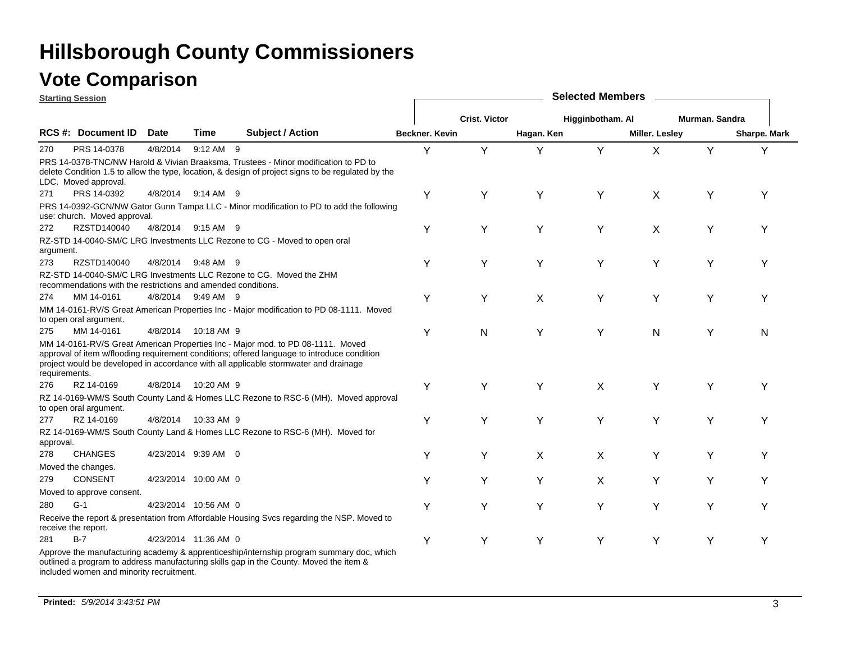### **Vote Comparison**

|               | <b>Starting Session</b>                                       |             |                      |                                                                                                                                                                                                                                                                        |                |                      |            | <b>Selected Members</b> |                |                |                     |
|---------------|---------------------------------------------------------------|-------------|----------------------|------------------------------------------------------------------------------------------------------------------------------------------------------------------------------------------------------------------------------------------------------------------------|----------------|----------------------|------------|-------------------------|----------------|----------------|---------------------|
|               |                                                               |             |                      |                                                                                                                                                                                                                                                                        |                | <b>Crist. Victor</b> |            | Higginbotham. Al        |                | Murman. Sandra |                     |
|               | RCS #: Document ID                                            | <b>Date</b> | Time                 | <b>Subject / Action</b>                                                                                                                                                                                                                                                | Beckner. Kevin |                      | Hagan. Ken |                         | Miller. Lesley |                | <b>Sharpe. Mark</b> |
| 270           | PRS 14-0378                                                   | 4/8/2014    | 9:12 AM 9            |                                                                                                                                                                                                                                                                        | Υ              | Υ                    | Υ          | Y                       | X              | Y              | Υ                   |
|               | LDC. Moved approval.                                          |             |                      | PRS 14-0378-TNC/NW Harold & Vivian Braaksma, Trustees - Minor modification to PD to<br>delete Condition 1.5 to allow the type, location, & design of project signs to be regulated by the                                                                              |                |                      |            |                         |                |                |                     |
| 271           | PRS 14-0392                                                   |             | 4/8/2014 9:14 AM 9   |                                                                                                                                                                                                                                                                        | Y              | Υ                    | Υ          | Υ                       | X              | Υ              | Υ                   |
|               | use: church. Moved approval.                                  |             |                      | PRS 14-0392-GCN/NW Gator Gunn Tampa LLC - Minor modification to PD to add the following                                                                                                                                                                                |                |                      |            |                         |                |                |                     |
| 272           | RZSTD140040                                                   |             | 4/8/2014 9:15 AM 9   |                                                                                                                                                                                                                                                                        | Υ              | Y                    | Υ          | Υ                       | X              | Y              | Y                   |
| argument.     |                                                               |             |                      | RZ-STD 14-0040-SM/C LRG Investments LLC Rezone to CG - Moved to open oral                                                                                                                                                                                              |                |                      |            |                         |                |                |                     |
| 273           | RZSTD140040                                                   | 4/8/2014    | 9:48 AM 9            |                                                                                                                                                                                                                                                                        | Y              | Υ                    | Υ          | Y                       | Υ              | Y              | Υ                   |
|               | recommendations with the restrictions and amended conditions. |             |                      | RZ-STD 14-0040-SM/C LRG Investments LLC Rezone to CG. Moved the ZHM                                                                                                                                                                                                    |                |                      |            |                         |                |                |                     |
| 274           | MM 14-0161                                                    |             | 4/8/2014 9:49 AM 9   |                                                                                                                                                                                                                                                                        | Y              | Υ                    | X          | Y                       | Y              | Υ              | Υ                   |
|               | to open oral argument.                                        |             |                      | MM 14-0161-RV/S Great American Properties Inc - Major modification to PD 08-1111. Moved                                                                                                                                                                                |                |                      |            |                         |                |                |                     |
| 275           | MM 14-0161                                                    |             | 4/8/2014 10:18 AM 9  |                                                                                                                                                                                                                                                                        | Υ              | N                    | Υ          | Y                       | Ν              | Υ              | N                   |
| requirements. |                                                               |             |                      | MM 14-0161-RV/S Great American Properties Inc - Major mod. to PD 08-1111. Moved<br>approval of item w/flooding requirement conditions; offered language to introduce condition<br>project would be developed in accordance with all applicable stormwater and drainage |                |                      |            |                         |                |                |                     |
| 276           | RZ 14-0169                                                    |             | 4/8/2014 10:20 AM 9  |                                                                                                                                                                                                                                                                        | Y              | Y                    | Y          | X                       | Y              | Y              | Y                   |
|               | to open oral argument.                                        |             |                      | RZ 14-0169-WM/S South County Land & Homes LLC Rezone to RSC-6 (MH). Moved approval                                                                                                                                                                                     |                |                      |            |                         |                |                |                     |
| 277           | RZ 14-0169                                                    |             | 4/8/2014 10:33 AM 9  |                                                                                                                                                                                                                                                                        | Υ              | Υ                    | Υ          | Y                       | Y              | Y              | Υ                   |
| approval.     |                                                               |             |                      | RZ 14-0169-WM/S South County Land & Homes LLC Rezone to RSC-6 (MH). Moved for                                                                                                                                                                                          |                |                      |            |                         |                |                |                     |
| 278           | <b>CHANGES</b>                                                |             | 4/23/2014 9:39 AM 0  |                                                                                                                                                                                                                                                                        | Y              | Y                    | X          | X                       | Υ              | Υ              | Υ                   |
|               | Moved the changes.                                            |             |                      |                                                                                                                                                                                                                                                                        |                |                      |            |                         |                |                |                     |
| 279           | <b>CONSENT</b>                                                |             | 4/23/2014 10:00 AM 0 |                                                                                                                                                                                                                                                                        | Y              | Y                    | Υ          | X                       | Y              | Y              | Υ                   |
|               | Moved to approve consent.                                     |             |                      |                                                                                                                                                                                                                                                                        |                |                      |            |                         |                |                |                     |
| 280           | $G-1$                                                         |             | 4/23/2014 10:56 AM 0 |                                                                                                                                                                                                                                                                        | Υ              | Υ                    | Υ          | Y                       | Y              | Y              | Υ                   |
|               | receive the report.                                           |             |                      | Receive the report & presentation from Affordable Housing Svcs regarding the NSP. Moved to                                                                                                                                                                             |                |                      |            |                         |                |                |                     |
| 281           | $B-7$                                                         |             | 4/23/2014 11:36 AM 0 |                                                                                                                                                                                                                                                                        | Υ              | Υ                    | Υ          | Y                       | Υ              | Υ              | Υ                   |
|               | included women and minority recruitment.                      |             |                      | Approve the manufacturing academy & apprenticeship/internship program summary doc, which<br>outlined a program to address manufacturing skills gap in the County. Moved the item &                                                                                     |                |                      |            |                         |                |                |                     |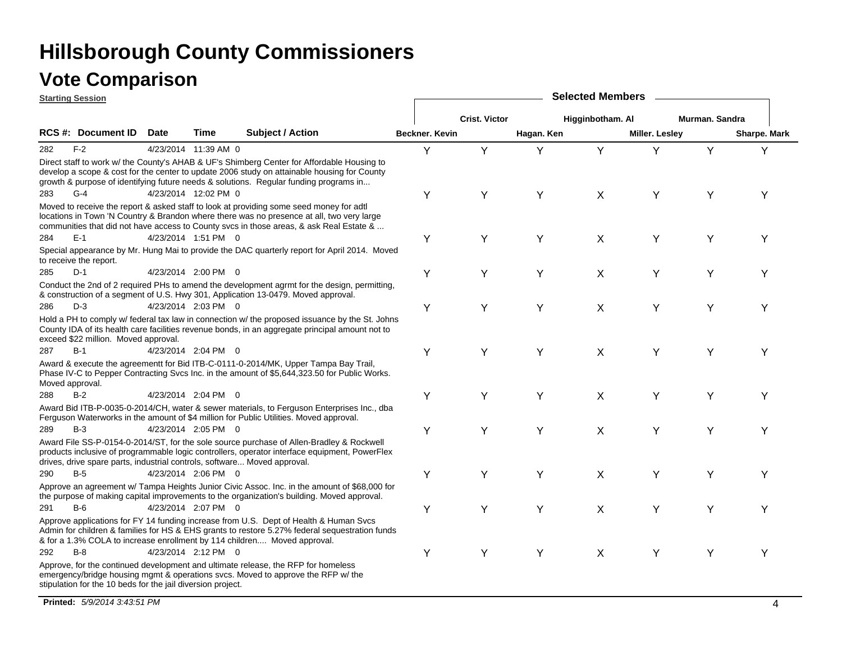|     | <b>Starting Session</b>                                                  |             |                      |                                                                                                                                                                                                                                                                                    | <b>Selected Members</b> |                      |            |                  |                |                |              |  |  |
|-----|--------------------------------------------------------------------------|-------------|----------------------|------------------------------------------------------------------------------------------------------------------------------------------------------------------------------------------------------------------------------------------------------------------------------------|-------------------------|----------------------|------------|------------------|----------------|----------------|--------------|--|--|
|     |                                                                          |             |                      |                                                                                                                                                                                                                                                                                    |                         | <b>Crist. Victor</b> |            | Higginbotham. Al |                | Murman. Sandra |              |  |  |
|     | RCS #: Document ID                                                       | <b>Date</b> | Time                 | <b>Subject / Action</b>                                                                                                                                                                                                                                                            | Beckner. Kevin          |                      | Hagan. Ken |                  | Miller. Lesley |                | Sharpe. Mark |  |  |
| 282 | $F-2$                                                                    |             | 4/23/2014 11:39 AM 0 |                                                                                                                                                                                                                                                                                    | Y                       | Y                    | Y          | Y                | Y              | Y              | Y            |  |  |
|     |                                                                          |             |                      | Direct staff to work w/ the County's AHAB & UF's Shimberg Center for Affordable Housing to<br>develop a scope & cost for the center to update 2006 study on attainable housing for County<br>growth & purpose of identifying future needs & solutions. Regular funding programs in |                         |                      |            |                  |                |                |              |  |  |
| 283 | $G-4$                                                                    |             | 4/23/2014 12:02 PM 0 |                                                                                                                                                                                                                                                                                    | Υ                       | Υ                    | Y          | X                | Υ              | Υ              | Υ            |  |  |
|     |                                                                          |             |                      | Moved to receive the report & asked staff to look at providing some seed money for adtl<br>locations in Town 'N Country & Brandon where there was no presence at all, two very large<br>communities that did not have access to County svcs in those areas, & ask Real Estate &    |                         |                      |            |                  |                |                |              |  |  |
| 284 | $E-1$                                                                    |             | 4/23/2014 1:51 PM 0  |                                                                                                                                                                                                                                                                                    | Υ                       | Y                    | Y          | X                | Y              | Υ              | Y            |  |  |
|     | to receive the report.                                                   |             |                      | Special appearance by Mr. Hung Mai to provide the DAC quarterly report for April 2014. Moved                                                                                                                                                                                       |                         |                      |            |                  |                |                |              |  |  |
| 285 | $D-1$                                                                    |             | 4/23/2014 2:00 PM 0  |                                                                                                                                                                                                                                                                                    | Υ                       | Υ                    | Y          | X                | Y              | Υ              | Y            |  |  |
|     |                                                                          |             |                      | Conduct the 2nd of 2 required PHs to amend the development agrmt for the design, permitting,<br>& construction of a segment of U.S. Hwy 301, Application 13-0479. Moved approval.                                                                                                  |                         |                      |            |                  |                |                |              |  |  |
| 286 | $D-3$                                                                    |             | 4/23/2014 2:03 PM 0  |                                                                                                                                                                                                                                                                                    | Y                       | Υ                    | Y          | X                | Y              | Υ              | Y            |  |  |
|     | exceed \$22 million. Moved approval.                                     |             |                      | Hold a PH to comply w/ federal tax law in connection w/ the proposed issuance by the St. Johns<br>County IDA of its health care facilities revenue bonds, in an aggregate principal amount not to                                                                                  |                         |                      |            |                  |                |                |              |  |  |
| 287 | $B-1$                                                                    |             | 4/23/2014 2:04 PM 0  |                                                                                                                                                                                                                                                                                    | Υ                       | Y                    | Υ          | X                | Y              | Y              | Y            |  |  |
|     | Moved approval.                                                          |             |                      | Award & execute the agreementt for Bid ITB-C-0111-0-2014/MK, Upper Tampa Bay Trail,<br>Phase IV-C to Pepper Contracting Svcs Inc. in the amount of \$5,644,323.50 for Public Works.                                                                                                |                         |                      |            |                  |                |                |              |  |  |
| 288 | $B-2$                                                                    |             | 4/23/2014 2:04 PM 0  |                                                                                                                                                                                                                                                                                    | Υ                       | Υ                    | Υ          | X                | Y              | Υ              | Υ            |  |  |
|     |                                                                          |             |                      | Award Bid ITB-P-0035-0-2014/CH, water & sewer materials, to Ferguson Enterprises Inc., dba<br>Ferguson Waterworks in the amount of \$4 million for Public Utilities. Moved approval.                                                                                               |                         |                      |            |                  |                |                |              |  |  |
| 289 | $B-3$                                                                    |             | 4/23/2014 2:05 PM 0  |                                                                                                                                                                                                                                                                                    | Υ                       | Υ                    | Υ          | X                | Y              | Υ              | Υ            |  |  |
|     | drives, drive spare parts, industrial controls, software Moved approval. |             |                      | Award File SS-P-0154-0-2014/ST, for the sole source purchase of Allen-Bradley & Rockwell<br>products inclusive of programmable logic controllers, operator interface equipment, PowerFlex                                                                                          |                         |                      |            |                  |                |                |              |  |  |
| 290 | $B-5$                                                                    |             | 4/23/2014 2:06 PM 0  |                                                                                                                                                                                                                                                                                    | Υ                       | Υ                    | Y          | X                | Y              | Υ              | Υ            |  |  |
|     |                                                                          |             |                      | Approve an agreement w/ Tampa Heights Junior Civic Assoc. Inc. in the amount of \$68,000 for<br>the purpose of making capital improvements to the organization's building. Moved approval.                                                                                         |                         |                      |            |                  |                |                |              |  |  |
| 291 | $B-6$                                                                    |             | 4/23/2014 2:07 PM 0  |                                                                                                                                                                                                                                                                                    | Y                       | Υ                    | Y          | X                | Y              | Υ              | Υ            |  |  |
|     |                                                                          |             |                      | Approve applications for FY 14 funding increase from U.S. Dept of Health & Human Svcs<br>Admin for children & families for HS & EHS grants to restore 5.27% federal sequestration funds<br>& for a 1.3% COLA to increase enrollment by 114 children Moved approval.                |                         |                      |            |                  |                |                |              |  |  |
| 292 | $B-8$                                                                    |             | 4/23/2014 2:12 PM 0  |                                                                                                                                                                                                                                                                                    | Υ                       | Υ                    | Υ          | X                | Y              | Υ              | Y            |  |  |
|     | stipulation for the 10 beds for the jail diversion project.              |             |                      | Approve, for the continued development and ultimate release, the RFP for homeless<br>emergency/bridge housing mgmt & operations svcs. Moved to approve the RFP w/ the                                                                                                              |                         |                      |            |                  |                |                |              |  |  |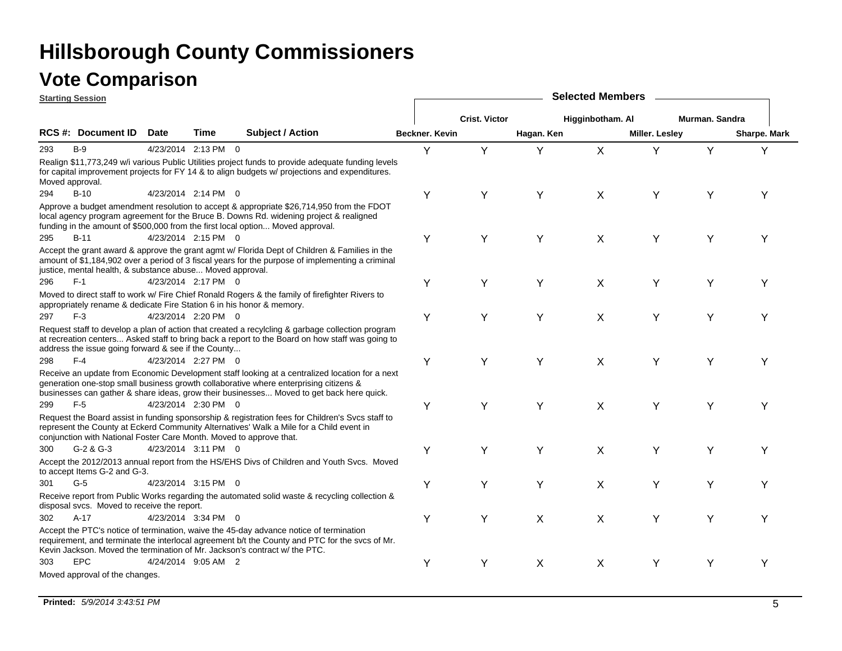|                 | <b>Starting Session</b>                                             |                     |      |                                                                                                                                                                                                                                                                                     |                |                      |            | <b>Selected Members</b> |                       |                |              |
|-----------------|---------------------------------------------------------------------|---------------------|------|-------------------------------------------------------------------------------------------------------------------------------------------------------------------------------------------------------------------------------------------------------------------------------------|----------------|----------------------|------------|-------------------------|-----------------------|----------------|--------------|
|                 |                                                                     |                     |      |                                                                                                                                                                                                                                                                                     |                | <b>Crist. Victor</b> |            | Higginbotham. Al        |                       | Murman. Sandra |              |
|                 | RCS #: Document ID                                                  | <b>Date</b>         | Time | <b>Subject / Action</b>                                                                                                                                                                                                                                                             | Beckner, Kevin |                      | Hagan. Ken |                         | <b>Miller. Lesley</b> |                | Sharpe. Mark |
| 293             | $B-9$                                                               | 4/23/2014 2:13 PM 0 |      |                                                                                                                                                                                                                                                                                     | Y              | Y                    | Y          | $\mathsf{X}$            | Y                     | Y              | Υ            |
| Moved approval. |                                                                     |                     |      | Realign \$11,773,249 w/i various Public Utilities project funds to provide adequate funding levels<br>for capital improvement projects for FY 14 & to align budgets w/ projections and expenditures.                                                                                |                |                      |            |                         |                       |                |              |
| 294             | $B-10$                                                              | 4/23/2014 2:14 PM 0 |      |                                                                                                                                                                                                                                                                                     | Υ              | Υ                    | Y          | X                       | Υ                     | Υ              | Υ            |
|                 |                                                                     |                     |      | Approve a budget amendment resolution to accept & appropriate \$26,714,950 from the FDOT<br>local agency program agreement for the Bruce B. Downs Rd. widening project & realigned<br>funding in the amount of \$500,000 from the first local option Moved approval.                |                |                      |            |                         |                       |                |              |
| 295             | $B-11$                                                              | 4/23/2014 2:15 PM 0 |      |                                                                                                                                                                                                                                                                                     | Y              | Υ                    | Y          | X                       | Y                     | Y              | Υ            |
|                 | justice, mental health, & substance abuse Moved approval.           |                     |      | Accept the grant award & approve the grant agmt w/ Florida Dept of Children & Families in the<br>amount of \$1,184,902 over a period of 3 fiscal years for the purpose of implementing a criminal                                                                                   |                |                      |            |                         |                       |                |              |
| 296             | $F-1$                                                               | 4/23/2014 2:17 PM 0 |      |                                                                                                                                                                                                                                                                                     | Y              | Y                    | Y          | $\sf X$                 | Y                     | Y              | Υ            |
|                 |                                                                     |                     |      | Moved to direct staff to work w/ Fire Chief Ronald Rogers & the family of firefighter Rivers to<br>appropriately rename & dedicate Fire Station 6 in his honor & memory.                                                                                                            |                |                      |            |                         |                       |                |              |
| 297             | $F-3$                                                               | 4/23/2014 2:20 PM 0 |      |                                                                                                                                                                                                                                                                                     | Y              | Y                    | Y          | X                       | Y                     | Y              | Υ            |
|                 | address the issue going forward & see if the County                 |                     |      | Request staff to develop a plan of action that created a recylcling & garbage collection program<br>at recreation centers Asked staff to bring back a report to the Board on how staff was going to                                                                                 |                |                      |            |                         |                       |                |              |
| 298             | $F-4$                                                               | 4/23/2014 2:27 PM 0 |      |                                                                                                                                                                                                                                                                                     | Υ              | Υ                    | Y          | X                       | Y                     | Y              | Υ            |
|                 |                                                                     |                     |      | Receive an update from Economic Development staff looking at a centralized location for a next<br>generation one-stop small business growth collaborative where enterprising citizens &<br>businesses can gather & share ideas, grow their businesses Moved to get back here quick. |                |                      |            |                         |                       |                |              |
| 299             | $F-5$                                                               | 4/23/2014 2:30 PM 0 |      |                                                                                                                                                                                                                                                                                     | Y              | Y                    | Y          | X                       | Υ                     | Y              | Υ            |
|                 | conjunction with National Foster Care Month. Moved to approve that. |                     |      | Request the Board assist in funding sponsorship & registration fees for Children's Svcs staff to<br>represent the County at Eckerd Community Alternatives' Walk a Mile for a Child event in                                                                                         |                |                      |            |                         |                       |                |              |
| 300             | $G-2$ & $G-3$                                                       | 4/23/2014 3:11 PM 0 |      |                                                                                                                                                                                                                                                                                     | Υ              | Υ                    | Y          | X                       | Y                     | Υ              | Υ            |
|                 | to accept Items G-2 and G-3.                                        |                     |      | Accept the 2012/2013 annual report from the HS/EHS Divs of Children and Youth Svcs. Moved                                                                                                                                                                                           |                |                      |            |                         |                       |                |              |
| 301             | $G-5$                                                               | 4/23/2014 3:15 PM 0 |      |                                                                                                                                                                                                                                                                                     | Υ              | Υ                    | Y          | X                       | Y                     | Y              | Υ            |
|                 | disposal svcs. Moved to receive the report.                         |                     |      | Receive report from Public Works regarding the automated solid waste & recycling collection &                                                                                                                                                                                       |                |                      |            |                         |                       |                |              |
| 302             | $A-17$                                                              | 4/23/2014 3:34 PM 0 |      |                                                                                                                                                                                                                                                                                     | Υ              | Υ                    | X          | X                       | Y                     | Υ              | Υ            |
|                 |                                                                     |                     |      | Accept the PTC's notice of termination, waive the 45-day advance notice of termination<br>requirement, and terminate the interlocal agreement b/t the County and PTC for the svcs of Mr.<br>Kevin Jackson. Moved the termination of Mr. Jackson's contract w/ the PTC.              |                |                      |            |                         |                       |                |              |
| 303             | <b>EPC</b>                                                          | 4/24/2014 9:05 AM 2 |      |                                                                                                                                                                                                                                                                                     | Y              | Υ                    | X          | X                       | Υ                     | Υ              | Y            |
|                 | Moved approval of the changes.                                      |                     |      |                                                                                                                                                                                                                                                                                     |                |                      |            |                         |                       |                |              |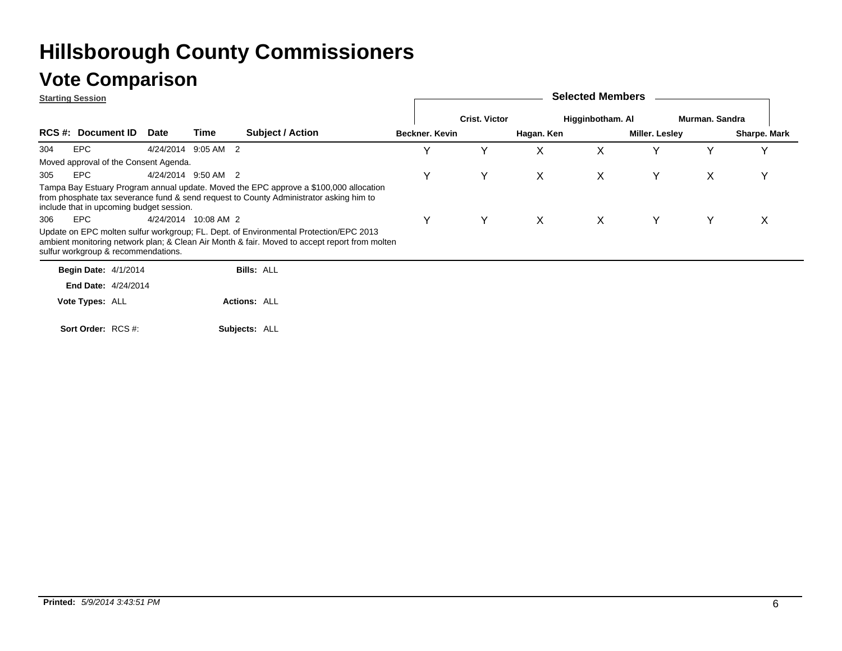### **Vote Comparison**

**Starting Session**

|     | <u>Jiarling Jessiun</u>                         |             |                      |                                                                                                                                                                                        |                |                      |              |                  |                |                |              |
|-----|-------------------------------------------------|-------------|----------------------|----------------------------------------------------------------------------------------------------------------------------------------------------------------------------------------|----------------|----------------------|--------------|------------------|----------------|----------------|--------------|
|     |                                                 |             |                      |                                                                                                                                                                                        |                | <b>Crist. Victor</b> |              | Higginbotham. Al |                | Murman, Sandra |              |
|     | <b>RCS #: Document ID</b>                       | <b>Date</b> | Time                 | <b>Subject / Action</b>                                                                                                                                                                | Beckner. Kevin |                      | Hagan. Ken   |                  | Miller. Lesley |                | Sharpe. Mark |
| 304 | <b>EPC</b>                                      |             | 4/24/2014 9:05 AM 2  |                                                                                                                                                                                        | $\checkmark$   | Y                    | X            | X                |                |                |              |
|     | Moved approval of the Consent Agenda.           |             |                      |                                                                                                                                                                                        |                |                      |              |                  |                |                |              |
| 305 | EPC                                             |             | 4/24/2014 9:50 AM 2  |                                                                                                                                                                                        | Y              | Y                    | $\mathsf{X}$ | X                | Υ              | X              | v            |
| 306 | include that in upcoming budget session.<br>EPC |             | 4/24/2014 10:08 AM 2 | Tampa Bay Estuary Program annual update. Moved the EPC approve a \$100,000 allocation<br>from phosphate tax severance fund & send request to County Administrator asking him to        | Υ              | Y                    | $\mathsf{X}$ | $\mathsf{X}$     | Y              | Y              | X            |
|     | sulfur workgroup & recommendations.             |             |                      | Update on EPC molten sulfur workgroup; FL. Dept. of Environmental Protection/EPC 2013<br>ambient monitoring network plan; & Clean Air Month & fair. Moved to accept report from molten |                |                      |              |                  |                |                |              |
|     | <b>Begin Date: 4/1/2014</b>                     |             |                      | <b>Bills: ALL</b>                                                                                                                                                                      |                |                      |              |                  |                |                |              |
|     | <b>End Date: 4/24/2014</b>                      |             |                      |                                                                                                                                                                                        |                |                      |              |                  |                |                |              |
|     | Vote Types: ALL                                 |             |                      | <b>Actions: ALL</b>                                                                                                                                                                    |                |                      |              |                  |                |                |              |
|     | Sort Order: RCS #:                              |             |                      | Subjects: ALL                                                                                                                                                                          |                |                      |              |                  |                |                |              |

**Selected Members**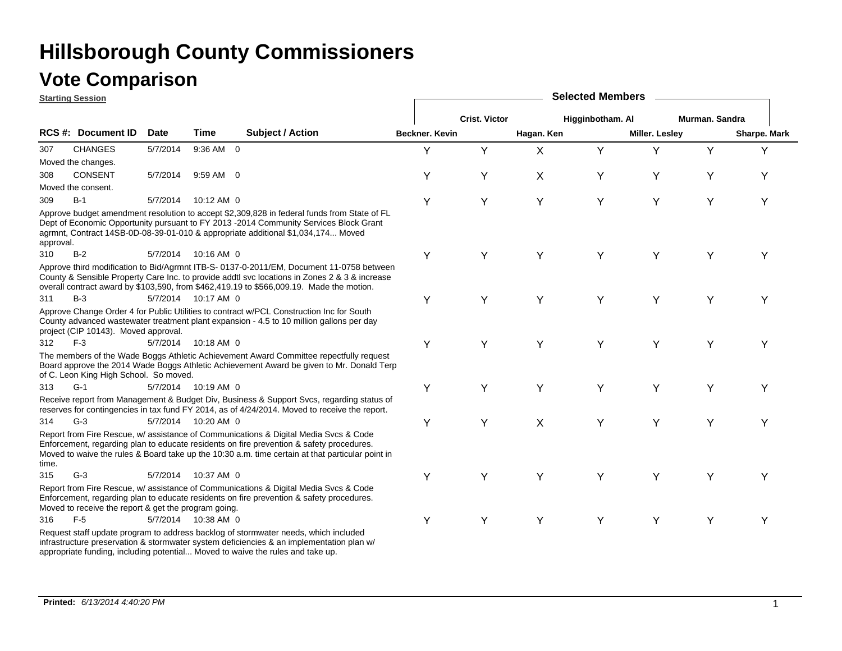### **Vote Comparison**

**Starting Session**

| <u>starting session</u> |                                                      |             |                     |                                                                                                                                                                                                                                                                                       |                |                      |                           | <b>OUIGULUM INGITIOUS</b> |                       |                |              |
|-------------------------|------------------------------------------------------|-------------|---------------------|---------------------------------------------------------------------------------------------------------------------------------------------------------------------------------------------------------------------------------------------------------------------------------------|----------------|----------------------|---------------------------|---------------------------|-----------------------|----------------|--------------|
|                         |                                                      |             |                     |                                                                                                                                                                                                                                                                                       |                | <b>Crist. Victor</b> |                           | Higginbotham. Al          |                       | Murman. Sandra |              |
|                         | <b>RCS #: Document ID</b>                            | <b>Date</b> | Time                | <b>Subject / Action</b>                                                                                                                                                                                                                                                               | Beckner, Kevin |                      | Hagan. Ken                |                           | <b>Miller. Lesley</b> |                | Sharpe. Mark |
| 307                     | <b>CHANGES</b>                                       | 5/7/2014    | 9:36 AM 0           |                                                                                                                                                                                                                                                                                       | Y              | Y                    | X                         | Y                         | Y                     | Y              | Y            |
|                         | Moved the changes.                                   |             |                     |                                                                                                                                                                                                                                                                                       |                |                      |                           |                           |                       |                |              |
| 308                     | <b>CONSENT</b>                                       | 5/7/2014    | 9:59 AM 0           |                                                                                                                                                                                                                                                                                       | Υ              | Υ                    | X                         | Υ                         | Υ                     | Υ              | Υ            |
|                         | Moved the consent.                                   |             |                     |                                                                                                                                                                                                                                                                                       |                |                      |                           |                           |                       |                |              |
| 309                     | $B-1$                                                | 5/7/2014    | 10:12 AM 0          |                                                                                                                                                                                                                                                                                       | Υ              | Υ                    | Υ                         | Y                         | Υ                     | Υ              | Y            |
| approval.               |                                                      |             |                     | Approve budget amendment resolution to accept \$2,309,828 in federal funds from State of FL<br>Dept of Economic Opportunity pursuant to FY 2013 -2014 Community Services Block Grant<br>agrmnt, Contract 14SB-0D-08-39-01-010 & appropriate additional \$1,034,174 Moved              |                |                      |                           |                           |                       |                |              |
| 310                     | $B-2$                                                |             | 5/7/2014 10:16 AM 0 |                                                                                                                                                                                                                                                                                       | Υ              | Y                    | Y                         | Y                         | Y                     | Y              | Υ            |
|                         |                                                      |             |                     | Approve third modification to Bid/Agrmnt ITB-S- 0137-0-2011/EM, Document 11-0758 between<br>County & Sensible Property Care Inc. to provide addtl svc locations in Zones 2 & 3 & increase<br>overall contract award by \$103,590, from \$462,419.19 to \$566,009.19. Made the motion. |                |                      |                           |                           |                       |                |              |
| 311                     | $B-3$                                                |             | 5/7/2014 10:17 AM 0 |                                                                                                                                                                                                                                                                                       | Υ              | Υ                    | Υ                         | Y                         | Y                     | Υ              | Υ            |
|                         | project (CIP 10143). Moved approval.                 |             |                     | Approve Change Order 4 for Public Utilities to contract w/PCL Construction Inc for South<br>County advanced wastewater treatment plant expansion - 4.5 to 10 million gallons per day                                                                                                  |                |                      |                           |                           |                       |                |              |
| 312                     | $F-3$                                                |             | 5/7/2014 10:18 AM 0 |                                                                                                                                                                                                                                                                                       | Y              | Y                    | Y                         | Y                         | Y                     | Υ              | Y            |
|                         | of C. Leon King High School. So moved.               |             |                     | The members of the Wade Boggs Athletic Achievement Award Committee repectfully request<br>Board approve the 2014 Wade Boggs Athletic Achievement Award be given to Mr. Donald Terp                                                                                                    |                |                      |                           |                           |                       |                |              |
| 313                     | $G-1$                                                |             | 5/7/2014 10:19 AM 0 |                                                                                                                                                                                                                                                                                       | Υ              | Y                    | Y                         | Y                         | Y                     | Y              | Y            |
|                         |                                                      |             |                     | Receive report from Management & Budget Div, Business & Support Svcs, regarding status of<br>reserves for contingencies in tax fund FY 2014, as of 4/24/2014. Moved to receive the report.                                                                                            |                |                      |                           |                           |                       |                |              |
| 314                     | $G-3$                                                |             | 5/7/2014 10:20 AM 0 |                                                                                                                                                                                                                                                                                       | Υ              | Υ                    | $\boldsymbol{\mathsf{X}}$ | Y                         | Y                     | Υ              | Y            |
| time.                   |                                                      |             |                     | Report from Fire Rescue, w/ assistance of Communications & Digital Media Svcs & Code<br>Enforcement, regarding plan to educate residents on fire prevention & safety procedures.<br>Moved to waive the rules & Board take up the 10:30 a.m. time certain at that particular point in  |                |                      |                           |                           |                       |                |              |
| 315                     | $G-3$                                                | 5/7/2014    | 10:37 AM 0          |                                                                                                                                                                                                                                                                                       | Υ              | Y                    | Υ                         | Y                         | Y                     | Υ              | Y            |
|                         | Moved to receive the report & get the program going. |             |                     | Report from Fire Rescue, w/ assistance of Communications & Digital Media Svcs & Code<br>Enforcement, regarding plan to educate residents on fire prevention & safety procedures.                                                                                                      |                |                      |                           |                           |                       |                |              |
| 316                     | $F-5$                                                |             | 5/7/2014 10:38 AM 0 |                                                                                                                                                                                                                                                                                       | Υ              | Υ                    | Y                         | Y                         | Y                     | Υ              | Y            |
|                         |                                                      |             |                     | Request staff update program to address backlog of stormwater needs, which included<br>infrastructure preservation & stormwater system deficiencies & an implementation plan w/<br>appropriate funding, including potential Moved to waive the rules and take up.                     |                |                      |                           |                           |                       |                |              |

**Selected Members**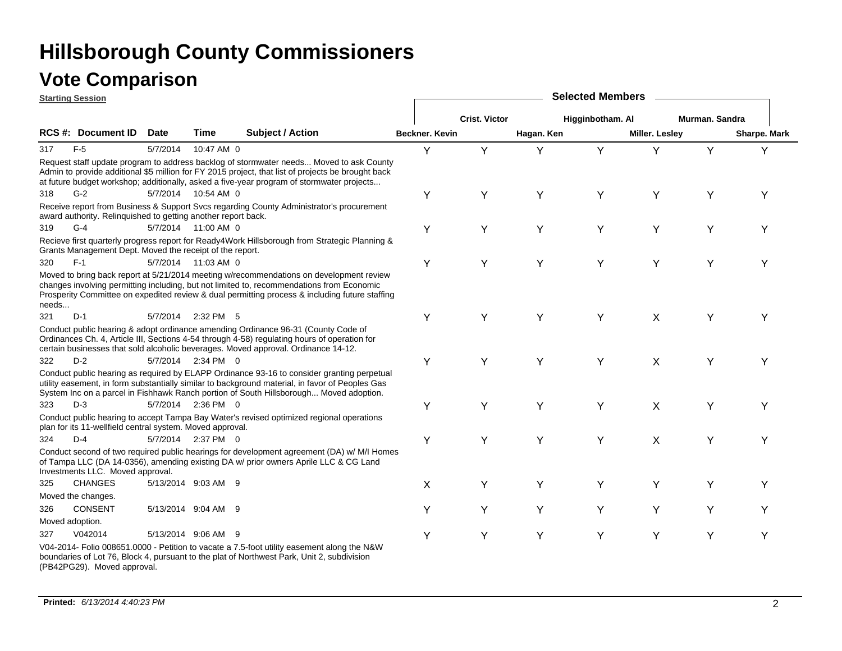|       | <b>Starting Session</b>                                       |             |                     |                                                                                                                                                                                                                                                                                            |                |                      |            | <b>Selected Members</b> |                       |                |              |
|-------|---------------------------------------------------------------|-------------|---------------------|--------------------------------------------------------------------------------------------------------------------------------------------------------------------------------------------------------------------------------------------------------------------------------------------|----------------|----------------------|------------|-------------------------|-----------------------|----------------|--------------|
|       |                                                               |             |                     |                                                                                                                                                                                                                                                                                            |                | <b>Crist. Victor</b> |            | Higginbotham. Al        |                       | Murman. Sandra |              |
|       | RCS #: Document ID                                            | <b>Date</b> | Time                | <b>Subject / Action</b>                                                                                                                                                                                                                                                                    | Beckner. Kevin |                      | Hagan. Ken |                         | <b>Miller. Lesley</b> |                | Sharpe. Mark |
| 317   | $F-5$                                                         | 5/7/2014    | 10:47 AM 0          |                                                                                                                                                                                                                                                                                            | Y              | Y                    | Y          | Y                       | Υ                     | Υ              | Y            |
|       |                                                               |             |                     | Request staff update program to address backlog of stormwater needs Moved to ask County<br>Admin to provide additional \$5 million for FY 2015 project, that list of projects be brought back<br>at future budget workshop; additionally, asked a five-year program of stormwater projects |                |                      |            |                         |                       |                |              |
| 318   | $G-2$                                                         |             | 5/7/2014 10:54 AM 0 |                                                                                                                                                                                                                                                                                            | Y              | Υ                    | Y          | Y                       | Y                     | Y              | Υ            |
|       | award authority. Relinquished to getting another report back. |             |                     | Receive report from Business & Support Svcs regarding County Administrator's procurement                                                                                                                                                                                                   |                |                      |            |                         |                       |                |              |
| 319   | $G-4$                                                         |             | 5/7/2014 11:00 AM 0 |                                                                                                                                                                                                                                                                                            | Y              | Υ                    | Y          | Y                       | Y                     | Y              | Υ            |
|       | Grants Management Dept. Moved the receipt of the report.      |             |                     | Recieve first quarterly progress report for Ready4Work Hillsborough from Strategic Planning &                                                                                                                                                                                              |                |                      |            |                         |                       |                |              |
| 320   | $F-1$                                                         |             | 5/7/2014 11:03 AM 0 |                                                                                                                                                                                                                                                                                            | Y              | Y                    | Y          | Y                       | Υ                     | Υ              | Υ            |
| needs |                                                               |             |                     | Moved to bring back report at 5/21/2014 meeting w/recommendations on development review<br>changes involving permitting including, but not limited to, recommendations from Economic<br>Prosperity Committee on expedited review & dual permitting process & including future staffing     |                |                      |            |                         |                       |                |              |
| 321   | $D-1$                                                         | 5/7/2014    | 2:32 PM 5           |                                                                                                                                                                                                                                                                                            | Y              | Υ                    | Y          | Y                       | $\times$              | Υ              | Υ            |
|       |                                                               |             |                     | Conduct public hearing & adopt ordinance amending Ordinance 96-31 (County Code of<br>Ordinances Ch. 4, Article III, Sections 4-54 through 4-58) regulating hours of operation for<br>certain businesses that sold alcoholic beverages. Moved approval. Ordinance 14-12.                    |                |                      |            |                         |                       |                |              |
| 322   | $D-2$                                                         |             | 5/7/2014 2:34 PM 0  |                                                                                                                                                                                                                                                                                            | Y              | Y                    | Y          | Y                       | X                     | Υ              | Y            |
|       |                                                               |             |                     | Conduct public hearing as required by ELAPP Ordinance 93-16 to consider granting perpetual<br>utility easement, in form substantially similar to background material, in favor of Peoples Gas<br>System Inc on a parcel in Fishhawk Ranch portion of South Hillsborough Moved adoption.    |                |                      |            |                         |                       |                |              |
| 323   | $D-3$                                                         |             | 5/7/2014 2:36 PM 0  |                                                                                                                                                                                                                                                                                            | Υ              | Y                    | Y          | Y                       | X                     | Y              | Υ            |
|       | plan for its 11-wellfield central system. Moved approval.     |             |                     | Conduct public hearing to accept Tampa Bay Water's revised optimized regional operations                                                                                                                                                                                                   |                |                      |            |                         |                       |                |              |
| 324   | $D-4$                                                         |             | 5/7/2014 2:37 PM 0  |                                                                                                                                                                                                                                                                                            | Y              | Υ                    | Y          | Y                       | X                     | Υ              | Υ            |
|       | Investments LLC. Moved approval.                              |             |                     | Conduct second of two required public hearings for development agreement (DA) w/ M/I Homes<br>of Tampa LLC (DA 14-0356), amending existing DA w/ prior owners Aprile LLC & CG Land                                                                                                         |                |                      |            |                         |                       |                |              |
| 325   | <b>CHANGES</b>                                                |             | 5/13/2014 9:03 AM 9 |                                                                                                                                                                                                                                                                                            | X              | Υ                    | Y          | Y                       | Y                     | Υ              | Y            |
|       | Moved the changes.                                            |             |                     |                                                                                                                                                                                                                                                                                            |                |                      |            |                         |                       |                |              |
| 326   | <b>CONSENT</b>                                                |             | 5/13/2014 9:04 AM 9 |                                                                                                                                                                                                                                                                                            | Y              | Y                    | Y          | Y                       | Y                     | Y              | Y            |
|       | Moved adoption.                                               |             |                     |                                                                                                                                                                                                                                                                                            |                |                      |            |                         |                       |                |              |
| 327   | V042014                                                       |             | 5/13/2014 9:06 AM 9 |                                                                                                                                                                                                                                                                                            | Y              | Υ                    | Υ          | Y                       | Υ                     | Υ              | Y            |
|       | (PB42PG29). Moved approval.                                   |             |                     | V04-2014- Folio 008651.0000 - Petition to vacate a 7.5-foot utility easement along the N&W<br>boundaries of Lot 76, Block 4, pursuant to the plat of Northwest Park, Unit 2, subdivision                                                                                                   |                |                      |            |                         |                       |                |              |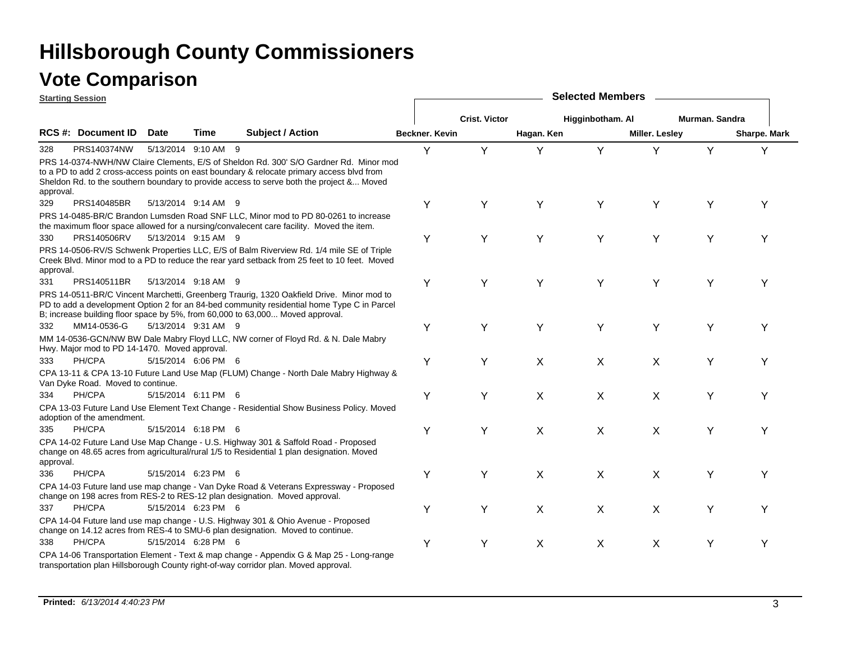|           | <b>Starting Session</b>                       |      |                     |                                                                                                                                                                                                                                                                                |                |                      |            | <b>Selected Members</b> |                       |                |              |
|-----------|-----------------------------------------------|------|---------------------|--------------------------------------------------------------------------------------------------------------------------------------------------------------------------------------------------------------------------------------------------------------------------------|----------------|----------------------|------------|-------------------------|-----------------------|----------------|--------------|
|           |                                               |      |                     |                                                                                                                                                                                                                                                                                |                | <b>Crist. Victor</b> |            | Higginbotham. Al        |                       | Murman, Sandra |              |
|           | <b>RCS #: Document ID</b>                     | Date | Time                | <b>Subject / Action</b>                                                                                                                                                                                                                                                        | Beckner, Kevin |                      | Hagan. Ken |                         | <b>Miller. Lesley</b> |                | Sharpe. Mark |
| 328       | PRS140374NW                                   |      | 5/13/2014 9:10 AM 9 |                                                                                                                                                                                                                                                                                | Y              | Y                    | Y          | Y                       | Y                     | Y              | Y            |
| approval. |                                               |      |                     | PRS 14-0374-NWH/NW Claire Clements, E/S of Sheldon Rd. 300' S/O Gardner Rd. Minor mod<br>to a PD to add 2 cross-access points on east boundary & relocate primary access blvd from<br>Sheldon Rd. to the southern boundary to provide access to serve both the project & Moved |                |                      |            |                         |                       |                |              |
| 329       | PRS140485BR                                   |      | 5/13/2014 9:14 AM 9 |                                                                                                                                                                                                                                                                                | Υ              | Υ                    | Y          | Y                       | Υ                     | Y              | Y            |
|           |                                               |      |                     | PRS 14-0485-BR/C Brandon Lumsden Road SNF LLC, Minor mod to PD 80-0261 to increase<br>the maximum floor space allowed for a nursing/convalecent care facility. Moved the item.                                                                                                 |                |                      |            |                         |                       |                |              |
| 330       | PRS140506RV                                   |      | 5/13/2014 9:15 AM 9 |                                                                                                                                                                                                                                                                                | Υ              | Y                    | Y          | Y                       | Y                     | Y              | Y            |
| approval. |                                               |      |                     | PRS 14-0506-RV/S Schwenk Properties LLC, E/S of Balm Riverview Rd. 1/4 mile SE of Triple<br>Creek Blvd. Minor mod to a PD to reduce the rear yard setback from 25 feet to 10 feet. Moved                                                                                       |                |                      |            |                         |                       |                |              |
| 331       | PRS140511BR                                   |      | 5/13/2014 9:18 AM 9 |                                                                                                                                                                                                                                                                                | Υ              | Υ                    | Υ          | Y                       | Y                     | Υ              | Y            |
|           |                                               |      |                     | PRS 14-0511-BR/C Vincent Marchetti, Greenberg Traurig, 1320 Oakfield Drive. Minor mod to<br>PD to add a development Option 2 for an 84-bed community residential home Type C in Parcel<br>B; increase building floor space by 5%, from 60,000 to 63,000 Moved approval.        |                |                      |            |                         |                       |                |              |
| 332       | MM14-0536-G                                   |      | 5/13/2014 9:31 AM 9 |                                                                                                                                                                                                                                                                                | Υ              | Υ                    | Υ          | Υ                       | Υ                     | Υ              | Υ            |
|           | Hwy. Major mod to PD 14-1470. Moved approval. |      |                     | MM 14-0536-GCN/NW BW Dale Mabry Floyd LLC, NW corner of Floyd Rd. & N. Dale Mabry                                                                                                                                                                                              |                |                      |            |                         |                       |                |              |
| 333       | PH/CPA                                        |      | 5/15/2014 6:06 PM 6 |                                                                                                                                                                                                                                                                                | Y              | Υ                    | X          | X                       | X                     | Y              |              |
|           | Van Dyke Road. Moved to continue.             |      |                     | CPA 13-11 & CPA 13-10 Future Land Use Map (FLUM) Change - North Dale Mabry Highway &                                                                                                                                                                                           |                |                      |            |                         |                       |                |              |
| 334       | PH/CPA                                        |      | 5/15/2014 6:11 PM 6 |                                                                                                                                                                                                                                                                                | Υ              | Y                    | Χ          | X                       | X                     | Y              | Y            |
|           | adoption of the amendment.                    |      |                     | CPA 13-03 Future Land Use Element Text Change - Residential Show Business Policy. Moved                                                                                                                                                                                        |                |                      |            |                         |                       |                |              |
| 335       | PH/CPA                                        |      | 5/15/2014 6:18 PM 6 |                                                                                                                                                                                                                                                                                | Υ              | Υ                    | X          | X                       | X                     | Υ              | Y            |
| approval. |                                               |      |                     | CPA 14-02 Future Land Use Map Change - U.S. Highway 301 & Saffold Road - Proposed<br>change on 48.65 acres from agricultural/rural 1/5 to Residential 1 plan designation. Moved                                                                                                |                |                      |            |                         |                       |                |              |
| 336       | PH/CPA                                        |      | 5/15/2014 6:23 PM 6 |                                                                                                                                                                                                                                                                                | Υ              | Υ                    | Χ          | $\pmb{\times}$          | Χ                     | Υ              | Y            |
|           |                                               |      |                     | CPA 14-03 Future land use map change - Van Dyke Road & Veterans Expressway - Proposed<br>change on 198 acres from RES-2 to RES-12 plan designation. Moved approval.                                                                                                            |                |                      |            |                         |                       |                |              |
| 337       | PH/CPA                                        |      | 5/15/2014 6:23 PM 6 |                                                                                                                                                                                                                                                                                | Y              | Υ                    | X          | X                       | X                     | Y              | Υ            |
|           |                                               |      |                     | CPA 14-04 Future land use map change - U.S. Highway 301 & Ohio Avenue - Proposed<br>change on 14.12 acres from RES-4 to SMU-6 plan designation. Moved to continue.                                                                                                             |                |                      |            |                         |                       |                |              |
| 338       | PH/CPA                                        |      | 5/15/2014 6:28 PM 6 |                                                                                                                                                                                                                                                                                | Υ              | Y                    | X          | X                       | X                     | Y              | Υ            |
|           |                                               |      |                     | CPA 14-06 Transportation Element - Text & map change - Appendix G & Map 25 - Long-range<br>transportation plan Hillsborough County right-of-way corridor plan. Moved approval.                                                                                                 |                |                      |            |                         |                       |                |              |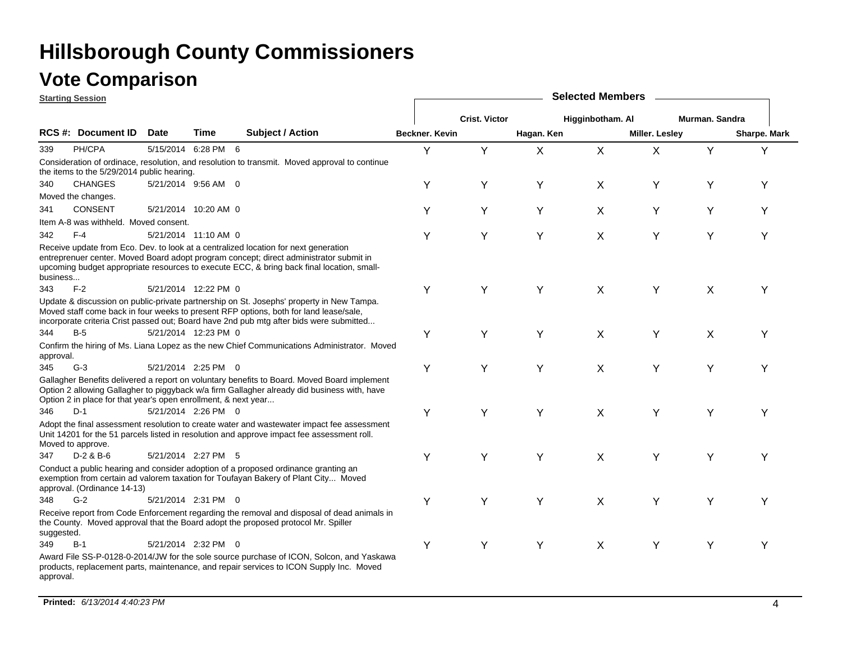|            | <b>Starting Session</b>                                        |                     |                      |                                                                                                                                                                                                                                                                              |                |                      |            | <b>Selected Members</b> |                |                |              |
|------------|----------------------------------------------------------------|---------------------|----------------------|------------------------------------------------------------------------------------------------------------------------------------------------------------------------------------------------------------------------------------------------------------------------------|----------------|----------------------|------------|-------------------------|----------------|----------------|--------------|
|            |                                                                |                     |                      |                                                                                                                                                                                                                                                                              |                | <b>Crist. Victor</b> |            | Higginbotham. Al        |                | Murman, Sandra |              |
|            | RCS #: Document ID                                             | Date                | Time                 | <b>Subject / Action</b>                                                                                                                                                                                                                                                      | Beckner. Kevin |                      | Hagan. Ken |                         | Miller. Lesley |                | Sharpe. Mark |
| 339        | PH/CPA                                                         | 5/15/2014 6:28 PM 6 |                      |                                                                                                                                                                                                                                                                              | Y              | Y                    | X          | X                       | X              | Y              | Y            |
|            | the items to the 5/29/2014 public hearing.                     |                     |                      | Consideration of ordinace, resolution, and resolution to transmit. Moved approval to continue                                                                                                                                                                                |                |                      |            |                         |                |                |              |
| 340        | <b>CHANGES</b>                                                 |                     | 5/21/2014 9:56 AM 0  |                                                                                                                                                                                                                                                                              | Υ              | Υ                    | Y          | X                       | Υ              | Υ              | Υ            |
|            | Moved the changes.                                             |                     |                      |                                                                                                                                                                                                                                                                              |                |                      |            |                         |                |                |              |
| 341        | <b>CONSENT</b>                                                 |                     | 5/21/2014 10:20 AM 0 |                                                                                                                                                                                                                                                                              | Y              | Y                    | Υ          | X                       | Y              | Υ              | Y            |
|            | Item A-8 was withheld. Moved consent.                          |                     |                      |                                                                                                                                                                                                                                                                              |                |                      |            |                         |                |                |              |
| 342        | $F-4$                                                          |                     | 5/21/2014 11:10 AM 0 |                                                                                                                                                                                                                                                                              | Υ              | Υ                    | Y          | X                       | Υ              | Υ              | Υ            |
| business   |                                                                |                     |                      | Receive update from Eco. Dev. to look at a centralized location for next generation<br>entreprenuer center. Moved Board adopt program concept; direct administrator submit in<br>upcoming budget appropriate resources to execute ECC, & bring back final location, small-   |                |                      |            |                         |                |                |              |
| 343        | $F-2$                                                          |                     | 5/21/2014 12:22 PM 0 |                                                                                                                                                                                                                                                                              | Υ              | Y                    | Y          | X                       | Y              | X              | Υ            |
|            |                                                                |                     |                      | Update & discussion on public-private partnership on St. Josephs' property in New Tampa.<br>Moved staff come back in four weeks to present RFP options, both for land lease/sale,<br>incorporate criteria Crist passed out; Board have 2nd pub mtg after bids were submitted |                |                      |            |                         |                |                |              |
| 344        | $B-5$                                                          |                     | 5/21/2014 12:23 PM 0 |                                                                                                                                                                                                                                                                              | Υ              | Y                    | Υ          | X                       | Y              | $\sf X$        | Υ            |
| approval.  |                                                                |                     |                      | Confirm the hiring of Ms. Liana Lopez as the new Chief Communications Administrator. Moved                                                                                                                                                                                   |                |                      |            |                         |                |                |              |
| 345        | $G-3$                                                          |                     | 5/21/2014 2:25 PM 0  |                                                                                                                                                                                                                                                                              | Υ              | Y                    | Υ          | X                       | Y              | Y              | Υ            |
|            | Option 2 in place for that year's open enrollment, & next year |                     |                      | Gallagher Benefits delivered a report on voluntary benefits to Board. Moved Board implement<br>Option 2 allowing Gallagher to piggyback w/a firm Gallagher already did business with, have                                                                                   |                |                      |            |                         |                |                |              |
| 346        | $D-1$                                                          |                     | 5/21/2014 2:26 PM 0  |                                                                                                                                                                                                                                                                              | Υ              | Y                    | Y          | X                       | Y              | Υ              | Υ            |
|            | Moved to approve.                                              |                     |                      | Adopt the final assessment resolution to create water and wastewater impact fee assessment<br>Unit 14201 for the 51 parcels listed in resolution and approve impact fee assessment roll.                                                                                     |                |                      |            |                         |                |                |              |
| 347        | $D-2$ & $B-6$                                                  |                     | 5/21/2014 2:27 PM 5  |                                                                                                                                                                                                                                                                              | Υ              | Υ                    | Υ          | X                       | Υ              | Υ              | Υ            |
|            | approval. (Ordinance 14-13)                                    |                     |                      | Conduct a public hearing and consider adoption of a proposed ordinance granting an<br>exemption from certain ad valorem taxation for Toufayan Bakery of Plant City Moved                                                                                                     |                |                      |            |                         |                |                |              |
| 348        | $G-2$                                                          |                     | 5/21/2014 2:31 PM 0  |                                                                                                                                                                                                                                                                              | Υ              | Υ                    | Υ          | X                       | Y              | Y              | Υ            |
| suggested. |                                                                |                     |                      | Receive report from Code Enforcement regarding the removal and disposal of dead animals in<br>the County. Moved approval that the Board adopt the proposed protocol Mr. Spiller                                                                                              |                |                      |            |                         |                |                |              |
| 349        | $B-1$                                                          |                     | 5/21/2014 2:32 PM 0  |                                                                                                                                                                                                                                                                              | Υ              | Y                    | Υ          | X                       | Υ              | Y              | Υ            |
| approval.  |                                                                |                     |                      | Award File SS-P-0128-0-2014/JW for the sole source purchase of ICON, Solcon, and Yaskawa<br>products, replacement parts, maintenance, and repair services to ICON Supply Inc. Moved                                                                                          |                |                      |            |                         |                |                |              |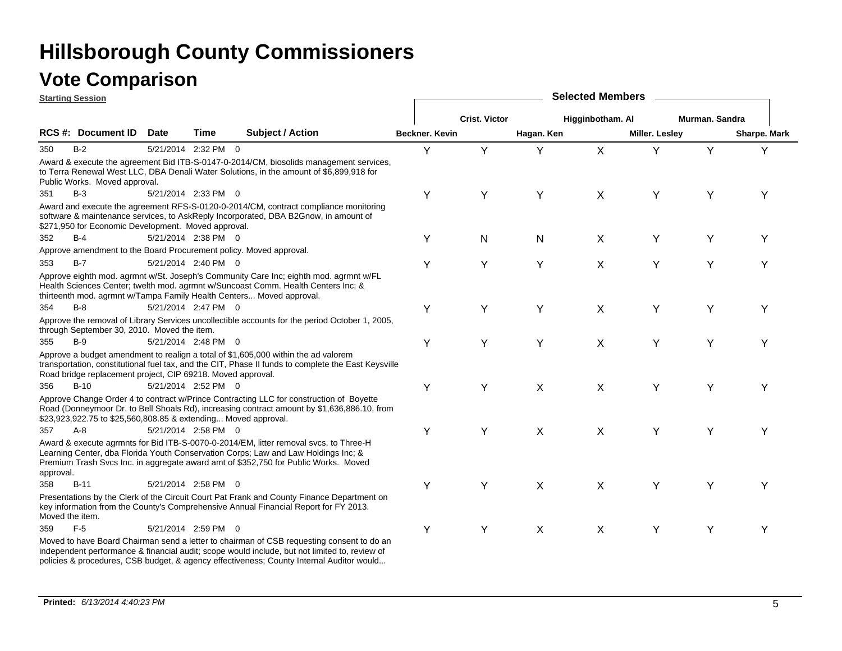|           | <b>Starting Session</b>                                        |             |                     |                                                                                                                                                                                                                                                                    |                |                      |            | <b>Selected Members</b> |                       |                |                     |
|-----------|----------------------------------------------------------------|-------------|---------------------|--------------------------------------------------------------------------------------------------------------------------------------------------------------------------------------------------------------------------------------------------------------------|----------------|----------------------|------------|-------------------------|-----------------------|----------------|---------------------|
|           |                                                                |             |                     |                                                                                                                                                                                                                                                                    |                | <b>Crist. Victor</b> |            | Higginbotham. Al        |                       | Murman, Sandra |                     |
|           | <b>RCS #: Document ID</b>                                      | <b>Date</b> | Time                | <b>Subject / Action</b>                                                                                                                                                                                                                                            | Beckner. Kevin |                      | Hagan. Ken |                         | <b>Miller. Lesley</b> |                | <b>Sharpe. Mark</b> |
| 350       | $B-2$                                                          |             | 5/21/2014 2:32 PM 0 |                                                                                                                                                                                                                                                                    | Y              | Y                    | Y          | $\mathsf X$             | Y                     | Y              | Υ                   |
|           | Public Works. Moved approval.                                  |             |                     | Award & execute the agreement Bid ITB-S-0147-0-2014/CM, biosolids management services,<br>to Terra Renewal West LLC, DBA Denali Water Solutions, in the amount of \$6,899,918 for                                                                                  |                |                      |            |                         |                       |                |                     |
| 351       | $B-3$                                                          |             | 5/21/2014 2:33 PM 0 |                                                                                                                                                                                                                                                                    | Υ              | Υ                    | Y          | X                       | Y                     | Y              | Υ                   |
|           | \$271,950 for Economic Development. Moved approval.            |             |                     | Award and execute the agreement RFS-S-0120-0-2014/CM, contract compliance monitoring<br>software & maintenance services, to AskReply Incorporated, DBA B2Gnow, in amount of                                                                                        |                |                      |            |                         |                       |                |                     |
| 352       | $B-4$                                                          |             | 5/21/2014 2:38 PM 0 |                                                                                                                                                                                                                                                                    | Y              | N                    | N          | X                       | Y                     | Y              | Υ                   |
|           |                                                                |             |                     | Approve amendment to the Board Procurement policy. Moved approval.                                                                                                                                                                                                 |                |                      |            |                         |                       |                |                     |
| 353       | $B-7$                                                          |             | 5/21/2014 2:40 PM 0 |                                                                                                                                                                                                                                                                    | Υ              | Υ                    | Y          | $\sf X$                 | Y                     | Υ              | Y                   |
|           |                                                                |             |                     | Approve eighth mod. agrmnt w/St. Joseph's Community Care Inc; eighth mod. agrmnt w/FL<br>Health Sciences Center; twelth mod. agrmnt w/Suncoast Comm. Health Centers Inc; &<br>thirteenth mod. agrmnt w/Tampa Family Health Centers Moved approval.                 |                |                      |            |                         |                       |                |                     |
| 354       | $B-8$                                                          |             | 5/21/2014 2:47 PM 0 |                                                                                                                                                                                                                                                                    | Υ              | Y                    | Y          | $\sf X$                 | Y                     | Y              | Υ                   |
|           | through September 30, 2010. Moved the item.                    |             |                     | Approve the removal of Library Services uncollectible accounts for the period October 1, 2005,                                                                                                                                                                     |                |                      |            |                         |                       |                |                     |
| 355       | $B-9$                                                          |             | 5/21/2014 2:48 PM 0 |                                                                                                                                                                                                                                                                    | Υ              | Y                    | Y          | $\sf X$                 | Y                     | Y              | Υ                   |
|           | Road bridge replacement project, CIP 69218. Moved approval.    |             |                     | Approve a budget amendment to realign a total of \$1,605,000 within the ad valorem<br>transportation, constitutional fuel tax, and the CIT, Phase II funds to complete the East Keysville                                                                          |                |                      |            |                         |                       |                |                     |
| 356       | $B-10$                                                         |             | 5/21/2014 2:52 PM 0 |                                                                                                                                                                                                                                                                    | Υ              | Y                    | X          | X                       | Y                     | Y              | Υ                   |
|           | \$23,923,922.75 to \$25,560,808.85 & extending Moved approval. |             |                     | Approve Change Order 4 to contract w/Prince Contracting LLC for construction of Boyette<br>Road (Donneymoor Dr. to Bell Shoals Rd), increasing contract amount by \$1,636,886.10, from                                                                             |                |                      |            |                         |                       |                |                     |
| 357       | $A - 8$                                                        |             | 5/21/2014 2:58 PM 0 |                                                                                                                                                                                                                                                                    | Υ              | Υ                    | X          | X                       | Y                     | Y              |                     |
| approval. |                                                                |             |                     | Award & execute agrmnts for Bid ITB-S-0070-0-2014/EM, litter removal svcs, to Three-H<br>Learning Center, dba Florida Youth Conservation Corps; Law and Law Holdings Inc; &<br>Premium Trash Svcs Inc. in aggregate award amt of \$352,750 for Public Works. Moved |                |                      |            |                         |                       |                |                     |
| 358       | $B-11$                                                         |             | 5/21/2014 2:58 PM 0 |                                                                                                                                                                                                                                                                    | Υ              | Υ                    | X          | $\sf X$                 | Υ                     | Y              | Υ                   |
|           | Moved the item.                                                |             |                     | Presentations by the Clerk of the Circuit Court Pat Frank and County Finance Department on<br>key information from the County's Comprehensive Annual Financial Report for FY 2013.                                                                                 |                |                      |            |                         |                       |                |                     |
| 359       | $F-5$                                                          |             | 5/21/2014 2:59 PM 0 |                                                                                                                                                                                                                                                                    | Υ              | Y                    | X          | $\mathsf{X}$            | Y                     | Y              | Υ                   |
|           |                                                                |             |                     | Moved to have Board Chairman send a letter to chairman of CSB requesting consent to do an<br>independent performance & financial audit; scope would include, but not limited to, review of                                                                         |                |                      |            |                         |                       |                |                     |

policies & procedures, CSB budget, & agency effectiveness; County Internal Auditor would...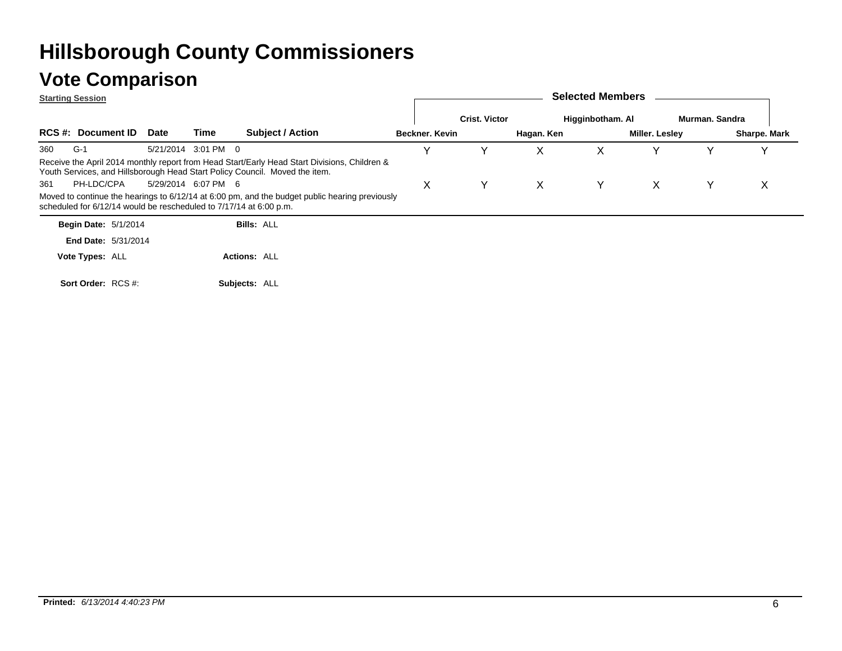|     | <b>Starting Session</b>                                            |             |                     |                                                                                                                                                                             |  |                |                      |            | <b>Selected Members</b> |                |                |              |
|-----|--------------------------------------------------------------------|-------------|---------------------|-----------------------------------------------------------------------------------------------------------------------------------------------------------------------------|--|----------------|----------------------|------------|-------------------------|----------------|----------------|--------------|
|     |                                                                    |             |                     |                                                                                                                                                                             |  |                | <b>Crist. Victor</b> |            | Higginbotham. Al        |                | Murman, Sandra |              |
|     | <b>RCS #: Document ID</b>                                          | <b>Date</b> | Time                | <b>Subject / Action</b>                                                                                                                                                     |  | Beckner, Kevin |                      | Hagan. Ken |                         | Miller. Lesley |                | Sharpe. Mark |
| 360 | $G-1$                                                              |             | 5/21/2014 3:01 PM 0 |                                                                                                                                                                             |  | v              |                      | X          | х                       |                |                |              |
|     |                                                                    |             |                     | Receive the April 2014 monthly report from Head Start/Early Head Start Divisions, Children &<br>Youth Services, and Hillsborough Head Start Policy Council. Moved the item. |  |                |                      |            |                         |                |                |              |
| 361 | PH-LDC/CPA                                                         |             | 5/29/2014 6:07 PM 6 |                                                                                                                                                                             |  | X.             | Y                    | X          | Y.                      | X              | Y              | X            |
|     | scheduled for 6/12/14 would be rescheduled to 7/17/14 at 6:00 p.m. |             |                     | Moved to continue the hearings to 6/12/14 at 6:00 pm, and the budget public hearing previously                                                                              |  |                |                      |            |                         |                |                |              |
|     | <b>Begin Date: 5/1/2014</b>                                        |             |                     | <b>Bills: ALL</b>                                                                                                                                                           |  |                |                      |            |                         |                |                |              |
|     | <b>End Date: 5/31/2014</b>                                         |             |                     |                                                                                                                                                                             |  |                |                      |            |                         |                |                |              |
|     | Vote Types: ALL                                                    |             |                     | <b>Actions: ALL</b>                                                                                                                                                         |  |                |                      |            |                         |                |                |              |
|     | Sort Order: RCS #                                                  |             |                     | Subjects: ALL                                                                                                                                                               |  |                |                      |            |                         |                |                |              |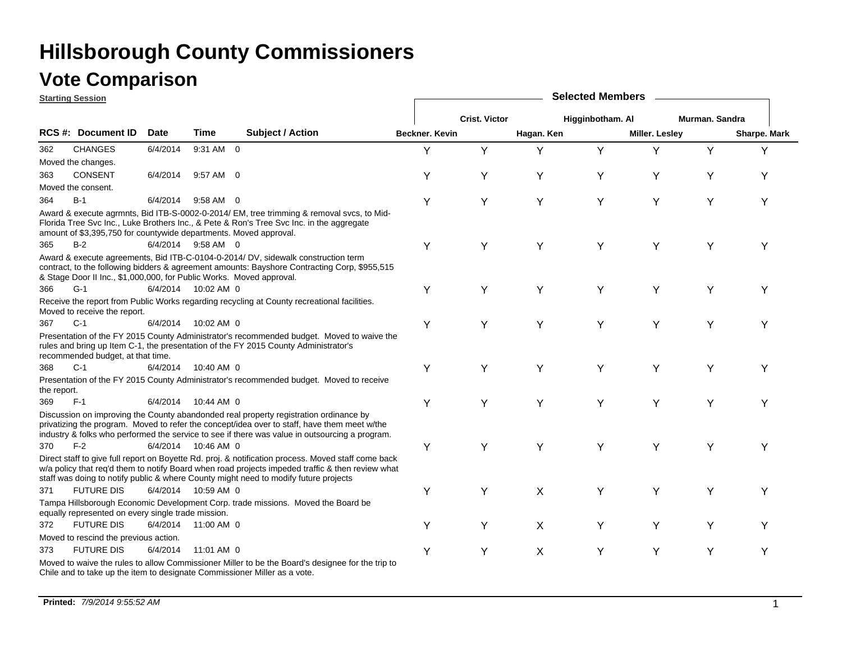### **Vote Comparison**

**Starting Session**

|             | <u>starting session</u>                                              |             |                     |                                                                                                                                                                                                                                                                                                 |                |                      |            | <b>OCIOGLOGITION</b> |                       |                |              |
|-------------|----------------------------------------------------------------------|-------------|---------------------|-------------------------------------------------------------------------------------------------------------------------------------------------------------------------------------------------------------------------------------------------------------------------------------------------|----------------|----------------------|------------|----------------------|-----------------------|----------------|--------------|
|             |                                                                      |             |                     |                                                                                                                                                                                                                                                                                                 |                | <b>Crist. Victor</b> |            | Higginbotham. Al     |                       | Murman. Sandra |              |
|             | RCS #: Document ID                                                   | <b>Date</b> | <b>Time</b>         | <b>Subject / Action</b>                                                                                                                                                                                                                                                                         | Beckner, Kevin |                      | Hagan. Ken |                      | <b>Miller. Lesley</b> |                | Sharpe. Mark |
| 362         | <b>CHANGES</b>                                                       | 6/4/2014    | 9:31 AM 0           |                                                                                                                                                                                                                                                                                                 | Υ              | Y                    | Y          | Y                    | Y                     | Y              | Y            |
|             | Moved the changes.                                                   |             |                     |                                                                                                                                                                                                                                                                                                 |                |                      |            |                      |                       |                |              |
| 363         | <b>CONSENT</b>                                                       | 6/4/2014    | 9:57 AM 0           |                                                                                                                                                                                                                                                                                                 | Υ              | Υ                    | Y          | Y                    | Υ                     | Υ              | Υ            |
|             | Moved the consent.                                                   |             |                     |                                                                                                                                                                                                                                                                                                 |                |                      |            |                      |                       |                |              |
| 364         | $B-1$                                                                | 6/4/2014    | 9:58 AM 0           |                                                                                                                                                                                                                                                                                                 | Υ              | Y                    | Y          | Y                    | Y                     | Y              | Y            |
|             | amount of \$3,395,750 for countywide departments. Moved approval.    |             |                     | Award & execute agrmnts, Bid ITB-S-0002-0-2014/ EM, tree trimming & removal svcs, to Mid-<br>Florida Tree Svc Inc., Luke Brothers Inc., & Pete & Ron's Tree Svc Inc. in the aggregate                                                                                                           |                |                      |            |                      |                       |                |              |
| 365         | $B-2$                                                                |             | 6/4/2014 9:58 AM 0  |                                                                                                                                                                                                                                                                                                 | Y              | Y                    | Y          | Y                    | Y                     | Y              | Υ            |
|             | & Stage Door II Inc., \$1,000,000, for Public Works. Moved approval. |             |                     | Award & execute agreements, Bid ITB-C-0104-0-2014/ DV, sidewalk construction term<br>contract, to the following bidders & agreement amounts: Bayshore Contracting Corp, \$955,515                                                                                                               |                |                      |            |                      |                       |                |              |
| 366         | $G-1$                                                                |             | 6/4/2014 10:02 AM 0 |                                                                                                                                                                                                                                                                                                 | Υ              | Y                    | Y          | Υ                    | Υ                     | Υ              | Υ            |
|             | Moved to receive the report.                                         |             |                     | Receive the report from Public Works regarding recycling at County recreational facilities.                                                                                                                                                                                                     |                |                      |            |                      |                       |                |              |
| 367         | $C-1$                                                                | 6/4/2014    | 10:02 AM 0          |                                                                                                                                                                                                                                                                                                 | Υ              | Υ                    | Y          | Υ                    | Υ                     | Υ              | Υ            |
|             | recommended budget, at that time.                                    |             |                     | Presentation of the FY 2015 County Administrator's recommended budget. Moved to waive the<br>rules and bring up Item C-1, the presentation of the FY 2015 County Administrator's                                                                                                                |                |                      |            |                      |                       |                |              |
| 368         | $C-1$                                                                | 6/4/2014    | 10:40 AM 0          |                                                                                                                                                                                                                                                                                                 | Y              | Υ                    | Y          | Y                    | Y                     | Υ              | Υ            |
| the report. |                                                                      |             |                     | Presentation of the FY 2015 County Administrator's recommended budget. Moved to receive                                                                                                                                                                                                         |                |                      |            |                      |                       |                |              |
| 369         | $F-1$                                                                |             | 6/4/2014 10:44 AM 0 |                                                                                                                                                                                                                                                                                                 | Υ              | Y                    | Y          | Y                    | Υ                     | Υ              | Y            |
|             |                                                                      |             |                     | Discussion on improving the County abandonded real property registration ordinance by<br>privatizing the program. Moved to refer the concept/idea over to staff, have them meet w/the<br>industry & folks who performed the service to see if there was value in outsourcing a program.         |                |                      |            |                      |                       |                |              |
| 370         | $F-2$                                                                |             | 6/4/2014 10:46 AM 0 |                                                                                                                                                                                                                                                                                                 | Y              | Υ                    | Y          | Y                    | Y                     | Y              | Υ            |
|             |                                                                      |             |                     | Direct staff to give full report on Boyette Rd. proj. & notification process. Moved staff come back<br>w/a policy that req'd them to notify Board when road projects impeded traffic & then review what<br>staff was doing to notify public & where County might need to modify future projects |                |                      |            |                      |                       |                |              |
| 371         | <b>FUTURE DIS</b>                                                    |             | 6/4/2014 10:59 AM 0 |                                                                                                                                                                                                                                                                                                 | Y              | Y                    | X          | Y                    | Υ                     | Υ              | Y            |
|             | equally represented on every single trade mission.                   |             |                     | Tampa Hillsborough Economic Development Corp. trade missions. Moved the Board be                                                                                                                                                                                                                |                |                      |            |                      |                       |                |              |
| 372         | <b>FUTURE DIS</b>                                                    |             | 6/4/2014 11:00 AM 0 |                                                                                                                                                                                                                                                                                                 | Υ              | Y                    | X          | Y                    | Y                     | Υ              | Y            |
|             | Moved to rescind the previous action.                                |             |                     |                                                                                                                                                                                                                                                                                                 |                |                      |            |                      |                       |                |              |
| 373         | <b>FUTURE DIS</b>                                                    | 6/4/2014    | 11:01 AM 0          |                                                                                                                                                                                                                                                                                                 | Y              | Y                    | X          | Y                    | Y                     | Y              | Υ            |
|             |                                                                      |             |                     | Moved to waive the rules to allow Commissioner Miller to be the Board's designee for the trip to<br>Chile and to take up the item to designate Commissioner Miller as a vote.                                                                                                                   |                |                      |            |                      |                       |                |              |

**Selected Members**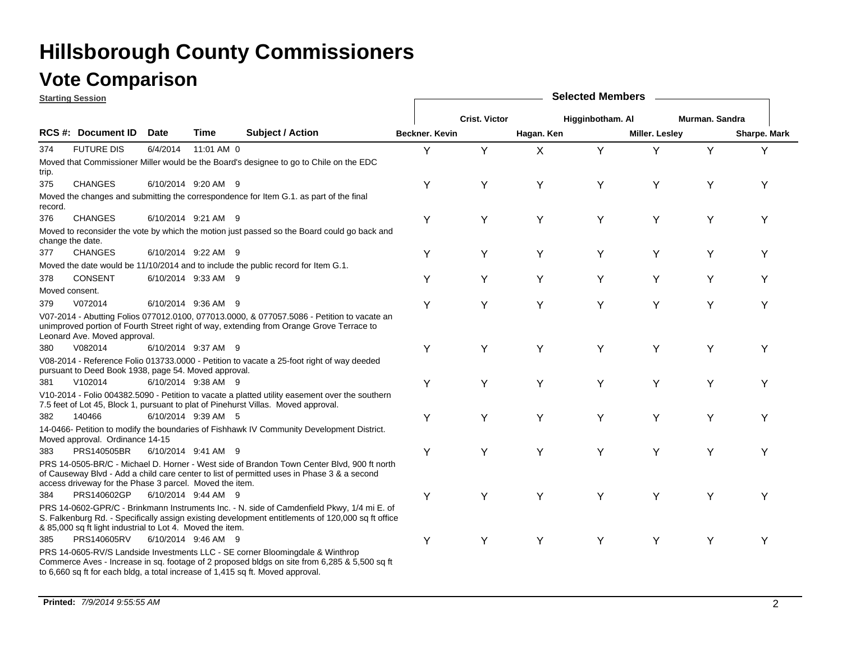### **Vote Comparison**

|                  | <b>Starting Session</b>                                   |          |                     |                                                                                                                                                                                                                                                                 |                       |                      |            | <b>Selected Members</b> |                       |                |              |
|------------------|-----------------------------------------------------------|----------|---------------------|-----------------------------------------------------------------------------------------------------------------------------------------------------------------------------------------------------------------------------------------------------------------|-----------------------|----------------------|------------|-------------------------|-----------------------|----------------|--------------|
|                  |                                                           |          |                     |                                                                                                                                                                                                                                                                 |                       | <b>Crist. Victor</b> |            | Higginbotham. Al        |                       | Murman, Sandra |              |
|                  | RCS #: Document ID                                        | Date     | Time                | <b>Subject / Action</b>                                                                                                                                                                                                                                         | <b>Beckner, Kevin</b> |                      | Hagan. Ken |                         | <b>Miller. Lesley</b> |                | Sharpe. Mark |
| 374              | <b>FUTURE DIS</b>                                         | 6/4/2014 | 11:01 AM 0          |                                                                                                                                                                                                                                                                 | Y                     | Y                    | X          | Y                       | Υ                     | Y              | Y            |
| trip.            |                                                           |          |                     | Moved that Commissioner Miller would be the Board's designee to go to Chile on the EDC                                                                                                                                                                          |                       |                      |            |                         |                       |                |              |
| 375              | <b>CHANGES</b>                                            |          | 6/10/2014 9:20 AM 9 |                                                                                                                                                                                                                                                                 | Υ                     | Y                    | Υ          | Y                       | Y                     | Y              | Υ            |
| record.          |                                                           |          |                     | Moved the changes and submitting the correspondence for Item G.1. as part of the final                                                                                                                                                                          |                       |                      |            |                         |                       |                |              |
| 376              | <b>CHANGES</b>                                            |          | 6/10/2014 9:21 AM 9 |                                                                                                                                                                                                                                                                 | Υ                     | Y                    | Y          | Y                       | Y                     | Υ              | Υ            |
| change the date. |                                                           |          |                     | Moved to reconsider the vote by which the motion just passed so the Board could go back and                                                                                                                                                                     |                       |                      |            |                         |                       |                |              |
| 377              | <b>CHANGES</b>                                            |          | 6/10/2014 9:22 AM 9 |                                                                                                                                                                                                                                                                 | Υ                     | Υ                    | Y          | Υ                       | Υ                     | Y              | Υ            |
|                  |                                                           |          |                     | Moved the date would be 11/10/2014 and to include the public record for Item G.1.                                                                                                                                                                               |                       |                      |            |                         |                       |                |              |
| 378              | <b>CONSENT</b>                                            |          | 6/10/2014 9:33 AM 9 |                                                                                                                                                                                                                                                                 | Y                     | Υ                    | Y          | Y                       | Υ                     | Y              | Y            |
| Moved consent.   |                                                           |          |                     |                                                                                                                                                                                                                                                                 |                       |                      |            |                         |                       |                |              |
| 379              | V072014                                                   |          | 6/10/2014 9:36 AM 9 |                                                                                                                                                                                                                                                                 | Υ                     | Y                    | Y          | Y                       | Υ                     | Υ              | Y            |
|                  | Leonard Ave. Moved approval.                              |          |                     | V07-2014 - Abutting Folios 077012.0100, 077013.0000, & 077057.5086 - Petition to vacate an<br>unimproved portion of Fourth Street right of way, extending from Orange Grove Terrace to                                                                          |                       |                      |            |                         |                       |                |              |
| 380              | V082014                                                   |          | 6/10/2014 9:37 AM 9 |                                                                                                                                                                                                                                                                 | Υ                     | Υ                    | Y          | Y                       | Y                     | Υ              | Υ            |
|                  | pursuant to Deed Book 1938, page 54. Moved approval.      |          |                     | V08-2014 - Reference Folio 013733.0000 - Petition to vacate a 25-foot right of way deeded                                                                                                                                                                       |                       |                      |            |                         |                       |                |              |
| 381              | V102014                                                   |          | 6/10/2014 9:38 AM 9 |                                                                                                                                                                                                                                                                 | Y                     | Υ                    | Y          | Y                       | Y                     | Y              | Υ            |
|                  |                                                           |          |                     | V10-2014 - Folio 004382.5090 - Petition to vacate a platted utility easement over the southern<br>7.5 feet of Lot 45, Block 1, pursuant to plat of Pinehurst Villas. Moved approval.                                                                            |                       |                      |            |                         |                       |                |              |
| 382              | 140466                                                    |          | 6/10/2014 9:39 AM 5 |                                                                                                                                                                                                                                                                 | Υ                     | Υ                    | Y          | Υ                       | Υ                     | Υ              | Y            |
|                  | Moved approval. Ordinance 14-15                           |          |                     | 14-0466- Petition to modify the boundaries of Fishhawk IV Community Development District.                                                                                                                                                                       |                       |                      |            |                         |                       |                |              |
| 383              | PRS140505BR                                               |          | 6/10/2014 9:41 AM 9 |                                                                                                                                                                                                                                                                 | Y                     | Y                    | Y          | Y                       | Y                     | Y              | Y            |
|                  | access driveway for the Phase 3 parcel. Moved the item.   |          |                     | PRS 14-0505-BR/C - Michael D. Horner - West side of Brandon Town Center Blvd, 900 ft north<br>of Causeway Blvd - Add a child care center to list of permitted uses in Phase 3 & a second                                                                        |                       |                      |            |                         |                       |                |              |
| 384              | PRS140602GP                                               |          | 6/10/2014 9:44 AM 9 |                                                                                                                                                                                                                                                                 | Υ                     | Υ                    | Υ          | Υ                       | Υ                     | Υ              | Υ            |
|                  | & 85,000 sq ft light industrial to Lot 4. Moved the item. |          |                     | PRS 14-0602-GPR/C - Brinkmann Instruments Inc. - N. side of Camdenfield Pkwy, 1/4 mi E. of<br>S. Falkenburg Rd. - Specifically assign existing development entitlements of 120,000 sq ft office                                                                 |                       |                      |            |                         |                       |                |              |
| 385              | PRS140605RV                                               |          | 6/10/2014 9:46 AM 9 |                                                                                                                                                                                                                                                                 | Y                     | Y                    | Y          | Y                       | Y                     | Y              | Y            |
|                  |                                                           |          |                     | PRS 14-0605-RV/S Landside Investments LLC - SE corner Bloomingdale & Winthrop<br>Commerce Aves - Increase in sq. footage of 2 proposed bldgs on site from 6,285 & 5,500 sq ft<br>to 6,660 sq ft for each bldg, a total increase of 1,415 sq ft. Moved approval. |                       |                      |            |                         |                       |                |              |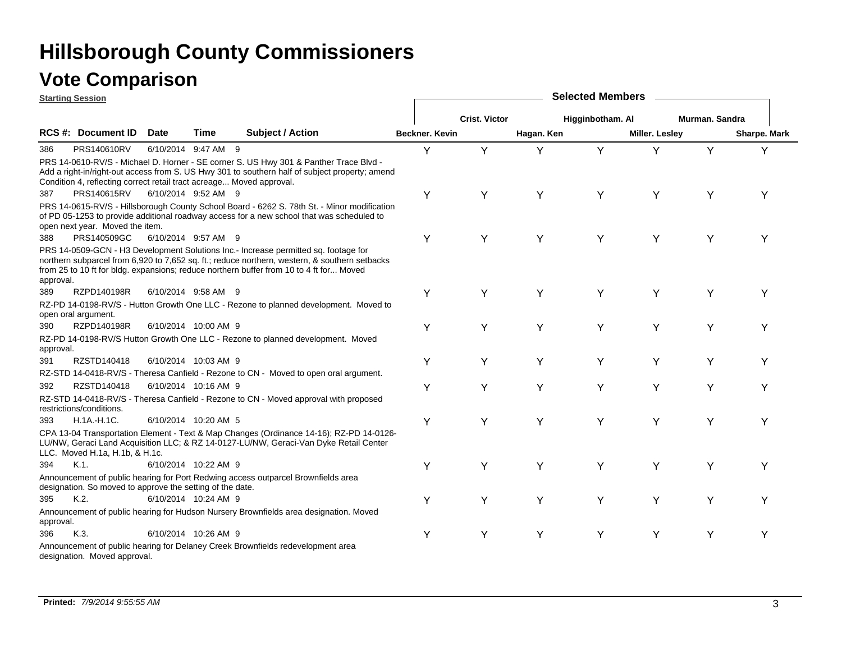|           | <b>Starting Session</b>                                              |             |                      |                                                                                                                                                                                                                                                                                 |                |                      |            | <b>Selected Members</b> |                |                |              |
|-----------|----------------------------------------------------------------------|-------------|----------------------|---------------------------------------------------------------------------------------------------------------------------------------------------------------------------------------------------------------------------------------------------------------------------------|----------------|----------------------|------------|-------------------------|----------------|----------------|--------------|
|           |                                                                      |             |                      |                                                                                                                                                                                                                                                                                 |                | <b>Crist. Victor</b> |            | Higginbotham. Al        |                | Murman. Sandra |              |
|           | RCS #: Document ID                                                   | <b>Date</b> | Time                 | <b>Subject / Action</b>                                                                                                                                                                                                                                                         | Beckner, Kevin |                      | Hagan. Ken |                         | Miller. Lesley |                | Sharpe. Mark |
| 386       | PRS140610RV                                                          |             | 6/10/2014 9:47 AM 9  |                                                                                                                                                                                                                                                                                 | Y              | Y                    | Y          | Y                       | Y              | Y              | Y            |
|           | Condition 4, reflecting correct retail tract acreage Moved approval. |             |                      | PRS 14-0610-RV/S - Michael D. Horner - SE corner S. US Hwy 301 & Panther Trace Blvd -<br>Add a right-in/right-out access from S. US Hwy 301 to southern half of subject property; amend                                                                                         |                |                      |            |                         |                |                |              |
| 387       | PRS140615RV                                                          |             | 6/10/2014 9:52 AM 9  |                                                                                                                                                                                                                                                                                 | Y              | Y                    | Y          | Y                       | Y              | Υ              | Υ            |
|           | open next year. Moved the item.                                      |             |                      | PRS 14-0615-RV/S - Hillsborough County School Board - 6262 S. 78th St. - Minor modification<br>of PD 05-1253 to provide additional roadway access for a new school that was scheduled to                                                                                        |                |                      |            |                         |                |                |              |
| 388       | PRS140509GC                                                          |             | 6/10/2014 9:57 AM 9  |                                                                                                                                                                                                                                                                                 | Υ              | Y                    | Y          | Y                       | Y              | Y              | Υ            |
| approval. |                                                                      |             |                      | PRS 14-0509-GCN - H3 Development Solutions Inc.- Increase permitted sq. footage for<br>northern subparcel from 6,920 to 7,652 sq. ft.; reduce northern, western, & southern setbacks<br>from 25 to 10 ft for bldg. expansions; reduce northern buffer from 10 to 4 ft for Moved |                |                      |            |                         |                |                |              |
| 389       | RZPD140198R                                                          |             | 6/10/2014 9:58 AM 9  |                                                                                                                                                                                                                                                                                 | Y              | Υ                    | Y          | Y                       | Y              | Y              | Y            |
|           | open oral argument.                                                  |             |                      | RZ-PD 14-0198-RV/S - Hutton Growth One LLC - Rezone to planned development. Moved to                                                                                                                                                                                            |                |                      |            |                         |                |                |              |
| 390       | RZPD140198R                                                          |             | 6/10/2014 10:00 AM 9 |                                                                                                                                                                                                                                                                                 | Υ              | Y                    | Y          | Y                       | Y              | Y              | Υ            |
| approval. |                                                                      |             |                      | RZ-PD 14-0198-RV/S Hutton Growth One LLC - Rezone to planned development. Moved                                                                                                                                                                                                 |                |                      |            |                         |                |                |              |
| 391       | RZSTD140418                                                          |             | 6/10/2014 10:03 AM 9 |                                                                                                                                                                                                                                                                                 | Y              | Y                    | Y          | Y                       | Y              | Y              | Υ            |
|           |                                                                      |             |                      | RZ-STD 14-0418-RV/S - Theresa Canfield - Rezone to CN - Moved to open oral argument.                                                                                                                                                                                            |                |                      |            |                         |                |                |              |
| 392       | RZSTD140418                                                          |             | 6/10/2014 10:16 AM 9 |                                                                                                                                                                                                                                                                                 | Υ              | Y                    | Y          | Y                       | Y              | Y              | Υ            |
|           | restrictions/conditions.                                             |             |                      | RZ-STD 14-0418-RV/S - Theresa Canfield - Rezone to CN - Moved approval with proposed                                                                                                                                                                                            |                |                      |            |                         |                |                |              |
| 393       | $H.1A.-H.1C.$                                                        |             | 6/10/2014 10:20 AM 5 |                                                                                                                                                                                                                                                                                 | Υ              | Y                    | Y          | Y                       | Y              | Y              | Υ            |
|           | LLC. Moved H.1a, H.1b, & H.1c.                                       |             |                      | CPA 13-04 Transportation Element - Text & Map Changes (Ordinance 14-16); RZ-PD 14-0126-<br>LU/NW, Geraci Land Acquisition LLC; & RZ 14-0127-LU/NW, Geraci-Van Dyke Retail Center                                                                                                |                |                      |            |                         |                |                |              |
| 394       | $K.1$ .                                                              |             | 6/10/2014 10:22 AM 9 |                                                                                                                                                                                                                                                                                 | Y              | Υ                    | Y          | Y                       | Y              | Y              | Υ            |
|           | designation. So moved to approve the setting of the date.            |             |                      | Announcement of public hearing for Port Redwing access outparcel Brownfields area                                                                                                                                                                                               |                |                      |            |                         |                |                |              |
| 395       | K.2                                                                  |             | 6/10/2014 10:24 AM 9 |                                                                                                                                                                                                                                                                                 | Y              | Y                    | Y          | Y                       | Y              | Υ              | Υ            |
| approval. |                                                                      |             |                      | Announcement of public hearing for Hudson Nursery Brownfields area designation. Moved                                                                                                                                                                                           |                |                      |            |                         |                |                |              |
| 396       | K.3.                                                                 |             | 6/10/2014 10:26 AM 9 |                                                                                                                                                                                                                                                                                 | Y              | Y                    | Y          | Y                       | Y              | Y              | Υ            |
|           | designation. Moved approval.                                         |             |                      | Announcement of public hearing for Delaney Creek Brownfields redevelopment area                                                                                                                                                                                                 |                |                      |            |                         |                |                |              |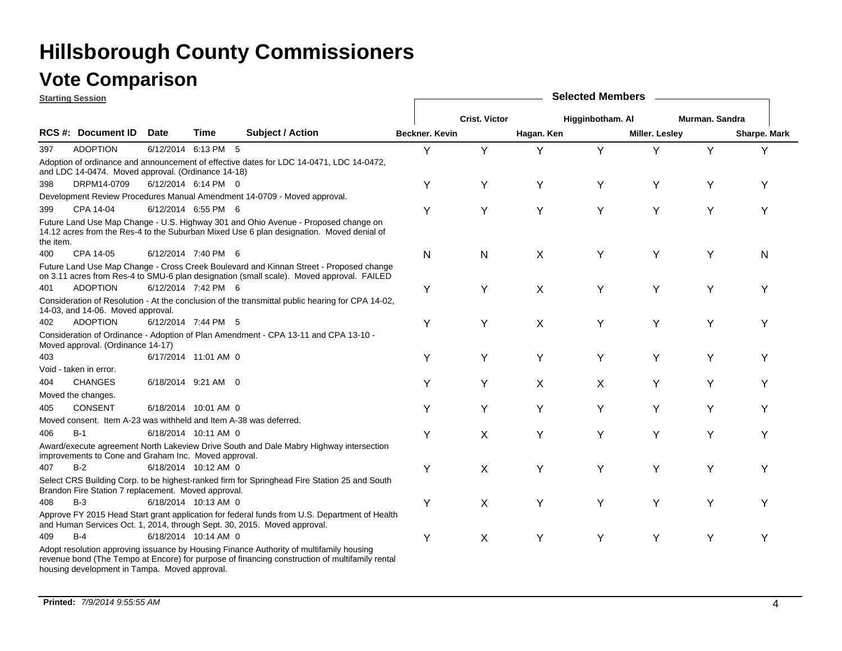|           | <b>Starting Session</b>                                           |             |                      |                                                                                                                                                                                           |                |                      |            | <b>Selected Members</b> |                       |                |              |
|-----------|-------------------------------------------------------------------|-------------|----------------------|-------------------------------------------------------------------------------------------------------------------------------------------------------------------------------------------|----------------|----------------------|------------|-------------------------|-----------------------|----------------|--------------|
|           |                                                                   |             |                      |                                                                                                                                                                                           |                | <b>Crist. Victor</b> |            | Higginbotham. Al        |                       | Murman. Sandra |              |
|           | <b>RCS #: Document ID</b>                                         | <b>Date</b> | Time                 | <b>Subject / Action</b>                                                                                                                                                                   | Beckner, Kevin |                      | Hagan. Ken |                         | <b>Miller. Lesley</b> |                | Sharpe. Mark |
| 397       | <b>ADOPTION</b>                                                   |             | 6/12/2014 6:13 PM 5  |                                                                                                                                                                                           | Y              | Y                    | Υ          | Y                       | Υ                     | Y              |              |
|           | and LDC 14-0474. Moved approval. (Ordinance 14-18)                |             |                      | Adoption of ordinance and announcement of effective dates for LDC 14-0471, LDC 14-0472,                                                                                                   |                |                      |            |                         |                       |                |              |
| 398       | DRPM14-0709                                                       |             | 6/12/2014 6:14 PM 0  |                                                                                                                                                                                           | Υ              | Y                    | Υ          | Y                       | Y                     | Y              | Y            |
|           |                                                                   |             |                      | Development Review Procedures Manual Amendment 14-0709 - Moved approval.                                                                                                                  |                |                      |            |                         |                       |                |              |
| 399       | CPA 14-04                                                         |             | 6/12/2014 6:55 PM 6  |                                                                                                                                                                                           | Y              | Υ                    | Y          | Υ                       | Υ                     | Υ              | Υ            |
| the item. |                                                                   |             |                      | Future Land Use Map Change - U.S. Highway 301 and Ohio Avenue - Proposed change on<br>14.12 acres from the Res-4 to the Suburban Mixed Use 6 plan designation. Moved denial of            |                |                      |            |                         |                       |                |              |
| 400       | CPA 14-05                                                         |             | 6/12/2014 7:40 PM 6  |                                                                                                                                                                                           | N              | N                    | X          | Y                       | Y                     | Υ              | N            |
|           |                                                                   |             |                      | Future Land Use Map Change - Cross Creek Boulevard and Kinnan Street - Proposed change<br>on 3.11 acres from Res-4 to SMU-6 plan designation (small scale). Moved approval. FAILED        |                |                      |            |                         |                       |                |              |
| 401       | <b>ADOPTION</b>                                                   |             | 6/12/2014 7:42 PM 6  |                                                                                                                                                                                           | Y              | Y                    | X          | Y                       | Y                     | Υ              | Y            |
|           | 14-03, and 14-06. Moved approval.                                 |             |                      | Consideration of Resolution - At the conclusion of the transmittal public hearing for CPA 14-02,                                                                                          |                |                      |            |                         |                       |                |              |
| 402       | <b>ADOPTION</b>                                                   |             | 6/12/2014 7:44 PM 5  |                                                                                                                                                                                           | Y              | Υ                    | X          | Y                       | Υ                     | Υ              | Y            |
|           | Moved approval. (Ordinance 14-17)                                 |             |                      | Consideration of Ordinance - Adoption of Plan Amendment - CPA 13-11 and CPA 13-10 -                                                                                                       |                |                      |            |                         |                       |                |              |
| 403       |                                                                   |             | 6/17/2014 11:01 AM 0 |                                                                                                                                                                                           | Υ              | Y                    | Y          | Y                       | Y                     | Y              |              |
|           | Void - taken in error.                                            |             |                      |                                                                                                                                                                                           |                |                      |            |                         |                       |                |              |
| 404       | <b>CHANGES</b>                                                    |             | 6/18/2014 9:21 AM 0  |                                                                                                                                                                                           | Υ              | Υ                    | X          | X                       | Y                     | Y              |              |
|           | Moved the changes.                                                |             |                      |                                                                                                                                                                                           |                |                      |            |                         |                       |                |              |
| 405       | <b>CONSENT</b>                                                    |             | 6/18/2014 10:01 AM 0 |                                                                                                                                                                                           | Y              | Y                    | Y          | Y                       | Y                     | Υ              | Y            |
|           | Moved consent. Item A-23 was withheld and Item A-38 was deferred. |             |                      |                                                                                                                                                                                           |                |                      |            |                         |                       |                |              |
| 406       | $B-1$                                                             |             | 6/18/2014 10:11 AM 0 |                                                                                                                                                                                           | Y              | X                    | Y          | Y                       | Y                     | Y              | Υ            |
|           | improvements to Cone and Graham Inc. Moved approval.              |             |                      | Award/execute agreement North Lakeview Drive South and Dale Mabry Highway intersection                                                                                                    |                |                      |            |                         |                       |                |              |
| 407       | $B-2$                                                             |             | 6/18/2014 10:12 AM 0 |                                                                                                                                                                                           | Y              | X                    | Y          | Y                       | Y                     | Y              | Υ            |
|           | Brandon Fire Station 7 replacement. Moved approval.               |             |                      | Select CRS Building Corp. to be highest-ranked firm for Springhead Fire Station 25 and South                                                                                              |                |                      |            |                         |                       |                |              |
| 408       | $B-3$                                                             |             | 6/18/2014 10:13 AM 0 |                                                                                                                                                                                           | Y              | X                    | Υ          | Y                       | Υ                     | Υ              | Y            |
|           |                                                                   |             |                      | Approve FY 2015 Head Start grant application for federal funds from U.S. Department of Health<br>and Human Services Oct. 1, 2014, through Sept. 30, 2015. Moved approval.                 |                |                      |            |                         |                       |                |              |
| 409       | $B-4$                                                             |             | 6/18/2014 10:14 AM 0 |                                                                                                                                                                                           | Y              | X                    | Y          | Y                       | Y                     | Υ              | Υ            |
|           | housing development in Tampa. Moved approval.                     |             |                      | Adopt resolution approving issuance by Housing Finance Authority of multifamily housing<br>revenue bond (The Tempo at Encore) for purpose of financing construction of multifamily rental |                |                      |            |                         |                       |                |              |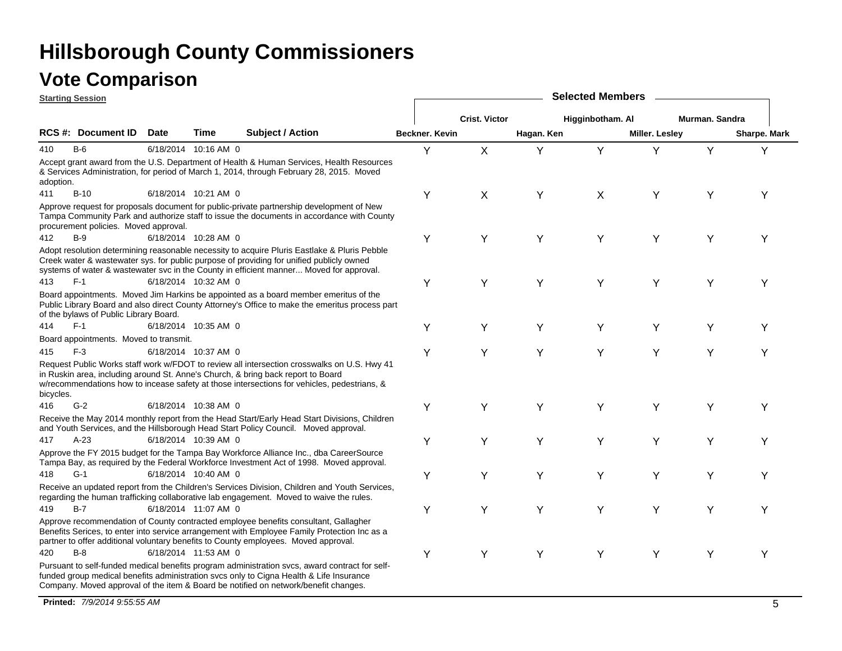|           | <b>Starting Session</b>                |             |                      |                                                                                                                                                                                                                                                                                     |                |                      |            | <b>Selected Members</b> |                       |                |              |
|-----------|----------------------------------------|-------------|----------------------|-------------------------------------------------------------------------------------------------------------------------------------------------------------------------------------------------------------------------------------------------------------------------------------|----------------|----------------------|------------|-------------------------|-----------------------|----------------|--------------|
|           |                                        |             |                      |                                                                                                                                                                                                                                                                                     |                | <b>Crist. Victor</b> |            | Higginbotham. Al        |                       | Murman. Sandra |              |
|           | RCS #: Document ID                     | <b>Date</b> | Time                 | <b>Subject / Action</b>                                                                                                                                                                                                                                                             | Beckner, Kevin |                      | Hagan. Ken |                         | <b>Miller. Lesley</b> |                | Sharpe. Mark |
| 410       | $B-6$                                  |             | 6/18/2014 10:16 AM 0 |                                                                                                                                                                                                                                                                                     | Y              | X                    | Υ          | Y                       | Υ                     | Y              | Υ            |
| adoption. |                                        |             |                      | Accept grant award from the U.S. Department of Health & Human Services, Health Resources<br>& Services Administration, for period of March 1, 2014, through February 28, 2015. Moved                                                                                                |                |                      |            |                         |                       |                |              |
| 411       | $B-10$                                 |             | 6/18/2014 10:21 AM 0 |                                                                                                                                                                                                                                                                                     | Υ              | X                    | Υ          | X                       | Υ                     | Y              | Υ            |
|           | procurement policies. Moved approval.  |             |                      | Approve request for proposals document for public-private partnership development of New<br>Tampa Community Park and authorize staff to issue the documents in accordance with County                                                                                               |                |                      |            |                         |                       |                |              |
| 412       | $B-9$                                  |             | 6/18/2014 10:28 AM 0 |                                                                                                                                                                                                                                                                                     | Υ              | Υ                    | Y          | Υ                       | Υ                     | Υ              | Υ            |
|           |                                        |             |                      | Adopt resolution determining reasonable necessity to acquire Pluris Eastlake & Pluris Pebble<br>Creek water & wastewater sys. for public purpose of providing for unified publicly owned<br>systems of water & wastewater svc in the County in efficient manner Moved for approval. |                |                      |            |                         |                       |                |              |
| 413       | $F-1$                                  |             | 6/18/2014 10:32 AM 0 |                                                                                                                                                                                                                                                                                     | Υ              | Υ                    | Y          | Y                       | Y                     | Υ              | Y            |
|           | of the bylaws of Public Library Board. |             |                      | Board appointments. Moved Jim Harkins be appointed as a board member emeritus of the<br>Public Library Board and also direct County Attorney's Office to make the emeritus process part                                                                                             |                |                      |            |                         |                       |                |              |
| 414       | $F-1$                                  |             | 6/18/2014 10:35 AM 0 |                                                                                                                                                                                                                                                                                     | Y              | Y                    | Y          | Y                       | Y                     | Y              | Υ            |
|           | Board appointments. Moved to transmit. |             |                      |                                                                                                                                                                                                                                                                                     |                |                      |            |                         |                       |                |              |
| 415       | $F-3$                                  |             | 6/18/2014 10:37 AM 0 |                                                                                                                                                                                                                                                                                     | Υ              | Υ                    | Y          | Y                       | Υ                     | Y              | Y            |
| bicycles. |                                        |             |                      | Request Public Works staff work w/FDOT to review all intersection crosswalks on U.S. Hwy 41<br>in Ruskin area, including around St. Anne's Church, & bring back report to Board<br>w/recommendations how to incease safety at those intersections for vehicles, pedestrians, &      |                |                      |            |                         |                       |                |              |
| 416       | $G-2$                                  |             | 6/18/2014 10:38 AM 0 |                                                                                                                                                                                                                                                                                     | Υ              | Υ                    | Y          | Y                       | Υ                     | Y              | Υ            |
|           |                                        |             |                      | Receive the May 2014 monthly report from the Head Start/Early Head Start Divisions, Children<br>and Youth Services, and the Hillsborough Head Start Policy Council. Moved approval.                                                                                                 |                |                      |            |                         |                       |                |              |
| 417       | $A-23$                                 |             | 6/18/2014 10:39 AM 0 |                                                                                                                                                                                                                                                                                     | Y              | Υ                    | Y          | Y                       | Υ                     | Y              | Y            |
|           |                                        |             |                      | Approve the FY 2015 budget for the Tampa Bay Workforce Alliance Inc., dba CareerSource<br>Tampa Bay, as required by the Federal Workforce Investment Act of 1998. Moved approval.                                                                                                   |                |                      |            |                         |                       |                |              |
| 418       | $G-1$                                  |             | 6/18/2014 10:40 AM 0 |                                                                                                                                                                                                                                                                                     | Y              | Υ                    | Y          | Y                       | Y                     | Υ              | Y            |
|           |                                        |             |                      | Receive an updated report from the Children's Services Division, Children and Youth Services,<br>regarding the human trafficking collaborative lab engagement. Moved to waive the rules.                                                                                            |                |                      |            |                         |                       |                |              |
| 419       | $B-7$                                  |             | 6/18/2014 11:07 AM 0 |                                                                                                                                                                                                                                                                                     | Υ              | Υ                    | Υ          | Y                       | Y                     | Υ              | Υ            |
|           |                                        |             |                      | Approve recommendation of County contracted employee benefits consultant, Gallagher<br>Benefits Serices, to enter into service arrangement with Employee Family Protection Inc as a<br>partner to offer additional voluntary benefits to County employees. Moved approval.          |                |                      |            |                         |                       |                |              |
| 420       | $B-8$                                  |             | 6/18/2014 11:53 AM 0 |                                                                                                                                                                                                                                                                                     | Υ              | Y                    | Y          | Y                       | Y                     | Υ              | Y            |
|           |                                        |             |                      | Pursuant to self-funded medical benefits program administration svcs, award contract for self-<br>funded group medical benefits administration svcs only to Cigna Health & Life Insurance<br>Company. Moved approval of the item & Board be notified on network/benefit changes.    |                |                      |            |                         |                       |                |              |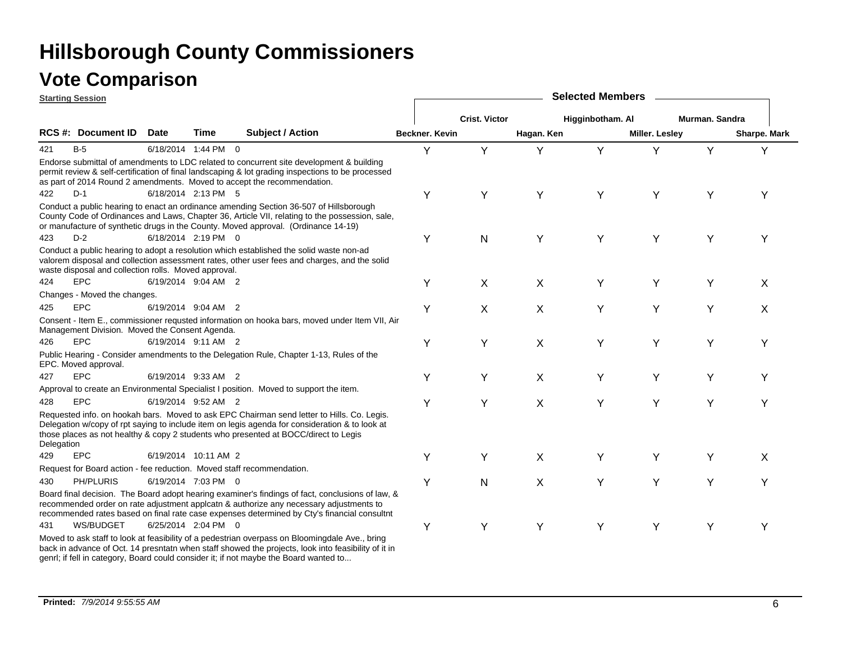|            | <b>Starting Session</b>                              |             |                      |                                                                                                                                                                                                                                                                                           |                |                      |            | <b>Selected Members</b> |                       |                |              |
|------------|------------------------------------------------------|-------------|----------------------|-------------------------------------------------------------------------------------------------------------------------------------------------------------------------------------------------------------------------------------------------------------------------------------------|----------------|----------------------|------------|-------------------------|-----------------------|----------------|--------------|
|            |                                                      |             |                      |                                                                                                                                                                                                                                                                                           |                | <b>Crist. Victor</b> |            | Higginbotham. Al        |                       | Murman. Sandra |              |
|            | <b>RCS#: Document ID</b>                             | <b>Date</b> | Time                 | <b>Subject / Action</b>                                                                                                                                                                                                                                                                   | Beckner. Kevin |                      | Hagan. Ken |                         | <b>Miller. Lesley</b> |                | Sharpe. Mark |
| 421        | $B-5$                                                |             | 6/18/2014 1:44 PM 0  |                                                                                                                                                                                                                                                                                           | Y              | Y                    | Y          | Y                       | Y                     | Y              | Y            |
|            |                                                      |             |                      | Endorse submittal of amendments to LDC related to concurrent site development & building<br>permit review & self-certification of final landscaping & lot grading inspections to be processed<br>as part of 2014 Round 2 amendments. Moved to accept the recommendation.                  |                |                      |            |                         |                       |                |              |
| 422        | $D-1$                                                |             | 6/18/2014 2:13 PM 5  |                                                                                                                                                                                                                                                                                           | Y              | Y                    | Y          | Y                       | Y                     | Y              | Υ            |
| 423        | $D-2$                                                |             | 6/18/2014 2:19 PM 0  | Conduct a public hearing to enact an ordinance amending Section 36-507 of Hillsborough<br>County Code of Ordinances and Laws, Chapter 36, Article VII, relating to the possession, sale,<br>or manufacture of synthetic drugs in the County. Moved approval. (Ordinance 14-19)            |                |                      |            |                         |                       |                |              |
|            |                                                      |             |                      |                                                                                                                                                                                                                                                                                           | Y              | N                    | Y          | Y                       | Y                     | Υ              | Υ            |
|            | waste disposal and collection rolls. Moved approval. |             |                      | Conduct a public hearing to adopt a resolution which established the solid waste non-ad<br>valorem disposal and collection assessment rates, other user fees and charges, and the solid                                                                                                   |                |                      |            |                         |                       |                |              |
| 424        | <b>EPC</b>                                           |             | 6/19/2014 9:04 AM 2  |                                                                                                                                                                                                                                                                                           | Y              | X                    | X          | Y                       | Y                     | Y              | X            |
|            | Changes - Moved the changes.                         |             |                      |                                                                                                                                                                                                                                                                                           |                |                      |            |                         |                       |                |              |
| 425        | <b>EPC</b>                                           |             | 6/19/2014 9:04 AM 2  |                                                                                                                                                                                                                                                                                           | Υ              | X                    | X          | Y                       | Υ                     | Υ              | X            |
|            | Management Division. Moved the Consent Agenda.       |             |                      | Consent - Item E., commissioner requsted information on hooka bars, moved under Item VII, Air                                                                                                                                                                                             |                |                      |            |                         |                       |                |              |
| 426        | <b>EPC</b>                                           |             | 6/19/2014 9:11 AM 2  |                                                                                                                                                                                                                                                                                           | Y              | Υ                    | X          | Υ                       | Y                     | Υ              | Υ            |
|            | EPC. Moved approval.                                 |             |                      | Public Hearing - Consider amendments to the Delegation Rule, Chapter 1-13, Rules of the                                                                                                                                                                                                   |                |                      |            |                         |                       |                |              |
| 427        | <b>EPC</b>                                           |             | 6/19/2014 9:33 AM 2  |                                                                                                                                                                                                                                                                                           | Y              | Y                    | X          | Y                       | Υ                     | Y              | Υ            |
|            |                                                      |             |                      | Approval to create an Environmental Specialist I position. Moved to support the item.                                                                                                                                                                                                     |                |                      |            |                         |                       |                |              |
| 428        | <b>EPC</b>                                           |             | 6/19/2014 9:52 AM 2  |                                                                                                                                                                                                                                                                                           | Y              | Y                    | X          | Y                       | Y                     | Υ              | Υ            |
| Delegation |                                                      |             |                      | Requested info. on hookah bars. Moved to ask EPC Chairman send letter to Hills. Co. Legis.<br>Delegation w/copy of rpt saying to include item on legis agenda for consideration & to look at<br>those places as not healthy & copy 2 students who presented at BOCC/direct to Legis       |                |                      |            |                         |                       |                |              |
| 429        | <b>EPC</b>                                           |             | 6/19/2014 10:11 AM 2 |                                                                                                                                                                                                                                                                                           | Y              | Y                    | X          | Y                       | Y                     | Y              | X            |
|            |                                                      |             |                      | Request for Board action - fee reduction. Moved staff recommendation.                                                                                                                                                                                                                     |                |                      |            |                         |                       |                |              |
| 430        | PH/PLURIS                                            |             | 6/19/2014 7:03 PM 0  |                                                                                                                                                                                                                                                                                           | Y              | Ν                    | X          | Y                       | Y                     | Y              | Y            |
|            |                                                      |             |                      | Board final decision. The Board adopt hearing examiner's findings of fact, conclusions of law, &<br>recommended order on rate adjustment applcatn & authorize any necessary adjustments to<br>recommended rates based on final rate case expenses determined by Cty's financial consultnt |                |                      |            |                         |                       |                |              |
| 431        | WS/BUDGET                                            |             | 6/25/2014 2:04 PM 0  |                                                                                                                                                                                                                                                                                           | Y              | Y                    | Υ          | Y                       | Y                     | Υ              | Υ            |
|            |                                                      |             |                      | Moved to ask staff to look at feasibility of a pedestrian overpass on Bloomingdale Ave., bring<br>back in advance of Oct. 14 presntatn when staff showed the projects, look into feasibility of it in                                                                                     |                |                      |            |                         |                       |                |              |

genrl; if fell in category, Board could consider it; if not maybe the Board wanted to...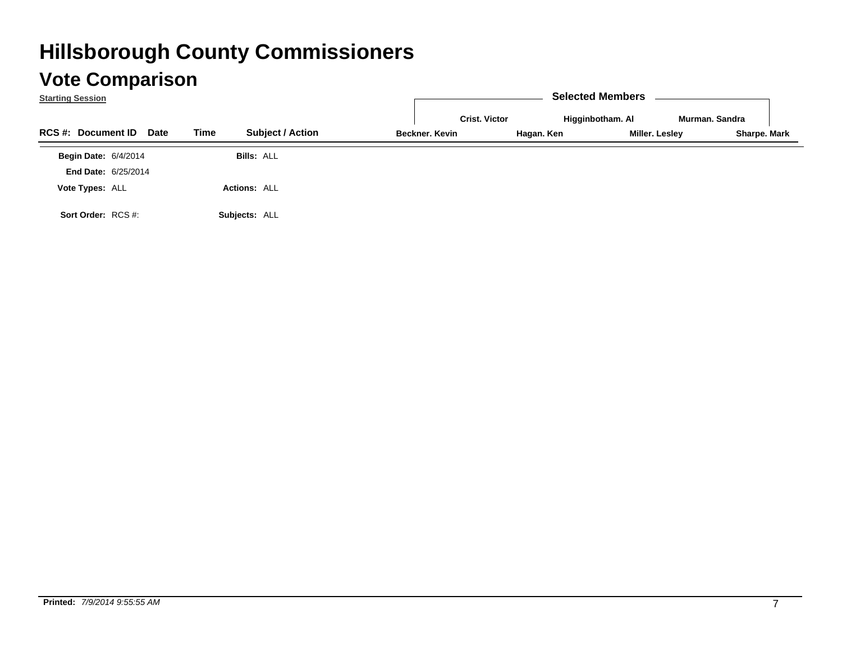| <b>Starting Session</b>                  |                                 |                              | <b>Selected Members</b> |                |
|------------------------------------------|---------------------------------|------------------------------|-------------------------|----------------|
|                                          |                                 | <b>Crist. Victor</b>         | Higginbotham. Al        | Murman, Sandra |
| <b>RCS #: Document ID</b><br><b>Date</b> | <b>Subject / Action</b><br>Time | Beckner, Kevin<br>Hagan. Ken | Miller. Lesley          | Sharpe. Mark   |
| <b>Begin Date: 6/4/2014</b>              | <b>Bills: ALL</b>               |                              |                         |                |
| <b>End Date: 6/25/2014</b>               |                                 |                              |                         |                |
| Vote Types: ALL                          | <b>Actions: ALL</b>             |                              |                         |                |
| Sort Order: RCS #:                       | Subjects: ALL                   |                              |                         |                |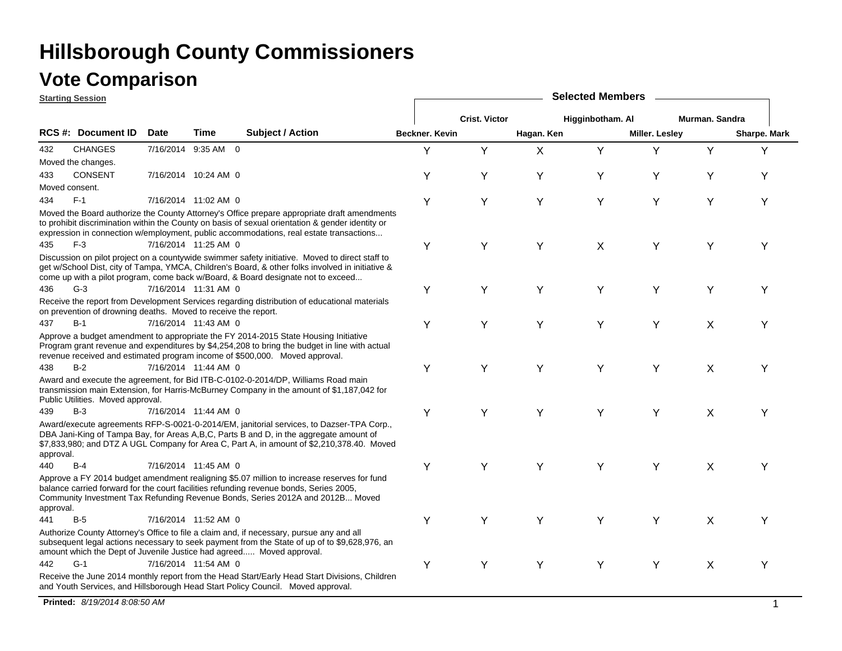### **Vote Comparison**

**Starting Session**

|           | <u> Əlarlınu ƏBSSİVII</u>                                      |             |                      |                                                                                                                                                                                                                                                                                           |                |                      |             |                  |                |                |              |
|-----------|----------------------------------------------------------------|-------------|----------------------|-------------------------------------------------------------------------------------------------------------------------------------------------------------------------------------------------------------------------------------------------------------------------------------------|----------------|----------------------|-------------|------------------|----------------|----------------|--------------|
|           |                                                                |             |                      |                                                                                                                                                                                                                                                                                           |                | <b>Crist. Victor</b> |             | Higginbotham. Al |                | Murman. Sandra |              |
|           | RCS #: Document ID                                             | <b>Date</b> | <b>Time</b>          | <b>Subject / Action</b>                                                                                                                                                                                                                                                                   | Beckner, Kevin |                      | Hagan. Ken  |                  | Miller. Lesley |                | Sharpe. Mark |
| 432       | <b>CHANGES</b>                                                 |             | 7/16/2014 9:35 AM 0  |                                                                                                                                                                                                                                                                                           | Υ              | Y                    | $\mathsf X$ | Y                | Y              | Y              | Y            |
|           | Moved the changes.                                             |             |                      |                                                                                                                                                                                                                                                                                           |                |                      |             |                  |                |                |              |
| 433       | <b>CONSENT</b>                                                 |             | 7/16/2014 10:24 AM 0 |                                                                                                                                                                                                                                                                                           | Υ              | Υ                    | Y           | Y                | Υ              | Υ              | Υ            |
|           | Moved consent.                                                 |             |                      |                                                                                                                                                                                                                                                                                           |                |                      |             |                  |                |                |              |
| 434       | $F-1$                                                          |             | 7/16/2014 11:02 AM 0 |                                                                                                                                                                                                                                                                                           | Y              | Y                    | Y           | Y                | Y              | Y              | Υ            |
|           |                                                                |             |                      | Moved the Board authorize the County Attorney's Office prepare appropriate draft amendments<br>to prohibit discrimination within the County on basis of sexual orientation & gender identity or<br>expression in connection w/employment, public accommodations, real estate transactions |                |                      |             |                  |                |                |              |
| 435       | $F-3$                                                          |             | 7/16/2014 11:25 AM 0 |                                                                                                                                                                                                                                                                                           | Υ              | Y                    | Y           | X                | Y              | Y              | Υ            |
|           |                                                                |             |                      | Discussion on pilot project on a countywide swimmer safety initiative. Moved to direct staff to<br>get w/School Dist, city of Tampa, YMCA, Children's Board, & other folks involved in initiative &<br>come up with a pilot program, come back w/Board, & Board designate not to exceed   |                |                      |             |                  |                |                |              |
| 436       | $G-3$                                                          |             | 7/16/2014 11:31 AM 0 |                                                                                                                                                                                                                                                                                           | Υ              | Y                    | Y           | Y                | Y              | Y              | Υ            |
|           | on prevention of drowning deaths. Moved to receive the report. |             |                      | Receive the report from Development Services regarding distribution of educational materials                                                                                                                                                                                              |                |                      |             |                  |                |                |              |
| 437       | $B-1$                                                          |             | 7/16/2014 11:43 AM 0 |                                                                                                                                                                                                                                                                                           | Y              | Y                    | Y           | Y                | Y              | X              | Υ            |
|           |                                                                |             |                      | Approve a budget amendment to appropriate the FY 2014-2015 State Housing Initiative<br>Program grant revenue and expenditures by \$4,254,208 to bring the budget in line with actual<br>revenue received and estimated program income of \$500,000. Moved approval.                       |                |                      |             |                  |                |                |              |
| 438       | $B-2$                                                          |             | 7/16/2014 11:44 AM 0 |                                                                                                                                                                                                                                                                                           | Y              | Υ                    | Y           | Y                | Y              | X              | Υ            |
|           | Public Utilities. Moved approval.                              |             |                      | Award and execute the agreement, for Bid ITB-C-0102-0-2014/DP, Williams Road main<br>transmission main Extension, for Harris-McBurney Company in the amount of \$1,187,042 for                                                                                                            |                |                      |             |                  |                |                |              |
| 439       | $B-3$                                                          |             | 7/16/2014 11:44 AM 0 |                                                                                                                                                                                                                                                                                           | Y              | Y                    | Y           | Y                | Y              | X              | Υ            |
| approval. |                                                                |             |                      | Award/execute agreements RFP-S-0021-0-2014/EM, janitorial services, to Dazser-TPA Corp.,<br>DBA Jani-King of Tampa Bay, for Areas A,B,C, Parts B and D, in the aggregate amount of<br>\$7,833,980; and DTZ A UGL Company for Area C, Part A, in amount of \$2,210,378.40. Moved           |                |                      |             |                  |                |                |              |
| 440       | $B-4$                                                          |             | 7/16/2014 11:45 AM 0 |                                                                                                                                                                                                                                                                                           | Y              | Υ                    | Y           | Y                | Y              | X              | Y            |
| approval. |                                                                |             |                      | Approve a FY 2014 budget amendment realigning \$5.07 million to increase reserves for fund<br>balance carried forward for the court facilities refunding revenue bonds, Series 2005,<br>Community Investment Tax Refunding Revenue Bonds, Series 2012A and 2012B Moved                    |                |                      |             |                  |                |                |              |
| 441       | $B-5$                                                          |             | 7/16/2014 11:52 AM 0 |                                                                                                                                                                                                                                                                                           | Y              | Y                    | Y           | Y                | Y              | X              | Y            |
|           |                                                                |             |                      | Authorize County Attorney's Office to file a claim and, if necessary, pursue any and all<br>subsequent legal actions necessary to seek payment from the State of up of to \$9,628,976, an<br>amount which the Dept of Juvenile Justice had agreed Moved approval.                         |                |                      |             |                  |                |                |              |
| 442       | $G-1$                                                          |             | 7/16/2014 11:54 AM 0 |                                                                                                                                                                                                                                                                                           | Y              | Y                    | Υ           | Y                | Υ              | $\sf X$        | Υ            |
|           |                                                                |             |                      | Receive the June 2014 monthly report from the Head Start/Early Head Start Divisions, Children<br>and Youth Services, and Hillsborough Head Start Policy Council. Moved approval.                                                                                                          |                |                      |             |                  |                |                |              |

**Selected Members**

**Printed:** *8/19/2014 8:08:50 AM* $\overline{M}$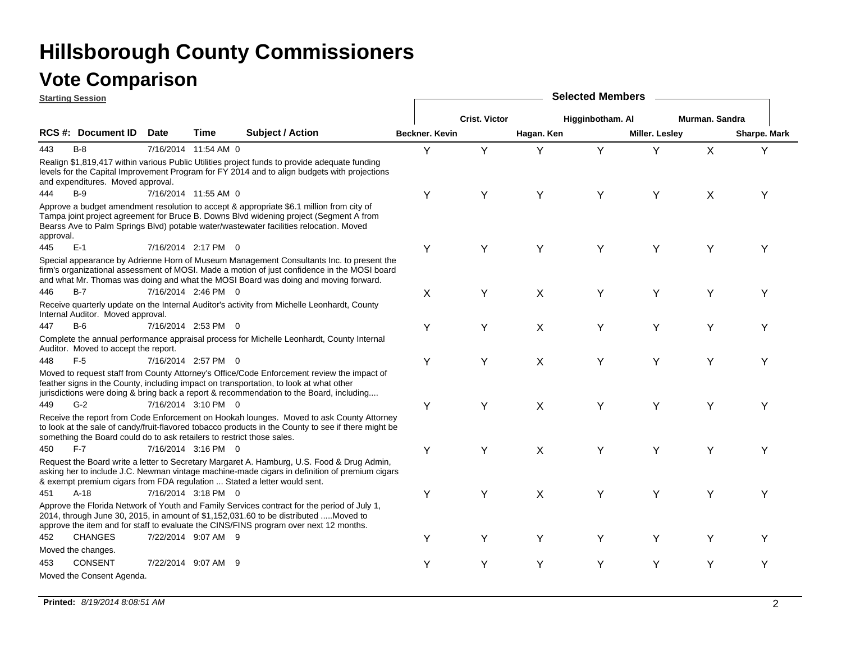|           | <b>Starting Session</b>                                                |             |                      |                                                                                                                                                                                                                                                                                 | <b>Selected Members</b> |                      |            |                  |                       |                |              |  |  |
|-----------|------------------------------------------------------------------------|-------------|----------------------|---------------------------------------------------------------------------------------------------------------------------------------------------------------------------------------------------------------------------------------------------------------------------------|-------------------------|----------------------|------------|------------------|-----------------------|----------------|--------------|--|--|
|           |                                                                        |             |                      |                                                                                                                                                                                                                                                                                 |                         | <b>Crist. Victor</b> |            | Higginbotham. Al |                       | Murman. Sandra |              |  |  |
|           | RCS #: Document ID                                                     | <b>Date</b> | Time                 | <b>Subject / Action</b>                                                                                                                                                                                                                                                         | Beckner, Kevin          |                      | Hagan. Ken |                  | <b>Miller. Lesley</b> |                | Sharpe. Mark |  |  |
| 443       | $B-8$                                                                  |             | 7/16/2014 11:54 AM 0 |                                                                                                                                                                                                                                                                                 | Y                       | Y                    | Y          | Y                | Y                     | X              | Y            |  |  |
|           | and expenditures. Moved approval.                                      |             |                      | Realign \$1,819,417 within various Public Utilities project funds to provide adequate funding<br>levels for the Capital Improvement Program for FY 2014 and to align budgets with projections                                                                                   |                         |                      |            |                  |                       |                |              |  |  |
| 444       | $B-9$                                                                  |             | 7/16/2014 11:55 AM 0 |                                                                                                                                                                                                                                                                                 | Υ                       | Υ                    | Y          | Y                | Y                     | X              | Y            |  |  |
| approval. |                                                                        |             |                      | Approve a budget amendment resolution to accept & appropriate \$6.1 million from city of<br>Tampa joint project agreement for Bruce B. Downs Blvd widening project (Segment A from<br>Bearss Ave to Palm Springs Blvd) potable water/wastewater facilities relocation. Moved    |                         |                      |            |                  |                       |                |              |  |  |
| 445       | $E-1$                                                                  |             | 7/16/2014 2:17 PM 0  |                                                                                                                                                                                                                                                                                 | Υ                       | Y                    | Y          | Y                | Y                     | Υ              | Y            |  |  |
|           |                                                                        |             |                      | Special appearance by Adrienne Horn of Museum Management Consultants Inc. to present the<br>firm's organizational assessment of MOSI. Made a motion of just confidence in the MOSI board<br>and what Mr. Thomas was doing and what the MOSI Board was doing and moving forward. |                         |                      |            |                  |                       |                |              |  |  |
| 446       | $B-7$                                                                  |             | 7/16/2014 2:46 PM 0  |                                                                                                                                                                                                                                                                                 | X                       | Y                    | X          | Y                | Y                     | Y              | Υ            |  |  |
|           | Internal Auditor. Moved approval.                                      |             |                      | Receive quarterly update on the Internal Auditor's activity from Michelle Leonhardt, County                                                                                                                                                                                     |                         |                      |            |                  |                       |                |              |  |  |
| 447       | $B-6$                                                                  |             | 7/16/2014 2:53 PM 0  |                                                                                                                                                                                                                                                                                 | Y                       | Y                    | X          | Y                | Y                     | Y              | Υ            |  |  |
|           | Auditor. Moved to accept the report.                                   |             |                      | Complete the annual performance appraisal process for Michelle Leonhardt, County Internal                                                                                                                                                                                       |                         |                      |            |                  |                       |                |              |  |  |
| 448       | $F-5$                                                                  |             | 7/16/2014 2:57 PM 0  |                                                                                                                                                                                                                                                                                 | Υ                       | Υ                    | X          | Y                | Y                     | Υ              | Y            |  |  |
|           |                                                                        |             |                      | Moved to request staff from County Attorney's Office/Code Enforcement review the impact of<br>feather signs in the County, including impact on transportation, to look at what other<br>jurisdictions were doing & bring back a report & recommendation to the Board, including |                         |                      |            |                  |                       |                |              |  |  |
| 449       | $G-2$                                                                  |             | 7/16/2014 3:10 PM 0  |                                                                                                                                                                                                                                                                                 | Υ                       | Y                    | X          | Y                | Y                     | Υ              | Y            |  |  |
|           | something the Board could do to ask retailers to restrict those sales. |             |                      | Receive the report from Code Enforcement on Hookah lounges. Moved to ask County Attorney<br>to look at the sale of candy/fruit-flavored tobacco products in the County to see if there might be                                                                                 |                         |                      |            |                  |                       |                |              |  |  |
| 450       | $F-7$                                                                  |             | 7/16/2014 3:16 PM 0  |                                                                                                                                                                                                                                                                                 | Υ                       | Y                    | X          | Y                | Y                     | Y              | Υ            |  |  |
|           |                                                                        |             |                      | Request the Board write a letter to Secretary Margaret A. Hamburg, U.S. Food & Drug Admin,<br>asking her to include J.C. Newman vintage machine-made cigars in definition of premium cigars<br>& exempt premium cigars from FDA regulation  Stated a letter would sent.         |                         |                      |            |                  |                       |                |              |  |  |
| 451       | $A-18$                                                                 |             | 7/16/2014 3:18 PM 0  |                                                                                                                                                                                                                                                                                 | Υ                       | Y                    | X          | Y                | Y                     | Υ              | Y            |  |  |
|           |                                                                        |             |                      | Approve the Florida Network of Youth and Family Services contract for the period of July 1,<br>2014, through June 30, 2015, in amount of \$1,152,031.60 to be distributed Moved to<br>approve the item and for staff to evaluate the CINS/FINS program over next 12 months.     |                         |                      |            |                  |                       |                |              |  |  |
| 452       | <b>CHANGES</b>                                                         |             | 7/22/2014 9:07 AM 9  |                                                                                                                                                                                                                                                                                 | Y                       | Y                    | Υ          | Y                | Y                     | Y              | Y            |  |  |
|           | Moved the changes.                                                     |             |                      |                                                                                                                                                                                                                                                                                 |                         |                      |            |                  |                       |                |              |  |  |
| 453       | <b>CONSENT</b>                                                         |             | 7/22/2014 9:07 AM 9  |                                                                                                                                                                                                                                                                                 | Υ                       | Υ                    | Υ          | Y                | Υ                     | Y              | Y            |  |  |
|           | Moved the Consent Agenda.                                              |             |                      |                                                                                                                                                                                                                                                                                 |                         |                      |            |                  |                       |                |              |  |  |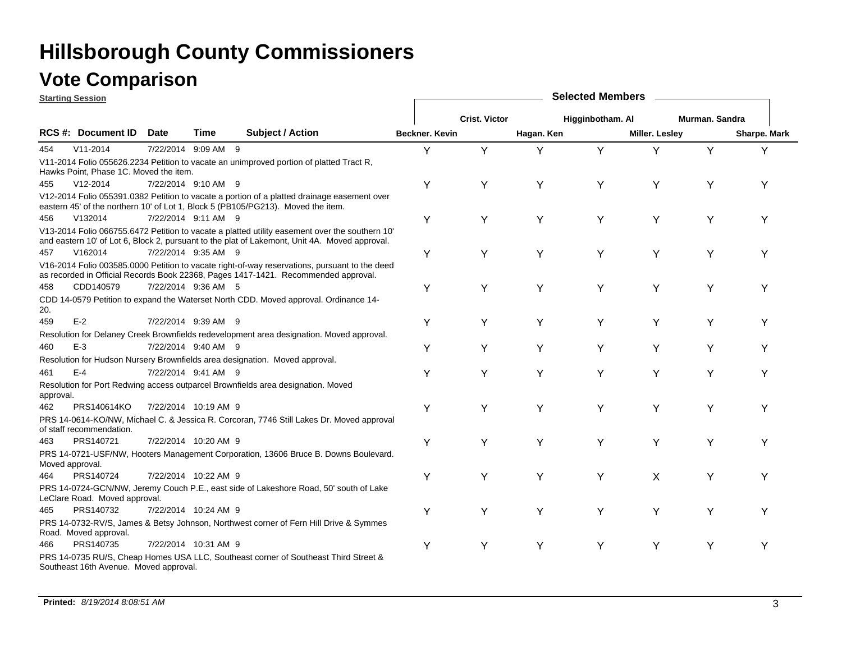|           | <b>Starting Session</b>                |      |                      |                                                                                                                                                                                                 | <b>Selected Members</b> |                      |            |                  |                |                |              |  |  |
|-----------|----------------------------------------|------|----------------------|-------------------------------------------------------------------------------------------------------------------------------------------------------------------------------------------------|-------------------------|----------------------|------------|------------------|----------------|----------------|--------------|--|--|
|           |                                        |      |                      |                                                                                                                                                                                                 |                         | <b>Crist. Victor</b> |            | Higginbotham. Al |                | Murman, Sandra |              |  |  |
|           | RCS #: Document ID                     | Date | <b>Time</b>          | <b>Subject / Action</b>                                                                                                                                                                         | Beckner, Kevin          |                      | Hagan. Ken |                  | Miller. Lesley |                | Sharpe. Mark |  |  |
| 454       | $V11 - 2014$                           |      | 7/22/2014 9:09 AM 9  |                                                                                                                                                                                                 | Y                       | Y                    | Υ          | Y                | Y              | Y              | Y            |  |  |
|           | Hawks Point, Phase 1C. Moved the item. |      |                      | V11-2014 Folio 055626.2234 Petition to vacate an unimproved portion of platted Tract R.                                                                                                         |                         |                      |            |                  |                |                |              |  |  |
| 455       | $V12 - 2014$                           |      | 7/22/2014 9:10 AM 9  |                                                                                                                                                                                                 | Y                       | Y                    | Y          | Y                | Y              | Y              | Υ            |  |  |
|           |                                        |      |                      | V12-2014 Folio 055391.0382 Petition to vacate a portion of a platted drainage easement over<br>eastern 45' of the northern 10' of Lot 1, Block 5 (PB105/PG213). Moved the item.                 |                         |                      |            |                  |                |                |              |  |  |
| 456       | V132014                                |      | 7/22/2014 9:11 AM 9  |                                                                                                                                                                                                 | Υ                       | Y                    | Y          | Υ                | Υ              | Y              | Y            |  |  |
|           |                                        |      |                      | V13-2014 Folio 066755.6472 Petition to vacate a platted utility easement over the southern 10'<br>and eastern 10' of Lot 6, Block 2, pursuant to the plat of Lakemont, Unit 4A. Moved approval. |                         |                      |            |                  |                |                |              |  |  |
| 457       | V162014                                |      | 7/22/2014 9:35 AM 9  |                                                                                                                                                                                                 | Y                       | Y                    | Y          | Y                | Υ              | Y              | Y            |  |  |
|           |                                        |      |                      | V16-2014 Folio 003585.0000 Petition to vacate right-of-way reservations, pursuant to the deed<br>as recorded in Official Records Book 22368, Pages 1417-1421. Recommended approval.             |                         |                      |            |                  |                |                |              |  |  |
| 458       | CDD140579                              |      | 7/22/2014 9:36 AM 5  |                                                                                                                                                                                                 | Υ                       | Y                    | Y          | Y                | Y              | Y              |              |  |  |
| 20.       |                                        |      |                      | CDD 14-0579 Petition to expand the Waterset North CDD. Moved approval. Ordinance 14-                                                                                                            |                         |                      |            |                  |                |                |              |  |  |
| 459       | $E-2$                                  |      | 7/22/2014 9:39 AM 9  |                                                                                                                                                                                                 | Υ                       | Y                    | Y          | Υ                | Y              | Y              |              |  |  |
|           |                                        |      |                      | Resolution for Delaney Creek Brownfields redevelopment area designation. Moved approval.                                                                                                        |                         |                      |            |                  |                |                |              |  |  |
| 460       | $E-3$                                  |      | 7/22/2014 9:40 AM 9  |                                                                                                                                                                                                 | Y                       | Y                    | Y          | Υ                | Y              | Y              |              |  |  |
|           |                                        |      |                      | Resolution for Hudson Nursery Brownfields area designation. Moved approval.                                                                                                                     |                         |                      |            |                  |                |                |              |  |  |
| 461       | $E-4$                                  |      | 7/22/2014 9:41 AM 9  |                                                                                                                                                                                                 | Y                       | Υ                    | Y          | Y                | Y              | Υ              | Y            |  |  |
| approval. |                                        |      |                      | Resolution for Port Redwing access outparcel Brownfields area designation. Moved                                                                                                                |                         |                      |            |                  |                |                |              |  |  |
| 462       | PRS140614KO                            |      | 7/22/2014 10:19 AM 9 |                                                                                                                                                                                                 | Υ                       | Y                    | Y          | Υ                | Y              | Y              | Y            |  |  |
|           | of staff recommendation.               |      |                      | PRS 14-0614-KO/NW, Michael C. & Jessica R. Corcoran, 7746 Still Lakes Dr. Moved approval                                                                                                        |                         |                      |            |                  |                |                |              |  |  |
| 463       | PRS140721                              |      | 7/22/2014 10:20 AM 9 |                                                                                                                                                                                                 | Y                       | Y                    | Y          | Υ                | Y              | Y              | v            |  |  |
|           | Moved approval.                        |      |                      | PRS 14-0721-USF/NW, Hooters Management Corporation, 13606 Bruce B. Downs Boulevard.                                                                                                             |                         |                      |            |                  |                |                |              |  |  |
| 464       | PRS140724                              |      | 7/22/2014 10:22 AM 9 |                                                                                                                                                                                                 | Υ                       | Y                    | Υ          | Y                | X              | Y              |              |  |  |
|           | LeClare Road. Moved approval.          |      |                      | PRS 14-0724-GCN/NW, Jeremy Couch P.E., east side of Lakeshore Road, 50' south of Lake                                                                                                           |                         |                      |            |                  |                |                |              |  |  |
| 465       | PRS140732                              |      | 7/22/2014 10:24 AM 9 |                                                                                                                                                                                                 | Y                       | Y                    | Y          | Y                | Υ              | Y              | Y            |  |  |
|           | Road. Moved approval.                  |      |                      | PRS 14-0732-RV/S, James & Betsy Johnson, Northwest corner of Fern Hill Drive & Symmes                                                                                                           |                         |                      |            |                  |                |                |              |  |  |
| 466       | PRS140735                              |      | 7/22/2014 10:31 AM 9 |                                                                                                                                                                                                 | Y                       | Y                    | Y          | Y                | Y              | Y              | Υ            |  |  |
|           | Southeast 16th Avenue. Moved approval. |      |                      | PRS 14-0735 RU/S, Cheap Homes USA LLC, Southeast corner of Southeast Third Street &                                                                                                             |                         |                      |            |                  |                |                |              |  |  |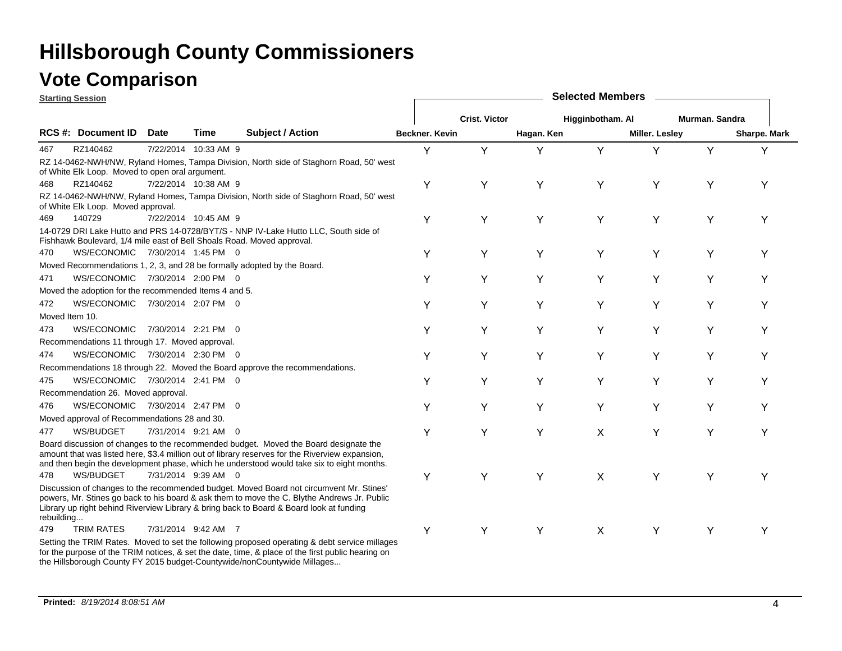### **Starting Session**

|            | <u>əlarlılıy əessivil</u>                                              |             |                      |                                                                                                                                                                                                                                                                                      |                |                      |            |                  |                       |                |                     |
|------------|------------------------------------------------------------------------|-------------|----------------------|--------------------------------------------------------------------------------------------------------------------------------------------------------------------------------------------------------------------------------------------------------------------------------------|----------------|----------------------|------------|------------------|-----------------------|----------------|---------------------|
|            |                                                                        |             |                      |                                                                                                                                                                                                                                                                                      |                | <b>Crist. Victor</b> |            | Higginbotham. Al |                       | Murman. Sandra |                     |
|            | <b>RCS #: Document ID</b>                                              | <b>Date</b> | Time                 | <b>Subject / Action</b>                                                                                                                                                                                                                                                              | Beckner, Kevin |                      | Hagan. Ken |                  | <b>Miller. Lesley</b> |                | <b>Sharpe. Mark</b> |
| 467        | RZ140462                                                               |             | 7/22/2014 10:33 AM 9 |                                                                                                                                                                                                                                                                                      | Y              | Y                    | Υ          | Υ                | Y                     | Υ              | Y                   |
|            |                                                                        |             |                      | RZ 14-0462-NWH/NW, Ryland Homes, Tampa Division, North side of Staghorn Road, 50' west                                                                                                                                                                                               |                |                      |            |                  |                       |                |                     |
|            | of White Elk Loop. Moved to open oral argument.                        |             |                      |                                                                                                                                                                                                                                                                                      |                |                      |            |                  |                       |                |                     |
| 468        | RZ140462                                                               |             | 7/22/2014 10:38 AM 9 |                                                                                                                                                                                                                                                                                      | Y              | Y                    | Y          | Y                | Y                     | Υ              | Υ                   |
|            | of White Elk Loop. Moved approval.                                     |             |                      | RZ 14-0462-NWH/NW, Ryland Homes, Tampa Division, North side of Staghorn Road, 50' west                                                                                                                                                                                               |                |                      |            |                  |                       |                |                     |
| 469        | 140729                                                                 |             | 7/22/2014 10:45 AM 9 |                                                                                                                                                                                                                                                                                      | Υ              | Y                    | Y          | Υ                | Υ                     | Υ              | Υ                   |
|            | Fishhawk Boulevard, 1/4 mile east of Bell Shoals Road. Moved approval. |             |                      | 14-0729 DRI Lake Hutto and PRS 14-0728/BYT/S - NNP IV-Lake Hutto LLC, South side of                                                                                                                                                                                                  |                |                      |            |                  |                       |                |                     |
| 470        | WS/ECONOMIC 7/30/2014 1:45 PM 0                                        |             |                      |                                                                                                                                                                                                                                                                                      | Υ              | Υ                    | Y          | Υ                | Y                     | Y              | Υ                   |
|            |                                                                        |             |                      | Moved Recommendations 1, 2, 3, and 28 be formally adopted by the Board.                                                                                                                                                                                                              |                |                      |            |                  |                       |                |                     |
| 471        | WS/ECONOMIC 7/30/2014 2:00 PM 0                                        |             |                      |                                                                                                                                                                                                                                                                                      | Y              | Y                    | Y          | Y                | Y                     | Y              | Υ                   |
|            | Moved the adoption for the recommended Items 4 and 5.                  |             |                      |                                                                                                                                                                                                                                                                                      |                |                      |            |                  |                       |                |                     |
| 472        | WS/ECONOMIC 7/30/2014 2:07 PM 0                                        |             |                      |                                                                                                                                                                                                                                                                                      | Y              | Y                    | Y          | Υ                | Y                     | Y              | Υ                   |
|            | Moved Item 10.                                                         |             |                      |                                                                                                                                                                                                                                                                                      |                |                      |            |                  |                       |                |                     |
| 473        | <b>WS/ECONOMIC</b>                                                     |             | 7/30/2014 2:21 PM 0  |                                                                                                                                                                                                                                                                                      | Y              | Υ                    | Y          | Y                | Υ                     | Υ              | Υ                   |
|            | Recommendations 11 through 17. Moved approval.                         |             |                      |                                                                                                                                                                                                                                                                                      |                |                      |            |                  |                       |                |                     |
| 474        | WS/ECONOMIC 7/30/2014 2:30 PM 0                                        |             |                      |                                                                                                                                                                                                                                                                                      | Y              | Y                    | Y          | Y                | Y                     | Υ              | Y                   |
|            |                                                                        |             |                      | Recommendations 18 through 22. Moved the Board approve the recommendations.                                                                                                                                                                                                          |                |                      |            |                  |                       |                |                     |
| 475        | WS/ECONOMIC 7/30/2014 2:41 PM 0                                        |             |                      |                                                                                                                                                                                                                                                                                      | Y              | Y                    | Υ          | Υ                | Υ                     | Υ              | Υ                   |
|            | Recommendation 26. Moved approval.                                     |             |                      |                                                                                                                                                                                                                                                                                      |                |                      |            |                  |                       |                |                     |
| 476        | WS/ECONOMIC 7/30/2014 2:47 PM 0                                        |             |                      |                                                                                                                                                                                                                                                                                      | Y              | Y                    | Y          | Υ                | Y                     | Y              | Υ                   |
|            | Moved approval of Recommendations 28 and 30.                           |             |                      |                                                                                                                                                                                                                                                                                      |                |                      |            |                  |                       |                |                     |
| 477        | WS/BUDGET                                                              |             | 7/31/2014 9:21 AM 0  |                                                                                                                                                                                                                                                                                      | Y              | Υ                    | Υ          | X                | Υ                     | Υ              | Υ                   |
|            |                                                                        |             |                      | Board discussion of changes to the recommended budget. Moved the Board designate the<br>amount that was listed here, \$3.4 million out of library reserves for the Riverview expansion,<br>and then begin the development phase, which he understood would take six to eight months. |                |                      |            |                  |                       |                |                     |
| 478        | WS/BUDGET                                                              |             | 7/31/2014 9:39 AM 0  |                                                                                                                                                                                                                                                                                      | Υ              | Y                    | Y          | X                | Υ                     | Υ              | Υ                   |
| rebuilding |                                                                        |             |                      | Discussion of changes to the recommended budget. Moved Board not circumvent Mr. Stines'<br>powers, Mr. Stines go back to his board & ask them to move the C. Blythe Andrews Jr. Public<br>Library up right behind Riverview Library & bring back to Board & Board look at funding    |                |                      |            |                  |                       |                |                     |
| 479        | <b>TRIM RATES</b>                                                      |             | 7/31/2014 9:42 AM 7  |                                                                                                                                                                                                                                                                                      | Y              | Υ                    | Y          | X                | Y                     | Y              |                     |
|            |                                                                        |             |                      | Setting the TRIM Rates. Moved to set the following proposed operating & debt service millages<br>for the purpose of the TRIM notices, & set the date, time, & place of the first public hearing on                                                                                   |                |                      |            |                  |                       |                |                     |

**Selected Members**

the Hillsborough County FY 2015 budget-Countywide/nonCountywide Millages...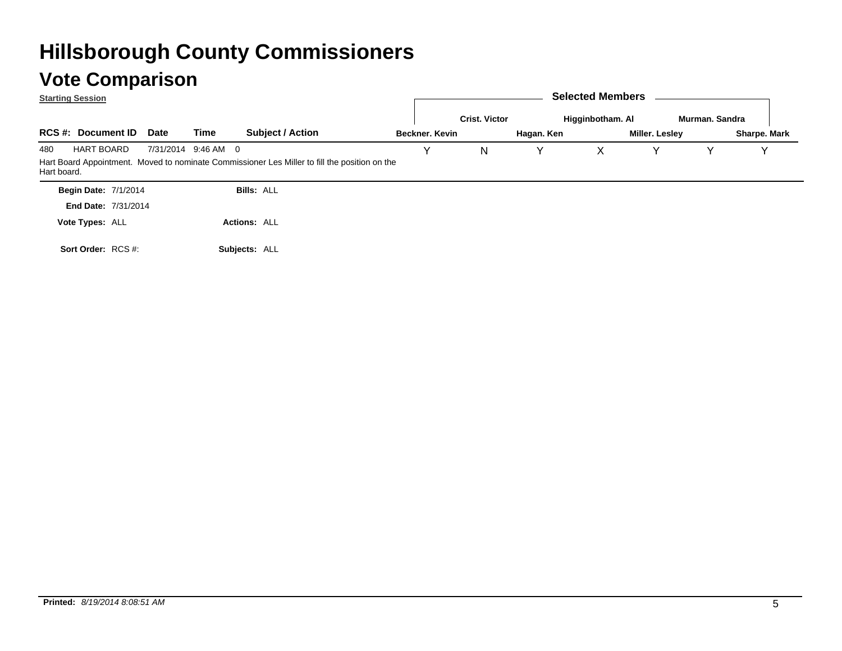**Subjects:** ALL

**RCS #: Document ID Subject / Action Date Time Selected Members Beckner. KevinCrist. VictorHagan. Ken Higginbotham. Al Miller. Lesley Murman. SandraStarting Session** 480 7/31/2014 HART BOARDHart Board Appointment. Moved to nominate Commissioner Les Miller to fill the position on the Hart board. 7/31/2014 9:46 AM 0 M 0 Y Y N Y X Y Y Y **Begin Date: 7/1/2014** 7/31/2014**End Date:Bills:** ALL **Actions:** ALL **Vote Types:** ALL

**Sort Order:** RCS #:

**Sharpe. Mark**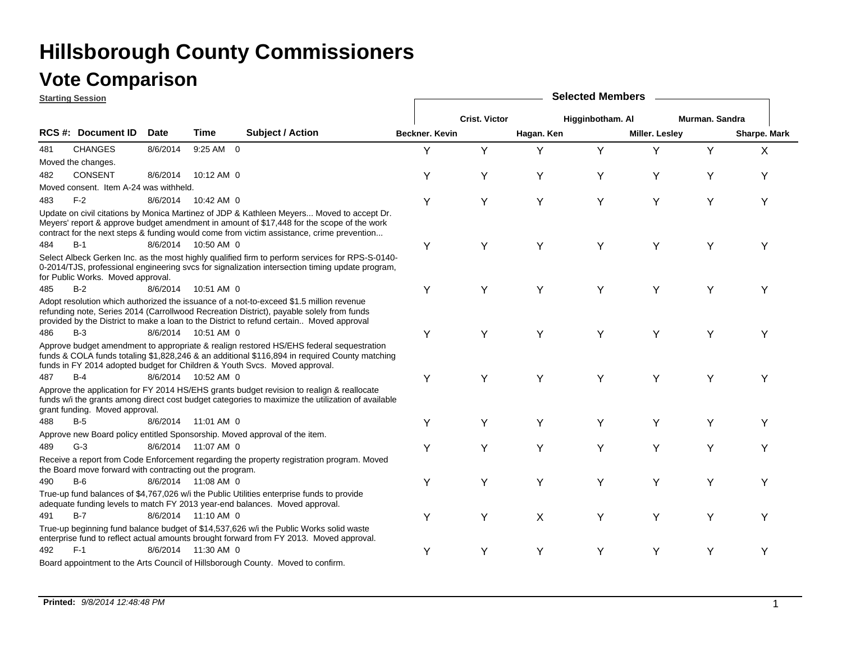## **Vote Comparison**

|     | <b>Starting Session</b>                                  |             |                     |                                                                                                                                                                                                                                                                                     | <b>Selected Members</b> |                      |            |                  |                       |                |              |  |  |
|-----|----------------------------------------------------------|-------------|---------------------|-------------------------------------------------------------------------------------------------------------------------------------------------------------------------------------------------------------------------------------------------------------------------------------|-------------------------|----------------------|------------|------------------|-----------------------|----------------|--------------|--|--|
|     |                                                          |             |                     |                                                                                                                                                                                                                                                                                     |                         | <b>Crist. Victor</b> |            | Higginbotham. Al |                       | Murman. Sandra |              |  |  |
|     | RCS #: Document ID                                       | <b>Date</b> | Time                | Subject / Action                                                                                                                                                                                                                                                                    | Beckner. Kevin          |                      | Hagan. Ken |                  | <b>Miller. Lesley</b> |                | Sharpe. Mark |  |  |
| 481 | <b>CHANGES</b>                                           | 8/6/2014    | 9:25 AM 0           |                                                                                                                                                                                                                                                                                     | Υ                       | Y                    | Y          | Y                | Y                     | Y              | X            |  |  |
|     | Moved the changes.                                       |             |                     |                                                                                                                                                                                                                                                                                     |                         |                      |            |                  |                       |                |              |  |  |
| 482 | <b>CONSENT</b>                                           | 8/6/2014    | 10:12 AM 0          |                                                                                                                                                                                                                                                                                     | Y                       | Υ                    | Y          | Y                | Y                     | Υ              | Υ            |  |  |
|     | Moved consent. Item A-24 was withheld.                   |             |                     |                                                                                                                                                                                                                                                                                     |                         |                      |            |                  |                       |                |              |  |  |
| 483 | $F-2$                                                    | 8/6/2014    | 10:42 AM 0          |                                                                                                                                                                                                                                                                                     | Y                       | Υ                    | Y          | Y                | Y                     | Υ              | Υ            |  |  |
|     |                                                          |             |                     | Update on civil citations by Monica Martinez of JDP & Kathleen Meyers Moved to accept Dr.<br>Meyers' report & approve budget amendment in amount of \$17,448 for the scope of the work<br>contract for the next steps & funding would come from victim assistance, crime prevention |                         |                      |            |                  |                       |                |              |  |  |
| 484 | $B-1$                                                    |             | 8/6/2014 10:50 AM 0 |                                                                                                                                                                                                                                                                                     | Υ                       | Υ                    | Y          | Y                | Υ                     | Υ              | Υ            |  |  |
|     | for Public Works. Moved approval.                        |             |                     | Select Albeck Gerken Inc. as the most highly qualified firm to perform services for RPS-S-0140-<br>0-2014/TJS, professional engineering svcs for signalization intersection timing update program,                                                                                  |                         |                      |            |                  |                       |                |              |  |  |
| 485 | $B-2$                                                    | 8/6/2014    | 10:51 AM 0          |                                                                                                                                                                                                                                                                                     | Y                       | Υ                    | Y          | Y                | Y                     | Υ              | Υ            |  |  |
|     |                                                          |             |                     | Adopt resolution which authorized the issuance of a not-to-exceed \$1.5 million revenue<br>refunding note, Series 2014 (Carrollwood Recreation District), payable solely from funds<br>provided by the District to make a loan to the District to refund certain Moved approval     |                         |                      |            |                  |                       |                |              |  |  |
| 486 | $B-3$                                                    |             | 8/6/2014 10:51 AM 0 |                                                                                                                                                                                                                                                                                     | Υ                       | Υ                    | Y          | Y                | Y                     | Υ              | Y            |  |  |
|     |                                                          |             |                     | Approve budget amendment to appropriate & realign restored HS/EHS federal sequestration<br>funds & COLA funds totaling \$1,828,246 & an additional \$116,894 in required County matching<br>funds in FY 2014 adopted budget for Children & Youth Svcs. Moved approval.              |                         |                      |            |                  |                       |                |              |  |  |
| 487 | $B-4$                                                    |             | 8/6/2014 10:52 AM 0 |                                                                                                                                                                                                                                                                                     | Υ                       | Y                    | Y          | Y                | Y                     | Y              | Υ            |  |  |
|     | grant funding. Moved approval.                           |             |                     | Approve the application for FY 2014 HS/EHS grants budget revision to realign & reallocate<br>funds w/i the grants among direct cost budget categories to maximize the utilization of available                                                                                      |                         |                      |            |                  |                       |                |              |  |  |
| 488 | $B-5$                                                    |             | 8/6/2014 11:01 AM 0 |                                                                                                                                                                                                                                                                                     | Y                       | Υ                    | Y          | Y                | Y                     | Υ              | Υ            |  |  |
|     |                                                          |             |                     | Approve new Board policy entitled Sponsorship. Moved approval of the item.                                                                                                                                                                                                          |                         |                      |            |                  |                       |                |              |  |  |
| 489 | $G-3$                                                    |             | 8/6/2014 11:07 AM 0 |                                                                                                                                                                                                                                                                                     | Υ                       | Υ                    | Y          | Y                | Υ                     | Y              | Υ            |  |  |
|     | the Board move forward with contracting out the program. |             |                     | Receive a report from Code Enforcement regarding the property registration program. Moved                                                                                                                                                                                           |                         |                      |            |                  |                       |                |              |  |  |
| 490 | $B-6$                                                    |             | 8/6/2014 11:08 AM 0 |                                                                                                                                                                                                                                                                                     | Y                       | Υ                    | Y          | Y                | Y                     | Y              | Υ            |  |  |
|     |                                                          |             |                     | True-up fund balances of \$4,767,026 w/i the Public Utilities enterprise funds to provide<br>adequate funding levels to match FY 2013 year-end balances. Moved approval.                                                                                                            |                         |                      |            |                  |                       |                |              |  |  |
| 491 | $B-7$                                                    |             | 8/6/2014 11:10 AM 0 |                                                                                                                                                                                                                                                                                     | Y                       | Y                    | X          | Y                | Y                     | Y              | Υ            |  |  |
|     |                                                          |             |                     | True-up beginning fund balance budget of \$14,537,626 w/i the Public Works solid waste<br>enterprise fund to reflect actual amounts brought forward from FY 2013. Moved approval.                                                                                                   |                         |                      |            |                  |                       |                |              |  |  |
| 492 | $F-1$                                                    | 8/6/2014    | 11:30 AM 0          |                                                                                                                                                                                                                                                                                     | Υ                       | Υ                    | Y          | Y                | Y                     | Y              | Υ            |  |  |
|     |                                                          |             |                     | Board appointment to the Arts Council of Hillsborough County. Moved to confirm.                                                                                                                                                                                                     |                         |                      |            |                  |                       |                |              |  |  |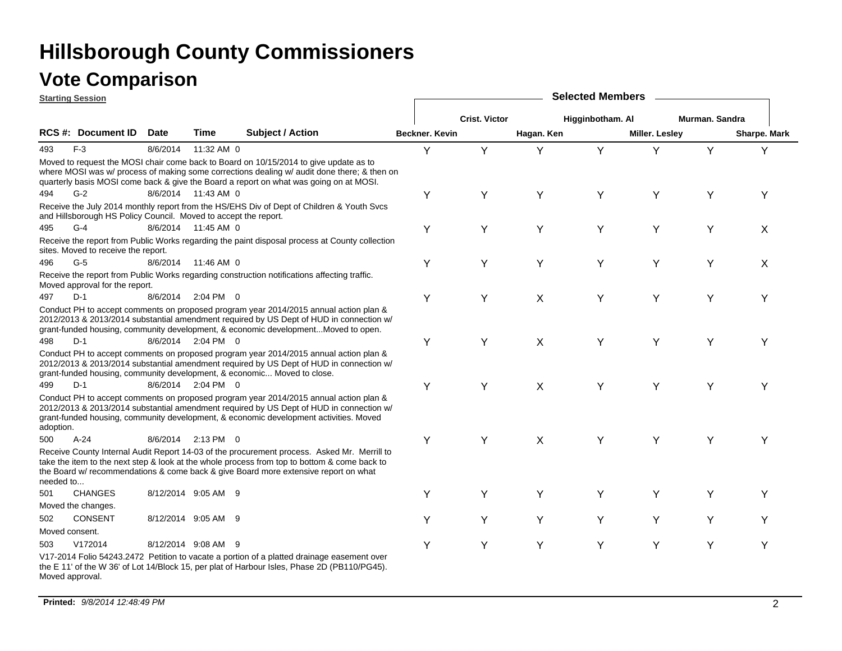|                 | <b>Starting Session</b>                                         |             |                     |                                                                                                                                                                                                                                                                                    | <b>Selected Members</b> |                      |            |                  |                |                |                     |  |  |
|-----------------|-----------------------------------------------------------------|-------------|---------------------|------------------------------------------------------------------------------------------------------------------------------------------------------------------------------------------------------------------------------------------------------------------------------------|-------------------------|----------------------|------------|------------------|----------------|----------------|---------------------|--|--|
|                 |                                                                 |             |                     |                                                                                                                                                                                                                                                                                    |                         | <b>Crist. Victor</b> |            | Higginbotham. Al |                | Murman. Sandra |                     |  |  |
|                 | RCS #: Document ID                                              | <b>Date</b> | Time                | <b>Subject / Action</b>                                                                                                                                                                                                                                                            | Beckner. Kevin          |                      | Hagan. Ken |                  | Miller. Lesley |                | <b>Sharpe. Mark</b> |  |  |
| 493             | $F-3$                                                           | 8/6/2014    | 11:32 AM 0          |                                                                                                                                                                                                                                                                                    | Y                       | Y                    | Υ          | Y                | Y              | Y              | Υ                   |  |  |
|                 |                                                                 |             |                     | Moved to request the MOSI chair come back to Board on 10/15/2014 to give update as to<br>where MOSI was w/ process of making some corrections dealing w/ audit done there; & then on<br>quarterly basis MOSI come back & give the Board a report on what was going on at MOSI.     |                         |                      |            |                  |                |                |                     |  |  |
| 494             | $G-2$                                                           |             | 8/6/2014 11:43 AM 0 |                                                                                                                                                                                                                                                                                    | Y                       | Y                    | Y          | Y                | Υ              | Υ              | Υ                   |  |  |
|                 | and Hillsborough HS Policy Council. Moved to accept the report. |             |                     | Receive the July 2014 monthly report from the HS/EHS Div of Dept of Children & Youth Svcs                                                                                                                                                                                          |                         |                      |            |                  |                |                |                     |  |  |
| 495             | $G-4$                                                           |             | 8/6/2014 11:45 AM 0 |                                                                                                                                                                                                                                                                                    | Y                       | Y                    | Y          | Y                | Y              | Y              | X                   |  |  |
|                 | sites. Moved to receive the report.                             |             |                     | Receive the report from Public Works regarding the paint disposal process at County collection                                                                                                                                                                                     |                         |                      |            |                  |                |                |                     |  |  |
| 496             | $G-5$                                                           |             | 8/6/2014 11:46 AM 0 |                                                                                                                                                                                                                                                                                    | Y                       | Y                    | Y          | Y                | Υ              | Υ              | X                   |  |  |
|                 | Moved approval for the report.                                  |             |                     | Receive the report from Public Works regarding construction notifications affecting traffic.                                                                                                                                                                                       |                         |                      |            |                  |                |                |                     |  |  |
| 497             | $D-1$                                                           | 8/6/2014    | 2:04 PM 0           |                                                                                                                                                                                                                                                                                    | Y                       | Y                    | X          | Y                | Y              | Υ              | Υ                   |  |  |
|                 |                                                                 |             |                     | Conduct PH to accept comments on proposed program year 2014/2015 annual action plan &<br>2012/2013 & 2013/2014 substantial amendment required by US Dept of HUD in connection w/<br>grant-funded housing, community development, & economic developmentMoved to open.              |                         |                      |            |                  |                |                |                     |  |  |
| 498             | $D-1$                                                           |             | 8/6/2014 2:04 PM 0  |                                                                                                                                                                                                                                                                                    | Y                       | Y                    | X          | Υ                | Y              | Y              | Y                   |  |  |
|                 |                                                                 |             |                     | Conduct PH to accept comments on proposed program year 2014/2015 annual action plan &<br>2012/2013 & 2013/2014 substantial amendment required by US Dept of HUD in connection w/<br>grant-funded housing, community development, & economic Moved to close.                        |                         |                      |            |                  |                |                |                     |  |  |
| 499             | $D-1$                                                           |             | 8/6/2014 2:04 PM 0  |                                                                                                                                                                                                                                                                                    | Y                       | Y                    | X          | Y                | Y              | Y              | Υ                   |  |  |
| adoption.       |                                                                 |             |                     | Conduct PH to accept comments on proposed program year 2014/2015 annual action plan &<br>2012/2013 & 2013/2014 substantial amendment required by US Dept of HUD in connection w/<br>grant-funded housing, community development, & economic development activities. Moved          |                         |                      |            |                  |                |                |                     |  |  |
| 500             | $A-24$                                                          |             | 8/6/2014 2:13 PM 0  |                                                                                                                                                                                                                                                                                    | Y                       | Y                    | X          | Y                | Υ              | Υ              | Υ                   |  |  |
| needed to       |                                                                 |             |                     | Receive County Internal Audit Report 14-03 of the procurement process. Asked Mr. Merrill to<br>take the item to the next step & look at the whole process from top to bottom & come back to<br>the Board w/ recommendations & come back & give Board more extensive report on what |                         |                      |            |                  |                |                |                     |  |  |
| 501             | <b>CHANGES</b>                                                  |             | 8/12/2014 9:05 AM 9 |                                                                                                                                                                                                                                                                                    | Y                       | Y                    | Y          | Υ                | Υ              | Υ              | Y                   |  |  |
|                 | Moved the changes.                                              |             |                     |                                                                                                                                                                                                                                                                                    |                         |                      |            |                  |                |                |                     |  |  |
| 502             | <b>CONSENT</b>                                                  |             | 8/12/2014 9:05 AM 9 |                                                                                                                                                                                                                                                                                    | Y                       | Y                    | Υ          | Υ                | Υ              | Y              | Y                   |  |  |
| Moved consent.  |                                                                 |             |                     |                                                                                                                                                                                                                                                                                    |                         |                      |            |                  |                |                |                     |  |  |
| 503             | V172014                                                         |             | 8/12/2014 9:08 AM 9 |                                                                                                                                                                                                                                                                                    | Y                       | Y                    | Y          | Υ                | Υ              | Υ              | Y                   |  |  |
| Moved approval. |                                                                 |             |                     | V17-2014 Folio 54243.2472 Petition to vacate a portion of a platted drainage easement over<br>the E 11' of the W 36' of Lot 14/Block 15, per plat of Harbour Isles, Phase 2D (PB110/PG45).                                                                                         |                         |                      |            |                  |                |                |                     |  |  |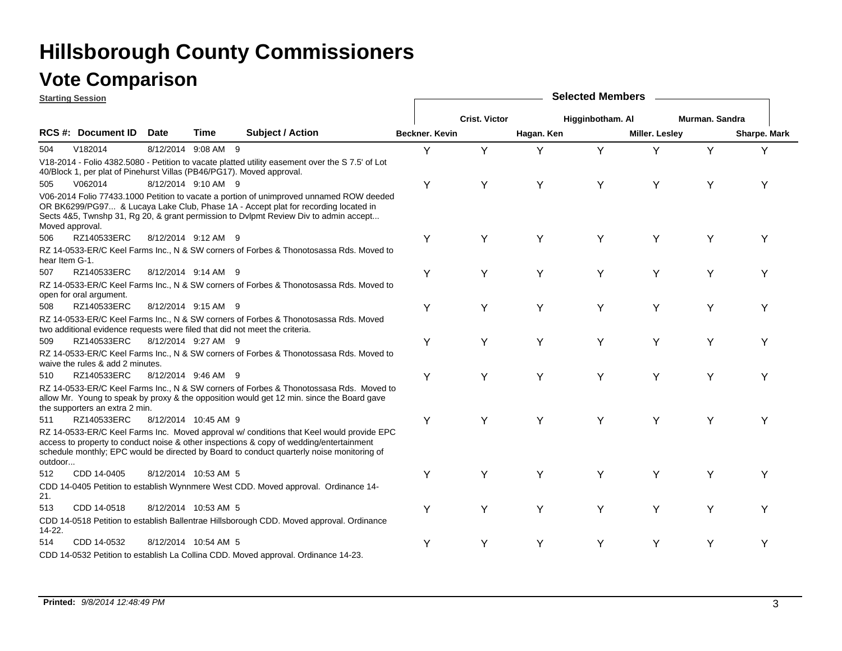### **Vote Comparison**

|                 | <b>Starting Session</b>                                               |             |                      |                                                                                                                                                                                                                                                                                  |                       | <b>Selected Members</b> |            |                  |                |                |              |  |  |  |  |
|-----------------|-----------------------------------------------------------------------|-------------|----------------------|----------------------------------------------------------------------------------------------------------------------------------------------------------------------------------------------------------------------------------------------------------------------------------|-----------------------|-------------------------|------------|------------------|----------------|----------------|--------------|--|--|--|--|
|                 |                                                                       |             |                      |                                                                                                                                                                                                                                                                                  |                       | <b>Crist. Victor</b>    |            | Higginbotham. Al |                | Murman, Sandra |              |  |  |  |  |
|                 | <b>RCS #: Document ID</b>                                             | <b>Date</b> | Time                 | <b>Subject / Action</b>                                                                                                                                                                                                                                                          | <b>Beckner, Kevin</b> |                         | Hagan. Ken |                  | Miller. Lesley |                | Sharpe. Mark |  |  |  |  |
| 504             | V182014                                                               |             | 8/12/2014 9:08 AM 9  |                                                                                                                                                                                                                                                                                  | Y                     | Y                       | Y          | Y                | Y              | Y              | Y            |  |  |  |  |
|                 | 40/Block 1, per plat of Pinehurst Villas (PB46/PG17). Moved approval. |             |                      | V18-2014 - Folio 4382.5080 - Petition to vacate platted utility easement over the S 7.5' of Lot                                                                                                                                                                                  |                       |                         |            |                  |                |                |              |  |  |  |  |
| 505             | V062014                                                               |             | 8/12/2014 9:10 AM 9  |                                                                                                                                                                                                                                                                                  | Y                     | Y                       | Y          | Y                | Y              | Y              | Υ            |  |  |  |  |
| Moved approval. |                                                                       |             |                      | V06-2014 Folio 77433.1000 Petition to vacate a portion of unimproved unnamed ROW deeded<br>OR BK6299/PG97 & Lucaya Lake Club, Phase 1A - Accept plat for recording located in<br>Sects 4&5, Twnshp 31, Rg 20, & grant permission to Dvlpmt Review Div to admin accept            |                       |                         |            |                  |                |                |              |  |  |  |  |
| 506             | RZ140533ERC                                                           |             | 8/12/2014 9:12 AM 9  |                                                                                                                                                                                                                                                                                  | Y                     | Y                       | Y          | Y                | Y              | Y              | Y            |  |  |  |  |
| hear Item G-1.  |                                                                       |             |                      | RZ 14-0533-ER/C Keel Farms Inc., N & SW corners of Forbes & Thonotosassa Rds. Moved to                                                                                                                                                                                           |                       |                         |            |                  |                |                |              |  |  |  |  |
| 507             | RZ140533ERC                                                           |             | 8/12/2014 9:14 AM 9  |                                                                                                                                                                                                                                                                                  | Y                     | Υ                       | Y          | Y                | Υ              | Υ              | Υ            |  |  |  |  |
|                 | open for oral argument.                                               |             |                      | RZ 14-0533-ER/C Keel Farms Inc., N & SW corners of Forbes & Thonotosassa Rds. Moved to                                                                                                                                                                                           |                       |                         |            |                  |                |                |              |  |  |  |  |
| 508             | RZ140533ERC                                                           |             | 8/12/2014 9:15 AM 9  |                                                                                                                                                                                                                                                                                  | Υ                     | Υ                       | Y          | Y                | Υ              | Y              | Υ            |  |  |  |  |
|                 |                                                                       |             |                      | RZ 14-0533-ER/C Keel Farms Inc., N & SW corners of Forbes & Thonotosassa Rds. Moved<br>two additional evidence requests were filed that did not meet the criteria.                                                                                                               |                       |                         |            |                  |                |                |              |  |  |  |  |
| 509             | RZ140533ERC                                                           |             | 8/12/2014 9:27 AM 9  |                                                                                                                                                                                                                                                                                  | Y                     | Y                       | Y          | Y                | Y              | Υ              | Υ            |  |  |  |  |
|                 | waive the rules & add 2 minutes.                                      |             |                      | RZ 14-0533-ER/C Keel Farms Inc., N & SW corners of Forbes & Thonotossasa Rds. Moved to                                                                                                                                                                                           |                       |                         |            |                  |                |                |              |  |  |  |  |
| 510             | RZ140533ERC                                                           |             | 8/12/2014 9:46 AM 9  |                                                                                                                                                                                                                                                                                  | Υ                     | Y                       | Y          | Y                | Y              | Υ              | Y            |  |  |  |  |
|                 | the supporters an extra 2 min.                                        |             |                      | RZ 14-0533-ER/C Keel Farms Inc., N & SW corners of Forbes & Thonotossasa Rds. Moved to<br>allow Mr. Young to speak by proxy & the opposition would get 12 min. since the Board gave                                                                                              |                       |                         |            |                  |                |                |              |  |  |  |  |
| 511             | RZ140533ERC                                                           |             | 8/12/2014 10:45 AM 9 |                                                                                                                                                                                                                                                                                  | Υ                     | Y                       | Y          | Y                | Y              | Υ              | Υ            |  |  |  |  |
| outdoor         |                                                                       |             |                      | RZ 14-0533-ER/C Keel Farms Inc. Moved approval w/ conditions that Keel would provide EPC<br>access to property to conduct noise & other inspections & copy of wedding/entertainment<br>schedule monthly; EPC would be directed by Board to conduct quarterly noise monitoring of |                       |                         |            |                  |                |                |              |  |  |  |  |
| 512             | CDD 14-0405                                                           |             | 8/12/2014 10:53 AM 5 |                                                                                                                                                                                                                                                                                  | Υ                     | Υ                       | Y          | Υ                | Υ              | Υ              | Υ            |  |  |  |  |
| 21.             |                                                                       |             |                      | CDD 14-0405 Petition to establish Wynnmere West CDD. Moved approval. Ordinance 14-                                                                                                                                                                                               |                       |                         |            |                  |                |                |              |  |  |  |  |
| 513             | CDD 14-0518                                                           |             | 8/12/2014 10:53 AM 5 |                                                                                                                                                                                                                                                                                  | Υ                     | Υ                       | Y          | Y                | Y              | Υ              | Υ            |  |  |  |  |
| 14-22.          |                                                                       |             |                      | CDD 14-0518 Petition to establish Ballentrae Hillsborough CDD. Moved approval. Ordinance                                                                                                                                                                                         |                       |                         |            |                  |                |                |              |  |  |  |  |
| 514             | CDD 14-0532                                                           |             | 8/12/2014 10:54 AM 5 |                                                                                                                                                                                                                                                                                  |                       |                         | Υ          | Υ                | Υ              |                |              |  |  |  |  |
|                 |                                                                       |             |                      | CDD 14-0532 Petition to establish La Collina CDD. Moved approval. Ordinance 14-23.                                                                                                                                                                                               |                       |                         |            |                  |                |                |              |  |  |  |  |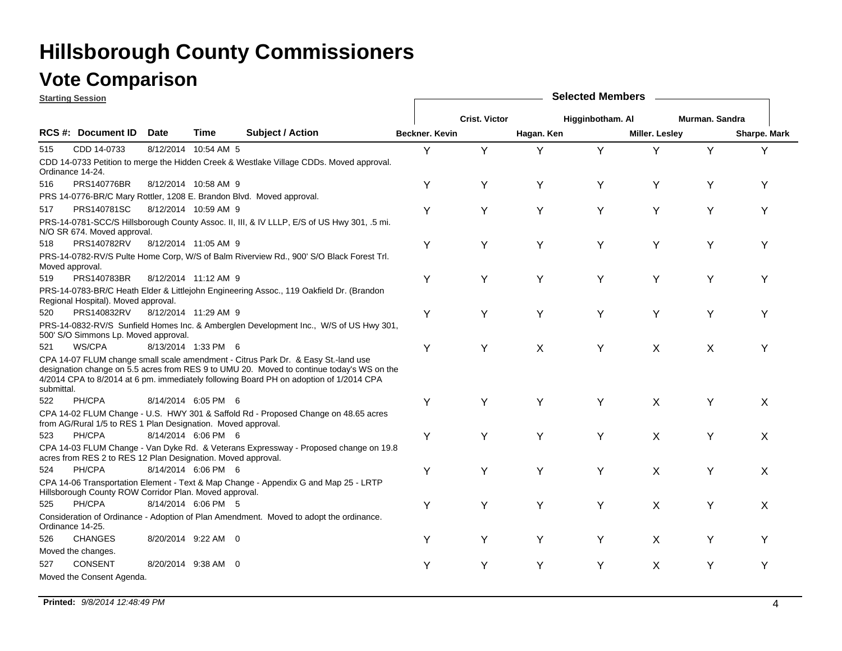### **Vote Comparison**

| <b>Starting Session</b> |                                                              |             |                      |                                                                                                                                                                                                                                                                          |                | <b>Selected Members</b> |            |                  |                       |                |              |  |  |  |
|-------------------------|--------------------------------------------------------------|-------------|----------------------|--------------------------------------------------------------------------------------------------------------------------------------------------------------------------------------------------------------------------------------------------------------------------|----------------|-------------------------|------------|------------------|-----------------------|----------------|--------------|--|--|--|
|                         |                                                              |             |                      |                                                                                                                                                                                                                                                                          |                | <b>Crist. Victor</b>    |            | Higginbotham. Al |                       | Murman, Sandra |              |  |  |  |
|                         | <b>RCS #: Document ID</b>                                    | <b>Date</b> | Time                 | <b>Subject / Action</b>                                                                                                                                                                                                                                                  | Beckner, Kevin |                         | Hagan. Ken |                  | <b>Miller. Lesley</b> |                | Sharpe. Mark |  |  |  |
| 515                     | CDD 14-0733                                                  |             | 8/12/2014 10:54 AM 5 |                                                                                                                                                                                                                                                                          | Υ              | Y                       | Υ          | Y                | Y                     | Υ              | Υ            |  |  |  |
|                         | Ordinance 14-24.                                             |             |                      | CDD 14-0733 Petition to merge the Hidden Creek & Westlake Village CDDs. Moved approval.                                                                                                                                                                                  |                |                         |            |                  |                       |                |              |  |  |  |
| 516                     | <b>PRS140776BR</b>                                           |             | 8/12/2014 10:58 AM 9 |                                                                                                                                                                                                                                                                          | Υ              | Υ                       | Y          | Υ                | Y                     | Y              | Y            |  |  |  |
|                         |                                                              |             |                      | PRS 14-0776-BR/C Mary Rottler, 1208 E. Brandon Blvd. Moved approval.                                                                                                                                                                                                     |                |                         |            |                  |                       |                |              |  |  |  |
| 517                     | PRS140781SC                                                  |             | 8/12/2014 10:59 AM 9 |                                                                                                                                                                                                                                                                          | Y              | Υ                       | Y          | Y                | Υ                     | Υ              | Υ            |  |  |  |
|                         | N/O SR 674. Moved approval.                                  |             |                      | PRS-14-0781-SCC/S Hillsborough County Assoc. II, III, & IV LLLP, E/S of US Hwy 301, .5 mi.                                                                                                                                                                               |                |                         |            |                  |                       |                |              |  |  |  |
| 518                     | PRS140782RV                                                  |             | 8/12/2014 11:05 AM 9 |                                                                                                                                                                                                                                                                          | Υ              | Υ                       | Y          | Y                | Υ                     | Υ              | Y            |  |  |  |
|                         | Moved approval.                                              |             |                      | PRS-14-0782-RV/S Pulte Home Corp, W/S of Balm Riverview Rd., 900' S/O Black Forest Trl.                                                                                                                                                                                  |                |                         |            |                  |                       |                |              |  |  |  |
| 519                     | PRS140783BR                                                  |             | 8/12/2014 11:12 AM 9 |                                                                                                                                                                                                                                                                          | Υ              | Y                       | Y          | Y                | Υ                     | Y              | Υ            |  |  |  |
|                         | Regional Hospital). Moved approval.                          |             |                      | PRS-14-0783-BR/C Heath Elder & Littlejohn Engineering Assoc., 119 Oakfield Dr. (Brandon                                                                                                                                                                                  |                |                         |            |                  |                       |                |              |  |  |  |
| 520                     | PRS140832RV                                                  |             | 8/12/2014 11:29 AM 9 |                                                                                                                                                                                                                                                                          | Υ              | Υ                       | Y          | Y                | Y                     | Υ              | Υ            |  |  |  |
|                         | 500' S/O Simmons Lp. Moved approval.                         |             |                      | PRS-14-0832-RV/S Sunfield Homes Inc. & Amberglen Development Inc., W/S of US Hwy 301,                                                                                                                                                                                    |                |                         |            |                  |                       |                |              |  |  |  |
| 521                     | WS/CPA                                                       |             | 8/13/2014 1:33 PM 6  |                                                                                                                                                                                                                                                                          | Υ              | Y                       | X          | Y                | X                     | X              | Y            |  |  |  |
| submittal.              |                                                              |             |                      | CPA 14-07 FLUM change small scale amendment - Citrus Park Dr. & Easy St.-land use<br>designation change on 5.5 acres from RES 9 to UMU 20. Moved to continue today's WS on the<br>4/2014 CPA to 8/2014 at 6 pm. immediately following Board PH on adoption of 1/2014 CPA |                |                         |            |                  |                       |                |              |  |  |  |
| 522                     | PH/CPA                                                       |             | 8/14/2014 6:05 PM 6  |                                                                                                                                                                                                                                                                          | Υ              | Υ                       | Y          | Y                | X                     | Y              | X            |  |  |  |
|                         | from AG/Rural 1/5 to RES 1 Plan Designation. Moved approval. |             |                      | CPA 14-02 FLUM Change - U.S. HWY 301 & Saffold Rd - Proposed Change on 48.65 acres                                                                                                                                                                                       |                |                         |            |                  |                       |                |              |  |  |  |
| 523                     | PH/CPA                                                       |             | 8/14/2014 6:06 PM 6  |                                                                                                                                                                                                                                                                          | Υ              | Y                       | Y          | Y                | X                     | Y              | X            |  |  |  |
|                         | acres from RES 2 to RES 12 Plan Designation. Moved approval. |             |                      | CPA 14-03 FLUM Change - Van Dyke Rd. & Veterans Expressway - Proposed change on 19.8                                                                                                                                                                                     |                |                         |            |                  |                       |                |              |  |  |  |
| 524                     | PH/CPA                                                       |             | 8/14/2014 6:06 PM 6  |                                                                                                                                                                                                                                                                          | Υ              | Y                       | Y          | Y                | X                     | Υ              | X            |  |  |  |
|                         | Hillsborough County ROW Corridor Plan. Moved approval.       |             |                      | CPA 14-06 Transportation Element - Text & Map Change - Appendix G and Map 25 - LRTP                                                                                                                                                                                      |                |                         |            |                  |                       |                |              |  |  |  |
| 525                     | PH/CPA                                                       |             | 8/14/2014 6:06 PM 5  |                                                                                                                                                                                                                                                                          | Υ              | Υ                       | Y          | Y                | X                     | Υ              | X            |  |  |  |
|                         | Ordinance 14-25.                                             |             |                      | Consideration of Ordinance - Adoption of Plan Amendment. Moved to adopt the ordinance.                                                                                                                                                                                   |                |                         |            |                  |                       |                |              |  |  |  |
| 526                     | <b>CHANGES</b>                                               |             | 8/20/2014 9:22 AM 0  |                                                                                                                                                                                                                                                                          | Y              | Y                       | Y          | Y                | X                     | Υ              | Υ            |  |  |  |
|                         | Moved the changes.                                           |             |                      |                                                                                                                                                                                                                                                                          |                |                         |            |                  |                       |                |              |  |  |  |
| 527                     | <b>CONSENT</b>                                               |             | 8/20/2014 9:38 AM 0  |                                                                                                                                                                                                                                                                          | Υ              | Y                       | Y          | Y                | X                     | Υ              | Υ            |  |  |  |
|                         | Moved the Consent Agenda.                                    |             |                      |                                                                                                                                                                                                                                                                          |                |                         |            |                  |                       |                |              |  |  |  |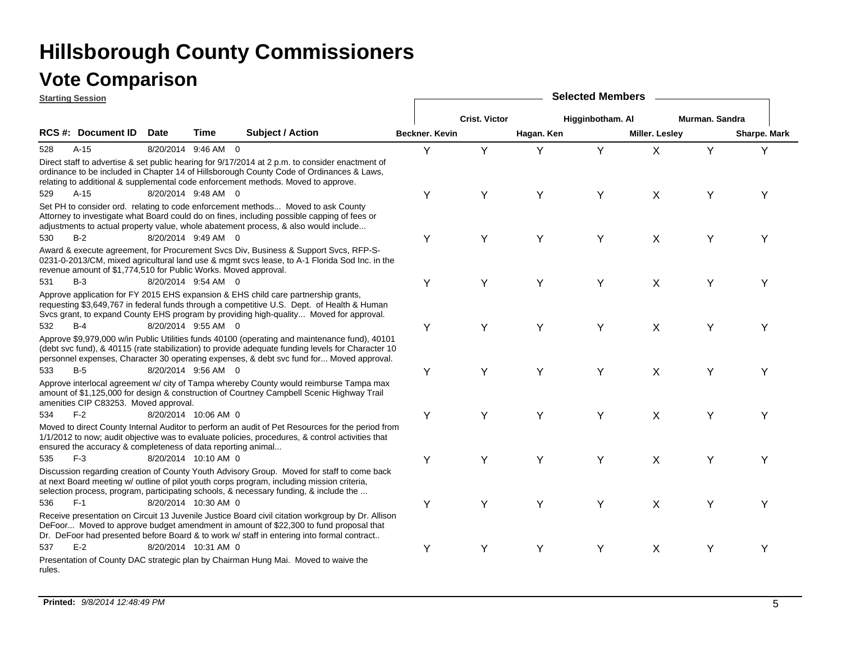| <b>Starting Session</b> |                                                                 |             |                      |                                                                                                                                                                                                                                                                                                |                | <b>Selected Members</b> |            |                  |                       |                |              |  |  |  |
|-------------------------|-----------------------------------------------------------------|-------------|----------------------|------------------------------------------------------------------------------------------------------------------------------------------------------------------------------------------------------------------------------------------------------------------------------------------------|----------------|-------------------------|------------|------------------|-----------------------|----------------|--------------|--|--|--|
|                         |                                                                 |             |                      |                                                                                                                                                                                                                                                                                                |                | <b>Crist. Victor</b>    |            | Higginbotham. Al |                       | Murman. Sandra |              |  |  |  |
|                         | <b>RCS #: Document ID</b>                                       | <b>Date</b> | Time                 | <b>Subject / Action</b>                                                                                                                                                                                                                                                                        | Beckner, Kevin |                         | Hagan. Ken |                  | <b>Miller. Lesley</b> |                | Sharpe. Mark |  |  |  |
| 528                     | $A-15$                                                          |             | 8/20/2014 9:46 AM 0  |                                                                                                                                                                                                                                                                                                | Υ              | Y                       | Υ          | Y                | X                     | Y              | Y            |  |  |  |
|                         |                                                                 |             |                      | Direct staff to advertise & set public hearing for 9/17/2014 at 2 p.m. to consider enactment of<br>ordinance to be included in Chapter 14 of Hillsborough County Code of Ordinances & Laws,<br>relating to additional & supplemental code enforcement methods. Moved to approve.               |                |                         |            |                  |                       |                |              |  |  |  |
| 529                     | $A-15$                                                          |             | 8/20/2014 9:48 AM 0  |                                                                                                                                                                                                                                                                                                | Υ              | Υ                       | Y          | Y                | $\mathsf{X}$          | Υ              | Υ            |  |  |  |
|                         |                                                                 |             |                      | Set PH to consider ord. relating to code enforcement methods Moved to ask County<br>Attorney to investigate what Board could do on fines, including possible capping of fees or<br>adjustments to actual property value, whole abatement process, & also would include                         |                |                         |            |                  |                       |                |              |  |  |  |
| 530                     | $B-2$                                                           |             | 8/20/2014 9:49 AM 0  |                                                                                                                                                                                                                                                                                                | Y              | Y                       | Y          | Y                | X                     | Y              | Υ            |  |  |  |
|                         | revenue amount of \$1,774,510 for Public Works. Moved approval. |             |                      | Award & execute agreement, for Procurement Svcs Div, Business & Support Svcs, RFP-S-<br>0231-0-2013/CM, mixed agricultural land use & mgmt svcs lease, to A-1 Florida Sod Inc. in the                                                                                                          |                |                         |            |                  |                       |                |              |  |  |  |
| 531                     | $B-3$                                                           |             | 8/20/2014 9:54 AM 0  |                                                                                                                                                                                                                                                                                                | Υ              | Y                       | Y          | Y                | X                     | Y              | Y            |  |  |  |
|                         |                                                                 |             |                      | Approve application for FY 2015 EHS expansion & EHS child care partnership grants,<br>requesting \$3,649,767 in federal funds through a competitive U.S. Dept. of Health & Human<br>Svcs grant, to expand County EHS program by providing high-quality Moved for approval.                     |                |                         |            |                  |                       |                |              |  |  |  |
| 532                     | $B-4$                                                           |             | 8/20/2014 9:55 AM 0  |                                                                                                                                                                                                                                                                                                | Y              | Y                       | Y          | Y                | $\mathsf{X}$          | Y              | Υ            |  |  |  |
|                         |                                                                 |             |                      | Approve \$9,979,000 w/in Public Utilities funds 40100 (operating and maintenance fund), 40101<br>(debt svc fund), & 40115 (rate stabilization) to provide adequate funding levels for Character 10<br>personnel expenses, Character 30 operating expenses, & debt svc fund for Moved approval. |                |                         |            |                  |                       |                |              |  |  |  |
| 533                     | $B-5$                                                           |             | 8/20/2014 9:56 AM 0  |                                                                                                                                                                                                                                                                                                | Y              | Υ                       | Y          | Y                | X                     | Υ              | Y            |  |  |  |
|                         | amenities CIP C83253. Moved approval.                           |             |                      | Approve interlocal agreement w/ city of Tampa whereby County would reimburse Tampa max<br>amount of \$1,125,000 for design & construction of Courtney Campbell Scenic Highway Trail                                                                                                            |                |                         |            |                  |                       |                |              |  |  |  |
| 534                     | $F-2$                                                           |             | 8/20/2014 10:06 AM 0 |                                                                                                                                                                                                                                                                                                | Υ              | Y                       | Y          | Y                | $\mathsf{X}$          | Y              | Υ            |  |  |  |
|                         | ensured the accuracy & completeness of data reporting animal    |             |                      | Moved to direct County Internal Auditor to perform an audit of Pet Resources for the period from<br>1/1/2012 to now; audit objective was to evaluate policies, procedures, & control activities that                                                                                           |                |                         |            |                  |                       |                |              |  |  |  |
| 535                     | $F-3$                                                           |             | 8/20/2014 10:10 AM 0 |                                                                                                                                                                                                                                                                                                | Υ              | Y                       | Y          | Y                | $\mathsf{X}$          | Y              | Υ            |  |  |  |
|                         |                                                                 |             |                      | Discussion regarding creation of County Youth Advisory Group. Moved for staff to come back<br>at next Board meeting w/ outline of pilot youth corps program, including mission criteria,<br>selection process, program, participating schools, & necessary funding, & include the              |                |                         |            |                  |                       |                |              |  |  |  |
| 536                     | $F-1$                                                           |             | 8/20/2014 10:30 AM 0 |                                                                                                                                                                                                                                                                                                | Υ              | Y                       | Y          | Y                | X                     | Y              | Υ            |  |  |  |
|                         |                                                                 |             |                      | Receive presentation on Circuit 13 Juvenile Justice Board civil citation workgroup by Dr. Allison<br>DeFoor Moved to approve budget amendment in amount of \$22,300 to fund proposal that<br>Dr. DeFoor had presented before Board & to work w/ staff in entering into formal contract         |                |                         |            |                  |                       |                |              |  |  |  |
| 537                     | $E-2$                                                           |             | 8/20/2014 10:31 AM 0 |                                                                                                                                                                                                                                                                                                | Υ              | Y                       | Y          | Y                | $\mathsf{X}$          | Y              | Y            |  |  |  |
| rules.                  |                                                                 |             |                      | Presentation of County DAC strategic plan by Chairman Hung Mai. Moved to waive the                                                                                                                                                                                                             |                |                         |            |                  |                       |                |              |  |  |  |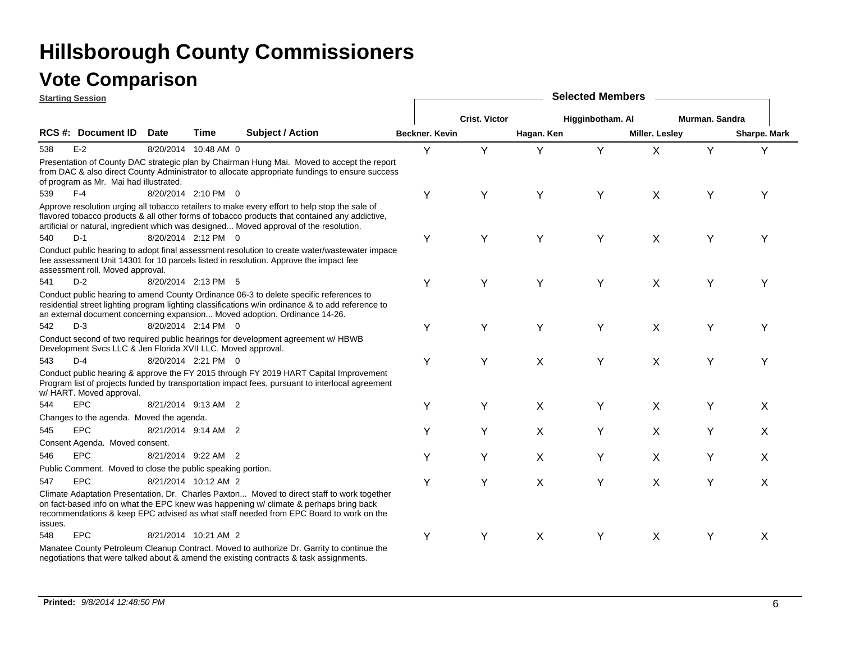| <b>Starting Session</b>  |                                                              |             |                      |                                                                                                                                                                                                                                                                                          |                |                      |            | <b>Selected Members</b> |                |                |              |
|--------------------------|--------------------------------------------------------------|-------------|----------------------|------------------------------------------------------------------------------------------------------------------------------------------------------------------------------------------------------------------------------------------------------------------------------------------|----------------|----------------------|------------|-------------------------|----------------|----------------|--------------|
|                          |                                                              |             |                      |                                                                                                                                                                                                                                                                                          |                | <b>Crist. Victor</b> |            | Higginbotham. Al        |                | Murman. Sandra |              |
| <b>RCS#: Document ID</b> |                                                              | <b>Date</b> | <b>Time</b>          | <b>Subject / Action</b>                                                                                                                                                                                                                                                                  | Beckner, Kevin |                      | Hagan. Ken |                         | Miller. Lesley |                | Sharpe. Mark |
| $E-2$<br>538             |                                                              |             | 8/20/2014 10:48 AM 0 |                                                                                                                                                                                                                                                                                          | Y              | Y                    | Y          | Y                       | $\mathsf{X}$   | Y              | Y            |
|                          | of program as Mr. Mai had illustrated.                       |             |                      | Presentation of County DAC strategic plan by Chairman Hung Mai. Moved to accept the report<br>from DAC & also direct County Administrator to allocate appropriate fundings to ensure success                                                                                             |                |                      |            |                         |                |                |              |
| $F-4$<br>539             |                                                              |             | 8/20/2014 2:10 PM 0  |                                                                                                                                                                                                                                                                                          | Y              | Υ                    | Y          | Y                       | X              | Y              | Υ            |
|                          |                                                              |             |                      | Approve resolution urging all tobacco retailers to make every effort to help stop the sale of<br>flavored tobacco products & all other forms of tobacco products that contained any addictive,<br>artificial or natural, ingredient which was designed Moved approval of the resolution. |                |                      |            |                         |                |                |              |
| 540<br>$D-1$             |                                                              |             | 8/20/2014 2:12 PM 0  |                                                                                                                                                                                                                                                                                          | Y              | Υ                    | Y          | Y                       | X              | Y              | Υ            |
|                          | assessment roll. Moved approval.                             |             |                      | Conduct public hearing to adopt final assessment resolution to create water/wastewater impace<br>fee assessment Unit 14301 for 10 parcels listed in resolution. Approve the impact fee                                                                                                   |                |                      |            |                         |                |                |              |
| $D-2$<br>541             |                                                              |             | 8/20/2014 2:13 PM 5  |                                                                                                                                                                                                                                                                                          | Y              | Y                    | Y          | Y                       | X              | Y              | Υ            |
|                          |                                                              |             |                      | Conduct public hearing to amend County Ordinance 06-3 to delete specific references to<br>residential street lighting program lighting classifications w/in ordinance & to add reference to<br>an external document concerning expansion Moved adoption. Ordinance 14-26.                |                |                      |            |                         |                |                |              |
| $D-3$<br>542             |                                                              |             | 8/20/2014 2:14 PM 0  |                                                                                                                                                                                                                                                                                          | Y              | Y                    | Y          | Y                       | X              | Y              | Υ            |
|                          | Development Svcs LLC & Jen Florida XVII LLC. Moved approval. |             |                      | Conduct second of two required public hearings for development agreement w/ HBWB                                                                                                                                                                                                         |                |                      |            |                         |                |                |              |
| $D-4$<br>543             |                                                              |             | 8/20/2014 2:21 PM 0  |                                                                                                                                                                                                                                                                                          | Y              | Y                    | X          | Y                       | X              | Υ              | Y            |
|                          | w/ HART. Moved approval.                                     |             |                      | Conduct public hearing & approve the FY 2015 through FY 2019 HART Capital Improvement<br>Program list of projects funded by transportation impact fees, pursuant to interlocal agreement                                                                                                 |                |                      |            |                         |                |                |              |
| <b>EPC</b><br>544        |                                                              |             | 8/21/2014 9:13 AM 2  |                                                                                                                                                                                                                                                                                          | Υ              | Υ                    | X          | Υ                       | X              | Υ              | X            |
|                          | Changes to the agenda. Moved the agenda.                     |             |                      |                                                                                                                                                                                                                                                                                          |                |                      |            |                         |                |                |              |
| <b>EPC</b><br>545        |                                                              |             | 8/21/2014 9:14 AM 2  |                                                                                                                                                                                                                                                                                          | Υ              | Υ                    | X          | Υ                       | X              | Υ              | X            |
|                          | Consent Agenda. Moved consent.                               |             |                      |                                                                                                                                                                                                                                                                                          |                |                      |            |                         |                |                |              |
| <b>EPC</b><br>546        |                                                              |             | 8/21/2014 9:22 AM 2  |                                                                                                                                                                                                                                                                                          | Y              | Υ                    | X          | Y                       | X              | Υ              | X            |
|                          | Public Comment. Moved to close the public speaking portion.  |             |                      |                                                                                                                                                                                                                                                                                          |                |                      |            |                         |                |                |              |
| <b>EPC</b><br>547        |                                                              |             | 8/21/2014 10:12 AM 2 |                                                                                                                                                                                                                                                                                          | Y              | Υ                    | X          | Y                       | X              | Υ              | X            |
| issues.                  |                                                              |             |                      | Climate Adaptation Presentation, Dr. Charles Paxton Moved to direct staff to work together<br>on fact-based info on what the EPC knew was happening w/ climate & perhaps bring back<br>recommendations & keep EPC advised as what staff needed from EPC Board to work on the             |                |                      |            |                         |                |                |              |
| <b>EPC</b><br>548        |                                                              |             | 8/21/2014 10:21 AM 2 |                                                                                                                                                                                                                                                                                          | Y              | Υ                    | X          | Y                       | X              | Y              | X            |
|                          |                                                              |             |                      | Manatee County Petroleum Cleanup Contract. Moved to authorize Dr. Garrity to continue the<br>negotiations that were talked about & amend the existing contracts & task assignments.                                                                                                      |                |                      |            |                         |                |                |              |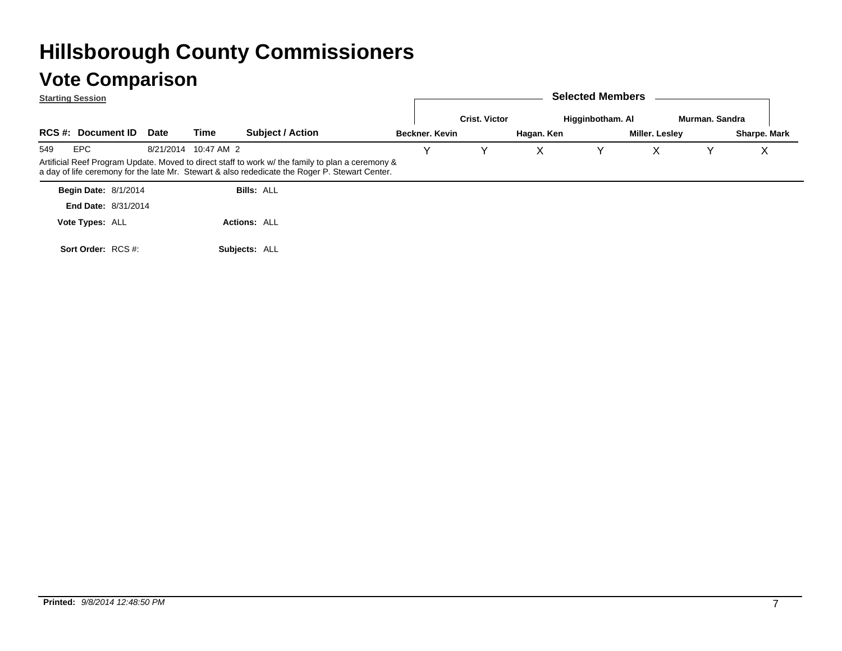|     | <b>Starting Session</b>     |             |                      |                                                                                                                                                                                                    |                |                      |            | <b>Selected Members</b> |                |                |              |
|-----|-----------------------------|-------------|----------------------|----------------------------------------------------------------------------------------------------------------------------------------------------------------------------------------------------|----------------|----------------------|------------|-------------------------|----------------|----------------|--------------|
|     |                             |             |                      |                                                                                                                                                                                                    |                | <b>Crist. Victor</b> |            | Higginbotham. Al        |                | Murman, Sandra |              |
|     | <b>RCS #: Document ID</b>   | <b>Date</b> | Time                 | <b>Subject / Action</b>                                                                                                                                                                            | Beckner, Kevin |                      | Hagan. Ken |                         | Miller. Lesley |                | Sharpe. Mark |
| 549 | EPC                         |             | 8/21/2014 10:47 AM 2 |                                                                                                                                                                                                    |                |                      |            |                         | Х              |                | v            |
|     |                             |             |                      | Artificial Reef Program Update. Moved to direct staff to work w/ the family to plan a ceremony &<br>a day of life ceremony for the late Mr. Stewart & also rededicate the Roger P. Stewart Center. |                |                      |            |                         |                |                |              |
|     | <b>Begin Date: 8/1/2014</b> |             |                      | <b>Bills: ALL</b>                                                                                                                                                                                  |                |                      |            |                         |                |                |              |
|     | <b>End Date: 8/31/2014</b>  |             |                      |                                                                                                                                                                                                    |                |                      |            |                         |                |                |              |
|     | Vote Types: ALL             |             |                      | <b>Actions: ALL</b>                                                                                                                                                                                |                |                      |            |                         |                |                |              |
|     | Sort Order: RCS #:          |             |                      | Subiects: ALL                                                                                                                                                                                      |                |                      |            |                         |                |                |              |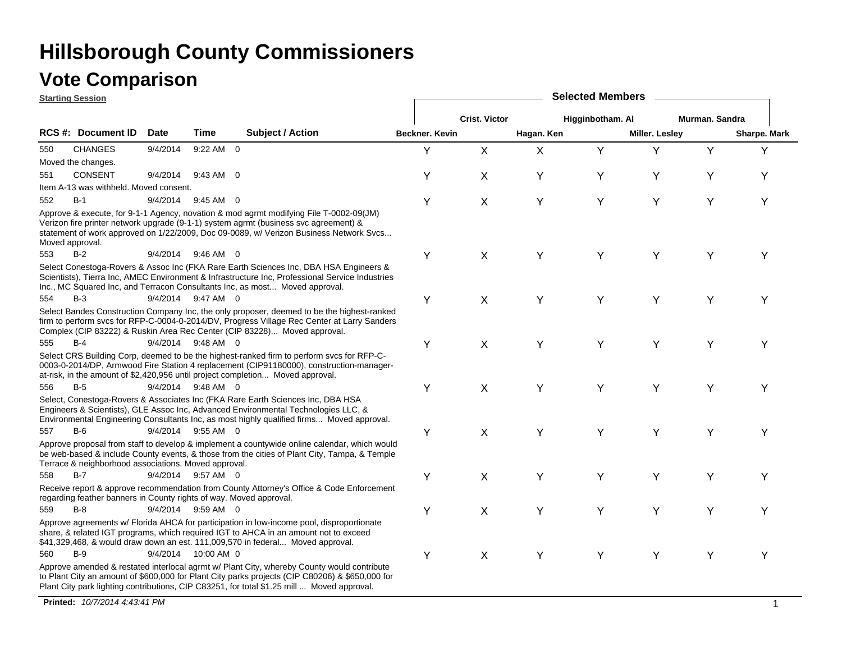## **Vote Comparison**

|                 | <b>Starting Session</b>                                            |             |                     |                                                                                                                                                                                                                                                                                             | <b>Selected Members</b> |                      |            |                  |                       |                |              |  |  |
|-----------------|--------------------------------------------------------------------|-------------|---------------------|---------------------------------------------------------------------------------------------------------------------------------------------------------------------------------------------------------------------------------------------------------------------------------------------|-------------------------|----------------------|------------|------------------|-----------------------|----------------|--------------|--|--|
|                 |                                                                    |             |                     |                                                                                                                                                                                                                                                                                             |                         | <b>Crist. Victor</b> |            | Higginbotham. Al |                       | Murman, Sandra |              |  |  |
|                 | RCS #: Document ID                                                 | <b>Date</b> | <b>Time</b>         | Subject / Action                                                                                                                                                                                                                                                                            | Beckner, Kevin          |                      | Hagan. Ken |                  | <b>Miller. Lesley</b> |                | Sharpe. Mark |  |  |
| 550             | <b>CHANGES</b>                                                     | 9/4/2014    | 9:22 AM 0           |                                                                                                                                                                                                                                                                                             | Y                       | X                    | X          | Y                | Y                     | Y              | Υ            |  |  |
|                 | Moved the changes.                                                 |             |                     |                                                                                                                                                                                                                                                                                             |                         |                      |            |                  |                       |                |              |  |  |
| 551             | <b>CONSENT</b>                                                     | 9/4/2014    | 9:43 AM 0           |                                                                                                                                                                                                                                                                                             | Υ                       | Χ                    | Y          | Y                | Υ                     | Y              | Υ            |  |  |
|                 | Item A-13 was withheld. Moved consent.                             |             |                     |                                                                                                                                                                                                                                                                                             |                         |                      |            |                  |                       |                |              |  |  |
| 552             | $B-1$                                                              | 9/4/2014    | $9:45$ AM 0         |                                                                                                                                                                                                                                                                                             | Y                       | X                    | Y          | Y                | Y                     | Υ              | Y            |  |  |
| Moved approval. |                                                                    |             |                     | Approve & execute, for 9-1-1 Agency, novation & mod agrmt modifying File T-0002-09(JM)<br>Verizon fire printer network upgrade (9-1-1) system agrmt (business svc agreement) &<br>statement of work approved on 1/22/2009, Doc 09-0089, w/ Verizon Business Network Svcs                    |                         |                      |            |                  |                       |                |              |  |  |
| 553             | $B-2$                                                              |             | 9/4/2014 9:46 AM 0  |                                                                                                                                                                                                                                                                                             | Υ                       | X                    | Y          | Y                | Y                     | Y              | Υ            |  |  |
|                 |                                                                    |             |                     | Select Conestoga-Rovers & Assoc Inc (FKA Rare Earth Sciences Inc, DBA HSA Engineers &<br>Scientists), Tierra Inc, AMEC Environment & Infrastructure Inc, Professional Service Industries<br>Inc., MC Squared Inc, and Terracon Consultants Inc, as most Moved approval.                     |                         |                      |            |                  |                       |                |              |  |  |
| 554             | $B-3$                                                              |             | 9/4/2014 9:47 AM 0  |                                                                                                                                                                                                                                                                                             | Υ                       | X                    | Y          | Y                | Y                     | Y              | Υ            |  |  |
|                 |                                                                    |             |                     | Select Bandes Construction Company Inc, the only proposer, deemed to be the highest-ranked<br>firm to perform svcs for RFP-C-0004-0-2014/DV, Progress Village Rec Center at Larry Sanders<br>Complex (CIP 83222) & Ruskin Area Rec Center (CIP 83228) Moved approval.                       |                         |                      |            |                  |                       |                |              |  |  |
| 555             | $B-4$                                                              |             | 9/4/2014 9:48 AM 0  |                                                                                                                                                                                                                                                                                             | Υ                       | X                    | Y          | Y                | Y                     | Y              | Υ            |  |  |
|                 |                                                                    |             |                     | Select CRS Building Corp, deemed to be the highest-ranked firm to perform svcs for RFP-C-<br>0003-0-2014/DP, Armwood Fire Station 4 replacement (CIP91180000), construction-manager-<br>at-risk, in the amount of \$2,420,956 until project completion Moved approval.                      |                         |                      |            |                  |                       |                |              |  |  |
| 556             | $B-5$                                                              |             | 9/4/2014 9:48 AM 0  |                                                                                                                                                                                                                                                                                             | Υ                       | X                    | Y          | Y                | Y                     | Υ              | Υ            |  |  |
|                 |                                                                    |             |                     | Select, Conestoga-Rovers & Associates Inc (FKA Rare Earth Sciences Inc, DBA HSA<br>Engineers & Scientists), GLE Assoc Inc, Advanced Environmental Technologies LLC, &<br>Environmental Engineering Consultants Inc, as most highly qualified firms Moved approval.                          |                         |                      |            |                  |                       |                |              |  |  |
| 557             | $B-6$                                                              |             | 9/4/2014 9:55 AM 0  |                                                                                                                                                                                                                                                                                             | Y                       | X                    | Υ          | Y                | Y                     | Υ              | Y            |  |  |
|                 | Terrace & neighborhood associations. Moved approval.               |             |                     | Approve proposal from staff to develop & implement a countywide online calendar, which would<br>be web-based & include County events, & those from the cities of Plant City, Tampa, & Temple                                                                                                |                         |                      |            |                  |                       |                |              |  |  |
| 558             | $B-7$                                                              |             | 9/4/2014 9:57 AM 0  |                                                                                                                                                                                                                                                                                             | Υ                       | X                    | Y          | Y                | Υ                     | Υ              | Y            |  |  |
|                 | regarding feather banners in County rights of way. Moved approval. |             |                     | Receive report & approve recommendation from County Attorney's Office & Code Enforcement                                                                                                                                                                                                    |                         |                      |            |                  |                       |                |              |  |  |
| 559             | $B-8$                                                              |             | 9/4/2014 9:59 AM 0  |                                                                                                                                                                                                                                                                                             | Υ                       | X                    | Y          | Y                | Y                     | Y              | Υ            |  |  |
|                 |                                                                    |             |                     | Approve agreements w/ Florida AHCA for participation in low-income pool, disproportionate<br>share, & related IGT programs, which required IGT to AHCA in an amount not to exceed<br>\$41,329,468, & would draw down an est. 111,009,570 in federal Moved approval.                         |                         |                      |            |                  |                       |                |              |  |  |
| 560             | $B-9$                                                              |             | 9/4/2014 10:00 AM 0 |                                                                                                                                                                                                                                                                                             | Υ                       | Χ                    | Y          | Y                | Y                     | Y              | Υ            |  |  |
|                 |                                                                    |             |                     | Approve amended & restated interlocal agrmt w/ Plant City, whereby County would contribute<br>to Plant City an amount of \$600,000 for Plant City parks projects (CIP C80206) & \$650,000 for<br>Plant City park lighting contributions, CIP C83251, for total \$1.25 mill  Moved approval. |                         |                      |            |                  |                       |                |              |  |  |

**Printed:** *10/7/2014 4:43:41 PM* $\blacksquare$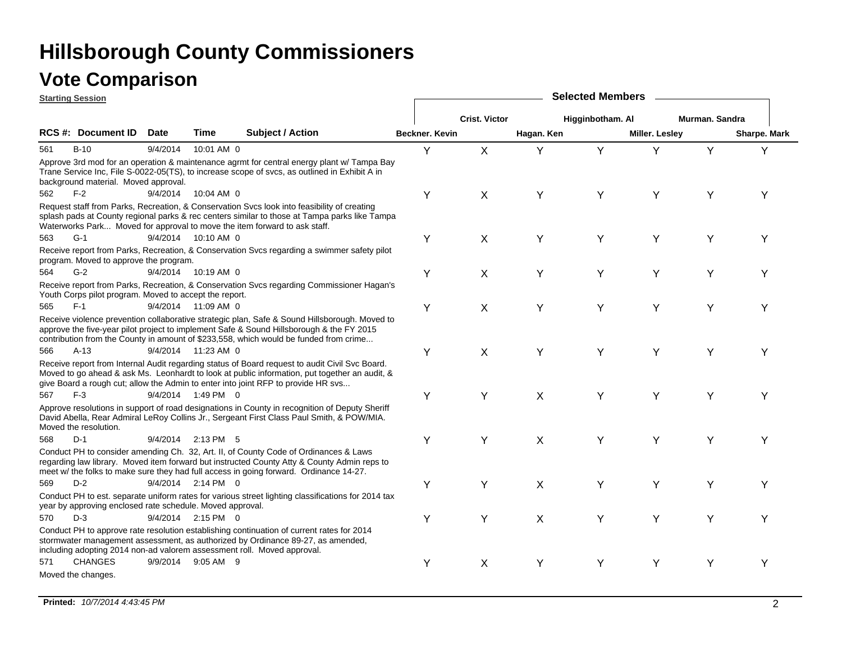| <b>Starting Session</b> |                                                           |             |                      |                                                                                                                                                                                                                                                                                      |                | <b>Selected Members</b> |            |                  |                |                |              |  |  |  |
|-------------------------|-----------------------------------------------------------|-------------|----------------------|--------------------------------------------------------------------------------------------------------------------------------------------------------------------------------------------------------------------------------------------------------------------------------------|----------------|-------------------------|------------|------------------|----------------|----------------|--------------|--|--|--|
|                         |                                                           |             |                      |                                                                                                                                                                                                                                                                                      |                | <b>Crist. Victor</b>    |            | Higginbotham. Al |                | Murman. Sandra |              |  |  |  |
|                         | <b>RCS#: Document ID</b>                                  | <b>Date</b> | Time                 | <b>Subject / Action</b>                                                                                                                                                                                                                                                              | Beckner, Kevin |                         | Hagan. Ken |                  | Miller. Lesley |                | Sharpe. Mark |  |  |  |
| 561                     | $B-10$                                                    | 9/4/2014    | 10:01 AM 0           |                                                                                                                                                                                                                                                                                      | Y              | $\mathsf{X}$            | Υ          | Y                | Y              | Y              | Y            |  |  |  |
|                         | background material. Moved approval.                      |             |                      | Approve 3rd mod for an operation & maintenance agrmt for central energy plant w/ Tampa Bay<br>Trane Service Inc, File S-0022-05(TS), to increase scope of svcs, as outlined in Exhibit A in                                                                                          |                |                         |            |                  |                |                |              |  |  |  |
| $F-2$<br>562            |                                                           | 9/4/2014    | 10:04 AM 0           |                                                                                                                                                                                                                                                                                      | Y              | X                       | Υ          | Υ                | Υ              | Y              | Υ            |  |  |  |
|                         |                                                           |             |                      | Request staff from Parks, Recreation, & Conservation Svcs look into feasibility of creating<br>splash pads at County regional parks & rec centers similar to those at Tampa parks like Tampa<br>Waterworks Park Moved for approval to move the item forward to ask staff.            |                |                         |            |                  |                |                |              |  |  |  |
| $G-1$<br>563            |                                                           |             | 9/4/2014 10:10 AM 0  |                                                                                                                                                                                                                                                                                      | Υ              | X                       | Y          | Y                | Y              | Υ              | Υ            |  |  |  |
|                         | program. Moved to approve the program.                    |             |                      | Receive report from Parks, Recreation, & Conservation Svcs regarding a swimmer safety pilot                                                                                                                                                                                          |                |                         |            |                  |                |                |              |  |  |  |
| 564                     | $G-2$                                                     |             | 9/4/2014 10:19 AM 0  |                                                                                                                                                                                                                                                                                      | Y              | Χ                       | Y          | Y                | Y              | Y              | Υ            |  |  |  |
|                         | Youth Corps pilot program. Moved to accept the report.    |             |                      | Receive report from Parks, Recreation, & Conservation Svcs regarding Commissioner Hagan's                                                                                                                                                                                            |                |                         |            |                  |                |                |              |  |  |  |
| $F-1$<br>565            |                                                           |             | 9/4/2014 11:09 AM 0  |                                                                                                                                                                                                                                                                                      | Y              | X                       | Y          | Y                | Y              | Y              | Υ            |  |  |  |
|                         |                                                           |             |                      | Receive violence prevention collaborative strategic plan, Safe & Sound Hillsborough. Moved to<br>approve the five-year pilot project to implement Safe & Sound Hillsborough & the FY 2015<br>contribution from the County in amount of \$233,558, which would be funded from crime   |                |                         |            |                  |                |                |              |  |  |  |
| 566                     | $A-13$                                                    |             | 9/4/2014 11:23 AM 0  |                                                                                                                                                                                                                                                                                      | Y              | X                       | Y          | Y                | Y              | Y              | Y            |  |  |  |
|                         |                                                           |             |                      | Receive report from Internal Audit regarding status of Board request to audit Civil Svc Board.<br>Moved to go ahead & ask Ms. Leonhardt to look at public information, put together an audit, &<br>give Board a rough cut; allow the Admin to enter into joint RFP to provide HR svs |                |                         |            |                  |                |                |              |  |  |  |
| $F-3$<br>567            |                                                           |             | 9/4/2014 1:49 PM 0   |                                                                                                                                                                                                                                                                                      | Y              | Y                       | X          | Y                | Υ              | Υ              |              |  |  |  |
| Moved the resolution.   |                                                           |             |                      | Approve resolutions in support of road designations in County in recognition of Deputy Sheriff<br>David Abella, Rear Admiral LeRoy Collins Jr., Sergeant First Class Paul Smith, & POW/MIA.                                                                                          |                |                         |            |                  |                |                |              |  |  |  |
| $D-1$<br>568            |                                                           |             | 9/4/2014 2:13 PM 5   |                                                                                                                                                                                                                                                                                      | Y              | Y                       | X          | Y                | Y              | Y              | Υ            |  |  |  |
|                         |                                                           |             |                      | Conduct PH to consider amending Ch. 32, Art. II, of County Code of Ordinances & Laws<br>regarding law library. Moved item forward but instructed County Atty & County Admin reps to<br>meet w/ the folks to make sure they had full access in going forward. Ordinance 14-27.        |                |                         |            |                  |                |                |              |  |  |  |
| 569                     | $D-2$                                                     |             | $9/4/2014$ 2:14 PM 0 |                                                                                                                                                                                                                                                                                      | Y              | Y                       | X          | Υ                | Υ              | Y              | Υ            |  |  |  |
|                         | year by approving enclosed rate schedule. Moved approval. |             |                      | Conduct PH to est. separate uniform rates for various street lighting classifications for 2014 tax                                                                                                                                                                                   |                |                         |            |                  |                |                |              |  |  |  |
| $D-3$<br>570            |                                                           |             | 9/4/2014 2:15 PM 0   |                                                                                                                                                                                                                                                                                      | Y              | Y                       | X          | Y                | Y              | Υ              | Υ            |  |  |  |
|                         |                                                           |             |                      | Conduct PH to approve rate resolution establishing continuation of current rates for 2014<br>stormwater management assessment, as authorized by Ordinance 89-27, as amended,<br>including adopting 2014 non-ad valorem assessment roll. Moved approval.                              |                |                         |            |                  |                |                |              |  |  |  |
| 571                     | <b>CHANGES</b>                                            | 9/9/2014    | $9:05$ AM $9$        |                                                                                                                                                                                                                                                                                      | Y              | Χ                       | Y          | Υ                | Υ              | Y              | Y            |  |  |  |
| Moved the changes.      |                                                           |             |                      |                                                                                                                                                                                                                                                                                      |                |                         |            |                  |                |                |              |  |  |  |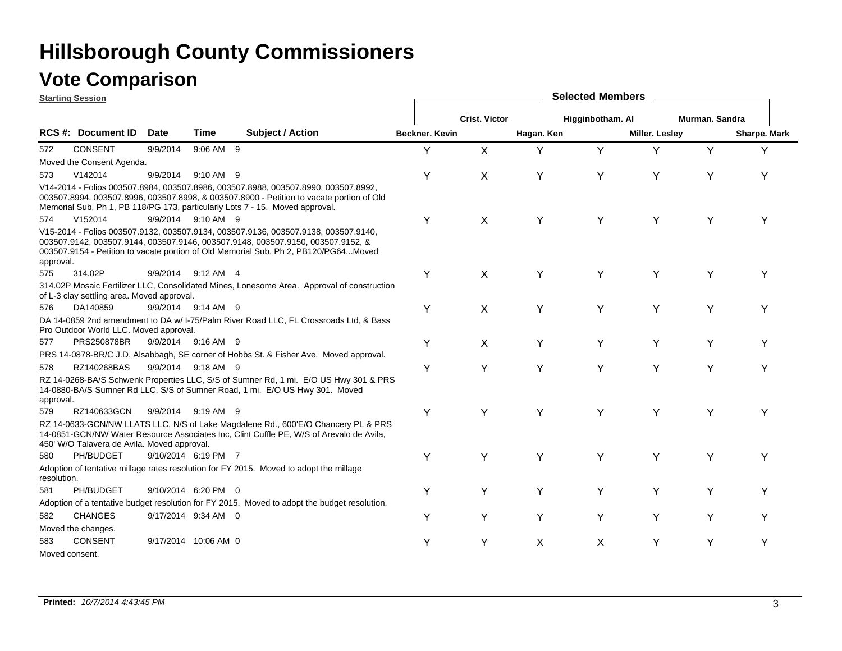### **Vote Comparison**

|             | <b>Starting Session</b>                     |             |                      |                                                                                                                                                                                                                                                                | <b>Selected Members</b> |                      |            |                  |                       |                |              |  |  |
|-------------|---------------------------------------------|-------------|----------------------|----------------------------------------------------------------------------------------------------------------------------------------------------------------------------------------------------------------------------------------------------------------|-------------------------|----------------------|------------|------------------|-----------------------|----------------|--------------|--|--|
|             |                                             |             |                      |                                                                                                                                                                                                                                                                |                         | <b>Crist. Victor</b> |            | Higginbotham. Al |                       | Murman, Sandra |              |  |  |
|             | RCS #: Document ID                          | <b>Date</b> | Time                 | <b>Subject / Action</b>                                                                                                                                                                                                                                        | Beckner. Kevin          |                      | Hagan. Ken |                  | <b>Miller. Lesley</b> |                | Sharpe. Mark |  |  |
| 572         | <b>CONSENT</b>                              | 9/9/2014    | 9:06 AM 9            |                                                                                                                                                                                                                                                                | Y                       | X                    | Y          | Y                | Y                     | Y              | Y            |  |  |
|             | Moved the Consent Agenda.                   |             |                      |                                                                                                                                                                                                                                                                |                         |                      |            |                  |                       |                |              |  |  |
| 573         | V142014                                     | 9/9/2014    | 9:10 AM 9            |                                                                                                                                                                                                                                                                | Y                       | X                    | Υ          | Y                | Y                     | Y              | Y            |  |  |
|             |                                             |             |                      | V14-2014 - Folios 003507.8984, 003507.8986, 003507.8988, 003507.8990, 003507.8992,<br>003507.8994, 003507.8996, 003507.8998, & 003507.8900 - Petition to vacate portion of Old<br>Memorial Sub, Ph 1, PB 118/PG 173, particularly Lots 7 - 15. Moved approval. |                         |                      |            |                  |                       |                |              |  |  |
| 574         | V152014                                     |             | 9/9/2014 9:10 AM 9   |                                                                                                                                                                                                                                                                | Y                       | X                    | Y          | Y                | Y                     | Υ              | Y            |  |  |
| approval.   |                                             |             |                      | V15-2014 - Folios 003507.9132, 003507.9134, 003507.9136, 003507.9138, 003507.9140,<br>003507.9142, 003507.9144, 003507.9146, 003507.9148, 003507.9150, 003507.9152, &<br>003507.9154 - Petition to vacate portion of Old Memorial Sub, Ph 2, PB120/PG64Moved   |                         |                      |            |                  |                       |                |              |  |  |
| 575         | 314.02P                                     |             | 9/9/2014 9:12 AM 4   |                                                                                                                                                                                                                                                                | Y                       | X                    | Y          | Υ                | Y                     | Y              | Υ            |  |  |
|             | of L-3 clay settling area. Moved approval.  |             |                      | 314.02P Mosaic Fertilizer LLC, Consolidated Mines, Lonesome Area. Approval of construction                                                                                                                                                                     |                         |                      |            |                  |                       |                |              |  |  |
| 576         | DA140859                                    |             | 9/9/2014 9:14 AM 9   |                                                                                                                                                                                                                                                                | Y                       | X                    | Υ          | Y                | Y                     | Υ              | Υ            |  |  |
|             | Pro Outdoor World LLC. Moved approval.      |             |                      | DA 14-0859 2nd amendment to DA w/ I-75/Palm River Road LLC, FL Crossroads Ltd, & Bass                                                                                                                                                                          |                         |                      |            |                  |                       |                |              |  |  |
| 577         | PRS250878BR                                 |             | 9/9/2014 9:16 AM 9   |                                                                                                                                                                                                                                                                | Y                       | X                    | Y          | Υ                | Y                     | Y              | Υ            |  |  |
|             |                                             |             |                      | PRS 14-0878-BR/C J.D. Alsabbagh, SE corner of Hobbs St. & Fisher Ave. Moved approval.                                                                                                                                                                          |                         |                      |            |                  |                       |                |              |  |  |
| 578         | RZ140268BAS                                 |             | 9/9/2014 9:18 AM 9   |                                                                                                                                                                                                                                                                | Y                       | Y                    | Y          | Y                | Y                     | Υ              | Υ            |  |  |
| approval.   |                                             |             |                      | RZ 14-0268-BA/S Schwenk Properties LLC, S/S of Sumner Rd, 1 mi. E/O US Hwy 301 & PRS<br>14-0880-BA/S Sumner Rd LLC, S/S of Sumner Road, 1 mi. E/O US Hwy 301. Moved                                                                                            |                         |                      |            |                  |                       |                |              |  |  |
| 579         | RZ140633GCN                                 |             | 9/9/2014 9:19 AM 9   |                                                                                                                                                                                                                                                                | Y                       | Y                    | Y          | Y                | Y                     | Y              | Υ            |  |  |
|             | 450' W/O Talavera de Avila. Moved approval. |             |                      | RZ 14-0633-GCN/NW LLATS LLC, N/S of Lake Magdalene Rd., 600'E/O Chancery PL & PRS<br>14-0851-GCN/NW Water Resource Associates Inc, Clint Cuffle PE, W/S of Arevalo de Avila,                                                                                   |                         |                      |            |                  |                       |                |              |  |  |
| 580         | PH/BUDGET                                   |             | 9/10/2014 6:19 PM 7  |                                                                                                                                                                                                                                                                | Υ                       | Y                    | Y          | Y                | Y                     | Υ              | Υ            |  |  |
| resolution. |                                             |             |                      | Adoption of tentative millage rates resolution for FY 2015. Moved to adopt the millage                                                                                                                                                                         |                         |                      |            |                  |                       |                |              |  |  |
| 581         | PH/BUDGET                                   |             | 9/10/2014 6:20 PM 0  |                                                                                                                                                                                                                                                                | Y                       | Y                    | Y          | Y                | Y                     | Y              | Υ            |  |  |
|             |                                             |             |                      | Adoption of a tentative budget resolution for FY 2015. Moved to adopt the budget resolution.                                                                                                                                                                   |                         |                      |            |                  |                       |                |              |  |  |
| 582         | <b>CHANGES</b>                              |             | 9/17/2014 9:34 AM 0  |                                                                                                                                                                                                                                                                | Υ                       | Y                    | Y          | Y                | Y                     | Y              | Υ            |  |  |
|             | Moved the changes.                          |             |                      |                                                                                                                                                                                                                                                                |                         |                      |            |                  |                       |                |              |  |  |
| 583         | <b>CONSENT</b>                              |             | 9/17/2014 10:06 AM 0 |                                                                                                                                                                                                                                                                | Y                       | Y                    | X          | X                | Y                     | Y              | Y            |  |  |
|             | Moved consent.                              |             |                      |                                                                                                                                                                                                                                                                |                         |                      |            |                  |                       |                |              |  |  |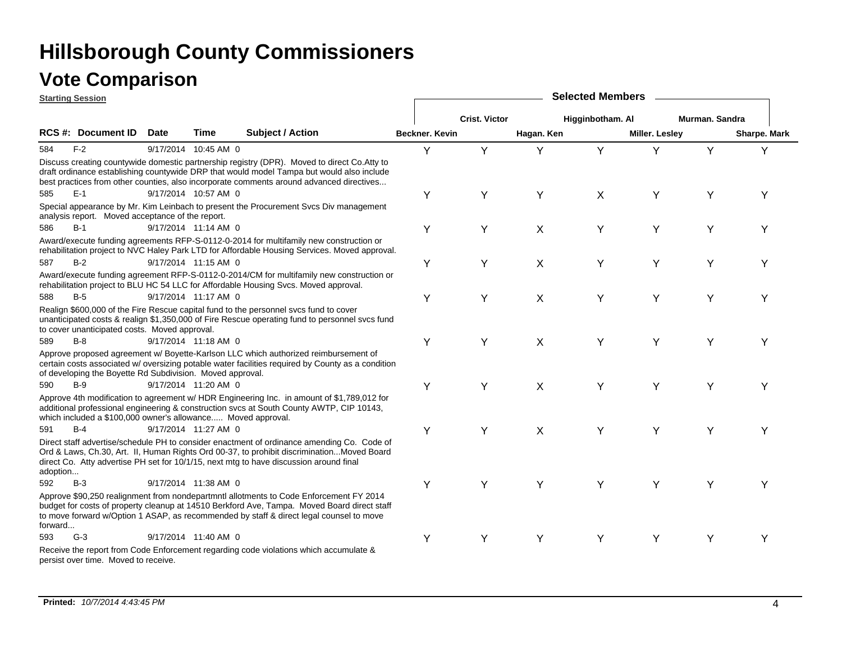|          | <b>Starting Session</b>                                      |             |                      |                                                                                                                                                                                                                                                                                       | <b>Selected Members</b> |                      |            |                  |                       |                |              |  |  |
|----------|--------------------------------------------------------------|-------------|----------------------|---------------------------------------------------------------------------------------------------------------------------------------------------------------------------------------------------------------------------------------------------------------------------------------|-------------------------|----------------------|------------|------------------|-----------------------|----------------|--------------|--|--|
|          |                                                              |             |                      |                                                                                                                                                                                                                                                                                       |                         | <b>Crist. Victor</b> |            | Higginbotham. Al |                       | Murman. Sandra |              |  |  |
|          | <b>RCS #: Document ID</b>                                    | <b>Date</b> | Time                 | <b>Subject / Action</b>                                                                                                                                                                                                                                                               | Beckner. Kevin          |                      | Hagan. Ken |                  | <b>Miller. Lesley</b> |                | Sharpe. Mark |  |  |
| 584      | $F-2$                                                        |             | 9/17/2014 10:45 AM 0 |                                                                                                                                                                                                                                                                                       | Y                       | Y                    | Υ          | Y                | Y                     | Y              | Y            |  |  |
|          |                                                              |             |                      | Discuss creating countywide domestic partnership registry (DPR). Moved to direct Co. Atty to<br>draft ordinance establishing countywide DRP that would model Tampa but would also include<br>best practices from other counties, also incorporate comments around advanced directives |                         |                      |            |                  |                       |                |              |  |  |
| 585      | $E-1$                                                        |             | 9/17/2014 10:57 AM 0 |                                                                                                                                                                                                                                                                                       | Υ                       | Y                    | Y          | X                | Υ                     | Y              | Υ            |  |  |
|          | analysis report. Moved acceptance of the report.             |             |                      | Special appearance by Mr. Kim Leinbach to present the Procurement Svcs Div management                                                                                                                                                                                                 |                         |                      |            |                  |                       |                |              |  |  |
| 586      | $B-1$                                                        |             | 9/17/2014 11:14 AM 0 |                                                                                                                                                                                                                                                                                       | Y                       | Υ                    | X          | Y                | Y                     | Υ              | Υ            |  |  |
|          |                                                              |             |                      | Award/execute funding agreements RFP-S-0112-0-2014 for multifamily new construction or<br>rehabilitation project to NVC Haley Park LTD for Affordable Housing Services. Moved approval.                                                                                               |                         |                      |            |                  |                       |                |              |  |  |
| 587      | $B-2$                                                        |             | 9/17/2014 11:15 AM 0 |                                                                                                                                                                                                                                                                                       | Y                       | Υ                    | X          | Y                | Y                     | Y              | Y            |  |  |
|          |                                                              |             |                      | Award/execute funding agreement RFP-S-0112-0-2014/CM for multifamily new construction or<br>rehabilitation project to BLU HC 54 LLC for Affordable Housing Svcs. Moved approval.                                                                                                      |                         |                      |            |                  |                       |                |              |  |  |
| 588      | $B-5$                                                        |             | 9/17/2014 11:17 AM 0 |                                                                                                                                                                                                                                                                                       | Y                       | Υ                    | Χ          | Y                | Y                     | Y              | Υ            |  |  |
|          | to cover unanticipated costs. Moved approval.                |             |                      | Realign \$600,000 of the Fire Rescue capital fund to the personnel svcs fund to cover<br>unanticipated costs & realign \$1,350,000 of Fire Rescue operating fund to personnel svcs fund                                                                                               |                         |                      |            |                  |                       |                |              |  |  |
| 589      | $B-8$                                                        |             | 9/17/2014 11:18 AM 0 |                                                                                                                                                                                                                                                                                       | Y                       | Υ                    | X          | Y                | Y                     | Υ              | Υ            |  |  |
|          | of developing the Boyette Rd Subdivision. Moved approval.    |             |                      | Approve proposed agreement w/ Boyette-Karlson LLC which authorized reimbursement of<br>certain costs associated w/ oversizing potable water facilities required by County as a condition                                                                                              |                         |                      |            |                  |                       |                |              |  |  |
| 590      | $B-9$                                                        |             | 9/17/2014 11:20 AM 0 |                                                                                                                                                                                                                                                                                       | Y                       | Y                    | X          | Υ                | Y                     | Υ              | ⋎            |  |  |
|          | which included a \$100,000 owner's allowance Moved approval. |             |                      | Approve 4th modification to agreement w/ HDR Engineering Inc. in amount of \$1,789,012 for<br>additional professional engineering & construction svcs at South County AWTP, CIP 10143,                                                                                                |                         |                      |            |                  |                       |                |              |  |  |
| 591      | $B-4$                                                        |             | 9/17/2014 11:27 AM 0 |                                                                                                                                                                                                                                                                                       | Y                       | Y                    | X          | Y                | Y                     | Υ              | Υ            |  |  |
| adoption |                                                              |             |                      | Direct staff advertise/schedule PH to consider enactment of ordinance amending Co. Code of<br>Ord & Laws, Ch.30, Art. II, Human Rights Ord 00-37, to prohibit discriminationMoved Board<br>direct Co. Atty advertise PH set for 10/1/15, next mtg to have discussion around final     |                         |                      |            |                  |                       |                |              |  |  |
| 592      | $B-3$                                                        |             | 9/17/2014 11:38 AM 0 |                                                                                                                                                                                                                                                                                       | Y                       | Y                    | Y          | Y                | Y                     | Y              | Υ            |  |  |
| forward  |                                                              |             |                      | Approve \$90,250 realignment from nondepartmntl allotments to Code Enforcement FY 2014<br>budget for costs of property cleanup at 14510 Berkford Ave, Tampa. Moved Board direct staff<br>to move forward w/Option 1 ASAP, as recommended by staff & direct legal counsel to move      |                         |                      |            |                  |                       |                |              |  |  |
| 593      | $G-3$                                                        |             | 9/17/2014 11:40 AM 0 |                                                                                                                                                                                                                                                                                       | Υ                       | Υ                    | Y          | Y                | Y                     | Υ              | Υ            |  |  |
|          | persist over time. Moved to receive.                         |             |                      | Receive the report from Code Enforcement regarding code violations which accumulate &                                                                                                                                                                                                 |                         |                      |            |                  |                       |                |              |  |  |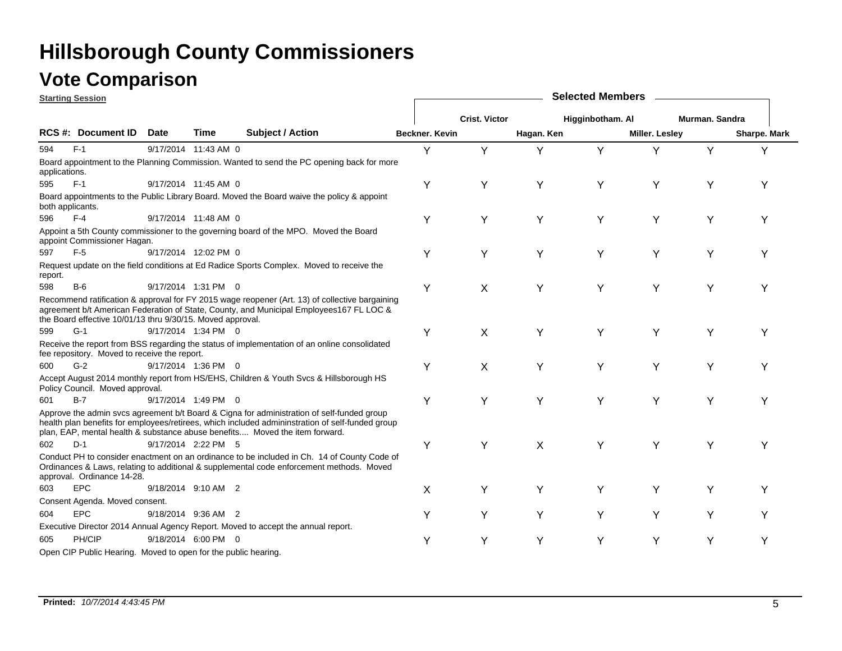| <b>Starting Session</b> |                                                                |             |                      |                                                                                                                                                                                                                                                                               | <b>Selected Members</b> |                      |            |                  |                |                |              |  |  |
|-------------------------|----------------------------------------------------------------|-------------|----------------------|-------------------------------------------------------------------------------------------------------------------------------------------------------------------------------------------------------------------------------------------------------------------------------|-------------------------|----------------------|------------|------------------|----------------|----------------|--------------|--|--|
|                         |                                                                |             |                      |                                                                                                                                                                                                                                                                               |                         | <b>Crist. Victor</b> |            | Higginbotham. Al |                | Murman, Sandra |              |  |  |
|                         | RCS #: Document ID                                             | <b>Date</b> | Time                 | <b>Subject / Action</b>                                                                                                                                                                                                                                                       | Beckner, Kevin          |                      | Hagan. Ken |                  | Miller. Lesley |                | Sharpe. Mark |  |  |
| 594                     | $F-1$                                                          |             | 9/17/2014 11:43 AM 0 |                                                                                                                                                                                                                                                                               | Y                       | Υ                    | Y          | Y                | Y              | Y              | Υ            |  |  |
| applications.           |                                                                |             |                      | Board appointment to the Planning Commission. Wanted to send the PC opening back for more                                                                                                                                                                                     |                         |                      |            |                  |                |                |              |  |  |
| 595                     | $F-1$                                                          |             | 9/17/2014 11:45 AM 0 |                                                                                                                                                                                                                                                                               | Υ                       | Y                    | Y          | Y                | Y              | Υ              | Y            |  |  |
|                         | both applicants.                                               |             |                      | Board appointments to the Public Library Board. Moved the Board waive the policy & appoint                                                                                                                                                                                    |                         |                      |            |                  |                |                |              |  |  |
| 596                     | $F-4$                                                          |             | 9/17/2014 11:48 AM 0 |                                                                                                                                                                                                                                                                               | Υ                       | Y                    | Y          | Y                | Υ              | Y              | Υ            |  |  |
|                         | appoint Commissioner Hagan.                                    |             |                      | Appoint a 5th County commissioner to the governing board of the MPO. Moved the Board                                                                                                                                                                                          |                         |                      |            |                  |                |                |              |  |  |
| 597                     | $F-5$                                                          |             | 9/17/2014 12:02 PM 0 |                                                                                                                                                                                                                                                                               | Υ                       | Y                    | Υ          | Y                | Y              | Υ              | Y            |  |  |
| report.                 |                                                                |             |                      | Request update on the field conditions at Ed Radice Sports Complex. Moved to receive the                                                                                                                                                                                      |                         |                      |            |                  |                |                |              |  |  |
| 598                     | $B-6$                                                          |             | 9/17/2014 1:31 PM 0  |                                                                                                                                                                                                                                                                               | Y                       | X                    | Y          | Y                | Y              | Y              | Υ            |  |  |
|                         | the Board effective 10/01/13 thru 9/30/15. Moved approval.     |             |                      | Recommend ratification & approval for FY 2015 wage reopener (Art. 13) of collective bargaining<br>agreement b/t American Federation of State, County, and Municipal Employees167 FL LOC &                                                                                     |                         |                      |            |                  |                |                |              |  |  |
| 599                     | $G-1$                                                          |             | 9/17/2014 1:34 PM 0  |                                                                                                                                                                                                                                                                               | Υ                       | X                    | Y          | Y                | Y              | Υ              | Υ            |  |  |
|                         | fee repository. Moved to receive the report.                   |             |                      | Receive the report from BSS regarding the status of implementation of an online consolidated                                                                                                                                                                                  |                         |                      |            |                  |                |                |              |  |  |
| 600                     | $G-2$                                                          |             | 9/17/2014 1:36 PM 0  |                                                                                                                                                                                                                                                                               | Υ                       | X                    | Y          | Y                | Y              | Y              | Y            |  |  |
|                         | Policy Council. Moved approval.                                |             |                      | Accept August 2014 monthly report from HS/EHS, Children & Youth Svcs & Hillsborough HS                                                                                                                                                                                        |                         |                      |            |                  |                |                |              |  |  |
| 601                     | $B-7$                                                          |             | 9/17/2014 1:49 PM 0  |                                                                                                                                                                                                                                                                               | Υ                       | Υ                    | Y          | Y                | Y              | Υ              | Υ            |  |  |
|                         |                                                                |             |                      | Approve the admin svcs agreement b/t Board & Cigna for administration of self-funded group<br>health plan benefits for employees/retirees, which included admininstration of self-funded group<br>plan, EAP, mental health & substance abuse benefits Moved the item forward. |                         |                      |            |                  |                |                |              |  |  |
| 602                     | $D-1$                                                          |             | 9/17/2014 2:22 PM 5  |                                                                                                                                                                                                                                                                               | Y                       | Y                    | X          | Y                | Y              | Y              | Υ            |  |  |
|                         | approval. Ordinance 14-28.                                     |             |                      | Conduct PH to consider enactment on an ordinance to be included in Ch. 14 of County Code of<br>Ordinances & Laws, relating to additional & supplemental code enforcement methods. Moved                                                                                       |                         |                      |            |                  |                |                |              |  |  |
| 603                     | <b>EPC</b>                                                     |             | 9/18/2014 9:10 AM 2  |                                                                                                                                                                                                                                                                               | X                       | Y                    | Y          | Y                | Y              | Y              | Υ            |  |  |
|                         | Consent Agenda. Moved consent.                                 |             |                      |                                                                                                                                                                                                                                                                               |                         |                      |            |                  |                |                |              |  |  |
| 604                     | <b>EPC</b>                                                     |             | 9/18/2014 9:36 AM 2  |                                                                                                                                                                                                                                                                               | Y                       | Y                    | Y          | Υ                | Y              | Y              | Υ            |  |  |
|                         |                                                                |             |                      | Executive Director 2014 Annual Agency Report. Moved to accept the annual report.                                                                                                                                                                                              |                         |                      |            |                  |                |                |              |  |  |
| 605                     | PH/CIP                                                         |             | 9/18/2014 6:00 PM 0  |                                                                                                                                                                                                                                                                               | Y                       | Y                    | Y          | Y                | Υ              | Υ              | Υ            |  |  |
|                         | Open CIP Public Hearing. Moved to open for the public hearing. |             |                      |                                                                                                                                                                                                                                                                               |                         |                      |            |                  |                |                |              |  |  |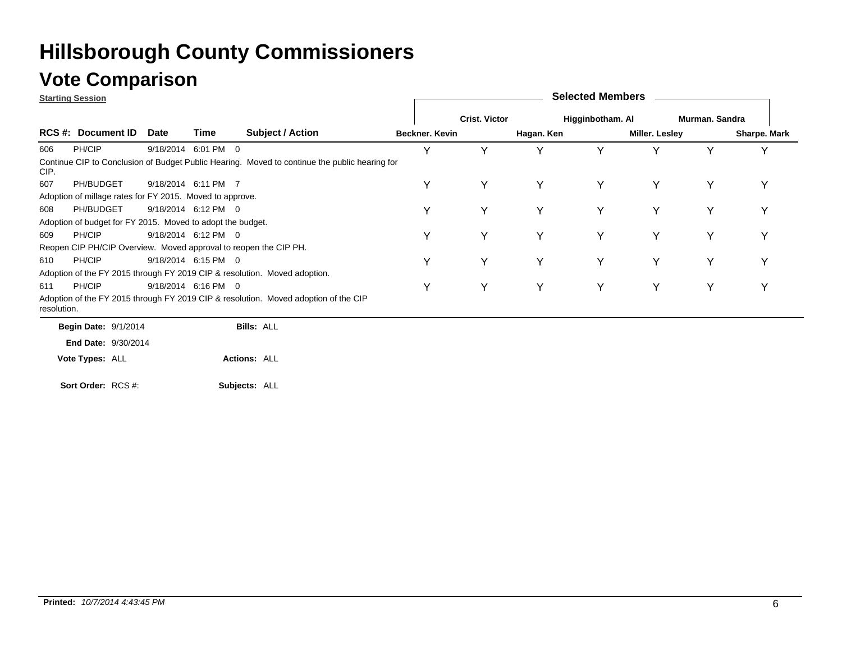### **Vote Comparison**

| <b>Starting Session</b> |                                                                  |      |                     |                                                                                               |                |                      |            | <b>Selected Members</b> |                       |                |              |
|-------------------------|------------------------------------------------------------------|------|---------------------|-----------------------------------------------------------------------------------------------|----------------|----------------------|------------|-------------------------|-----------------------|----------------|--------------|
|                         |                                                                  |      |                     |                                                                                               |                | <b>Crist. Victor</b> |            | Higginbotham. Al        |                       | Murman, Sandra |              |
|                         | <b>RCS #: Document ID</b>                                        | Date | Time                | <b>Subject / Action</b>                                                                       | Beckner. Kevin |                      | Hagan. Ken |                         | <b>Miller. Lesley</b> |                | Sharpe. Mark |
| 606                     | PH/CIP                                                           |      | 9/18/2014 6:01 PM 0 |                                                                                               | Υ              | Y                    |            |                         |                       | $\checkmark$   |              |
| CIP.                    |                                                                  |      |                     | Continue CIP to Conclusion of Budget Public Hearing. Moved to continue the public hearing for |                |                      |            |                         |                       |                |              |
| 607                     | PH/BUDGET                                                        |      | 9/18/2014 6:11 PM 7 |                                                                                               | Υ              | Y                    | Υ          | Υ                       | Y                     | Y              | Y            |
|                         | Adoption of millage rates for FY 2015. Moved to approve.         |      |                     |                                                                                               |                |                      |            |                         |                       |                |              |
| 608                     | PH/BUDGET                                                        |      | 9/18/2014 6:12 PM 0 |                                                                                               | Υ              | Υ                    | Υ          |                         | Y                     | Y              |              |
|                         | Adoption of budget for FY 2015. Moved to adopt the budget.       |      |                     |                                                                                               |                |                      |            |                         |                       |                |              |
| 609                     | PH/CIP                                                           |      | 9/18/2014 6:12 PM 0 |                                                                                               | Υ              | Y                    | Υ          | Υ                       | Y                     | Y              |              |
|                         | Reopen CIP PH/CIP Overview. Moved approval to reopen the CIP PH. |      |                     |                                                                                               |                |                      |            |                         |                       |                |              |
| 610                     | PH/CIP                                                           |      | 9/18/2014 6:15 PM 0 |                                                                                               | Υ              | Y                    | Υ          | Y                       | Y                     | Y              | v            |
|                         |                                                                  |      |                     | Adoption of the FY 2015 through FY 2019 CIP & resolution. Moved adoption.                     |                |                      |            |                         |                       |                |              |
| 611                     | PH/CIP                                                           |      | 9/18/2014 6:16 PM 0 |                                                                                               | Υ              | Y                    | Υ          |                         | Υ                     | Y              |              |
| resolution.             |                                                                  |      |                     | Adoption of the FY 2015 through FY 2019 CIP & resolution. Moved adoption of the CIP           |                |                      |            |                         |                       |                |              |
|                         | <b>Begin Date: 9/1/2014</b>                                      |      |                     | <b>Bills: ALL</b>                                                                             |                |                      |            |                         |                       |                |              |
|                         | <b>End Date: 9/30/2014</b>                                       |      |                     |                                                                                               |                |                      |            |                         |                       |                |              |
|                         | Vote Types: ALL                                                  |      |                     | <b>Actions: ALL</b>                                                                           |                |                      |            |                         |                       |                |              |
|                         |                                                                  |      |                     |                                                                                               |                |                      |            |                         |                       |                |              |

**Subjects:** ALL **Sort Order:** RCS #: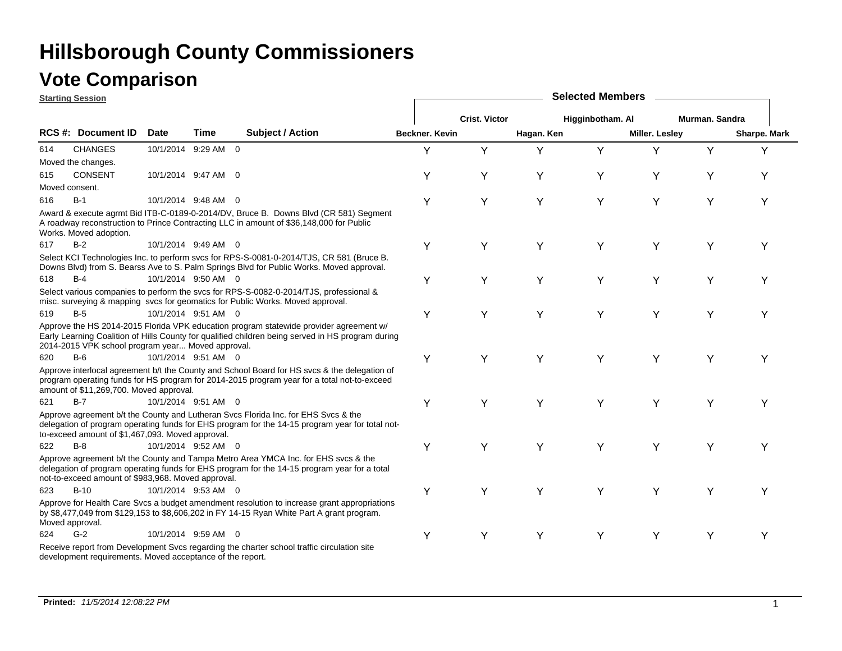### **Vote Comparison**

**Starting Session**

|     | <u>Jiarling Jessiun</u>                                   |                     |      |                                                                                                                                                                                             |                |                      |            |                  |                       |                |              |  |
|-----|-----------------------------------------------------------|---------------------|------|---------------------------------------------------------------------------------------------------------------------------------------------------------------------------------------------|----------------|----------------------|------------|------------------|-----------------------|----------------|--------------|--|
|     |                                                           |                     |      |                                                                                                                                                                                             |                | <b>Crist. Victor</b> |            | Higginbotham. Al |                       | Murman. Sandra |              |  |
|     | <b>RCS#: Document ID</b>                                  | <b>Date</b>         | Time | <b>Subject / Action</b>                                                                                                                                                                     | Beckner, Kevin |                      | Hagan. Ken |                  | <b>Miller. Lesley</b> |                | Sharpe. Mark |  |
| 614 | <b>CHANGES</b>                                            | 10/1/2014 9:29 AM 0 |      |                                                                                                                                                                                             | Y              | Y                    | Y          | Y                | Υ                     | Y              | Y            |  |
|     | Moved the changes.                                        |                     |      |                                                                                                                                                                                             |                |                      |            |                  |                       |                |              |  |
| 615 | <b>CONSENT</b>                                            | 10/1/2014 9:47 AM 0 |      |                                                                                                                                                                                             | Y              | Y                    | Υ          | Y                | Y                     | Y              | Y            |  |
|     | Moved consent.                                            |                     |      |                                                                                                                                                                                             |                |                      |            |                  |                       |                |              |  |
| 616 | $B-1$                                                     | 10/1/2014 9:48 AM 0 |      |                                                                                                                                                                                             | Υ              | Υ                    | Y          | Υ                | Y                     | Y              | Y            |  |
|     | Works. Moved adoption.                                    |                     |      | Award & execute agrmt Bid ITB-C-0189-0-2014/DV, Bruce B. Downs Blvd (CR 581) Segment<br>A roadway reconstruction to Prince Contracting LLC in amount of \$36,148,000 for Public             |                |                      |            |                  |                       |                |              |  |
| 617 | $B-2$                                                     | 10/1/2014 9:49 AM 0 |      |                                                                                                                                                                                             | Υ              | Y                    | Y          | Υ                | Y                     | Υ              | Υ            |  |
|     |                                                           |                     |      | Select KCI Technologies Inc. to perform svcs for RPS-S-0081-0-2014/TJS, CR 581 (Bruce B.<br>Downs Blvd) from S. Bearss Ave to S. Palm Springs Blvd for Public Works. Moved approval.        |                |                      |            |                  |                       |                |              |  |
| 618 | $B-4$                                                     | 10/1/2014 9:50 AM 0 |      |                                                                                                                                                                                             | Υ              | Y                    | Y          | Υ                | Y                     | Y              | Y            |  |
|     |                                                           |                     |      | Select various companies to perform the svcs for RPS-S-0082-0-2014/TJS, professional &<br>misc. surveying & mapping svcs for geomatics for Public Works. Moved approval.                    |                |                      |            |                  |                       |                |              |  |
| 619 | $B-5$                                                     | 10/1/2014 9:51 AM 0 |      |                                                                                                                                                                                             | Υ              | Υ                    | Y          | Y                | Y                     | Υ              | Υ            |  |
|     | 2014-2015 VPK school program year Moved approval.         |                     |      | Approve the HS 2014-2015 Florida VPK education program statewide provider agreement w/<br>Early Learning Coalition of Hills County for qualified children being served in HS program during |                |                      |            |                  |                       |                |              |  |
| 620 | $B-6$                                                     | 10/1/2014 9:51 AM 0 |      |                                                                                                                                                                                             | Υ              | Y                    | Y          | Y                | Y                     | Υ              | Υ            |  |
|     | amount of \$11,269,700. Moved approval.                   |                     |      | Approve interlocal agreement b/t the County and School Board for HS svcs & the delegation of<br>program operating funds for HS program for 2014-2015 program year for a total not-to-exceed |                |                      |            |                  |                       |                |              |  |
| 621 | $B-7$                                                     | 10/1/2014 9:51 AM 0 |      |                                                                                                                                                                                             | Υ              | Y                    | Y          | Y                | Y                     | Υ              | Υ            |  |
|     | to-exceed amount of \$1,467,093. Moved approval.          |                     |      | Approve agreement b/t the County and Lutheran Svcs Florida Inc. for EHS Svcs & the<br>delegation of program operating funds for EHS program for the 14-15 program year for total not-       |                |                      |            |                  |                       |                |              |  |
| 622 | $B-8$                                                     | 10/1/2014 9:52 AM 0 |      |                                                                                                                                                                                             | Υ              | Y                    | Y          | Υ                | Y                     | Y              | Υ            |  |
|     | not-to-exceed amount of \$983,968. Moved approval.        |                     |      | Approve agreement b/t the County and Tampa Metro Area YMCA Inc. for EHS svcs & the<br>delegation of program operating funds for EHS program for the 14-15 program year for a total          |                |                      |            |                  |                       |                |              |  |
| 623 | $B-10$                                                    | 10/1/2014 9:53 AM 0 |      |                                                                                                                                                                                             | Υ              | Υ                    | Y          | Y                | Y                     | Υ              | Υ            |  |
|     | Moved approval.                                           |                     |      | Approve for Health Care Svcs a budget amendment resolution to increase grant appropriations<br>by \$8,477,049 from \$129,153 to \$8,606,202 in FY 14-15 Ryan White Part A grant program.    |                |                      |            |                  |                       |                |              |  |
| 624 | $G-2$                                                     | 10/1/2014 9:59 AM 0 |      |                                                                                                                                                                                             | Υ              | Y                    | Y          | Y                | Y                     | Y              | Y            |  |
|     | development requirements. Moved acceptance of the report. |                     |      | Receive report from Development Svcs regarding the charter school traffic circulation site                                                                                                  |                |                      |            |                  |                       |                |              |  |

**Selected Members**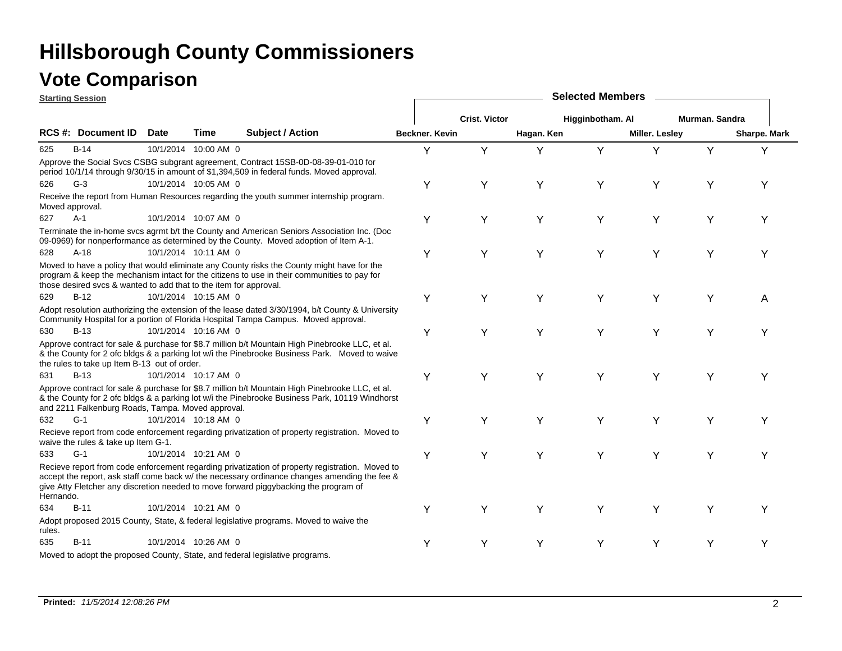|           | <b>Starting Session</b>                                           |             |                      |                                                                                                                                                                                                                                                                                         | <b>Selected Members</b> |                      |            |                  |                       |                |              |  |  |
|-----------|-------------------------------------------------------------------|-------------|----------------------|-----------------------------------------------------------------------------------------------------------------------------------------------------------------------------------------------------------------------------------------------------------------------------------------|-------------------------|----------------------|------------|------------------|-----------------------|----------------|--------------|--|--|
|           |                                                                   |             |                      |                                                                                                                                                                                                                                                                                         |                         | <b>Crist. Victor</b> |            | Higginbotham. Al |                       | Murman, Sandra |              |  |  |
|           | <b>RCS #: Document ID</b>                                         | <b>Date</b> | Time                 | <b>Subject / Action</b>                                                                                                                                                                                                                                                                 | Beckner, Kevin          |                      | Hagan. Ken |                  | <b>Miller. Lesley</b> |                | Sharpe. Mark |  |  |
| 625       | <b>B-14</b>                                                       |             | 10/1/2014 10:00 AM 0 |                                                                                                                                                                                                                                                                                         | Y                       | Y                    | Υ          | Y                | Y                     | Y              | Y            |  |  |
|           |                                                                   |             |                      | Approve the Social Svcs CSBG subgrant agreement, Contract 15SB-0D-08-39-01-010 for<br>period 10/1/14 through 9/30/15 in amount of \$1,394,509 in federal funds. Moved approval.                                                                                                         |                         |                      |            |                  |                       |                |              |  |  |
| 626       | $G-3$                                                             |             | 10/1/2014 10:05 AM 0 |                                                                                                                                                                                                                                                                                         | Υ                       | Y                    | Y          | Y                | Y                     | Y              | Y            |  |  |
|           | Moved approval.                                                   |             |                      | Receive the report from Human Resources regarding the youth summer internship program.                                                                                                                                                                                                  |                         |                      |            |                  |                       |                |              |  |  |
| 627       | $A-1$                                                             |             | 10/1/2014 10:07 AM 0 |                                                                                                                                                                                                                                                                                         | Υ                       | Y                    | Y          | Y                | Y                     | Y              | Υ            |  |  |
|           |                                                                   |             |                      | Terminate the in-home svcs agrmt b/t the County and American Seniors Association Inc. (Doc<br>09-0969) for nonperformance as determined by the County. Moved adoption of Item A-1.                                                                                                      |                         |                      |            |                  |                       |                |              |  |  |
| 628       | $A-18$                                                            |             | 10/1/2014 10:11 AM 0 |                                                                                                                                                                                                                                                                                         | Υ                       | Υ                    | Υ          | Y                | Y                     | Υ              | Υ            |  |  |
|           | those desired svcs & wanted to add that to the item for approval. |             |                      | Moved to have a policy that would eliminate any County risks the County might have for the<br>program & keep the mechanism intact for the citizens to use in their communities to pay for                                                                                               |                         |                      |            |                  |                       |                |              |  |  |
| 629       | $B-12$                                                            |             | 10/1/2014 10:15 AM 0 |                                                                                                                                                                                                                                                                                         | Υ                       | Y                    | Y          | Y                | Y                     | Υ              | A            |  |  |
|           |                                                                   |             |                      | Adopt resolution authorizing the extension of the lease dated 3/30/1994, b/t County & University<br>Community Hospital for a portion of Florida Hospital Tampa Campus. Moved approval.                                                                                                  |                         |                      |            |                  |                       |                |              |  |  |
| 630       | $B-13$                                                            |             | 10/1/2014 10:16 AM 0 |                                                                                                                                                                                                                                                                                         | Y                       | Υ                    | Y          | Y                | Y                     | Υ              | Υ            |  |  |
|           | the rules to take up Item B-13 out of order.                      |             |                      | Approve contract for sale & purchase for \$8.7 million b/t Mountain High Pinebrooke LLC, et al.<br>& the County for 2 of bldgs & a parking lot w/i the Pinebrooke Business Park. Moved to waive                                                                                         |                         |                      |            |                  |                       |                |              |  |  |
| 631       | $B-13$                                                            |             | 10/1/2014 10:17 AM 0 |                                                                                                                                                                                                                                                                                         | Υ                       | Υ                    | Y          | Υ                | Y                     | Y              | Y            |  |  |
|           | and 2211 Falkenburg Roads, Tampa. Moved approval.                 |             |                      | Approve contract for sale & purchase for \$8.7 million b/t Mountain High Pinebrooke LLC, et al.<br>& the County for 2 ofc bldgs & a parking lot w/i the Pinebrooke Business Park, 10119 Windhorst                                                                                       |                         |                      |            |                  |                       |                |              |  |  |
| 632       | $G-1$                                                             |             | 10/1/2014 10:18 AM 0 |                                                                                                                                                                                                                                                                                         | Υ                       | Y                    | Y          | Y                | Y                     | Υ              | Υ            |  |  |
|           | waive the rules & take up Item G-1.                               |             |                      | Recieve report from code enforcement regarding privatization of property registration. Moved to                                                                                                                                                                                         |                         |                      |            |                  |                       |                |              |  |  |
| 633       | $G-1$                                                             |             | 10/1/2014 10:21 AM 0 |                                                                                                                                                                                                                                                                                         | Υ                       | Y                    | Y          | Y                | Y                     | Υ              | Y            |  |  |
| Hernando. |                                                                   |             |                      | Recieve report from code enforcement regarding privatization of property registration. Moved to<br>accept the report, ask staff come back w/ the necessary ordinance changes amending the fee &<br>give Atty Fletcher any discretion needed to move forward piggybacking the program of |                         |                      |            |                  |                       |                |              |  |  |
| 634       | $B-11$                                                            |             | 10/1/2014 10:21 AM 0 |                                                                                                                                                                                                                                                                                         | Y                       | Υ                    | Y          | Y                | Y                     | Υ              | Υ            |  |  |
| rules.    |                                                                   |             |                      | Adopt proposed 2015 County, State, & federal legislative programs. Moved to waive the                                                                                                                                                                                                   |                         |                      |            |                  |                       |                |              |  |  |
| 635       | $B-11$                                                            |             | 10/1/2014 10:26 AM 0 |                                                                                                                                                                                                                                                                                         | Y                       | Υ                    | Y          | Y                | Y                     | Υ              | Υ            |  |  |
|           |                                                                   |             |                      | Moved to adopt the proposed County, State, and federal legislative programs.                                                                                                                                                                                                            |                         |                      |            |                  |                       |                |              |  |  |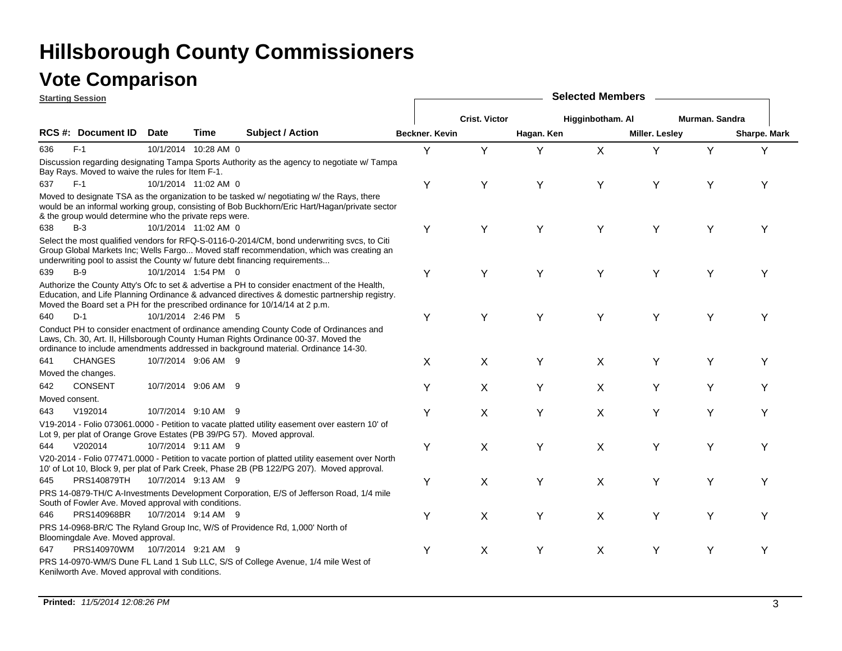|     | <b>Starting Session</b>                                |             |                      |                                                                                                                                                                                                                                                                               |                       | <b>Selected Members</b> |            |                  |                       |                |              |  |  |  |
|-----|--------------------------------------------------------|-------------|----------------------|-------------------------------------------------------------------------------------------------------------------------------------------------------------------------------------------------------------------------------------------------------------------------------|-----------------------|-------------------------|------------|------------------|-----------------------|----------------|--------------|--|--|--|
|     |                                                        |             |                      |                                                                                                                                                                                                                                                                               |                       | <b>Crist. Victor</b>    |            | Higginbotham. Al |                       | Murman, Sandra |              |  |  |  |
|     | RCS #: Document ID                                     | <b>Date</b> | Time                 | <b>Subject / Action</b>                                                                                                                                                                                                                                                       | <b>Beckner, Kevin</b> |                         | Hagan. Ken |                  | <b>Miller. Lesley</b> |                | Sharpe. Mark |  |  |  |
| 636 | $F-1$                                                  |             | 10/1/2014 10:28 AM 0 |                                                                                                                                                                                                                                                                               | Y                     | Y                       | Y          | $\mathsf{X}$     | Y                     | Y              | Y            |  |  |  |
|     | Bay Rays. Moved to waive the rules for Item F-1.       |             |                      | Discussion regarding designating Tampa Sports Authority as the agency to negotiate w/ Tampa                                                                                                                                                                                   |                       |                         |            |                  |                       |                |              |  |  |  |
| 637 | $F-1$                                                  |             | 10/1/2014 11:02 AM 0 |                                                                                                                                                                                                                                                                               | Υ                     | Y                       | Y          | Y                | Y                     | Y              | Y            |  |  |  |
|     | & the group would determine who the private reps were. |             |                      | Moved to designate TSA as the organization to be tasked w/ negotiating w/ the Rays, there<br>would be an informal working group, consisting of Bob Buckhorn/Eric Hart/Hagan/private sector                                                                                    |                       |                         |            |                  |                       |                |              |  |  |  |
| 638 | $B-3$                                                  |             | 10/1/2014 11:02 AM 0 |                                                                                                                                                                                                                                                                               | Υ                     | Υ                       | Y          | Y                | Y                     | Y              | Υ            |  |  |  |
|     |                                                        |             |                      | Select the most qualified vendors for RFQ-S-0116-0-2014/CM, bond underwriting svcs, to Citi<br>Group Global Markets Inc; Wells Fargo Moved staff recommendation, which was creating an<br>underwriting pool to assist the County w/ future debt financing requirements        |                       |                         |            |                  |                       |                |              |  |  |  |
| 639 | $B-9$                                                  |             | 10/1/2014 1:54 PM 0  |                                                                                                                                                                                                                                                                               | Υ                     | Y                       | Y          | Y                | Y                     | Y              | Υ            |  |  |  |
|     |                                                        |             |                      | Authorize the County Atty's Ofc to set & advertise a PH to consider enactment of the Health,<br>Education, and Life Planning Ordinance & advanced directives & domestic partnership registry.<br>Moved the Board set a PH for the prescribed ordinance for 10/14/14 at 2 p.m. |                       |                         |            |                  |                       |                |              |  |  |  |
| 640 | $D-1$                                                  |             | 10/1/2014 2:46 PM 5  |                                                                                                                                                                                                                                                                               | Υ                     | Y                       | Y          | Y                | Y                     | Y              | Υ            |  |  |  |
|     |                                                        |             |                      | Conduct PH to consider enactment of ordinance amending County Code of Ordinances and<br>Laws, Ch. 30, Art. II, Hillsborough County Human Rights Ordinance 00-37. Moved the<br>ordinance to include amendments addressed in background material. Ordinance 14-30.              |                       |                         |            |                  |                       |                |              |  |  |  |
| 641 | <b>CHANGES</b>                                         |             | 10/7/2014 9:06 AM 9  |                                                                                                                                                                                                                                                                               | X                     | X                       | Υ          | X                | Υ                     | Υ              | Υ            |  |  |  |
|     | Moved the changes.                                     |             |                      |                                                                                                                                                                                                                                                                               |                       |                         |            |                  |                       |                |              |  |  |  |
| 642 | <b>CONSENT</b>                                         |             | 10/7/2014 9:06 AM 9  |                                                                                                                                                                                                                                                                               | Y                     | X                       | Y          | X                | Y                     | Y              | Y            |  |  |  |
|     | Moved consent.                                         |             |                      |                                                                                                                                                                                                                                                                               |                       |                         |            |                  |                       |                |              |  |  |  |
| 643 | V192014                                                |             | 10/7/2014 9:10 AM 9  |                                                                                                                                                                                                                                                                               | Y                     | X                       | Y          | X                | Y                     | Y              | Υ            |  |  |  |
|     |                                                        |             |                      | V19-2014 - Folio 073061.0000 - Petition to vacate platted utility easement over eastern 10' of<br>Lot 9, per plat of Orange Grove Estates (PB 39/PG 57). Moved approval.                                                                                                      |                       |                         |            |                  |                       |                |              |  |  |  |
| 644 | V202014                                                |             | 10/7/2014 9:11 AM 9  |                                                                                                                                                                                                                                                                               | Υ                     | X                       | Y          | X                | Y                     | Y              | Y            |  |  |  |
|     |                                                        |             |                      | V20-2014 - Folio 077471.0000 - Petition to vacate portion of platted utility easement over North<br>10' of Lot 10, Block 9, per plat of Park Creek, Phase 2B (PB 122/PG 207). Moved approval.                                                                                 |                       |                         |            |                  |                       |                |              |  |  |  |
| 645 | PRS140879TH                                            |             | 10/7/2014 9:13 AM 9  |                                                                                                                                                                                                                                                                               | Υ                     | X                       | Y          | X                | Y                     | Y              | Υ            |  |  |  |
|     | South of Fowler Ave. Moved approval with conditions.   |             |                      | PRS 14-0879-TH/C A-Investments Development Corporation, E/S of Jefferson Road, 1/4 mile                                                                                                                                                                                       |                       |                         |            |                  |                       |                |              |  |  |  |
| 646 | PRS140968BR                                            |             | 10/7/2014 9:14 AM 9  |                                                                                                                                                                                                                                                                               | Υ                     | X                       | Y          | X                | Υ                     | Y              | Υ            |  |  |  |
|     | Bloomingdale Ave. Moved approval.                      |             |                      | PRS 14-0968-BR/C The Ryland Group Inc, W/S of Providence Rd, 1,000' North of                                                                                                                                                                                                  |                       |                         |            |                  |                       |                |              |  |  |  |
| 647 | PRS140970WM 10/7/2014 9:21 AM 9                        |             |                      |                                                                                                                                                                                                                                                                               | Υ                     | X                       | Υ          | X                | Y                     | Υ              | Y            |  |  |  |
|     | Kenilworth Ave. Moved approval with conditions.        |             |                      | PRS 14-0970-WM/S Dune FL Land 1 Sub LLC, S/S of College Avenue, 1/4 mile West of                                                                                                                                                                                              |                       |                         |            |                  |                       |                |              |  |  |  |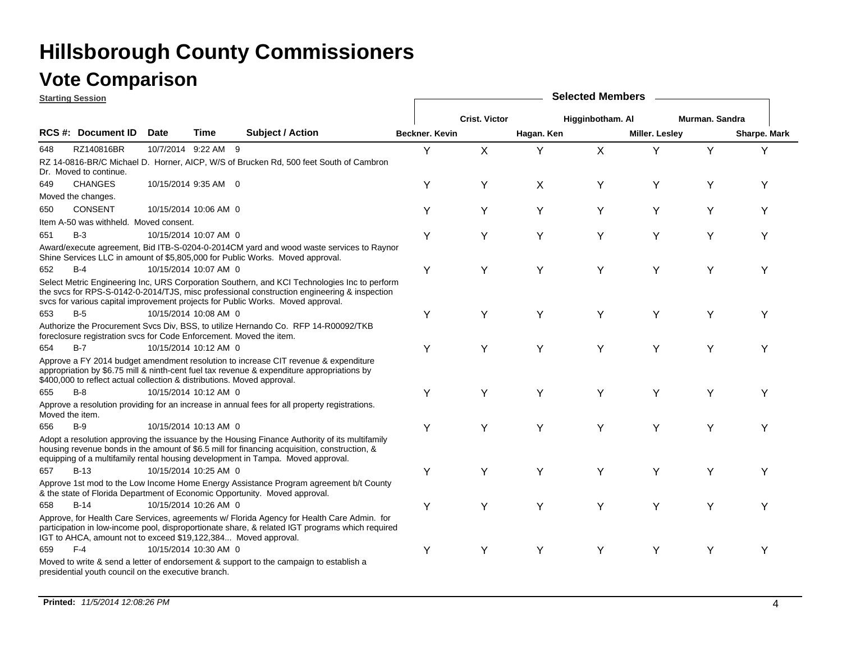|                 | <b>Starting Session</b>                                                 |             |                       |                                                                                                                                                                                                                                                                                  | <b>Selected Members</b> |                      |            |                  |                       |                |              |  |  |
|-----------------|-------------------------------------------------------------------------|-------------|-----------------------|----------------------------------------------------------------------------------------------------------------------------------------------------------------------------------------------------------------------------------------------------------------------------------|-------------------------|----------------------|------------|------------------|-----------------------|----------------|--------------|--|--|
|                 |                                                                         |             |                       |                                                                                                                                                                                                                                                                                  |                         | <b>Crist. Victor</b> |            | Higginbotham. Al |                       | Murman, Sandra |              |  |  |
|                 | RCS #: Document ID                                                      | <b>Date</b> | <b>Time</b>           | <b>Subject / Action</b>                                                                                                                                                                                                                                                          | <b>Beckner, Kevin</b>   |                      | Hagan. Ken |                  | <b>Miller. Lesley</b> |                | Sharpe. Mark |  |  |
| 648             | RZ140816BR                                                              |             | 10/7/2014 9:22 AM 9   |                                                                                                                                                                                                                                                                                  | Y                       | X                    | Y          | X                | Y                     | Y              | Y            |  |  |
|                 | Dr. Moved to continue.                                                  |             |                       | RZ 14-0816-BR/C Michael D. Horner, AICP, W/S of Brucken Rd, 500 feet South of Cambron                                                                                                                                                                                            |                         |                      |            |                  |                       |                |              |  |  |
| 649             | <b>CHANGES</b>                                                          |             | 10/15/2014 9:35 AM 0  |                                                                                                                                                                                                                                                                                  | Y                       | Y                    | X          | Υ                | Y                     | Y              | Υ            |  |  |
|                 | Moved the changes.                                                      |             |                       |                                                                                                                                                                                                                                                                                  |                         |                      |            |                  |                       |                |              |  |  |
| 650             | <b>CONSENT</b>                                                          |             | 10/15/2014 10:06 AM 0 |                                                                                                                                                                                                                                                                                  | Y                       | Y                    | Y          | Y                | Y                     | Y              | Y            |  |  |
|                 | Item A-50 was withheld. Moved consent.                                  |             |                       |                                                                                                                                                                                                                                                                                  |                         |                      |            |                  |                       |                |              |  |  |
| 651             | $B-3$                                                                   |             | 10/15/2014 10:07 AM 0 |                                                                                                                                                                                                                                                                                  | Υ                       | Y                    | Y          | Y                | Y                     | Y              | Υ            |  |  |
|                 |                                                                         |             |                       | Award/execute agreement, Bid ITB-S-0204-0-2014CM yard and wood waste services to Raynor<br>Shine Services LLC in amount of \$5,805,000 for Public Works. Moved approval.                                                                                                         |                         |                      |            |                  |                       |                |              |  |  |
| 652             | $B-4$                                                                   |             | 10/15/2014 10:07 AM 0 |                                                                                                                                                                                                                                                                                  | Υ                       | Y                    | Y          | Y                | Y                     | Y              | Υ            |  |  |
|                 |                                                                         |             |                       | Select Metric Engineering Inc, URS Corporation Southern, and KCI Technologies Inc to perform<br>the svcs for RPS-S-0142-0-2014/TJS, misc professional construction engineering & inspection<br>svcs for various capital improvement projects for Public Works. Moved approval.   |                         |                      |            |                  |                       |                |              |  |  |
| 653             | $B-5$                                                                   |             | 10/15/2014 10:08 AM 0 |                                                                                                                                                                                                                                                                                  | Y                       | Υ                    | Y          | Y                | Υ                     | Y              | Υ            |  |  |
|                 | foreclosure registration sycs for Code Enforcement. Moved the item.     |             |                       | Authorize the Procurement Svcs Div, BSS, to utilize Hernando Co. RFP 14-R00092/TKB                                                                                                                                                                                               |                         |                      |            |                  |                       |                |              |  |  |
| 654             | $B-7$                                                                   |             | 10/15/2014 10:12 AM 0 |                                                                                                                                                                                                                                                                                  | Y                       | Y                    | Y          | Y                | Y                     | Y              | Υ            |  |  |
|                 | \$400,000 to reflect actual collection & distributions. Moved approval. |             |                       | Approve a FY 2014 budget amendment resolution to increase CIT revenue & expenditure<br>appropriation by \$6.75 mill & ninth-cent fuel tax revenue & expenditure appropriations by                                                                                                |                         |                      |            |                  |                       |                |              |  |  |
| 655             | $B-8$                                                                   |             | 10/15/2014 10:12 AM 0 |                                                                                                                                                                                                                                                                                  | Y                       | Υ                    | Y          | Υ                | Y                     | Y              | Y            |  |  |
| Moved the item. |                                                                         |             |                       | Approve a resolution providing for an increase in annual fees for all property registrations.                                                                                                                                                                                    |                         |                      |            |                  |                       |                |              |  |  |
| 656             | $B-9$                                                                   |             | 10/15/2014 10:13 AM 0 |                                                                                                                                                                                                                                                                                  | Υ                       | Y                    | Y          | Y                | Y                     | Υ              | Υ            |  |  |
|                 |                                                                         |             |                       | Adopt a resolution approving the issuance by the Housing Finance Authority of its multifamily<br>housing revenue bonds in the amount of \$6.5 mill for financing acquisition, construction, &<br>equipping of a multifamily rental housing development in Tampa. Moved approval. |                         |                      |            |                  |                       |                |              |  |  |
| 657             | $B-13$                                                                  |             | 10/15/2014 10:25 AM 0 |                                                                                                                                                                                                                                                                                  | Υ                       | Υ                    | Υ          | Υ                | Υ                     | Υ              |              |  |  |
|                 |                                                                         |             |                       | Approve 1st mod to the Low Income Home Energy Assistance Program agreement b/t County<br>& the state of Florida Department of Economic Opportunity. Moved approval.                                                                                                              |                         |                      |            |                  |                       |                |              |  |  |
| 658             | $B-14$                                                                  |             | 10/15/2014 10:26 AM 0 |                                                                                                                                                                                                                                                                                  | Υ                       | Y                    | Y          | Y                | Y                     | Y              | Υ            |  |  |
|                 | IGT to AHCA, amount not to exceed \$19,122,384 Moved approval.          |             |                       | Approve, for Health Care Services, agreements w/ Florida Agency for Health Care Admin. for<br>participation in low-income pool, disproportionate share, & related IGT programs which required                                                                                    |                         |                      |            |                  |                       |                |              |  |  |
| 659             | $F-4$                                                                   |             | 10/15/2014 10:30 AM 0 |                                                                                                                                                                                                                                                                                  | Υ                       | Y                    | Y          | Y                | Υ                     | Y              |              |  |  |
|                 | presidential youth council on the executive branch.                     |             |                       | Moved to write & send a letter of endorsement & support to the campaign to establish a                                                                                                                                                                                           |                         |                      |            |                  |                       |                |              |  |  |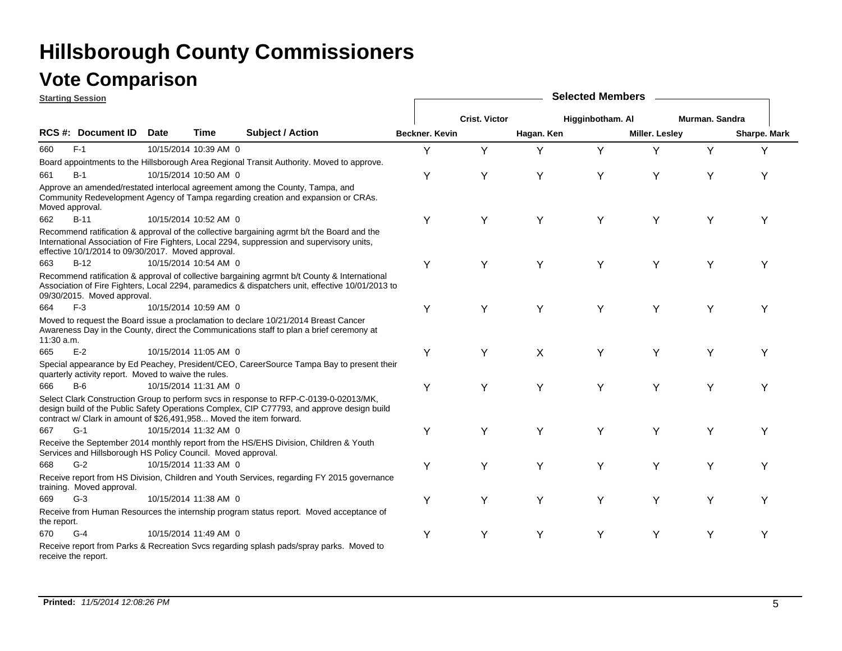### **Vote Comparison**

|             | <b>Starting Session</b>                                             |             |                       |                                                                                                                                                                                                  | <b>Selected Members</b> |                      |            |                  |                       |                |              |  |  |  |
|-------------|---------------------------------------------------------------------|-------------|-----------------------|--------------------------------------------------------------------------------------------------------------------------------------------------------------------------------------------------|-------------------------|----------------------|------------|------------------|-----------------------|----------------|--------------|--|--|--|
|             |                                                                     |             |                       |                                                                                                                                                                                                  |                         | <b>Crist. Victor</b> |            | Higginbotham. Al |                       | Murman, Sandra |              |  |  |  |
|             | <b>RCS #: Document ID</b>                                           | <b>Date</b> | Time                  | <b>Subject / Action</b>                                                                                                                                                                          | Beckner. Kevin          |                      | Hagan. Ken |                  | <b>Miller. Lesley</b> |                | Sharpe. Mark |  |  |  |
| 660         | $F-1$                                                               |             | 10/15/2014 10:39 AM 0 |                                                                                                                                                                                                  | Y                       | Y                    | Y          | Y                | Y                     | Y              | Y            |  |  |  |
|             |                                                                     |             |                       | Board appointments to the Hillsborough Area Regional Transit Authority. Moved to approve.                                                                                                        |                         |                      |            |                  |                       |                |              |  |  |  |
| 661         | $B-1$                                                               |             | 10/15/2014 10:50 AM 0 |                                                                                                                                                                                                  | Y                       | Υ                    | Y          | Y                | Y                     | Υ              | Y            |  |  |  |
|             | Moved approval.                                                     |             |                       | Approve an amended/restated interlocal agreement among the County, Tampa, and<br>Community Redevelopment Agency of Tampa regarding creation and expansion or CRAs.                               |                         |                      |            |                  |                       |                |              |  |  |  |
| 662         | $B-11$                                                              |             | 10/15/2014 10:52 AM 0 |                                                                                                                                                                                                  | Υ                       | Υ                    | Y          | Y                | Y                     | Υ              | Υ            |  |  |  |
|             | effective 10/1/2014 to 09/30/2017. Moved approval.                  |             |                       | Recommend ratification & approval of the collective bargaining agrmt b/t the Board and the<br>International Association of Fire Fighters, Local 2294, suppression and supervisory units,         |                         |                      |            |                  |                       |                |              |  |  |  |
| 663         | $B-12$                                                              |             | 10/15/2014 10:54 AM 0 |                                                                                                                                                                                                  | Y                       | Υ                    | Y          | Y                | Y                     | Υ              | Υ            |  |  |  |
|             | 09/30/2015. Moved approval.                                         |             |                       | Recommend ratification & approval of collective bargaining agrmnt b/t County & International<br>Association of Fire Fighters, Local 2294, paramedics & dispatchers unit, effective 10/01/2013 to |                         |                      |            |                  |                       |                |              |  |  |  |
| 664         | $F-3$                                                               |             | 10/15/2014 10:59 AM 0 |                                                                                                                                                                                                  | Y                       | Y                    | Y          | Y                | Y                     | Y              | Υ            |  |  |  |
| 11:30 a.m.  |                                                                     |             |                       | Moved to request the Board issue a proclamation to declare 10/21/2014 Breast Cancer<br>Awareness Day in the County, direct the Communications staff to plan a brief ceremony at                  |                         |                      |            |                  |                       |                |              |  |  |  |
| 665         | $E-2$                                                               |             | 10/15/2014 11:05 AM 0 |                                                                                                                                                                                                  | Υ                       | Υ                    | X          | Y                | Υ                     | Υ              |              |  |  |  |
|             | quarterly activity report. Moved to waive the rules.                |             |                       | Special appearance by Ed Peachey, President/CEO, CareerSource Tampa Bay to present their                                                                                                         |                         |                      |            |                  |                       |                |              |  |  |  |
| 666         | $B-6$                                                               |             | 10/15/2014 11:31 AM 0 |                                                                                                                                                                                                  | Y                       | Υ                    | Y          | Υ                | Y                     | Υ              | Υ            |  |  |  |
|             | contract w/ Clark in amount of \$26,491,958 Moved the item forward. |             |                       | Select Clark Construction Group to perform svcs in response to RFP-C-0139-0-02013/MK,<br>design build of the Public Safety Operations Complex, CIP C77793, and approve design build              |                         |                      |            |                  |                       |                |              |  |  |  |
| 667         | $G-1$                                                               |             | 10/15/2014 11:32 AM 0 |                                                                                                                                                                                                  | Υ                       | Υ                    | Y          | Y                | Υ                     | Υ              | Υ            |  |  |  |
|             | Services and Hillsborough HS Policy Council. Moved approval.        |             |                       | Receive the September 2014 monthly report from the HS/EHS Division, Children & Youth                                                                                                             |                         |                      |            |                  |                       |                |              |  |  |  |
| 668         | $G-2$                                                               |             | 10/15/2014 11:33 AM 0 |                                                                                                                                                                                                  | Y                       | Υ                    | Y          | Y                | Υ                     | Υ              | Υ            |  |  |  |
|             | training. Moved approval.                                           |             |                       | Receive report from HS Division, Children and Youth Services, regarding FY 2015 governance                                                                                                       |                         |                      |            |                  |                       |                |              |  |  |  |
| 669         | $G-3$                                                               |             | 10/15/2014 11:38 AM 0 |                                                                                                                                                                                                  | Υ                       | Υ                    | Y          | Υ                | Y                     | Υ              | Υ            |  |  |  |
| the report. |                                                                     |             |                       | Receive from Human Resources the internship program status report. Moved acceptance of                                                                                                           |                         |                      |            |                  |                       |                |              |  |  |  |
| 670         | $G-4$                                                               |             | 10/15/2014 11:49 AM 0 |                                                                                                                                                                                                  | Y                       | Υ                    | Y          | Y                | Y                     | Υ              | Υ            |  |  |  |
|             | receive the report.                                                 |             |                       | Receive report from Parks & Recreation Svcs regarding splash pads/spray parks. Moved to                                                                                                          |                         |                      |            |                  |                       |                |              |  |  |  |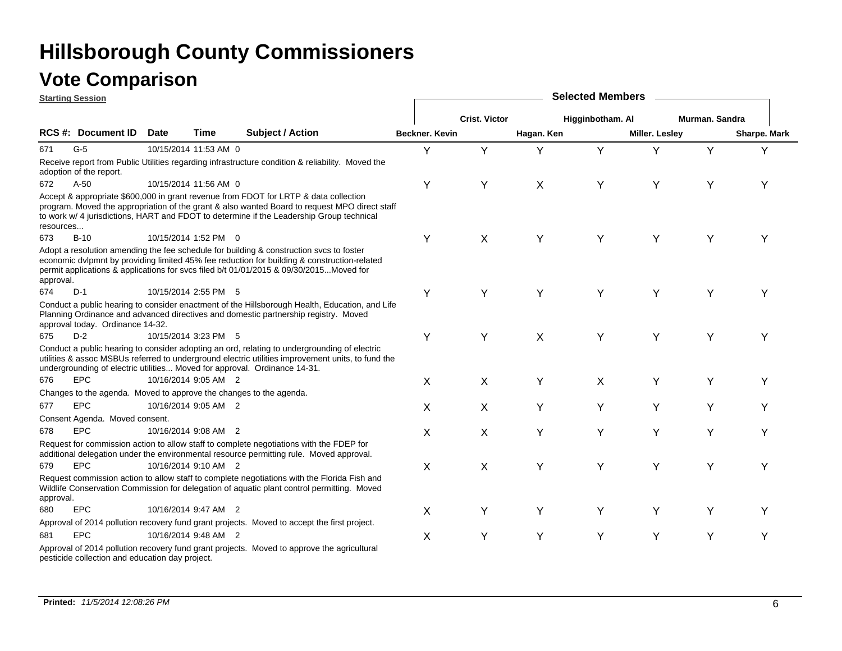| <b>Starting Session</b> |                                                 |             |                       |                                                                                                                                                                                                                                                                                   |                | <b>Selected Members</b> |                           |                  |                |                |              |  |  |  |  |
|-------------------------|-------------------------------------------------|-------------|-----------------------|-----------------------------------------------------------------------------------------------------------------------------------------------------------------------------------------------------------------------------------------------------------------------------------|----------------|-------------------------|---------------------------|------------------|----------------|----------------|--------------|--|--|--|--|
|                         |                                                 |             |                       |                                                                                                                                                                                                                                                                                   |                | <b>Crist. Victor</b>    |                           | Higginbotham. Al |                | Murman. Sandra |              |  |  |  |  |
|                         | <b>RCS #: Document ID</b>                       | <b>Date</b> | Time                  | <b>Subject / Action</b>                                                                                                                                                                                                                                                           | Beckner, Kevin |                         | Hagan, Ken                |                  | Miller. Lesley |                | Sharpe. Mark |  |  |  |  |
| 671                     | $G-5$                                           |             | 10/15/2014 11:53 AM 0 |                                                                                                                                                                                                                                                                                   | Y              | Y                       | Y                         | Y                | Y              | Y              | Υ            |  |  |  |  |
|                         | adoption of the report.                         |             |                       | Receive report from Public Utilities regarding infrastructure condition & reliability. Moved the                                                                                                                                                                                  |                |                         |                           |                  |                |                |              |  |  |  |  |
| 672                     | $A-50$                                          |             | 10/15/2014 11:56 AM 0 |                                                                                                                                                                                                                                                                                   | Υ              | Y                       | $\boldsymbol{\mathsf{X}}$ | Y                | Y              | Υ              | Υ            |  |  |  |  |
| resources               |                                                 |             |                       | Accept & appropriate \$600,000 in grant revenue from FDOT for LRTP & data collection<br>program. Moved the appropriation of the grant & also wanted Board to request MPO direct staff<br>to work w/ 4 jurisdictions, HART and FDOT to determine if the Leadership Group technical |                |                         |                           |                  |                |                |              |  |  |  |  |
| 673                     | $B-10$                                          |             | 10/15/2014 1:52 PM 0  |                                                                                                                                                                                                                                                                                   | Y              | X                       | Y                         | Υ                | Y              | Y              | Y            |  |  |  |  |
| approval.               |                                                 |             |                       | Adopt a resolution amending the fee schedule for building & construction sycs to foster<br>economic dvlpmnt by providing limited 45% fee reduction for building & construction-related<br>permit applications & applications for svcs filed b/t 01/01/2015 & 09/30/2015Moved for  |                |                         |                           |                  |                |                |              |  |  |  |  |
| 674                     | $D-1$                                           |             | 10/15/2014 2:55 PM 5  |                                                                                                                                                                                                                                                                                   | Y              | Y                       | Y                         | Y                | Y              | Y              | Υ            |  |  |  |  |
|                         | approval today. Ordinance 14-32.                |             |                       | Conduct a public hearing to consider enactment of the Hillsborough Health, Education, and Life<br>Planning Ordinance and advanced directives and domestic partnership registry. Moved                                                                                             |                |                         |                           |                  |                |                |              |  |  |  |  |
| 675                     | $D-2$                                           |             | 10/15/2014 3:23 PM 5  |                                                                                                                                                                                                                                                                                   | Y              | Υ                       | X                         | Y                | Y              | Y              | Υ            |  |  |  |  |
|                         |                                                 |             |                       | Conduct a public hearing to consider adopting an ord, relating to undergrounding of electric<br>utilities & assoc MSBUs referred to underground electric utilities improvement units, to fund the<br>undergrounding of electric utilities Moved for approval. Ordinance 14-31.    |                |                         |                           |                  |                |                |              |  |  |  |  |
| 676                     | <b>EPC</b>                                      |             | 10/16/2014 9:05 AM 2  |                                                                                                                                                                                                                                                                                   | X              | X                       | Y                         | X                | Υ              | Y              | Υ            |  |  |  |  |
|                         |                                                 |             |                       | Changes to the agenda. Moved to approve the changes to the agenda.                                                                                                                                                                                                                |                |                         |                           |                  |                |                |              |  |  |  |  |
| 677                     | <b>EPC</b>                                      |             | 10/16/2014 9:05 AM 2  |                                                                                                                                                                                                                                                                                   | X              | X                       | Y                         | Υ                | Y              | Υ              | Υ            |  |  |  |  |
|                         | Consent Agenda. Moved consent.                  |             |                       |                                                                                                                                                                                                                                                                                   |                |                         |                           |                  |                |                |              |  |  |  |  |
| 678                     | <b>EPC</b>                                      |             | 10/16/2014 9:08 AM 2  |                                                                                                                                                                                                                                                                                   | Χ              | X                       | Y                         | Y                | Υ              | Υ              | Υ            |  |  |  |  |
|                         |                                                 |             |                       | Request for commission action to allow staff to complete negotiations with the FDEP for<br>additional delegation under the environmental resource permitting rule. Moved approval.                                                                                                |                |                         |                           |                  |                |                |              |  |  |  |  |
| 679                     | <b>EPC</b>                                      |             | 10/16/2014 9:10 AM 2  |                                                                                                                                                                                                                                                                                   | X              | X                       | Y                         | Y                | Y              | Y              | Y            |  |  |  |  |
| approval.               |                                                 |             |                       | Request commission action to allow staff to complete negotiations with the Florida Fish and<br>Wildlife Conservation Commission for delegation of aquatic plant control permitting. Moved                                                                                         |                |                         |                           |                  |                |                |              |  |  |  |  |
| 680                     | <b>EPC</b>                                      |             | 10/16/2014 9:47 AM 2  |                                                                                                                                                                                                                                                                                   | X              | Y                       | Y                         | Υ                | Υ              | Υ              | Y            |  |  |  |  |
|                         |                                                 |             |                       | Approval of 2014 pollution recovery fund grant projects. Moved to accept the first project.                                                                                                                                                                                       |                |                         |                           |                  |                |                |              |  |  |  |  |
| 681                     | <b>EPC</b>                                      |             | 10/16/2014 9:48 AM 2  |                                                                                                                                                                                                                                                                                   | X              | Y                       | Y                         | Y                | Y              | Y              | Υ            |  |  |  |  |
|                         | pesticide collection and education day project. |             |                       | Approval of 2014 pollution recovery fund grant projects. Moved to approve the agricultural                                                                                                                                                                                        |                |                         |                           |                  |                |                |              |  |  |  |  |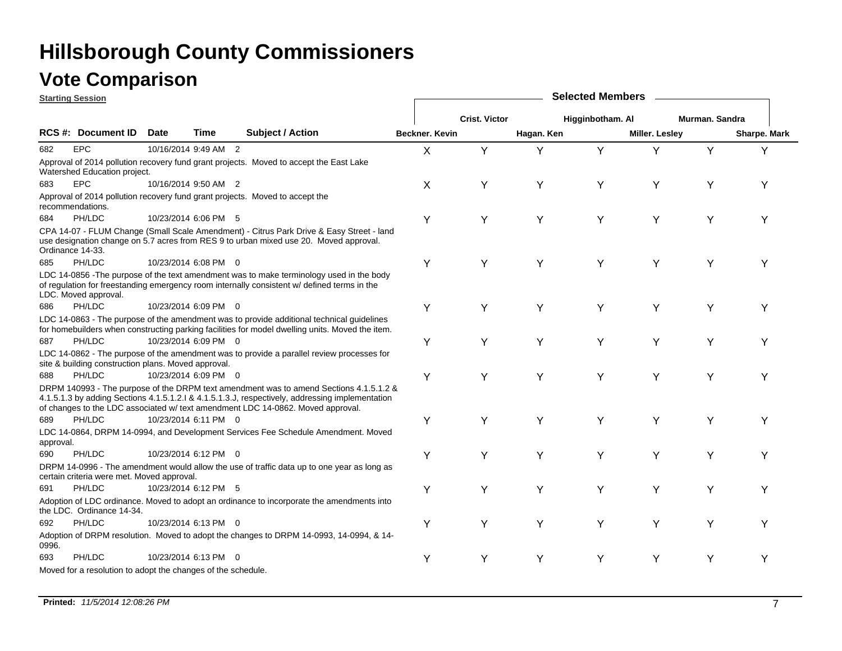### **Vote Comparison**

**Starting Session**

| <u>starting session</u> |                                                              |             |                      |                                                                                                                                                                                                                                                                              | <b>OUIGULU INGILIO</b> |                      |            |                  |                |                |                     |
|-------------------------|--------------------------------------------------------------|-------------|----------------------|------------------------------------------------------------------------------------------------------------------------------------------------------------------------------------------------------------------------------------------------------------------------------|------------------------|----------------------|------------|------------------|----------------|----------------|---------------------|
|                         |                                                              |             |                      |                                                                                                                                                                                                                                                                              |                        | <b>Crist. Victor</b> |            | Higginbotham. Al |                | Murman. Sandra |                     |
|                         | <b>RCS #: Document ID</b>                                    | <b>Date</b> | Time                 | <b>Subject / Action</b>                                                                                                                                                                                                                                                      | <b>Beckner, Kevin</b>  |                      | Hagan. Ken |                  | Miller. Lesley |                | <b>Sharpe. Mark</b> |
| 682                     | <b>EPC</b>                                                   |             | 10/16/2014 9:49 AM 2 |                                                                                                                                                                                                                                                                              | X                      | Y                    | Y          | Y                | Y              | Y              | Υ                   |
|                         | Watershed Education project.                                 |             |                      | Approval of 2014 pollution recovery fund grant projects. Moved to accept the East Lake                                                                                                                                                                                       |                        |                      |            |                  |                |                |                     |
| 683                     | <b>EPC</b>                                                   |             | 10/16/2014 9:50 AM 2 |                                                                                                                                                                                                                                                                              | X                      | Y                    | Υ          | Υ                | Y              | Y              | Y                   |
|                         | recommendations.                                             |             |                      | Approval of 2014 pollution recovery fund grant projects. Moved to accept the                                                                                                                                                                                                 |                        |                      |            |                  |                |                |                     |
| 684                     | PH/LDC                                                       |             | 10/23/2014 6:06 PM 5 |                                                                                                                                                                                                                                                                              | Y                      | Υ                    | Y          | Y                | Y              | Υ              | Υ                   |
|                         | Ordinance 14-33.                                             |             |                      | CPA 14-07 - FLUM Change (Small Scale Amendment) - Citrus Park Drive & Easy Street - land<br>use designation change on 5.7 acres from RES 9 to urban mixed use 20. Moved approval.                                                                                            |                        |                      |            |                  |                |                |                     |
| 685                     | PH/LDC                                                       |             | 10/23/2014 6:08 PM 0 |                                                                                                                                                                                                                                                                              | Υ                      | Υ                    | Y          | Y                | Y              | Υ              | Y                   |
|                         | LDC. Moved approval.                                         |             |                      | LDC 14-0856 - The purpose of the text amendment was to make terminology used in the body<br>of regulation for freestanding emergency room internally consistent w/ defined terms in the                                                                                      |                        |                      |            |                  |                |                |                     |
| 686                     | PH/LDC                                                       |             | 10/23/2014 6:09 PM 0 |                                                                                                                                                                                                                                                                              | Υ                      | Y                    | Y          | Y                | Υ              | Υ              | Y                   |
|                         |                                                              |             |                      | LDC 14-0863 - The purpose of the amendment was to provide additional technical guidelines<br>for homebuilders when constructing parking facilities for model dwelling units. Moved the item.                                                                                 |                        |                      |            |                  |                |                |                     |
| 687                     | PH/LDC                                                       |             | 10/23/2014 6:09 PM 0 |                                                                                                                                                                                                                                                                              | Υ                      | Υ                    | Y          | Υ                | Y              | Υ              | Y                   |
|                         | site & building construction plans. Moved approval.          |             |                      | LDC 14-0862 - The purpose of the amendment was to provide a parallel review processes for                                                                                                                                                                                    |                        |                      |            |                  |                |                |                     |
| 688                     | PH/LDC                                                       |             | 10/23/2014 6:09 PM 0 |                                                                                                                                                                                                                                                                              | Υ                      | Υ                    | Y          | Υ                | Y              | Y              | Y                   |
|                         |                                                              |             |                      | DRPM 140993 - The purpose of the DRPM text amendment was to amend Sections 4.1.5.1.2 &<br>4.1.5.1.3 by adding Sections 4.1.5.1.2.1 & 4.1.5.1.3.J, respectively, addressing implementation<br>of changes to the LDC associated w/ text amendment LDC 14-0862. Moved approval. |                        |                      |            |                  |                |                |                     |
| 689                     | PH/LDC                                                       |             | 10/23/2014 6:11 PM 0 |                                                                                                                                                                                                                                                                              | Υ                      | Υ                    | Y          | Y                | Υ              | Υ              | Υ                   |
| approval.               |                                                              |             |                      | LDC 14-0864, DRPM 14-0994, and Development Services Fee Schedule Amendment. Moved                                                                                                                                                                                            |                        |                      |            |                  |                |                |                     |
| 690                     | PH/LDC                                                       |             | 10/23/2014 6:12 PM 0 |                                                                                                                                                                                                                                                                              | Υ                      | Y                    | Υ          | Y                | Y              | Y              | Y                   |
|                         | certain criteria were met. Moved approval.                   |             |                      | DRPM 14-0996 - The amendment would allow the use of traffic data up to one year as long as                                                                                                                                                                                   |                        |                      |            |                  |                |                |                     |
| 691                     | PH/LDC                                                       |             | 10/23/2014 6:12 PM 5 |                                                                                                                                                                                                                                                                              | Υ                      | Υ                    | Y          | Y                | Y              | Y              | Υ                   |
|                         | the LDC. Ordinance 14-34.                                    |             |                      | Adoption of LDC ordinance. Moved to adopt an ordinance to incorporate the amendments into                                                                                                                                                                                    |                        |                      |            |                  |                |                |                     |
| 692                     | PH/LDC                                                       |             | 10/23/2014 6:13 PM 0 |                                                                                                                                                                                                                                                                              | Υ                      | Y                    | Υ          | Y                | Y              | Υ              | Υ                   |
| 0996.                   |                                                              |             |                      | Adoption of DRPM resolution. Moved to adopt the changes to DRPM 14-0993, 14-0994, & 14-                                                                                                                                                                                      |                        |                      |            |                  |                |                |                     |
| 693                     | PH/LDC                                                       |             | 10/23/2014 6:13 PM 0 |                                                                                                                                                                                                                                                                              | Y                      | Υ                    | Y          | Y                | Υ              | Υ              | Υ                   |
|                         | Moved for a resolution to adopt the changes of the schedule. |             |                      |                                                                                                                                                                                                                                                                              |                        |                      |            |                  |                |                |                     |

**Selected Members**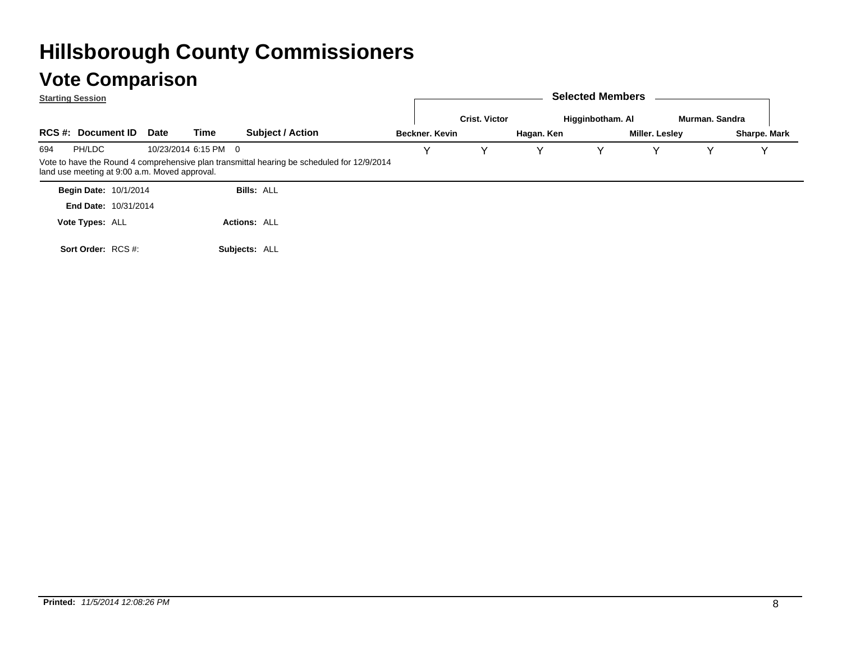|     | <b>Starting Session</b>                       |      |                      |                                                                                            |  |                |                      |                  | <b>Selected Members</b> |                |                |              |
|-----|-----------------------------------------------|------|----------------------|--------------------------------------------------------------------------------------------|--|----------------|----------------------|------------------|-------------------------|----------------|----------------|--------------|
|     |                                               |      |                      |                                                                                            |  |                | <b>Crist. Victor</b> | Higginbotham. Al |                         |                | Murman, Sandra |              |
|     | <b>RCS #: Document ID</b>                     | Date | Time                 | <b>Subject / Action</b>                                                                    |  | Beckner, Kevin |                      | Hagan. Ken       |                         | Miller. Lesley |                | Sharpe. Mark |
| 694 | PH/LDC                                        |      | 10/23/2014 6:15 PM 0 |                                                                                            |  | $\checkmark$   | v                    | v                | Y                       |                | v              |              |
|     | land use meeting at 9:00 a.m. Moved approval. |      |                      | Vote to have the Round 4 comprehensive plan transmittal hearing be scheduled for 12/9/2014 |  |                |                      |                  |                         |                |                |              |
|     | <b>Begin Date: 10/1/2014</b>                  |      |                      | <b>Bills: ALL</b>                                                                          |  |                |                      |                  |                         |                |                |              |
|     | <b>End Date: 10/31/2014</b>                   |      |                      |                                                                                            |  |                |                      |                  |                         |                |                |              |
|     | Vote Types: ALL                               |      |                      | <b>Actions: ALL</b>                                                                        |  |                |                      |                  |                         |                |                |              |
|     | Sort Order: RCS #:                            |      |                      | Subjects: ALL                                                                              |  |                |                      |                  |                         |                |                |              |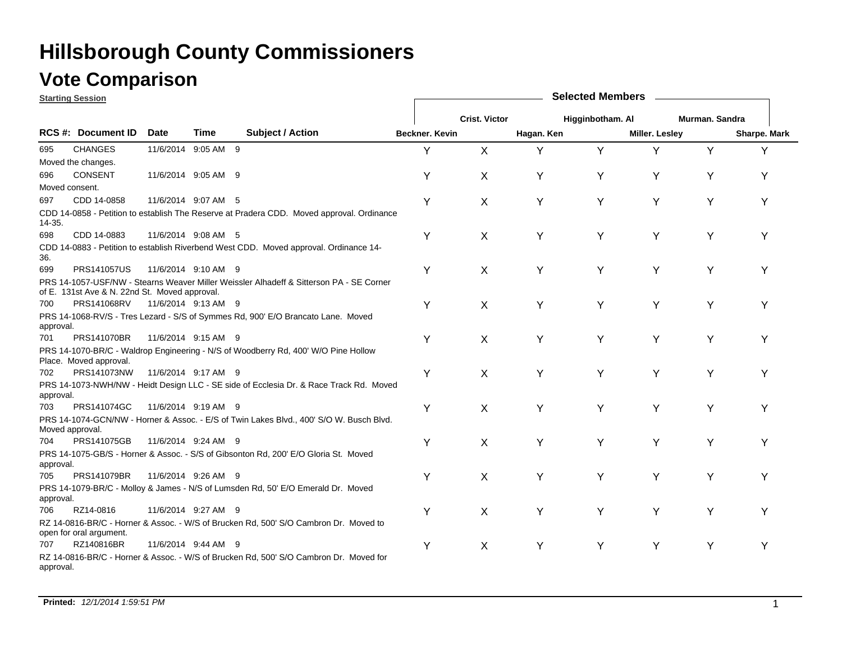### **Vote Comparison**

|                 | <b>Starting Session</b>                       |                     |      |                                                                                           |                | <b>Selected Members</b> |            |                  |                       |                |              |  |  |  |
|-----------------|-----------------------------------------------|---------------------|------|-------------------------------------------------------------------------------------------|----------------|-------------------------|------------|------------------|-----------------------|----------------|--------------|--|--|--|
|                 |                                               |                     |      |                                                                                           |                | <b>Crist. Victor</b>    |            | Higginbotham. Al |                       | Murman, Sandra |              |  |  |  |
|                 | <b>RCS#: Document ID</b>                      | Date                | Time | <b>Subject / Action</b>                                                                   | Beckner, Kevin |                         | Hagan. Ken |                  | <b>Miller. Lesley</b> |                | Sharpe. Mark |  |  |  |
| 695             | <b>CHANGES</b>                                | 11/6/2014 9:05 AM 9 |      |                                                                                           | Y              | X                       | Y          | Υ                | Y                     | Υ              | Y            |  |  |  |
|                 | Moved the changes.                            |                     |      |                                                                                           |                |                         |            |                  |                       |                |              |  |  |  |
| 696             | CONSENT                                       | 11/6/2014 9:05 AM 9 |      |                                                                                           | Υ              | X                       | Υ          | Υ                | Y                     | Y              | Υ            |  |  |  |
| Moved consent.  |                                               |                     |      |                                                                                           |                |                         |            |                  |                       |                |              |  |  |  |
| 697             | CDD 14-0858                                   | 11/6/2014 9:07 AM 5 |      |                                                                                           | Y              | X                       | Υ          | Υ                | Y                     | Υ              | Υ            |  |  |  |
| $14 - 35.$      |                                               |                     |      | CDD 14-0858 - Petition to establish The Reserve at Pradera CDD. Moved approval. Ordinance |                |                         |            |                  |                       |                |              |  |  |  |
| 698             | CDD 14-0883                                   | 11/6/2014 9:08 AM 5 |      |                                                                                           | Y              | X                       | Υ          | Υ                | Y                     | Y              | Υ            |  |  |  |
| 36.             |                                               |                     |      | CDD 14-0883 - Petition to establish Riverbend West CDD. Moved approval. Ordinance 14-     |                |                         |            |                  |                       |                |              |  |  |  |
| 699             | <b>PRS141057US</b>                            | 11/6/2014 9:10 AM 9 |      |                                                                                           | Υ              | X                       | Υ          | Υ                | Υ                     | Υ              | Υ            |  |  |  |
|                 | of E. 131st Ave & N. 22nd St. Moved approval. |                     |      | PRS 14-1057-USF/NW - Stearns Weaver Miller Weissler Alhadeff & Sitterson PA - SE Corner   |                |                         |            |                  |                       |                |              |  |  |  |
| 700             | PRS141068RV                                   | 11/6/2014 9:13 AM 9 |      |                                                                                           | Υ              | X                       | Y          | Υ                | Y                     | Υ              | Υ            |  |  |  |
| approval.       |                                               |                     |      | PRS 14-1068-RV/S - Tres Lezard - S/S of Symmes Rd, 900' E/O Brancato Lane. Moved          |                |                         |            |                  |                       |                |              |  |  |  |
| 701             | PRS141070BR                                   | 11/6/2014 9:15 AM 9 |      |                                                                                           | Y              | X                       | Y          | Υ                | Y                     | Y              | Υ            |  |  |  |
|                 | Place. Moved approval.                        |                     |      | PRS 14-1070-BR/C - Waldrop Engineering - N/S of Woodberry Rd, 400' W/O Pine Hollow        |                |                         |            |                  |                       |                |              |  |  |  |
| 702             | PRS141073NW                                   | 11/6/2014 9:17 AM 9 |      |                                                                                           | Y              | X                       | Υ          | Υ                | Y                     | Υ              | Υ            |  |  |  |
| approval.       |                                               |                     |      | PRS 14-1073-NWH/NW - Heidt Design LLC - SE side of Ecclesia Dr. & Race Track Rd. Moved    |                |                         |            |                  |                       |                |              |  |  |  |
| 703             | PRS141074GC                                   | 11/6/2014 9:19 AM 9 |      |                                                                                           | Υ              | X                       | Υ          | Υ                | Y                     | Υ              | Υ            |  |  |  |
| Moved approval. |                                               |                     |      | PRS 14-1074-GCN/NW - Horner & Assoc. - E/S of Twin Lakes Blvd., 400' S/O W. Busch Blvd.   |                |                         |            |                  |                       |                |              |  |  |  |
| 704             | PRS141075GB                                   | 11/6/2014 9:24 AM 9 |      |                                                                                           | Y              | X                       | Y          | Υ                | Y                     | Y              | Υ            |  |  |  |
| approval.       |                                               |                     |      | PRS 14-1075-GB/S - Horner & Assoc. - S/S of Gibsonton Rd, 200' E/O Gloria St. Moved       |                |                         |            |                  |                       |                |              |  |  |  |
| 705             | PRS141079BR                                   | 11/6/2014 9:26 AM 9 |      |                                                                                           | Y              | X                       | Υ          | Υ                | Y                     | Υ              | Υ            |  |  |  |
| approval.       |                                               |                     |      | PRS 14-1079-BR/C - Molloy & James - N/S of Lumsden Rd, 50' E/O Emerald Dr. Moved          |                |                         |            |                  |                       |                |              |  |  |  |
| 706             | RZ14-0816                                     | 11/6/2014 9:27 AM 9 |      |                                                                                           | Y              | X                       | Υ          | Υ                | Y                     | Υ              | Υ            |  |  |  |
|                 | open for oral argument.                       |                     |      | RZ 14-0816-BR/C - Horner & Assoc. - W/S of Brucken Rd, 500' S/O Cambron Dr. Moved to      |                |                         |            |                  |                       |                |              |  |  |  |
| 707             | RZ140816BR                                    | 11/6/2014 9:44 AM 9 |      |                                                                                           | Υ              | X                       | Υ          | Υ                | Y                     | Y              | Υ            |  |  |  |
| approval.       |                                               |                     |      | RZ 14-0816-BR/C - Horner & Assoc. - W/S of Brucken Rd, 500' S/O Cambron Dr. Moved for     |                |                         |            |                  |                       |                |              |  |  |  |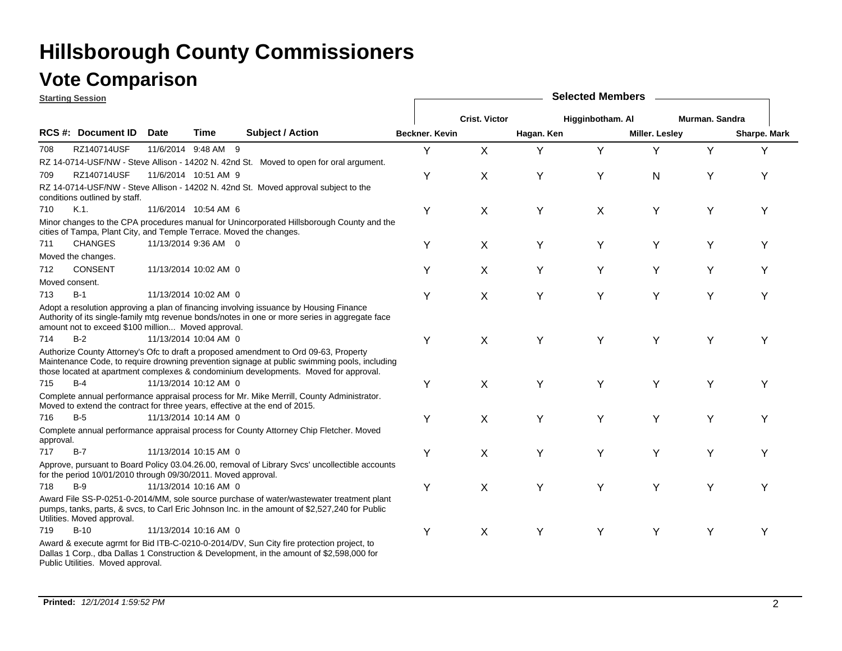### **Vote Comparison**

**Starting Session**

|           | <u> Əlarlıny Əessiun</u>                                            |             |                       |                                                                                                                                                                                                                                                                              | OUIUULUU IIIUIIIN |                      |            |                  |                |                |                     |  |  |
|-----------|---------------------------------------------------------------------|-------------|-----------------------|------------------------------------------------------------------------------------------------------------------------------------------------------------------------------------------------------------------------------------------------------------------------------|-------------------|----------------------|------------|------------------|----------------|----------------|---------------------|--|--|
|           |                                                                     |             |                       |                                                                                                                                                                                                                                                                              |                   | <b>Crist. Victor</b> |            | Higginbotham. Al |                | Murman. Sandra |                     |  |  |
|           | <b>RCS #: Document ID</b>                                           | <b>Date</b> | Time                  | <b>Subject / Action</b>                                                                                                                                                                                                                                                      | Beckner, Kevin    |                      | Hagan. Ken |                  | Miller. Lesley |                | <b>Sharpe. Mark</b> |  |  |
| 708       | RZ140714USF                                                         |             | 11/6/2014 9:48 AM 9   |                                                                                                                                                                                                                                                                              | Υ                 | X                    | Y          | Y                | Υ              | Y              | Y                   |  |  |
|           |                                                                     |             |                       | RZ 14-0714-USF/NW - Steve Allison - 14202 N. 42nd St. Moved to open for oral argument.                                                                                                                                                                                       |                   |                      |            |                  |                |                |                     |  |  |
| 709       | RZ140714USF                                                         |             | 11/6/2014 10:51 AM 9  |                                                                                                                                                                                                                                                                              | Υ                 | X                    | Y          | Υ                | N              | Υ              | Υ                   |  |  |
|           | conditions outlined by staff.                                       |             |                       | RZ 14-0714-USF/NW - Steve Allison - 14202 N. 42nd St. Moved approval subject to the                                                                                                                                                                                          |                   |                      |            |                  |                |                |                     |  |  |
| 710       | $K.1$ .                                                             |             | 11/6/2014 10:54 AM 6  |                                                                                                                                                                                                                                                                              | Υ                 | X                    | Y          | X                | Υ              | Υ              | Υ                   |  |  |
|           | cities of Tampa, Plant City, and Temple Terrace. Moved the changes. |             |                       | Minor changes to the CPA procedures manual for Unincorporated Hillsborough County and the                                                                                                                                                                                    |                   |                      |            |                  |                |                |                     |  |  |
| 711       | <b>CHANGES</b>                                                      |             | 11/13/2014 9:36 AM 0  |                                                                                                                                                                                                                                                                              | Υ                 | X                    | Y          | Y                | Υ              | Υ              | Υ                   |  |  |
|           | Moved the changes.                                                  |             |                       |                                                                                                                                                                                                                                                                              |                   |                      |            |                  |                |                |                     |  |  |
| 712       | <b>CONSENT</b>                                                      |             | 11/13/2014 10:02 AM 0 |                                                                                                                                                                                                                                                                              | Υ                 | X                    | Y          | Υ                | Υ              | Υ              | Y                   |  |  |
|           | Moved consent.                                                      |             |                       |                                                                                                                                                                                                                                                                              |                   |                      |            |                  |                |                |                     |  |  |
| 713       | $B-1$                                                               |             | 11/13/2014 10:02 AM 0 |                                                                                                                                                                                                                                                                              | Υ                 | X                    | Y          | Y                | Y              | Υ              | Y                   |  |  |
|           | amount not to exceed \$100 million Moved approval.                  |             |                       | Adopt a resolution approving a plan of financing involving issuance by Housing Finance<br>Authority of its single-family mtg revenue bonds/notes in one or more series in aggregate face                                                                                     |                   |                      |            |                  |                |                |                     |  |  |
| 714       | $B-2$                                                               |             | 11/13/2014 10:04 AM 0 |                                                                                                                                                                                                                                                                              | Υ                 | X                    | Y          | Y                | Υ              | Υ              | Y                   |  |  |
|           |                                                                     |             |                       | Authorize County Attorney's Ofc to draft a proposed amendment to Ord 09-63, Property<br>Maintenance Code, to require drowning prevention signage at public swimming pools, including<br>those located at apartment complexes & condominium developments. Moved for approval. |                   |                      |            |                  |                |                |                     |  |  |
| 715       | B-4                                                                 |             | 11/13/2014 10:12 AM 0 |                                                                                                                                                                                                                                                                              | Υ                 | X                    | Υ          | Y                | Υ              | Υ              | Y                   |  |  |
|           |                                                                     |             |                       | Complete annual performance appraisal process for Mr. Mike Merrill, County Administrator.<br>Moved to extend the contract for three years, effective at the end of 2015.                                                                                                     |                   |                      |            |                  |                |                |                     |  |  |
| 716       | $B-5$                                                               |             | 11/13/2014 10:14 AM 0 |                                                                                                                                                                                                                                                                              | Υ                 | X                    | Y          | Y                | Y              | Y              | Υ                   |  |  |
| approval. |                                                                     |             |                       | Complete annual performance appraisal process for County Attorney Chip Fletcher. Moved                                                                                                                                                                                       |                   |                      |            |                  |                |                |                     |  |  |
| 717       | $B-7$                                                               |             | 11/13/2014 10:15 AM 0 |                                                                                                                                                                                                                                                                              | Υ                 | X                    | Y          | Y                | Y              | Y              | Υ                   |  |  |
|           | for the period 10/01/2010 through 09/30/2011. Moved approval.       |             |                       | Approve, pursuant to Board Policy 03.04.26.00, removal of Library Svcs' uncollectible accounts                                                                                                                                                                               |                   |                      |            |                  |                |                |                     |  |  |
| 718       | $B-9$                                                               |             | 11/13/2014 10:16 AM 0 |                                                                                                                                                                                                                                                                              | Υ                 | X                    | Y          | Y                | Υ              | Y              | Y                   |  |  |
|           | Utilities. Moved approval.                                          |             |                       | Award File SS-P-0251-0-2014/MM, sole source purchase of water/wastewater treatment plant<br>pumps, tanks, parts, & svcs, to Carl Eric Johnson Inc. in the amount of \$2,527,240 for Public                                                                                   |                   |                      |            |                  |                |                |                     |  |  |
| 719       | $B-10$                                                              |             | 11/13/2014 10:16 AM 0 |                                                                                                                                                                                                                                                                              | Υ                 | X                    | Υ          | Y                | Y              | Y              | Υ                   |  |  |
|           | Public Utilities. Moved approval.                                   |             |                       | Award & execute agrmt for Bid ITB-C-0210-0-2014/DV, Sun City fire protection project, to<br>Dallas 1 Corp., dba Dallas 1 Construction & Development, in the amount of \$2,598,000 for                                                                                        |                   |                      |            |                  |                |                |                     |  |  |

**Selected Members**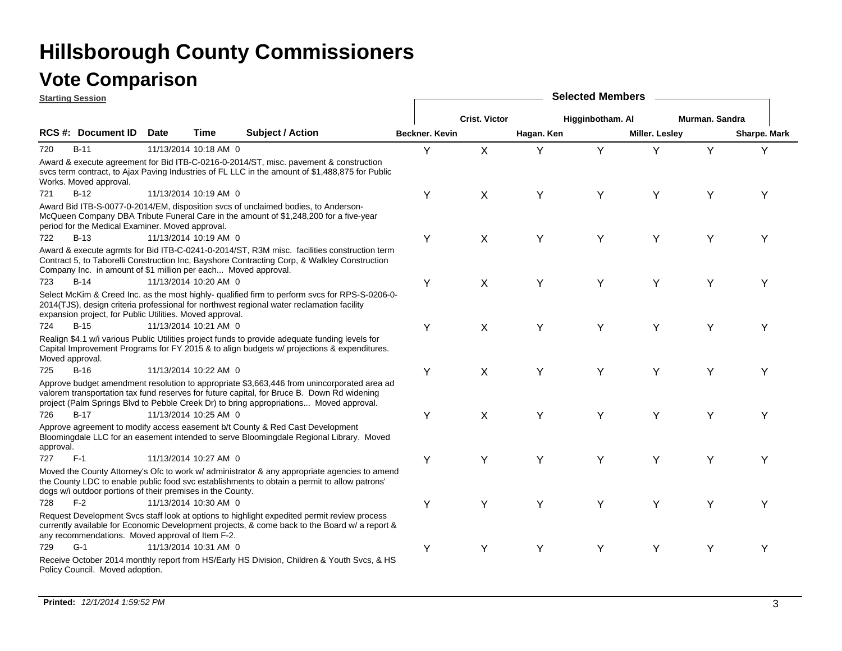|                 | <b>Starting Session</b>                                        |             |                       |                                                                                                                                                                                                                                                                                    | <b>Selected Members</b> |                      |            |                  |                |                |              |  |  |  |
|-----------------|----------------------------------------------------------------|-------------|-----------------------|------------------------------------------------------------------------------------------------------------------------------------------------------------------------------------------------------------------------------------------------------------------------------------|-------------------------|----------------------|------------|------------------|----------------|----------------|--------------|--|--|--|
|                 |                                                                |             |                       |                                                                                                                                                                                                                                                                                    |                         | <b>Crist. Victor</b> |            | Higginbotham. Al |                | Murman, Sandra |              |  |  |  |
|                 | RCS #: Document ID                                             | <b>Date</b> | Time                  | <b>Subject / Action</b>                                                                                                                                                                                                                                                            | Beckner, Kevin          |                      | Hagan. Ken |                  | Miller. Lesley |                | Sharpe. Mark |  |  |  |
| 720             | $B-11$                                                         |             | 11/13/2014 10:18 AM 0 |                                                                                                                                                                                                                                                                                    | Y                       | X                    | Y          | Y                | Υ              | Υ              | Y            |  |  |  |
|                 | Works. Moved approval.                                         |             |                       | Award & execute agreement for Bid ITB-C-0216-0-2014/ST, misc. pavement & construction<br>sycs term contract, to Ajax Paving Industries of FL LLC in the amount of \$1,488,875 for Public                                                                                           |                         |                      |            |                  |                |                |              |  |  |  |
| 721             | $B-12$                                                         |             | 11/13/2014 10:19 AM 0 |                                                                                                                                                                                                                                                                                    | Y                       | X                    | Y          | Y                | Y              | Υ              | Y            |  |  |  |
|                 | period for the Medical Examiner. Moved approval.               |             |                       | Award Bid ITB-S-0077-0-2014/EM, disposition svcs of unclaimed bodies, to Anderson-<br>McQueen Company DBA Tribute Funeral Care in the amount of \$1,248,200 for a five-year                                                                                                        |                         |                      |            |                  |                |                |              |  |  |  |
| 722             | $B-13$                                                         |             | 11/13/2014 10:19 AM 0 |                                                                                                                                                                                                                                                                                    | Y                       | X                    | Y          | Y                | Y              | Υ              | Υ            |  |  |  |
|                 | Company Inc. in amount of \$1 million per each Moved approval. |             |                       | Award & execute agrmts for Bid ITB-C-0241-0-2014/ST, R3M misc. facilities construction term<br>Contract 5, to Taborelli Construction Inc, Bayshore Contracting Corp, & Walkley Construction                                                                                        |                         |                      |            |                  |                |                |              |  |  |  |
| 723             | $B-14$                                                         |             | 11/13/2014 10:20 AM 0 |                                                                                                                                                                                                                                                                                    | Y                       | X                    | Y          | Y                | Υ              | Υ              | Y            |  |  |  |
|                 | expansion project, for Public Utilities. Moved approval.       |             |                       | Select McKim & Creed Inc. as the most highly- qualified firm to perform svcs for RPS-S-0206-0-<br>2014(TJS), design criteria professional for northwest regional water reclamation facility                                                                                        |                         |                      |            |                  |                |                |              |  |  |  |
| 724             | $B-15$                                                         |             | 11/13/2014 10:21 AM 0 |                                                                                                                                                                                                                                                                                    | Y                       | X                    | Υ          | Y                | Υ              | Υ              | Υ            |  |  |  |
| Moved approval. |                                                                |             |                       | Realign \$4.1 w/i various Public Utilities project funds to provide adequate funding levels for<br>Capital Improvement Programs for FY 2015 & to align budgets w/ projections & expenditures.                                                                                      |                         |                      |            |                  |                |                |              |  |  |  |
| 725             | $B-16$                                                         |             | 11/13/2014 10:22 AM 0 |                                                                                                                                                                                                                                                                                    | Y                       | X                    | Y          | Y                | Y              | Y              | Υ            |  |  |  |
|                 |                                                                |             |                       | Approve budget amendment resolution to appropriate \$3,663,446 from unincorporated area ad<br>valorem transportation tax fund reserves for future capital, for Bruce B. Down Rd widening<br>project (Palm Springs Blvd to Pebble Creek Dr) to bring appropriations Moved approval. |                         |                      |            |                  |                |                |              |  |  |  |
| 726             | $B-17$                                                         |             | 11/13/2014 10:25 AM 0 |                                                                                                                                                                                                                                                                                    | Y                       | X                    | Y          | Y                | Υ              | Y              | Υ            |  |  |  |
| approval.       |                                                                |             |                       | Approve agreement to modify access easement b/t County & Red Cast Development<br>Bloomingdale LLC for an easement intended to serve Bloomingdale Regional Library. Moved                                                                                                           |                         |                      |            |                  |                |                |              |  |  |  |
| 727             | $F-1$                                                          |             | 11/13/2014 10:27 AM 0 |                                                                                                                                                                                                                                                                                    | Y                       | Y                    | Y          | Y                | Y              | Y              | Υ            |  |  |  |
|                 | dogs w/i outdoor portions of their premises in the County.     |             |                       | Moved the County Attorney's Ofc to work w/ administrator & any appropriate agencies to amend<br>the County LDC to enable public food svc establishments to obtain a permit to allow patrons'                                                                                       |                         |                      |            |                  |                |                |              |  |  |  |
| 728             | $F-2$                                                          |             | 11/13/2014 10:30 AM 0 |                                                                                                                                                                                                                                                                                    | Y                       | Y                    | Y          | Y                | Υ              | Υ              | Y            |  |  |  |
|                 | any recommendations. Moved approval of Item F-2.               |             |                       | Request Development Svcs staff look at options to highlight expedited permit review process<br>currently available for Economic Development projects, & come back to the Board w/ a report &                                                                                       |                         |                      |            |                  |                |                |              |  |  |  |
| 729             | $G-1$                                                          |             | 11/13/2014 10:31 AM 0 |                                                                                                                                                                                                                                                                                    | Y                       | Υ                    | Y          | Y                | Y              | Υ              | Y            |  |  |  |
|                 | Policy Council. Moved adoption.                                |             |                       | Receive October 2014 monthly report from HS/Early HS Division, Children & Youth Svcs, & HS                                                                                                                                                                                         |                         |                      |            |                  |                |                |              |  |  |  |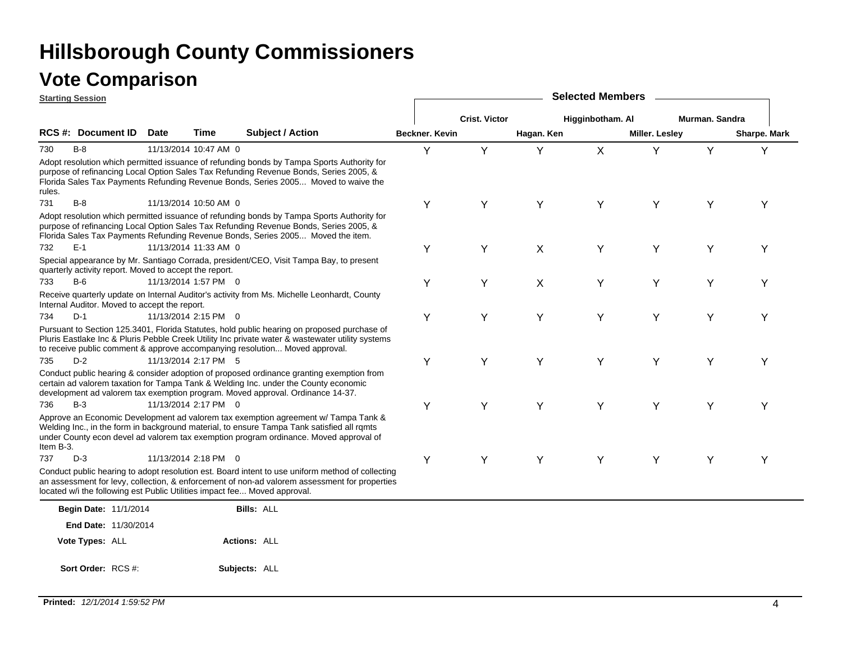|           | <b>Starting Session</b>                                |             |                       |                                                                                                                                                                                                                                                                                |                | <b>Selected Members</b> |            |                  |                       |                |              |  |  |  |
|-----------|--------------------------------------------------------|-------------|-----------------------|--------------------------------------------------------------------------------------------------------------------------------------------------------------------------------------------------------------------------------------------------------------------------------|----------------|-------------------------|------------|------------------|-----------------------|----------------|--------------|--|--|--|
|           |                                                        |             |                       |                                                                                                                                                                                                                                                                                |                | <b>Crist. Victor</b>    |            | Higginbotham. Al |                       | Murman, Sandra |              |  |  |  |
|           | RCS #: Document ID                                     | <b>Date</b> | Time                  | <b>Subject / Action</b>                                                                                                                                                                                                                                                        | Beckner. Kevin |                         | Hagan. Ken |                  | <b>Miller. Lesley</b> |                | Sharpe. Mark |  |  |  |
| 730       | $B-8$                                                  |             | 11/13/2014 10:47 AM 0 |                                                                                                                                                                                                                                                                                | Y              | Y                       | Y          | X                | Y                     | Y              | Υ            |  |  |  |
| rules.    |                                                        |             |                       | Adopt resolution which permitted issuance of refunding bonds by Tampa Sports Authority for<br>purpose of refinancing Local Option Sales Tax Refunding Revenue Bonds, Series 2005, &<br>Florida Sales Tax Payments Refunding Revenue Bonds, Series 2005 Moved to waive the      |                |                         |            |                  |                       |                |              |  |  |  |
| 731       | $B-8$                                                  |             | 11/13/2014 10:50 AM 0 |                                                                                                                                                                                                                                                                                | Y              | Y                       | Y          | Υ                | Υ                     | Υ              | Y            |  |  |  |
|           |                                                        |             |                       | Adopt resolution which permitted issuance of refunding bonds by Tampa Sports Authority for<br>purpose of refinancing Local Option Sales Tax Refunding Revenue Bonds, Series 2005, &<br>Florida Sales Tax Payments Refunding Revenue Bonds, Series 2005 Moved the item.         |                |                         |            |                  |                       |                |              |  |  |  |
| 732       | $E-1$                                                  |             | 11/13/2014 11:33 AM 0 |                                                                                                                                                                                                                                                                                | Y              | Y                       | X          | Υ                | Υ                     | Υ              | Υ            |  |  |  |
|           | quarterly activity report. Moved to accept the report. |             |                       | Special appearance by Mr. Santiago Corrada, president/CEO, Visit Tampa Bay, to present                                                                                                                                                                                         |                |                         |            |                  |                       |                |              |  |  |  |
| 733       | $B-6$                                                  |             | 11/13/2014 1:57 PM 0  |                                                                                                                                                                                                                                                                                | Y              | Υ                       | X          | Υ                | Υ                     | Υ              | Υ            |  |  |  |
|           | Internal Auditor. Moved to accept the report.          |             |                       | Receive quarterly update on Internal Auditor's activity from Ms. Michelle Leonhardt, County                                                                                                                                                                                    |                |                         |            |                  |                       |                |              |  |  |  |
| 734       | $D-1$                                                  |             | 11/13/2014 2:15 PM 0  |                                                                                                                                                                                                                                                                                | Y              | Υ                       | Y          | Y                | Y                     | Υ              | Y            |  |  |  |
|           |                                                        |             |                       | Pursuant to Section 125.3401, Florida Statutes, hold public hearing on proposed purchase of<br>Pluris Eastlake Inc & Pluris Pebble Creek Utility Inc private water & wastewater utility systems<br>to receive public comment & approve accompanying resolution Moved approval. |                |                         |            |                  |                       |                |              |  |  |  |
| 735       | $D-2$                                                  |             | 11/13/2014 2:17 PM 5  |                                                                                                                                                                                                                                                                                | Y              | Υ                       | Y          | Υ                | Υ                     | Υ              | Y            |  |  |  |
|           |                                                        |             |                       | Conduct public hearing & consider adoption of proposed ordinance granting exemption from<br>certain ad valorem taxation for Tampa Tank & Welding Inc. under the County economic<br>development ad valorem tax exemption program. Moved approval. Ordinance 14-37.              |                |                         |            |                  |                       |                |              |  |  |  |
| 736       | $B-3$                                                  |             | 11/13/2014 2:17 PM 0  |                                                                                                                                                                                                                                                                                | Y              | Υ                       | Y          | Υ                | Υ                     | Υ              | Υ            |  |  |  |
| Item B-3. |                                                        |             |                       | Approve an Economic Development ad valorem tax exemption agreement w/ Tampa Tank &<br>Welding Inc., in the form in background material, to ensure Tampa Tank satisfied all rqmts<br>under County econ devel ad valorem tax exemption program ordinance. Moved approval of      |                |                         |            |                  |                       |                |              |  |  |  |
| 737       | $D-3$                                                  |             | 11/13/2014 2:18 PM 0  |                                                                                                                                                                                                                                                                                | Y              | Y                       | Y          | Y                | Υ                     | Υ              | Υ            |  |  |  |
|           |                                                        |             |                       | Conduct public hearing to adopt resolution est. Board intent to use uniform method of collecting<br>an assessment for levy, collection, & enforcement of non-ad valorem assessment for properties<br>located w/i the following est Public Utilities impact fee Moved approval. |                |                         |            |                  |                       |                |              |  |  |  |
|           | Begin Date: 11/1/2014                                  |             |                       | <b>Bills: ALL</b>                                                                                                                                                                                                                                                              |                |                         |            |                  |                       |                |              |  |  |  |
|           | <b>End Date: 11/30/2014</b>                            |             |                       |                                                                                                                                                                                                                                                                                |                |                         |            |                  |                       |                |              |  |  |  |
|           | Vote Types: ALL                                        |             |                       | <b>Actions: ALL</b>                                                                                                                                                                                                                                                            |                |                         |            |                  |                       |                |              |  |  |  |
|           | Sort Order: RCS #:                                     |             |                       | Subjects: ALL                                                                                                                                                                                                                                                                  |                |                         |            |                  |                       |                |              |  |  |  |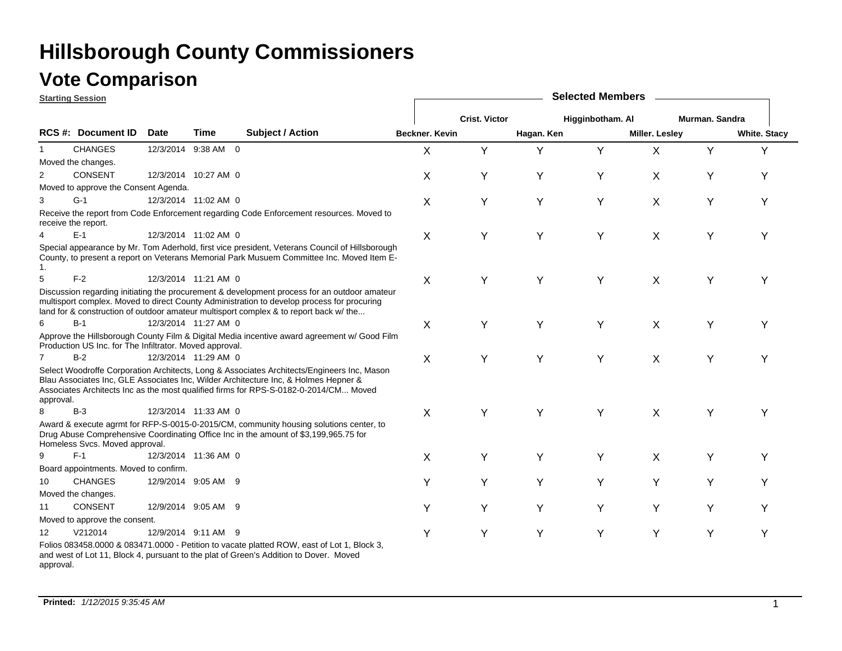### **Vote Comparison**

**Starting Session**

|                | <u>Starting Session</u>                                 |             |                      |                                                                                                                                                                                                                                                                                     | <b>OUIUULUM INUITIN</b> |                      |            |                  |                       |                |                     |  |  |
|----------------|---------------------------------------------------------|-------------|----------------------|-------------------------------------------------------------------------------------------------------------------------------------------------------------------------------------------------------------------------------------------------------------------------------------|-------------------------|----------------------|------------|------------------|-----------------------|----------------|---------------------|--|--|
|                |                                                         |             |                      |                                                                                                                                                                                                                                                                                     |                         | <b>Crist. Victor</b> |            | Higginbotham. Al |                       | Murman. Sandra |                     |  |  |
|                | <b>RCS #: Document ID</b>                               | <b>Date</b> | Time                 | <b>Subject / Action</b>                                                                                                                                                                                                                                                             | <b>Beckner, Kevin</b>   |                      | Hagan. Ken |                  | <b>Miller. Lesley</b> |                | <b>White. Stacy</b> |  |  |
| 1              | <b>CHANGES</b>                                          |             | 12/3/2014 9:38 AM 0  |                                                                                                                                                                                                                                                                                     | X                       | Y                    | Y          | Y                | X                     | Y              | Y                   |  |  |
|                | Moved the changes.                                      |             |                      |                                                                                                                                                                                                                                                                                     |                         |                      |            |                  |                       |                |                     |  |  |
| $\overline{2}$ | <b>CONSENT</b>                                          |             | 12/3/2014 10:27 AM 0 |                                                                                                                                                                                                                                                                                     | X                       | Υ                    | Y          | Y                | X                     | Υ              | Υ                   |  |  |
|                | Moved to approve the Consent Agenda.                    |             |                      |                                                                                                                                                                                                                                                                                     |                         |                      |            |                  |                       |                |                     |  |  |
| 3              | $G-1$                                                   |             | 12/3/2014 11:02 AM 0 |                                                                                                                                                                                                                                                                                     | X                       | Υ                    | Y          | Y                | Χ                     | Y              | Y                   |  |  |
|                | receive the report.                                     |             |                      | Receive the report from Code Enforcement regarding Code Enforcement resources. Moved to                                                                                                                                                                                             |                         |                      |            |                  |                       |                |                     |  |  |
| 4              | $E-1$                                                   |             | 12/3/2014 11:02 AM 0 |                                                                                                                                                                                                                                                                                     | X                       | Y                    | Y          | Y                | X                     | Y              | Υ                   |  |  |
| 1.             |                                                         |             |                      | Special appearance by Mr. Tom Aderhold, first vice president, Veterans Council of Hillsborough<br>County, to present a report on Veterans Memorial Park Musuem Committee Inc. Moved Item E-                                                                                         |                         |                      |            |                  |                       |                |                     |  |  |
| 5              | $F-2$                                                   |             | 12/3/2014 11:21 AM 0 |                                                                                                                                                                                                                                                                                     | Χ                       | Υ                    | Υ          | Y                | Χ                     | Υ              | Y                   |  |  |
|                |                                                         |             |                      | Discussion regarding initiating the procurement & development process for an outdoor amateur<br>multisport complex. Moved to direct County Administration to develop process for procuring<br>land for & construction of outdoor amateur multisport complex & to report back w/ the |                         |                      |            |                  |                       |                |                     |  |  |
| 6              | $B-1$                                                   |             | 12/3/2014 11:27 AM 0 |                                                                                                                                                                                                                                                                                     | X                       | Y                    | Y          | Y                | X                     | Y              | Y                   |  |  |
|                | Production US Inc. for The Infiltrator. Moved approval. |             |                      | Approve the Hillsborough County Film & Digital Media incentive award agreement w/ Good Film                                                                                                                                                                                         |                         |                      |            |                  |                       |                |                     |  |  |
| $\overline{7}$ | $B-2$                                                   |             | 12/3/2014 11:29 AM 0 |                                                                                                                                                                                                                                                                                     | X                       | Y                    | Y          | Y                | X                     | Y              | Υ                   |  |  |
| approval.      |                                                         |             |                      | Select Woodroffe Corporation Architects, Long & Associates Architects/Engineers Inc, Mason<br>Blau Associates Inc, GLE Associates Inc, Wilder Architecture Inc, & Holmes Hepner &<br>Associates Architects Inc as the most qualified firms for RPS-S-0182-0-2014/CM Moved           |                         |                      |            |                  |                       |                |                     |  |  |
| 8              | $B-3$                                                   |             | 12/3/2014 11:33 AM 0 |                                                                                                                                                                                                                                                                                     | X                       | Υ                    | Y          | Y                | X                     | Y              | Y                   |  |  |
|                | Homeless Svcs. Moved approval.                          |             |                      | Award & execute agrmt for RFP-S-0015-0-2015/CM, community housing solutions center, to<br>Drug Abuse Comprehensive Coordinating Office Inc in the amount of \$3,199,965.75 for                                                                                                      |                         |                      |            |                  |                       |                |                     |  |  |
| 9              | $F-1$                                                   |             | 12/3/2014 11:36 AM 0 |                                                                                                                                                                                                                                                                                     | X                       | Υ                    | Υ          | Y                | X                     | Y              | Υ                   |  |  |
|                | Board appointments. Moved to confirm.                   |             |                      |                                                                                                                                                                                                                                                                                     |                         |                      |            |                  |                       |                |                     |  |  |
| 10             | <b>CHANGES</b>                                          |             | 12/9/2014 9:05 AM 9  |                                                                                                                                                                                                                                                                                     | Υ                       | Y                    | Y          | Y                | Y                     | Y              | Y                   |  |  |
|                | Moved the changes.                                      |             |                      |                                                                                                                                                                                                                                                                                     |                         |                      |            |                  |                       |                |                     |  |  |
| 11             | <b>CONSENT</b>                                          |             | 12/9/2014 9:05 AM 9  |                                                                                                                                                                                                                                                                                     | Y                       | Υ                    | Y          | Y                | Y                     | Y              | Υ                   |  |  |
|                | Moved to approve the consent.                           |             |                      |                                                                                                                                                                                                                                                                                     |                         |                      |            |                  |                       |                |                     |  |  |
| 12             | V212014                                                 |             | 12/9/2014 9:11 AM 9  |                                                                                                                                                                                                                                                                                     | Y                       | Y                    | Υ          | Υ                | Y                     | Υ              | Υ                   |  |  |
|                |                                                         |             |                      | Folios 083458.0000 & 083471.0000 - Petition to vacate platted ROW, east of Lot 1, Block 3,<br>at 44. Disale 4. we constant to the interior of Opening Andritism to Davis a Marcell                                                                                                  |                         |                      |            |                  |                       |                |                     |  |  |

**Selected Members**

and west of Lot 11, Block 4, pursuant to the plat of Green's Addition to Dover. Moved approval.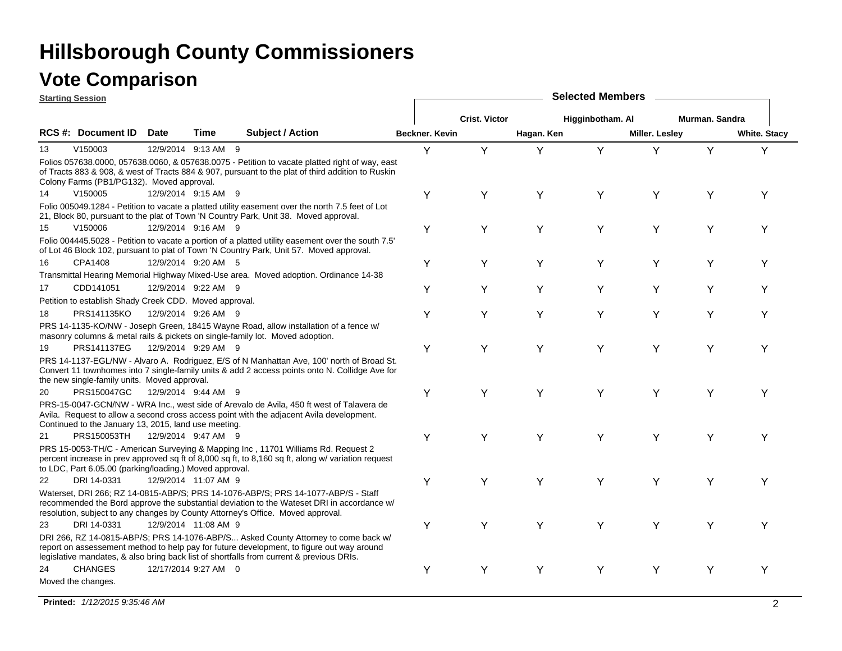| <b>Starting Session</b>                                                                                                                                                                                                                                                     |                         | <b>Selected Members</b> |                      |            |                  |                |                |                     |  |  |  |
|-----------------------------------------------------------------------------------------------------------------------------------------------------------------------------------------------------------------------------------------------------------------------------|-------------------------|-------------------------|----------------------|------------|------------------|----------------|----------------|---------------------|--|--|--|
|                                                                                                                                                                                                                                                                             |                         |                         | <b>Crist. Victor</b> |            | Higginbotham. Al |                | Murman, Sandra |                     |  |  |  |
| RCS #: Document ID<br><b>Date</b><br><b>Time</b>                                                                                                                                                                                                                            | <b>Subject / Action</b> | Beckner, Kevin          |                      | Hagan. Ken |                  | Miller. Lesley |                | <b>White. Stacy</b> |  |  |  |
| V150003<br>13<br>12/9/2014 9:13 AM 9                                                                                                                                                                                                                                        |                         | Y                       | Y                    | Y          | Y                | Υ              | Y              | Y                   |  |  |  |
| Folios 057638.0000, 057638.0060, & 057638.0075 - Petition to vacate platted right of way, east<br>of Tracts 883 & 908, & west of Tracts 884 & 907, pursuant to the plat of third addition to Ruskin<br>Colony Farms (PB1/PG132). Moved approval.                            |                         |                         |                      |            |                  |                |                |                     |  |  |  |
| V150005<br>14<br>12/9/2014 9:15 AM 9                                                                                                                                                                                                                                        |                         | Y                       | Y                    | Y          | Y                | Y              | Υ              | Υ                   |  |  |  |
| Folio 005049.1284 - Petition to vacate a platted utility easement over the north 7.5 feet of Lot<br>21, Block 80, pursuant to the plat of Town 'N Country Park, Unit 38. Moved approval.                                                                                    |                         |                         |                      |            |                  |                |                |                     |  |  |  |
| 15<br>V150006<br>12/9/2014 9:16 AM 9                                                                                                                                                                                                                                        |                         | Υ                       | Y                    | Y          | Y                | Y              | Y              | Y                   |  |  |  |
| Folio 004445.5028 - Petition to vacate a portion of a platted utility easement over the south 7.5'<br>of Lot 46 Block 102, pursuant to plat of Town 'N Country Park, Unit 57. Moved approval.                                                                               |                         |                         |                      |            |                  |                |                |                     |  |  |  |
| CPA1408<br>12/9/2014 9:20 AM 5<br>16                                                                                                                                                                                                                                        |                         | Υ                       | Y                    | Υ          | Y                | Y              | Y              | Y                   |  |  |  |
| Transmittal Hearing Memorial Highway Mixed-Use area. Moved adoption. Ordinance 14-38                                                                                                                                                                                        |                         |                         |                      |            |                  |                |                |                     |  |  |  |
| CDD141051<br>12/9/2014 9:22 AM 9<br>17                                                                                                                                                                                                                                      |                         | Y                       | Y                    | Y          | Y                | Y              | Y              | Y                   |  |  |  |
| Petition to establish Shady Creek CDD. Moved approval.                                                                                                                                                                                                                      |                         |                         |                      |            |                  |                |                |                     |  |  |  |
| PRS141135KO<br>12/9/2014 9:26 AM 9<br>18<br>PRS 14-1135-KO/NW - Joseph Green, 18415 Wayne Road, allow installation of a fence w/                                                                                                                                            |                         | Y                       | Y                    | Y          | Y                | Y              | Y              | Y                   |  |  |  |
| masonry columns & metal rails & pickets on single-family lot. Moved adoption.                                                                                                                                                                                               |                         |                         |                      |            |                  |                |                |                     |  |  |  |
| PRS141137EG<br>12/9/2014 9:29 AM 9<br>19                                                                                                                                                                                                                                    |                         | Y                       | Y                    | Y          | Y                | Y              | Y              | Υ                   |  |  |  |
| PRS 14-1137-EGL/NW - Alvaro A. Rodriguez, E/S of N Manhattan Ave, 100' north of Broad St.<br>Convert 11 townhomes into 7 single-family units & add 2 access points onto N. Collidge Ave for<br>the new single-family units. Moved approval.                                 |                         |                         |                      |            |                  |                |                |                     |  |  |  |
| PRS150047GC<br>12/9/2014 9:44 AM 9<br>20                                                                                                                                                                                                                                    |                         | Y                       | Y                    | Y          | Y                | Y              | Υ              | Y                   |  |  |  |
| PRS-15-0047-GCN/NW - WRA Inc., west side of Arevalo de Avila, 450 ft west of Talavera de<br>Avila. Request to allow a second cross access point with the adjacent Avila development.<br>Continued to the January 13, 2015, land use meeting.                                |                         |                         |                      |            |                  |                |                |                     |  |  |  |
| PRS150053TH<br>12/9/2014 9:47 AM 9<br>21                                                                                                                                                                                                                                    |                         | Y                       | Y                    | Y          | Y                | Y              | Y              | Υ                   |  |  |  |
| PRS 15-0053-TH/C - American Surveying & Mapping Inc, 11701 Williams Rd. Request 2<br>percent increase in prev approved sq ft of 8,000 sq ft, to 8,160 sq ft, along w/ variation request<br>to LDC, Part 6.05.00 (parking/loading.) Moved approval.                          |                         |                         |                      |            |                  |                |                |                     |  |  |  |
| 22<br>DRI 14-0331<br>12/9/2014 11:07 AM 9                                                                                                                                                                                                                                   |                         | Y                       | Υ                    | Y          | Y                | Y              | Υ              | Υ                   |  |  |  |
| Waterset, DRI 266; RZ 14-0815-ABP/S; PRS 14-1076-ABP/S; PRS 14-1077-ABP/S - Staff<br>recommended the Bord approve the substantial deviation to the Wateset DRI in accordance w/<br>resolution, subject to any changes by County Attorney's Office. Moved approval.          |                         |                         |                      |            |                  |                |                |                     |  |  |  |
| DRI 14-0331<br>12/9/2014 11:08 AM 9<br>23                                                                                                                                                                                                                                   |                         | Y                       | Y                    | Y          | Y                | Y              | Y              | Y                   |  |  |  |
| DRI 266, RZ 14-0815-ABP/S; PRS 14-1076-ABP/S Asked County Attorney to come back w/<br>report on assessement method to help pay for future development, to figure out way around<br>legislative mandates, & also bring back list of shortfalls from current & previous DRIs. |                         |                         |                      |            |                  |                |                |                     |  |  |  |
| <b>CHANGES</b><br>12/17/2014 9:27 AM 0<br>24                                                                                                                                                                                                                                |                         | Υ                       | Y                    | Y          | Y                | Y              | Υ              | Y                   |  |  |  |
| Moved the changes.                                                                                                                                                                                                                                                          |                         |                         |                      |            |                  |                |                |                     |  |  |  |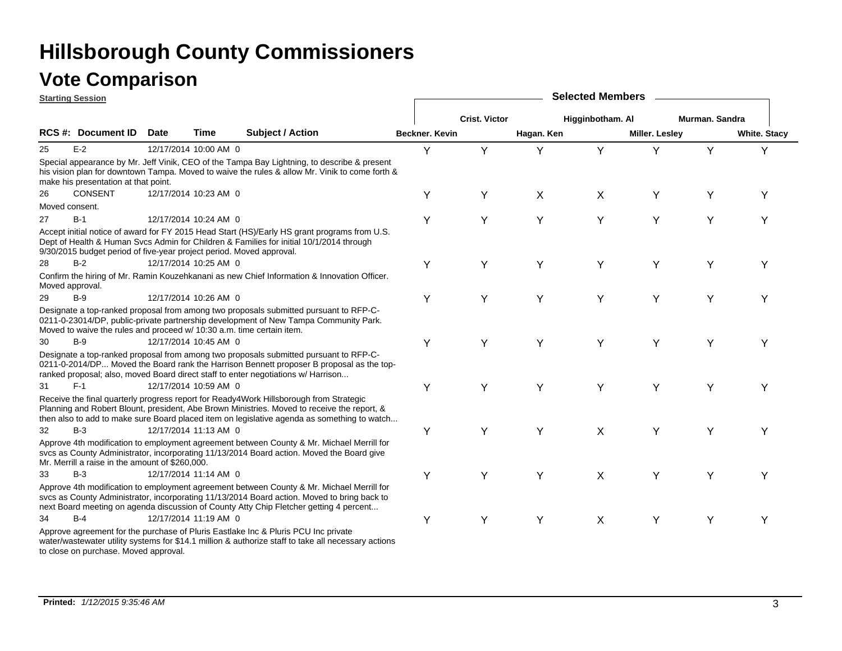|    | <b>Starting Session</b>                                               |             |                       |                                                                                                                                                                                                                                                                                      |                |                      |            | <b>Selected Members</b> |                       |                       |                     |
|----|-----------------------------------------------------------------------|-------------|-----------------------|--------------------------------------------------------------------------------------------------------------------------------------------------------------------------------------------------------------------------------------------------------------------------------------|----------------|----------------------|------------|-------------------------|-----------------------|-----------------------|---------------------|
|    |                                                                       |             |                       |                                                                                                                                                                                                                                                                                      |                | <b>Crist. Victor</b> |            | Higginbotham. Al        |                       | <b>Murman, Sandra</b> |                     |
|    | <b>RCS #: Document ID</b>                                             | <b>Date</b> | Time                  | Subject / Action                                                                                                                                                                                                                                                                     | Beckner, Kevin |                      | Hagan. Ken |                         | <b>Miller. Lesley</b> |                       | <b>White. Stacy</b> |
| 25 | $E-2$                                                                 |             | 12/17/2014 10:00 AM 0 |                                                                                                                                                                                                                                                                                      | Y              | Y                    | Y          | Y                       | Υ                     | Y                     | Y                   |
|    | make his presentation at that point.                                  |             |                       | Special appearance by Mr. Jeff Vinik, CEO of the Tampa Bay Lightning, to describe & present<br>his vision plan for downtown Tampa. Moved to waive the rules & allow Mr. Vinik to come forth &                                                                                        |                |                      |            |                         |                       |                       |                     |
| 26 | <b>CONSENT</b>                                                        |             | 12/17/2014 10:23 AM 0 |                                                                                                                                                                                                                                                                                      | Υ              | Y                    | X          | X                       | Y                     | Y                     | Y                   |
|    | Moved consent.                                                        |             |                       |                                                                                                                                                                                                                                                                                      |                |                      |            |                         |                       |                       |                     |
| 27 | $B-1$                                                                 |             | 12/17/2014 10:24 AM 0 |                                                                                                                                                                                                                                                                                      | Y              | Y                    | Y          | Υ                       | Υ                     | Y                     | Y                   |
|    | 9/30/2015 budget period of five-year project period. Moved approval.  |             |                       | Accept initial notice of award for FY 2015 Head Start (HS)/Early HS grant programs from U.S.<br>Dept of Health & Human Svcs Admin for Children & Families for initial 10/1/2014 through                                                                                              |                |                      |            |                         |                       |                       |                     |
| 28 | B-2                                                                   |             | 12/17/2014 10:25 AM 0 |                                                                                                                                                                                                                                                                                      | Υ              | Y                    | Y          | Υ                       | Y                     | Y                     | Υ                   |
|    | Moved approval.                                                       |             |                       | Confirm the hiring of Mr. Ramin Kouzehkanani as new Chief Information & Innovation Officer.                                                                                                                                                                                          |                |                      |            |                         |                       |                       |                     |
| 29 | $B-9$                                                                 |             | 12/17/2014 10:26 AM 0 |                                                                                                                                                                                                                                                                                      | Y              | Y                    | Y          | Y                       | Υ                     | Υ                     | Υ                   |
|    | Moved to waive the rules and proceed w/ 10:30 a.m. time certain item. |             |                       | Designate a top-ranked proposal from among two proposals submitted pursuant to RFP-C-<br>0211-0-23014/DP, public-private partnership development of New Tampa Community Park.                                                                                                        |                |                      |            |                         |                       |                       |                     |
| 30 | B-9                                                                   |             | 12/17/2014 10:45 AM 0 |                                                                                                                                                                                                                                                                                      | Y              | Υ                    | Y          | Υ                       | Y                     | Y                     | Υ                   |
|    |                                                                       |             |                       | Designate a top-ranked proposal from among two proposals submitted pursuant to RFP-C-<br>0211-0-2014/DP Moved the Board rank the Harrison Bennett proposer B proposal as the top-<br>ranked proposal; also, moved Board direct staff to enter negotiations w/ Harrison               |                |                      |            |                         |                       |                       |                     |
| 31 | $F-1$                                                                 |             | 12/17/2014 10:59 AM 0 |                                                                                                                                                                                                                                                                                      | Y              | Υ                    | Y          | Y                       | Υ                     | Y                     | Υ                   |
|    |                                                                       |             |                       | Receive the final quarterly progress report for Ready4Work Hillsborough from Strategic<br>Planning and Robert Blount, president, Abe Brown Ministries. Moved to receive the report, &<br>then also to add to make sure Board placed item on legislative agenda as something to watch |                |                      |            |                         |                       |                       |                     |
| 32 | $B-3$                                                                 |             | 12/17/2014 11:13 AM 0 |                                                                                                                                                                                                                                                                                      | Υ              | Y                    | Y          | X                       | Y                     | Y                     | Y                   |
|    | Mr. Merrill a raise in the amount of \$260,000.                       |             |                       | Approve 4th modification to employment agreement between County & Mr. Michael Merrill for<br>svcs as County Administrator, incorporating 11/13/2014 Board action. Moved the Board give                                                                                               |                |                      |            |                         |                       |                       |                     |
| 33 | $B-3$                                                                 |             | 12/17/2014 11:14 AM 0 |                                                                                                                                                                                                                                                                                      | Υ              | Υ                    | Y          | X                       | Υ                     | Υ                     | Υ                   |
|    |                                                                       |             |                       | Approve 4th modification to employment agreement between County & Mr. Michael Merrill for<br>svcs as County Administrator, incorporating 11/13/2014 Board action. Moved to bring back to<br>next Board meeting on agenda discussion of County Atty Chip Fletcher getting 4 percent   |                |                      |            |                         |                       |                       |                     |
| 34 | $B-4$                                                                 |             | 12/17/2014 11:19 AM 0 |                                                                                                                                                                                                                                                                                      | Y              | Υ                    | Y          | X                       | Υ                     | Y                     | Υ                   |
|    |                                                                       |             |                       | Approve agreement for the purchase of Pluris Eastlake Inc & Pluris PCU Inc private<br>water/wastewater utility systems for \$14.1 million & authorize staff to take all necessary actions                                                                                            |                |                      |            |                         |                       |                       |                     |

to close on purchase. Moved approval.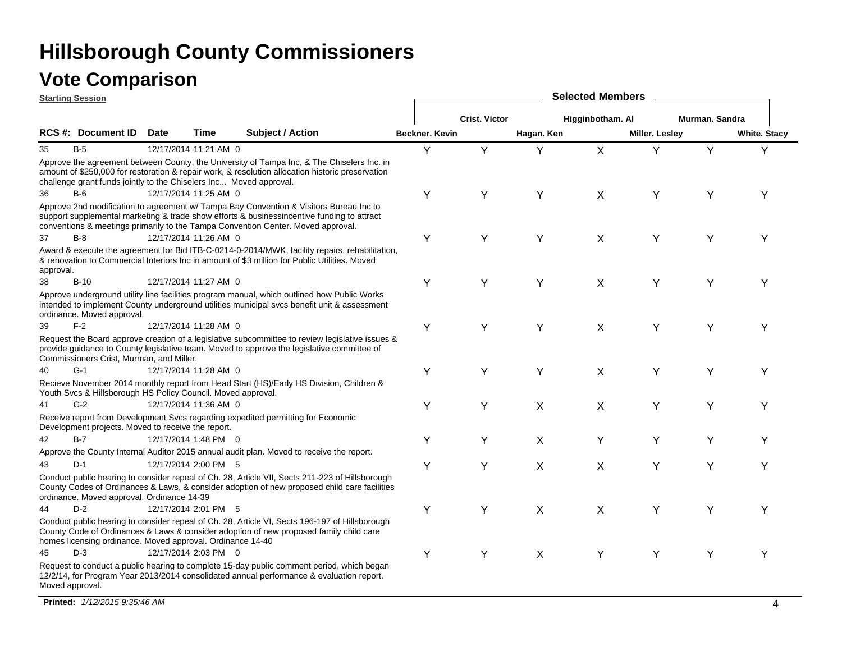|                 | <b>Starting Session</b>                                            |             |                       |                                                                                                                                                                                                                                                                          | <b>Selected Members</b> |                      |            |                  |                       |                |                     |  |  |  |
|-----------------|--------------------------------------------------------------------|-------------|-----------------------|--------------------------------------------------------------------------------------------------------------------------------------------------------------------------------------------------------------------------------------------------------------------------|-------------------------|----------------------|------------|------------------|-----------------------|----------------|---------------------|--|--|--|
|                 |                                                                    |             |                       |                                                                                                                                                                                                                                                                          |                         | <b>Crist. Victor</b> |            | Higginbotham. Al |                       | Murman. Sandra |                     |  |  |  |
|                 | RCS #: Document ID                                                 | <b>Date</b> | Time                  | <b>Subject / Action</b>                                                                                                                                                                                                                                                  | Beckner, Kevin          |                      | Hagan. Ken |                  | <b>Miller. Lesley</b> |                | <b>White. Stacy</b> |  |  |  |
| 35              | $B-5$                                                              |             | 12/17/2014 11:21 AM 0 |                                                                                                                                                                                                                                                                          | Y                       | Y                    | Y          | X                | Y                     | Y              | Y                   |  |  |  |
|                 | challenge grant funds jointly to the Chiselers Inc Moved approval. |             |                       | Approve the agreement between County, the University of Tampa Inc, & The Chiselers Inc. in<br>amount of \$250,000 for restoration & repair work, & resolution allocation historic preservation                                                                           |                         |                      |            |                  |                       |                |                     |  |  |  |
| 36              | B-6                                                                |             | 12/17/2014 11:25 AM 0 |                                                                                                                                                                                                                                                                          | Υ                       | Y                    | Y          | X                | Υ                     | Υ              | Y                   |  |  |  |
|                 |                                                                    |             |                       | Approve 2nd modification to agreement w/ Tampa Bay Convention & Visitors Bureau Inc to<br>support supplemental marketing & trade show efforts & businessincentive funding to attract<br>conventions & meetings primarily to the Tampa Convention Center. Moved approval. |                         |                      |            |                  |                       |                |                     |  |  |  |
| 37              | $B-8$                                                              |             | 12/17/2014 11:26 AM 0 |                                                                                                                                                                                                                                                                          | Υ                       | Y                    | Y          | X                | Υ                     | Y              | Υ                   |  |  |  |
| approval.       |                                                                    |             |                       | Award & execute the agreement for Bid ITB-C-0214-0-2014/MWK, facility repairs, rehabilitation,<br>& renovation to Commercial Interiors Inc in amount of \$3 million for Public Utilities. Moved                                                                          |                         |                      |            |                  |                       |                |                     |  |  |  |
| 38              | $B-10$                                                             |             | 12/17/2014 11:27 AM 0 |                                                                                                                                                                                                                                                                          | Y                       | Υ                    | Y          | $\sf X$          | Y                     | Y              | Υ                   |  |  |  |
|                 | ordinance. Moved approval.                                         |             |                       | Approve underground utility line facilities program manual, which outlined how Public Works<br>intended to implement County underground utilities municipal svcs benefit unit & assessment                                                                               |                         |                      |            |                  |                       |                |                     |  |  |  |
| 39              | $F-2$                                                              |             | 12/17/2014 11:28 AM 0 |                                                                                                                                                                                                                                                                          | Υ                       | Y                    | Y          | X                | Y                     | Y              | Y                   |  |  |  |
|                 | Commissioners Crist, Murman, and Miller.                           |             |                       | Request the Board approve creation of a legislative subcommittee to review legislative issues &<br>provide guidance to County legislative team. Moved to approve the legislative committee of                                                                            |                         |                      |            |                  |                       |                |                     |  |  |  |
| 40              | $G-1$                                                              |             | 12/17/2014 11:28 AM 0 |                                                                                                                                                                                                                                                                          | Υ                       | Y                    | Y          | X                | Υ                     | Υ              | Y                   |  |  |  |
|                 | Youth Svcs & Hillsborough HS Policy Council. Moved approval.       |             |                       | Recieve November 2014 monthly report from Head Start (HS)/Early HS Division, Children &                                                                                                                                                                                  |                         |                      |            |                  |                       |                |                     |  |  |  |
| 41              | $G-2$                                                              |             | 12/17/2014 11:36 AM 0 |                                                                                                                                                                                                                                                                          | Y                       | Y                    | X          | X                | Υ                     | Y              | Y                   |  |  |  |
|                 | Development projects. Moved to receive the report.                 |             |                       | Receive report from Development Svcs regarding expedited permitting for Economic                                                                                                                                                                                         |                         |                      |            |                  |                       |                |                     |  |  |  |
| 42              | $B-7$                                                              |             | 12/17/2014 1:48 PM 0  |                                                                                                                                                                                                                                                                          | Υ                       | Y                    | X          | Υ                | Y                     | Υ              | Y                   |  |  |  |
|                 |                                                                    |             |                       | Approve the County Internal Auditor 2015 annual audit plan. Moved to receive the report.                                                                                                                                                                                 |                         |                      |            |                  |                       |                |                     |  |  |  |
| 43              | $D-1$                                                              |             | 12/17/2014 2:00 PM 5  |                                                                                                                                                                                                                                                                          | Υ                       | Y                    | X          | X                | Υ                     | Υ              | Y                   |  |  |  |
|                 | ordinance. Moved approval. Ordinance 14-39                         |             |                       | Conduct public hearing to consider repeal of Ch. 28, Article VII, Sects 211-223 of Hillsborough<br>County Codes of Ordinances & Laws, & consider adoption of new proposed child care facilities                                                                          |                         |                      |            |                  |                       |                |                     |  |  |  |
| 44              | $D-2$                                                              |             | 12/17/2014 2:01 PM 5  |                                                                                                                                                                                                                                                                          | Υ                       | Y                    | X          | X                | Y                     | Y              | Υ                   |  |  |  |
|                 | homes licensing ordinance. Moved approval. Ordinance 14-40         |             |                       | Conduct public hearing to consider repeal of Ch. 28, Article VI, Sects 196-197 of Hillsborough<br>County Code of Ordinances & Laws & consider adoption of new proposed family child care                                                                                 |                         |                      |            |                  |                       |                |                     |  |  |  |
| 45              | $D-3$                                                              |             | 12/17/2014 2:03 PM 0  |                                                                                                                                                                                                                                                                          | Υ                       | Y                    | X          | Υ                | Υ                     | Y              | Y                   |  |  |  |
| Moved approval. |                                                                    |             |                       | Request to conduct a public hearing to complete 15-day public comment period, which began<br>12/2/14, for Program Year 2013/2014 consolidated annual performance & evaluation report.                                                                                    |                         |                      |            |                  |                       |                |                     |  |  |  |